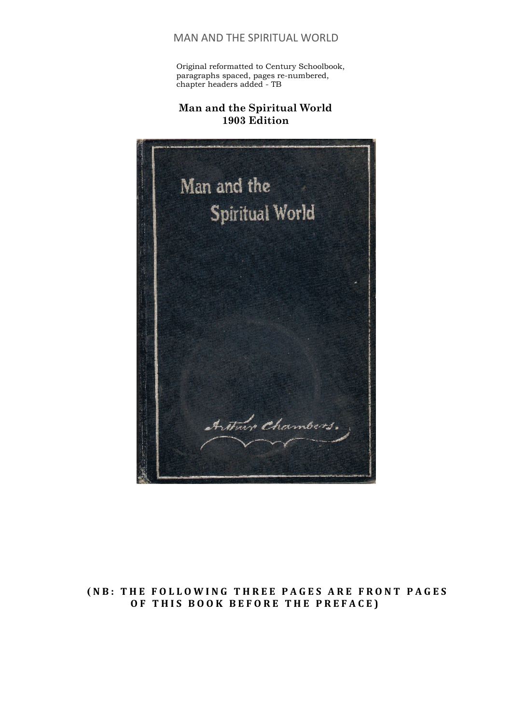Original reformatted to Century Schoolbook, paragraphs spaced, pages re-numbered, chapter headers added - TB

## **Man and the Spiritual World 1903 Edition**



## **( NB: THE FOLLOWING THREE PAGES ARE FRONT PAGES OF THIS BOOK BEFORE THE PREFACE)**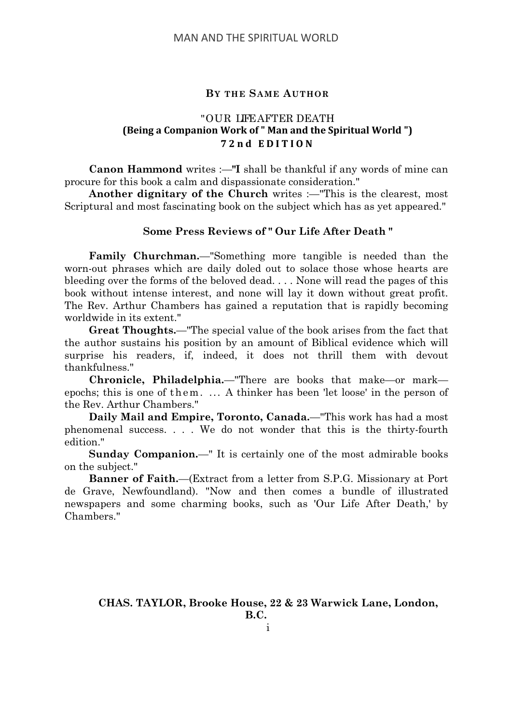#### **BY THE SAME AUTHOR**

## "OUR LIFEAFTER DEATH **(Being a Companion Work of " Man and the Spiritual World ") 72nd EDITION**

**Canon Hammond** writes :—**"I** shall be thankful if any words of mine can procure for this book a calm and dispassionate consideration."

**Another dignitary of the Church** writes :—"This is the clearest, most Scriptural and most fascinating book on the subject which has as yet appeared."

#### **Some Press Reviews of " Our Life After Death "**

**Family Churchman.**—"Something more tangible is needed than the worn-out phrases which are daily doled out to solace those whose hearts are bleeding over the forms of the beloved dead. . . . None will read the pages of this book without intense interest, and none will lay it down without great profit. The Rev. Arthur Chambers has gained a reputation that is rapidly becoming worldwide in its extent."

**Great Thoughts.**—"The special value of the book arises from the fact that the author sustains his position by an amount of Biblical evidence which will surprise his readers, if, indeed, it does not thrill them with devout thankfulness."

**Chronicle, Philadelphia.**—"There are books that make—or mark epochs; this is one of them. ... A thinker has been 'let loose' in the person of the Rev. Arthur Chambers."

**Daily Mail and Empire, Toronto, Canada.**—"This work has had a most phenomenal success. . . . We do not wonder that this is the thirty-fourth edition."

**Sunday Companion.**—" It is certainly one of the most admirable books on the subject."

**Banner of Faith.**—(Extract from a letter from S.P.G. Missionary at Port de Grave, Newfoundland). "Now and then comes a bundle of illustrated newspapers and some charming books, such as 'Our Life After Death,' by Chambers."

**CHAS. TAYLOR, Brooke House, 22 & 23 Warwick Lane, London, B.C.**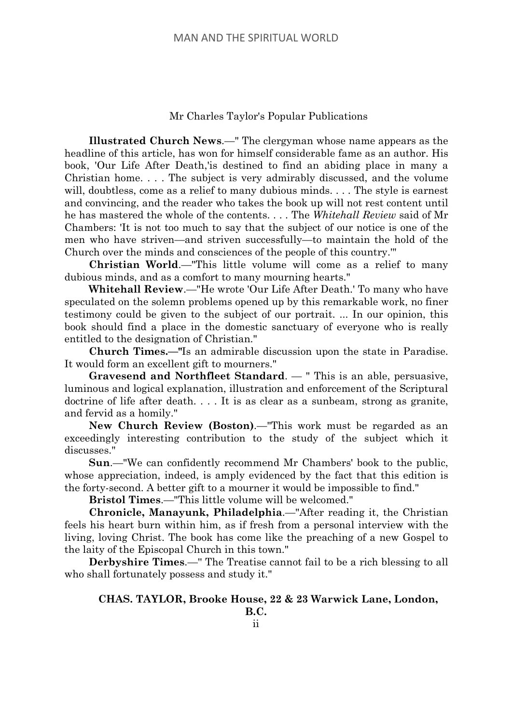#### Mr Charles Taylor's Popular Publications

**Illustrated Church News**.—" The clergyman whose name appears as the headline of this article, has won for himself considerable fame as an author. His book, 'Our Life After Death,'is destined to find an abiding place in many a Christian home. . . . The subject is very admirably discussed, and the volume will, doubtless, come as a relief to many dubious minds. . . . The style is earnest and convincing, and the reader who takes the book up will not rest content until he has mastered the whole of the contents. . . . The *Whitehall Review* said of Mr Chambers: 'It is not too much to say that the subject of our notice is one of the men who have striven—and striven successfully—to maintain the hold of the Church over the minds and consciences of the people of this country.'"

**Christian World**.—"This little volume will come as a relief to many dubious minds, and as a comfort to many mourning hearts."

**Whitehall Review**.—"He wrote 'Our Life After Death.' To many who have speculated on the solemn problems opened up by this remarkable work, no finer testimony could be given to the subject of our portrait. ... In our opinion, this book should find a place in the domestic sanctuary of everyone who is really entitled to the designation of Christian."

**Church Times.—"**Is an admirable discussion upon the state in Paradise. It would form an excellent gift to mourners."

**Gravesend and Northfleet Standard**. — " This is an able, persuasive, luminous and logical explanation, illustration and enforcement of the Scriptural doctrine of life after death. . . . It is as clear as a sunbeam, strong as granite, and fervid as a homily."

**New Church Review (Boston)**.—"This work must be regarded as an exceedingly interesting contribution to the study of the subject which it discusses."

**Sun**.—"We can confidently recommend Mr Chambers' book to the public, whose appreciation, indeed, is amply evidenced by the fact that this edition is the forty-second. A better gift to a mourner it would be impossible to find."

**Bristol Times**.—"This little volume will be welcomed."

**Chronicle, Manayunk, Philadelphia**.—"After reading it, the Christian feels his heart burn within him, as if fresh from a personal interview with the living, loving Christ. The book has come like the preaching of a new Gospel to the laity of the Episcopal Church in this town."

**Derbyshire Times**.—'' The Treatise cannot fail to be a rich blessing to all who shall fortunately possess and study it."

#### **CHAS. TAYLOR, Brooke House, 22 & 23 Warwick Lane, London,**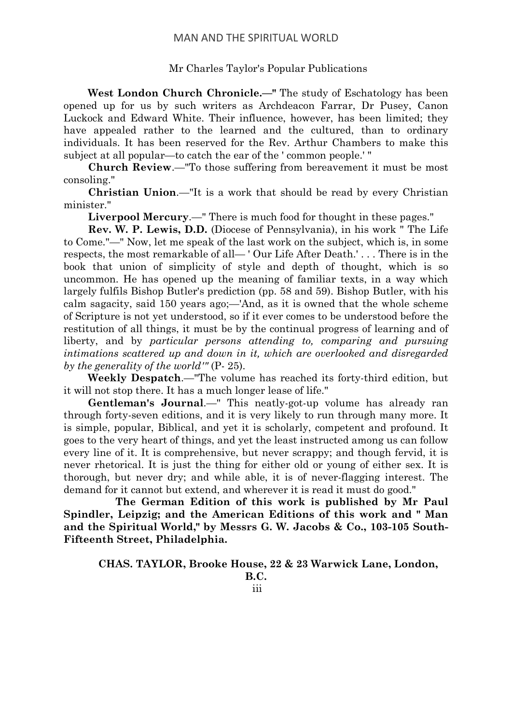## Mr Charles Taylor's Popular Publications

**West London Church Chronicle.—"** The study of Eschatology has been opened up for us by such writers as Archdeacon Farrar, Dr Pusey, Canon Luckock and Edward White. Their influence, however, has been limited; they have appealed rather to the learned and the cultured, than to ordinary individuals. It has been reserved for the Rev. Arthur Chambers to make this subject at all popular—to catch the ear of the ' common people.' "

**Church Review**.—"To those suffering from bereavement it must be most consoling."

**Christian Union**.—"It is a work that should be read by every Christian minister."

**Liverpool Mercury**.—" There is much food for thought in these pages."

**Rev. W. P. Lewis, D.D.** (Diocese of Pennsylvania), in his work " The Life to Come."—" Now, let me speak of the last work on the subject, which is, in some respects, the most remarkable of all— ' Our Life After Death.' . . . There is in the book that union of simplicity of style and depth of thought, which is so uncommon. He has opened up the meaning of familiar texts, in a way which largely fulfils Bishop Butler's prediction (pp. 58 and 59). Bishop Butler, with his calm sagacity, said 150 years ago;—'And, as it is owned that the whole scheme of Scripture is not yet understood, so if it ever comes to be understood before the restitution of all things, it must be by the continual progress of learning and of liberty, and by *particular persons attending to*, *comparing and pursuing intimations scattered up and down in it, which are overlooked and disregarded by the generality of the world'"* (P- 25).

**Weekly Despatch**.—"The volume has reached its forty-third edition, but it will not stop there. It has a much longer lease of life."

**Gentleman's Journal**.—" This neatly-got-up volume has already ran through forty-seven editions, and it is very likely to run through many more. It is simple, popular, Biblical, and yet it is scholarly, competent and profound. It goes to the very heart of things, and yet the least instructed among us can follow every line of it. It is comprehensive, but never scrappy; and though fervid, it is never rhetorical. It is just the thing for either old or young of either sex. It is thorough, but never dry; and while able, it is of never-flagging interest. The demand for it cannot but extend, and wherever it is read it must do good."

**The German Edition of this work is published by Mr Paul Spindler, Leipzig; and the American Editions of this work and " Man and the Spiritual World," by Messrs G. W. Jacobs & Co., 103-105 South-Fifteenth Street, Philadelphia.**

#### **CHAS. TAYLOR, Brooke House, 22 & 23 Warwick Lane, London,**

**B.C.** iii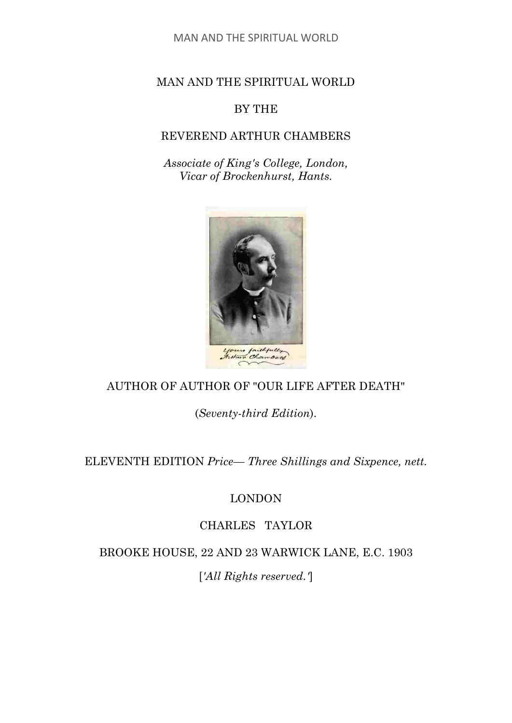## MAN AND THE SPIRITUAL WORLD

## BY THE

## REVEREND ARTHUR CHAMBERS

*Associate of King's College, London, Vicar of Brockenhurst, Hants.*



## AUTHOR OF AUTHOR OF "OUR LIFE AFTER DEATH"

(*Seventy-third Edition*).

ELEVENTH EDITION *Price— Three Shillings and Sixpence, nett.*

## LONDON

# CHARLES TAYLOR

BROOKE HOUSE, 22 AND 23 WARWICK LANE, E.C. 1903

[*'All Rights reserved.'*]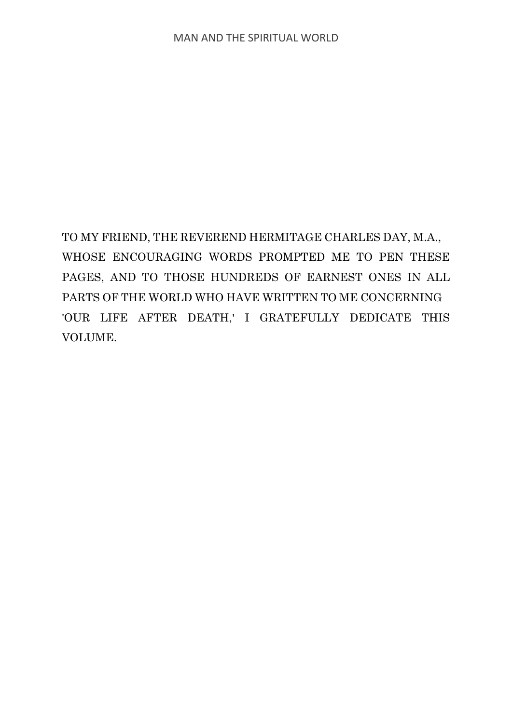TO MY FRIEND, THE REVEREND HERMITAGE CHARLES DAY, M.A., WHOSE ENCOURAGING WORDS PROMPTED ME TO PEN THESE PAGES, AND TO THOSE HUNDREDS OF EARNEST ONES IN ALL PARTS OF THE WORLD WHO HAVE WRITTEN TO ME CONCERNING 'OUR LIFE AFTER DEATH,' I GRATEFULLY DEDICATE THIS VOLUME.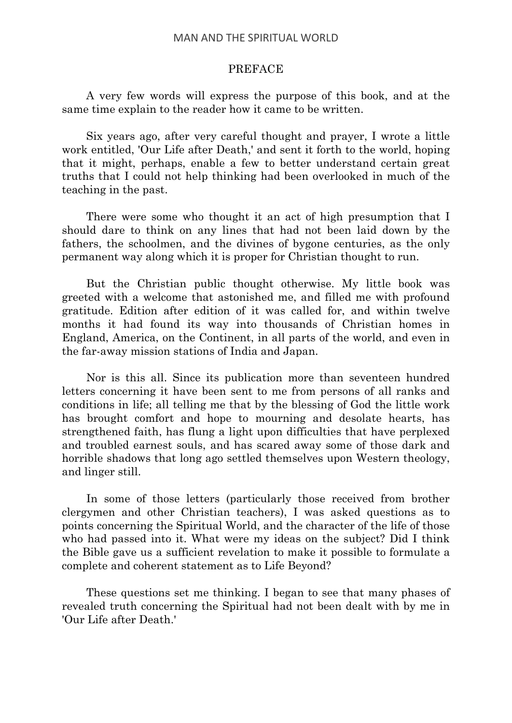#### PREFACE

A very few words will express the purpose of this book, and at the same time explain to the reader how it came to be written.

Six years ago, after very careful thought and prayer, I wrote a little work entitled, 'Our Life after Death,' and sent it forth to the world, hoping that it might, perhaps, enable a few to better understand certain great truths that I could not help thinking had been overlooked in much of the teaching in the past.

There were some who thought it an act of high presumption that I should dare to think on any lines that had not been laid down by the fathers, the schoolmen, and the divines of bygone centuries, as the only permanent way along which it is proper for Christian thought to run.

But the Christian public thought otherwise. My little book was greeted with a welcome that astonished me, and filled me with profound gratitude. Edition after edition of it was called for, and within twelve months it had found its way into thousands of Christian homes in England, America, on the Continent, in all parts of the world, and even in the far-away mission stations of India and Japan.

Nor is this all. Since its publication more than seventeen hundred letters concerning it have been sent to me from persons of all ranks and conditions in life; all telling me that by the blessing of God the little work has brought comfort and hope to mourning and desolate hearts, has strengthened faith, has flung a light upon difficulties that have perplexed and troubled earnest souls, and has scared away some of those dark and horrible shadows that long ago settled themselves upon Western theology, and linger still.

In some of those letters (particularly those received from brother clergymen and other Christian teachers), I was asked questions as to points concerning the Spiritual World, and the character of the life of those who had passed into it. What were my ideas on the subject? Did I think the Bible gave us a sufficient revelation to make it possible to formulate a complete and coherent statement as to Life Beyond?

These questions set me thinking. I began to see that many phases of revealed truth concerning the Spiritual had not been dealt with by me in 'Our Life after Death.'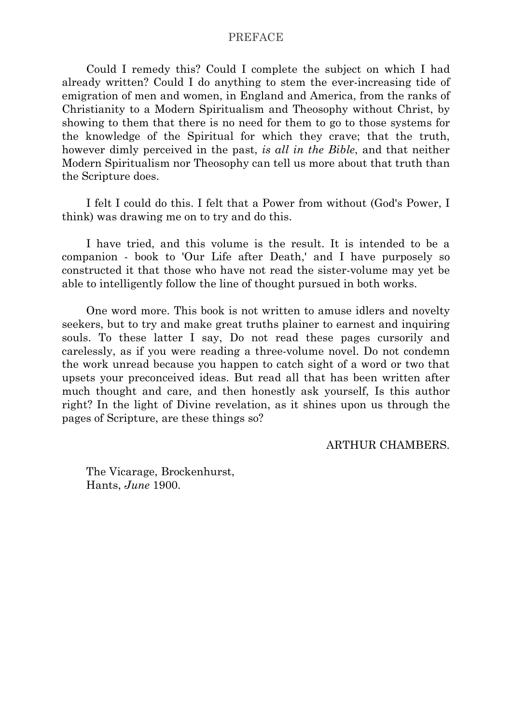#### PREFACE

Could I remedy this? Could I complete the subject on which I had already written? Could I do anything to stem the ever-increasing tide of emigration of men and women, in England and America, from the ranks of Christianity to a Modern Spiritualism and Theosophy without Christ, by showing to them that there is no need for them to go to those systems for the knowledge of the Spiritual for which they crave; that the truth, however dimly perceived in the past, *is all in the Bible*, and that neither Modern Spiritualism nor Theosophy can tell us more about that truth than the Scripture does.

I felt I could do this. I felt that a Power from without (God's Power, I think) was drawing me on to try and do this.

I have tried, and this volume is the result. It is intended to be a companion - book to 'Our Life after Death,' and I have purposely so constructed it that those who have not read the sister-volume may yet be able to intelligently follow the line of thought pursued in both works.

One word more. This book is not written to amuse idlers and novelty seekers, but to try and make great truths plainer to earnest and inquiring souls. To these latter I say, Do not read these pages cursorily and carelessly, as if you were reading a three-volume novel. Do not condemn the work unread because you happen to catch sight of a word or two that upsets your preconceived ideas. But read all that has been written after much thought and care, and then honestly ask yourself, Is this author right? In the light of Divine revelation, as it shines upon us through the pages of Scripture, are these things so?

ARTHUR CHAMBERS.

The Vicarage, Brockenhurst, Hants, *June* 1900.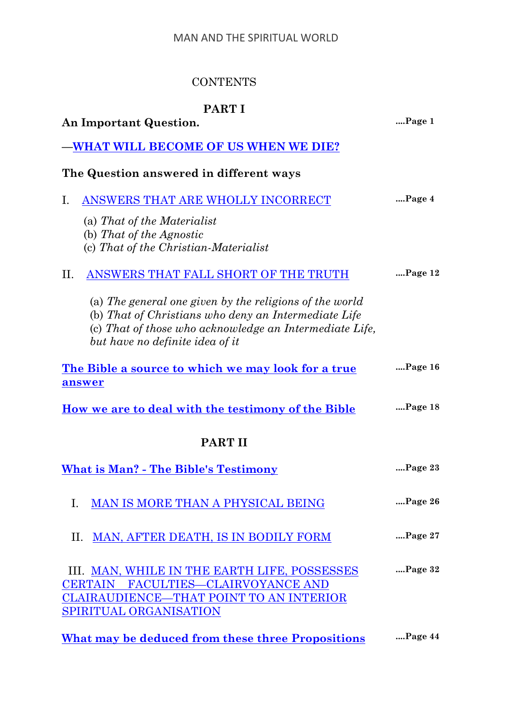# **CONTENTS**

# **PART I**

| An Important Question.                                                                                                                                                                                        | Page 1       |
|---------------------------------------------------------------------------------------------------------------------------------------------------------------------------------------------------------------|--------------|
| WHAT WILL BECOME OF US WHEN WE DIE?                                                                                                                                                                           |              |
| The Question answered in different ways                                                                                                                                                                       |              |
| ANSWERS THAT ARE WHOLLY INCORRECT<br>Ι.                                                                                                                                                                       | Page 4       |
| (a) That of the Materialist                                                                                                                                                                                   |              |
| (b) That of the Agnostic<br>(c) That of the Christian-Materialist                                                                                                                                             |              |
| ANSWERS THAT FALL SHORT OF THE TRUTH<br>$\prod$ .                                                                                                                                                             | $$ Page $12$ |
| (a) The general one given by the religions of the world<br>(b) That of Christians who deny an Intermediate Life<br>(c) That of those who acknowledge an Intermediate Life,<br>but have no definite idea of it |              |
| The Bible a source to which we may look for a true<br>answer                                                                                                                                                  | $$ Page 16   |
| <u>How we are to deal with the testimony of the Bible</u>                                                                                                                                                     | $$ Page 18   |
| <b>PART II</b>                                                                                                                                                                                                |              |
| <b>What is Man? - The Bible's Testimony</b>                                                                                                                                                                   | Page 23      |
| MAN IS MORE THAN A PHYSICAL BEING<br>I.                                                                                                                                                                       | Page 26      |
| <b>MAN, AFTER DEATH, IS IN BODILY FORM</b><br>II.                                                                                                                                                             | Page 27      |
| III. MAN, WHILE IN THE EARTH LIFE, POSSESSES                                                                                                                                                                  | $$ Page $32$ |
| <b>FACULTIES-CLAIRVOYANCE AND</b><br><b>CERTAIN</b><br>CLAIRAUDIENCE—THAT POINT TO AN INTERIOR                                                                                                                |              |
| SPIRITUAL ORGANISATION                                                                                                                                                                                        |              |
| What may be deduced from these three Propositions                                                                                                                                                             | Page 44      |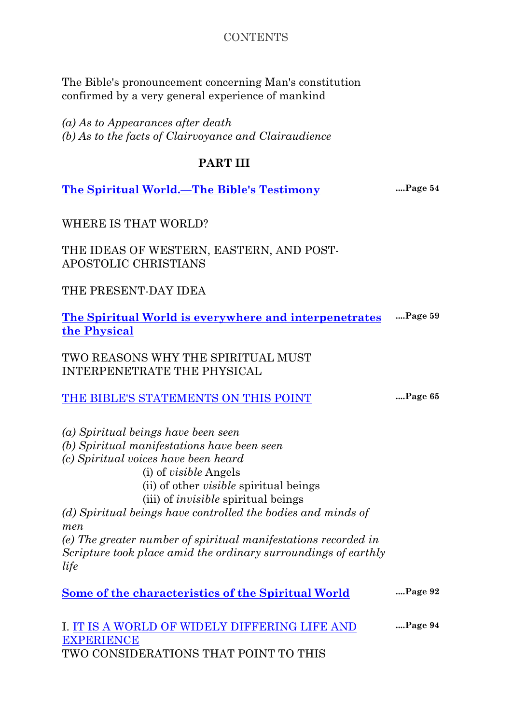## **CONTENTS**

The Bible's pronouncement concerning Man's constitution confirmed by a very general experience of mankind

*(a) As to Appearances after death (b) As to the facts of Clairvoyance and Clairaudience*

## **PART III**

**[The Spiritual World.—The Bible's Testimony](#page-65-0) ....Page 54**

WHERE IS THAT WORLD?

THE IDEAS OF WESTERN, EASTERN, AND POST-APOSTOLIC CHRISTIANS

THE PRESENT-DAY IDEA

**[The Spiritual World is everywhere and interpenetrates](#page-70-0)  [the Physical](#page-70-0) ....Page 59**

TWO REASONS WHY THE SPIRITUAL MUST INTERPENETRATE THE PHYSICAL

| THE BIBLE'S STATEMENTS ON THIS POINT |  | Page 65 |
|--------------------------------------|--|---------|
|--------------------------------------|--|---------|

*(a) Spiritual beings have been seen (b) Spiritual manifestations have been seen (c) Spiritual voices have been heard* (i) of *visible* Angels (ii) of other *visible* spiritual beings (iii) of *invisible* spiritual beings *(d) Spiritual beings have controlled the bodies and minds of men (e) The greater number of spiritual manifestations recorded in Scripture took place amid the ordinary surroundings of earthly life*

| $$ Page 92<br>Some of the characteristics of the Spiritual World |  |
|------------------------------------------------------------------|--|
|------------------------------------------------------------------|--|

I. [IT IS A WORLD OF WIDELY DIFFERING LIFE AND](#page-105-0)  **[EXPERIENCE](#page-105-0) ....Page 94** TWO CONSIDERATIONS THAT POINT TO THIS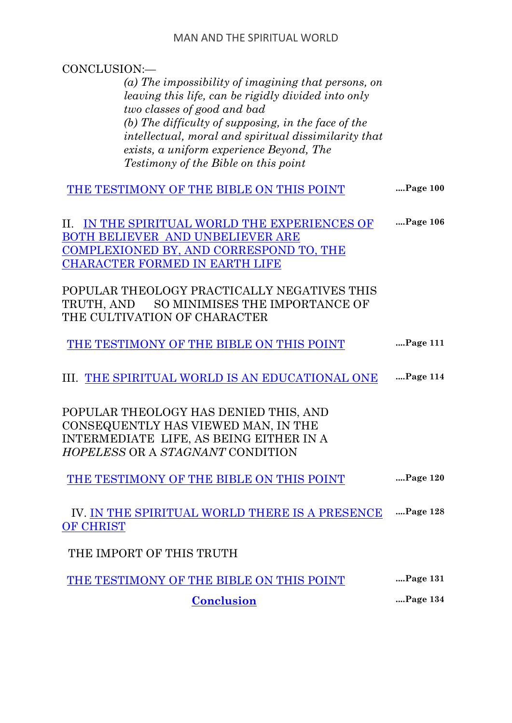| CONCLUSION:-                                         |               |
|------------------------------------------------------|---------------|
| (a) The impossibility of imagining that persons, on  |               |
| leaving this life, can be rigidly divided into only  |               |
| two classes of good and bad                          |               |
| (b) The difficulty of supposing, in the face of the  |               |
| intellectual, moral and spiritual dissimilarity that |               |
| exists, a uniform experience Beyond, The             |               |
| <i>Testimony of the Bible on this point</i>          |               |
|                                                      |               |
| THE TESTIMONY OF THE BIBLE ON THIS POINT             | Page 100      |
|                                                      |               |
| IN THE SPIRITUAL WORLD THE EXPERIENCES OF<br>П.      | Page 106      |
| <b>BOTH BELIEVER AND UNBELIEVER ARE</b>              |               |
| COMPLEXIONED BY, AND CORRESPOND TO, THE              |               |
| <b>CHARACTER FORMED IN EARTH LIFE</b>                |               |
| POPULAR THEOLOGY PRACTICALLY NEGATIVES THIS          |               |
|                                                      |               |
| SO MINIMISES THE IMPORTANCE OF<br>TRUTH, AND         |               |
| THE CULTIVATION OF CHARACTER                         |               |
| THE TESTIMONY OF THE BIBLE ON THIS POINT             | Page 111      |
|                                                      |               |
| III. THE SPIRITUAL WORLD IS AN EDUCATIONAL ONE       | Page 114      |
|                                                      |               |
|                                                      |               |
| POPULAR THEOLOGY HAS DENIED THIS, AND                |               |
| CONSEQUENTLY HAS VIEWED MAN, IN THE                  |               |
| INTERMEDIATE LIFE, AS BEING EITHER IN A              |               |
| <i>HOPELESS OR A STAGNANT CONDITION</i>              |               |
|                                                      | Page 120      |
| THE TESTIMONY OF THE BIBLE ON THIS POINT             |               |
| IV. IN THE SPIRITUAL WORLD THERE IS A PRESENCE       | Page 128      |
| OF CHRIST                                            |               |
|                                                      |               |
| THE IMPORT OF THIS TRUTH                             |               |
| THE TESTIMONY OF THE BIBLE ON THIS POINT             | Page 131      |
| <b>Conclusion</b>                                    | $$ Page $134$ |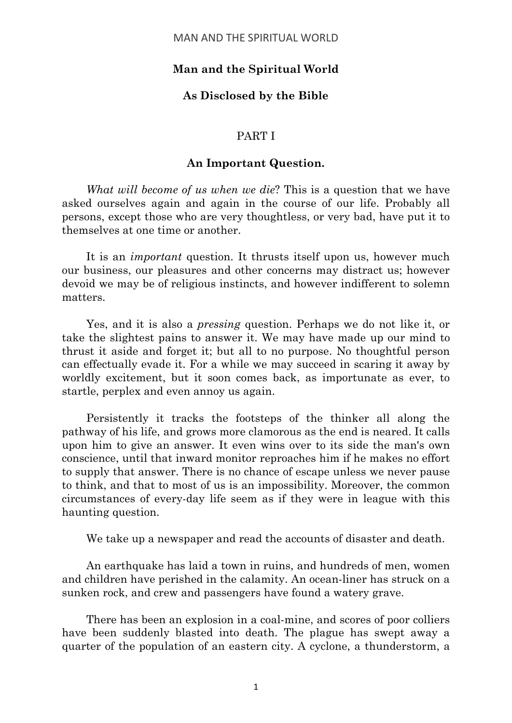## **Man and the Spiritual World**

## **As Disclosed by the Bible**

#### PART I

#### **An Important Question.**

<span id="page-12-0"></span>*What will become of us when we die*? This is a question that we have asked ourselves again and again in the course of our life. Probably all persons, except those who are very thoughtless, or very bad, have put it to themselves at one time or another.

It is an *important* question. It thrusts itself upon us, however much our business, our pleasures and other concerns may distract us; however devoid we may be of religious instincts, and however indifferent to solemn matters.

Yes, and it is also a *pressing* question. Perhaps we do not like it, or take the slightest pains to answer it. We may have made up our mind to thrust it aside and forget it; but all to no purpose. No thoughtful person can effectually evade it. For a while we may succeed in scaring it away by worldly excitement, but it soon comes back, as importunate as ever, to startle, perplex and even annoy us again.

Persistently it tracks the footsteps of the thinker all along the pathway of his life, and grows more clamorous as the end is neared. It calls upon him to give an answer. It even wins over to its side the man's own conscience, until that inward monitor reproaches him if he makes no effort to supply that answer. There is no chance of escape unless we never pause to think, and that to most of us is an impossibility. Moreover, the common circumstances of every-day life seem as if they were in league with this haunting question.

We take up a newspaper and read the accounts of disaster and death.

An earthquake has laid a town in ruins, and hundreds of men, women and children have perished in the calamity. An ocean-liner has struck on a sunken rock, and crew and passengers have found a watery grave.

There has been an explosion in a coal-mine, and scores of poor colliers have been suddenly blasted into death. The plague has swept away a quarter of the population of an eastern city. A cyclone, a thunderstorm, a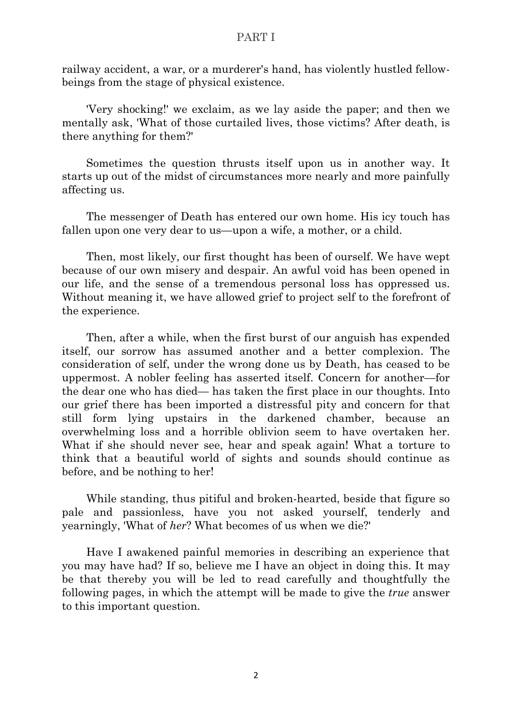railway accident, a war, or a murderer's hand, has violently hustled fellowbeings from the stage of physical existence.

'Very shocking!' we exclaim, as we lay aside the paper; and then we mentally ask, 'What of those curtailed lives, those victims? After death, is there anything for them?'

Sometimes the question thrusts itself upon us in another way. It starts up out of the midst of circumstances more nearly and more painfully affecting us.

The messenger of Death has entered our own home. His icy touch has fallen upon one very dear to us—upon a wife, a mother, or a child.

Then, most likely, our first thought has been of ourself. We have wept because of our own misery and despair. An awful void has been opened in our life, and the sense of a tremendous personal loss has oppressed us. Without meaning it, we have allowed grief to project self to the forefront of the experience.

Then, after a while, when the first burst of our anguish has expended itself, our sorrow has assumed another and a better complexion. The consideration of self, under the wrong done us by Death, has ceased to be uppermost. A nobler feeling has asserted itself. Concern for another—for the dear one who has died— has taken the first place in our thoughts. Into our grief there has been imported a distressful pity and concern for that still form lying upstairs in the darkened chamber, because an overwhelming loss and a horrible oblivion seem to have overtaken her. What if she should never see, hear and speak again! What a torture to think that a beautiful world of sights and sounds should continue as before, and be nothing to her!

While standing, thus pitiful and broken-hearted, beside that figure so pale and passionless, have you not asked yourself, tenderly and yearningly, 'What of *her*? What becomes of us when we die?'

Have I awakened painful memories in describing an experience that you may have had? If so, believe me I have an object in doing this. It may be that thereby you will be led to read carefully and thoughtfully the following pages, in which the attempt will be made to give the *true* answer to this important question.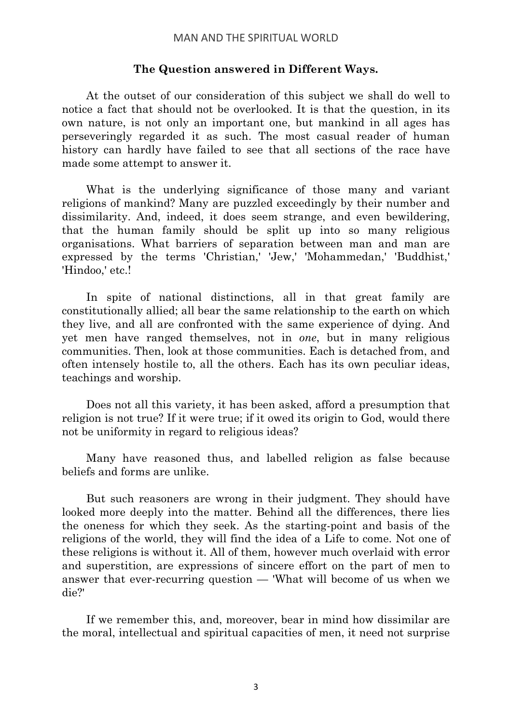#### **The Question answered in Different Ways.**

At the outset of our consideration of this subject we shall do well to notice a fact that should not be overlooked. It is that the question, in its own nature, is not only an important one, but mankind in all ages has perseveringly regarded it as such. The most casual reader of human history can hardly have failed to see that all sections of the race have made some attempt to answer it.

What is the underlying significance of those many and variant religions of mankind? Many are puzzled exceedingly by their number and dissimilarity. And, indeed, it does seem strange, and even bewildering, that the human family should be split up into so many religious organisations. What barriers of separation between man and man are expressed by the terms 'Christian,' 'Jew,' 'Mohammedan,' 'Buddhist,' 'Hindoo,' etc.!

In spite of national distinctions, all in that great family are constitutionally allied; all bear the same relationship to the earth on which they live, and all are confronted with the same experience of dying. And yet men have ranged themselves, not in *one*, but in many religious communities. Then, look at those communities. Each is detached from, and often intensely hostile to, all the others. Each has its own peculiar ideas, teachings and worship.

Does not all this variety, it has been asked, afford a presumption that religion is not true? If it were true; if it owed its origin to God, would there not be uniformity in regard to religious ideas?

Many have reasoned thus, and labelled religion as false because beliefs and forms are unlike.

But such reasoners are wrong in their judgment. They should have looked more deeply into the matter. Behind all the differences, there lies the oneness for which they seek. As the starting-point and basis of the religions of the world, they will find the idea of a Life to come. Not one of these religions is without it. All of them, however much overlaid with error and superstition, are expressions of sincere effort on the part of men to answer that ever-recurring question — 'What will become of us when we die?'

If we remember this, and, moreover, bear in mind how dissimilar are the moral, intellectual and spiritual capacities of men, it need not surprise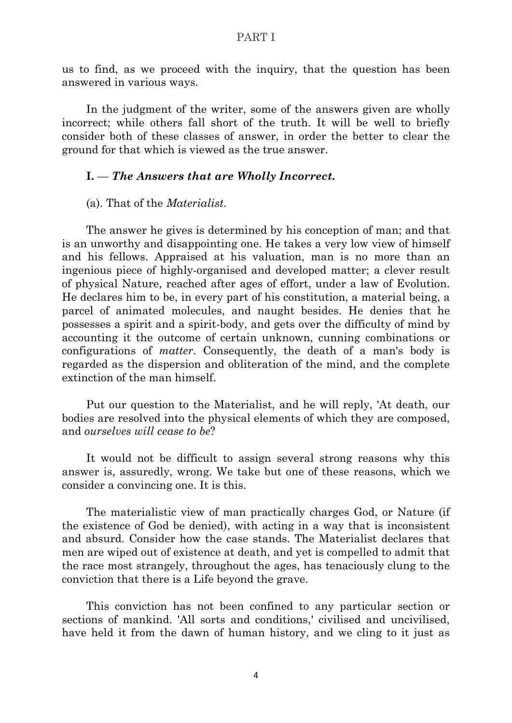us to find, as we proceed with the inquiry, that the question has been answered in various ways.

In the judgment of the writer, some of the answers given are wholly incorrect; while others fall short of the truth. It will be well to briefly consider both of these classes of answer, in order the better to clear the ground for that which is viewed as the true answer.

#### <span id="page-15-0"></span>**I.** — *The Answers that are Wholly Incorrect.*

(a). That of the *Materialist*.

The answer he gives is determined by his conception of man; and that is an unworthy and disappointing one. He takes a very low view of himself and his fellows. Appraised at his valuation, man is no more than an ingenious piece of highly-organised and developed matter; a clever result of physical Nature, reached after ages of effort, under a law of Evolution. He declares him to be, in every part of his constitution, a material being, a parcel of animated molecules, and naught besides. He denies that he possesses a spirit and a spirit-body, and gets over the difficulty of mind by accounting it the outcome of certain unknown, cunning combinations or configurations of *matter*. Consequently, the death of a man's body is regarded as the dispersion and obliteration of the mind, and the complete extinction of the man himself.

Put our question to the Materialist, and he will reply, 'At death, our bodies are resolved into the physical elements of which they are composed, and *ourselves will cease to be*?

It would not be difficult to assign several strong reasons why this answer is, assuredly, wrong. We take but one of these reasons, which we consider a convincing one. It is this.

The materialistic view of man practically charges God, or Nature (if the existence of God be denied), with acting in a way that is inconsistent and absurd. Consider how the case stands. The Materialist declares that men are wiped out of existence at death, and yet is compelled to admit that the race most strangely, throughout the ages, has tenaciously clung to the conviction that there is a Life beyond the grave.

This conviction has not been confined to any particular section or sections of mankind. 'All sorts and conditions,' civilised and uncivilised, have held it from the dawn of human history, and we cling to it just as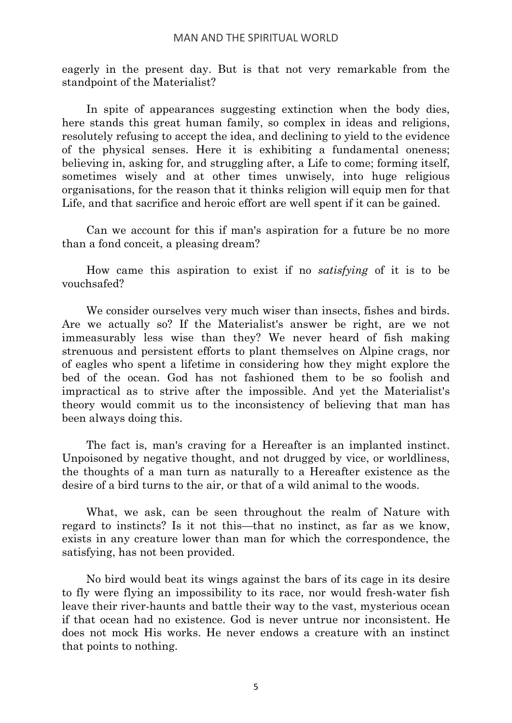eagerly in the present day. But is that not very remarkable from the standpoint of the Materialist?

In spite of appearances suggesting extinction when the body dies, here stands this great human family, so complex in ideas and religions, resolutely refusing to accept the idea, and declining to yield to the evidence of the physical senses. Here it is exhibiting a fundamental oneness; believing in, asking for, and struggling after, a Life to come; forming itself, sometimes wisely and at other times unwisely, into huge religious organisations, for the reason that it thinks religion will equip men for that Life, and that sacrifice and heroic effort are well spent if it can be gained.

Can we account for this if man's aspiration for a future be no more than a fond conceit, a pleasing dream?

How came this aspiration to exist if no *satisfying* of it is to be vouchsafed?

We consider ourselves very much wiser than insects, fishes and birds. Are we actually so? If the Materialist's answer be right, are we not immeasurably less wise than they? We never heard of fish making strenuous and persistent efforts to plant themselves on Alpine crags, nor of eagles who spent a lifetime in considering how they might explore the bed of the ocean. God has not fashioned them to be so foolish and impractical as to strive after the impossible. And yet the Materialist's theory would commit us to the inconsistency of believing that man has been always doing this.

The fact is, man's craving for a Hereafter is an implanted instinct. Unpoisoned by negative thought, and not drugged by vice, or worldliness, the thoughts of a man turn as naturally to a Hereafter existence as the desire of a bird turns to the air, or that of a wild animal to the woods.

What, we ask, can be seen throughout the realm of Nature with regard to instincts? Is it not this—that no instinct, as far as we know, exists in any creature lower than man for which the correspondence, the satisfying, has not been provided.

No bird would beat its wings against the bars of its cage in its desire to fly were flying an impossibility to its race, nor would fresh-water fish leave their river-haunts and battle their way to the vast, mysterious ocean if that ocean had no existence. God is never untrue nor inconsistent. He does not mock His works. He never endows a creature with an instinct that points to nothing.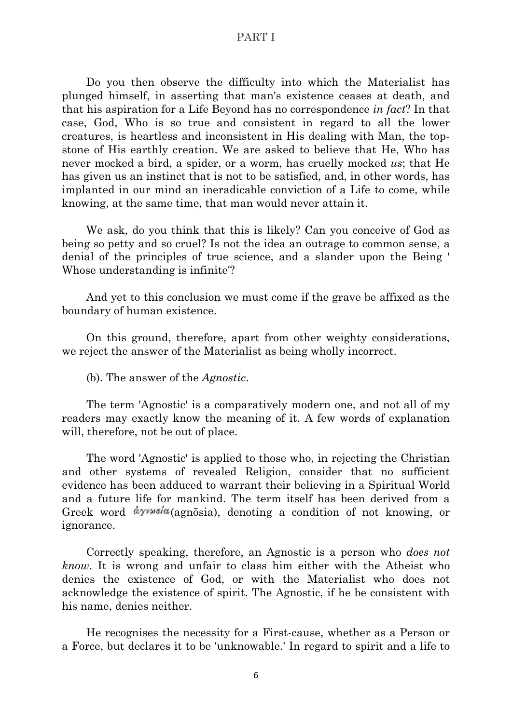Do you then observe the difficulty into which the Materialist has plunged himself, in asserting that man's existence ceases at death, and that his aspiration for a Life Beyond has no correspondence *in fact*? In that case, God, Who is so true and consistent in regard to all the lower creatures, is heartless and inconsistent in His dealing with Man, the topstone of His earthly creation. We are asked to believe that He, Who has never mocked a bird, a spider, or a worm, has cruelly mocked *us*; that He has given us an instinct that is not to be satisfied, and, in other words, has implanted in our mind an ineradicable conviction of a Life to come, while knowing, at the same time, that man would never attain it.

We ask, do you think that this is likely? Can you conceive of God as being so petty and so cruel? Is not the idea an outrage to common sense, a denial of the principles of true science, and a slander upon the Being ' Whose understanding is infinite'?

And yet to this conclusion we must come if the grave be affixed as the boundary of human existence.

On this ground, therefore, apart from other weighty considerations, we reject the answer of the Materialist as being wholly incorrect.

(b). The answer of the *Agnostic*.

The term 'Agnostic' is a comparatively modern one, and not all of my readers may exactly know the meaning of it. A few words of explanation will, therefore, not be out of place.

The word 'Agnostic' is applied to those who, in rejecting the Christian and other systems of revealed Religion, consider that no sufficient evidence has been adduced to warrant their believing in a Spiritual World and a future life for mankind. The term itself has been derived from a Greek word  $\partial \gamma$  *dy* v as  $\partial \alpha$  (agnosia), denoting a condition of not knowing, or ignorance.

Correctly speaking, therefore, an Agnostic is a person who *does not know*. It is wrong and unfair to class him either with the Atheist who denies the existence of God, or with the Materialist who does not acknowledge the existence of spirit. The Agnostic, if he be consistent with his name, denies neither.

He recognises the necessity for a First-cause, whether as a Person or a Force, but declares it to be 'unknowable.' In regard to spirit and a life to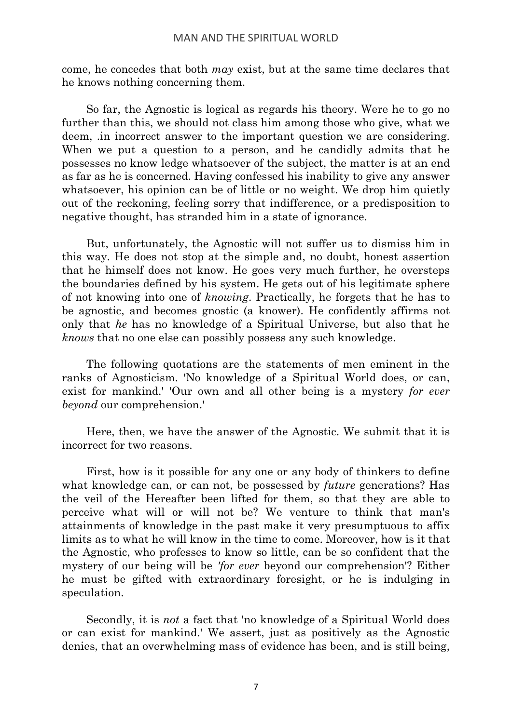come, he concedes that both *may* exist, but at the same time declares that he knows nothing concerning them.

So far, the Agnostic is logical as regards his theory. Were he to go no further than this, we should not class him among those who give, what we deem, .in incorrect answer to the important question we are considering. When we put a question to a person, and he candidly admits that he possesses no know ledge whatsoever of the subject, the matter is at an end as far as he is concerned. Having confessed his inability to give any answer whatsoever, his opinion can be of little or no weight. We drop him quietly out of the reckoning, feeling sorry that indifference, or a predisposition to negative thought, has stranded him in a state of ignorance.

But, unfortunately, the Agnostic will not suffer us to dismiss him in this way. He does not stop at the simple and, no doubt, honest assertion that he himself does not know. He goes very much further, he oversteps the boundaries defined by his system. He gets out of his legitimate sphere of not knowing into one of *knowing*. Practically, he forgets that he has to be agnostic, and becomes gnostic (a knower). He confidently affirms not only that *he* has no knowledge of a Spiritual Universe, but also that he *knows* that no one else can possibly possess any such knowledge.

The following quotations are the statements of men eminent in the ranks of Agnosticism. 'No knowledge of a Spiritual World does, or can, exist for mankind.' 'Our own and all other being is a mystery *for ever beyond* our comprehension.'

Here, then, we have the answer of the Agnostic. We submit that it is incorrect for two reasons.

First, how is it possible for any one or any body of thinkers to define what knowledge can, or can not, be possessed by *future* generations? Has the veil of the Hereafter been lifted for them, so that they are able to perceive what will or will not be? We venture to think that man's attainments of knowledge in the past make it very presumptuous to affix limits as to what he will know in the time to come. Moreover, how is it that the Agnostic, who professes to know so little, can be so confident that the mystery of our being will be *'for ever* beyond our comprehension'? Either he must be gifted with extraordinary foresight, or he is indulging in speculation.

Secondly, it is *not* a fact that 'no knowledge of a Spiritual World does or can exist for mankind.' We assert, just as positively as the Agnostic denies, that an overwhelming mass of evidence has been, and is still being,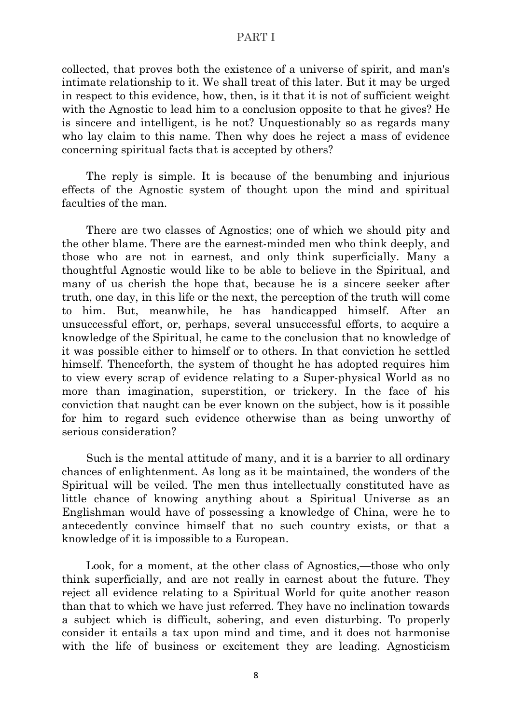collected, that proves both the existence of a universe of spirit, and man's intimate relationship to it. We shall treat of this later. But it may be urged in respect to this evidence, how, then, is it that it is not of sufficient weight with the Agnostic to lead him to a conclusion opposite to that he gives? He is sincere and intelligent, is he not? Unquestionably so as regards many who lay claim to this name. Then why does he reject a mass of evidence concerning spiritual facts that is accepted by others?

The reply is simple. It is because of the benumbing and injurious effects of the Agnostic system of thought upon the mind and spiritual faculties of the man.

There are two classes of Agnostics; one of which we should pity and the other blame. There are the earnest-minded men who think deeply, and those who are not in earnest, and only think superficially. Many a thoughtful Agnostic would like to be able to believe in the Spiritual, and many of us cherish the hope that, because he is a sincere seeker after truth, one day, in this life or the next, the perception of the truth will come to him. But, meanwhile, he has handicapped himself. After an unsuccessful effort, or, perhaps, several unsuccessful efforts, to acquire a knowledge of the Spiritual, he came to the conclusion that no knowledge of it was possible either to himself or to others. In that conviction he settled himself. Thenceforth, the system of thought he has adopted requires him to view every scrap of evidence relating to a Super-physical World as no more than imagination, superstition, or trickery. In the face of his conviction that naught can be ever known on the subject, how is it possible for him to regard such evidence otherwise than as being unworthy of serious consideration?

Such is the mental attitude of many, and it is a barrier to all ordinary chances of enlightenment. As long as it be maintained, the wonders of the Spiritual will be veiled. The men thus intellectually constituted have as little chance of knowing anything about a Spiritual Universe as an Englishman would have of possessing a knowledge of China, were he to antecedently convince himself that no such country exists, or that a knowledge of it is impossible to a European.

Look, for a moment, at the other class of Agnostics,—those who only think superficially, and are not really in earnest about the future. They reject all evidence relating to a Spiritual World for quite another reason than that to which we have just referred. They have no inclination towards a subject which is difficult, sobering, and even disturbing. To properly consider it entails a tax upon mind and time, and it does not harmonise with the life of business or excitement they are leading. Agnosticism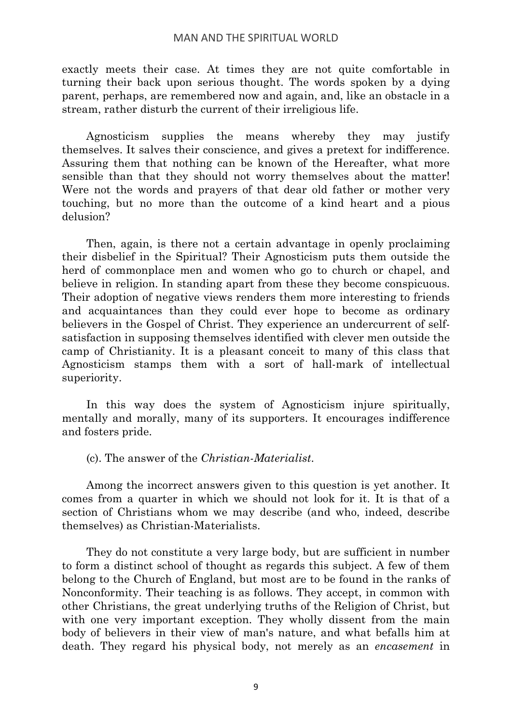exactly meets their case. At times they are not quite comfortable in turning their back upon serious thought. The words spoken by a dying parent, perhaps, are remembered now and again, and, like an obstacle in a stream, rather disturb the current of their irreligious life.

Agnosticism supplies the means whereby they may justify themselves. It salves their conscience, and gives a pretext for indifference. Assuring them that nothing can be known of the Hereafter, what more sensible than that they should not worry themselves about the matter! Were not the words and prayers of that dear old father or mother very touching, but no more than the outcome of a kind heart and a pious delusion?

Then, again, is there not a certain advantage in openly proclaiming their disbelief in the Spiritual? Their Agnosticism puts them outside the herd of commonplace men and women who go to church or chapel, and believe in religion. In standing apart from these they become conspicuous. Their adoption of negative views renders them more interesting to friends and acquaintances than they could ever hope to become as ordinary believers in the Gospel of Christ. They experience an undercurrent of selfsatisfaction in supposing themselves identified with clever men outside the camp of Christianity. It is a pleasant conceit to many of this class that Agnosticism stamps them with a sort of hall-mark of intellectual superiority.

In this way does the system of Agnosticism injure spiritually, mentally and morally, many of its supporters. It encourages indifference and fosters pride.

(c). The answer of the *Christian-Materialist*.

Among the incorrect answers given to this question is yet another. It comes from a quarter in which we should not look for it. It is that of a section of Christians whom we may describe (and who, indeed, describe themselves) as Christian-Materialists.

They do not constitute a very large body, but are sufficient in number to form a distinct school of thought as regards this subject. A few of them belong to the Church of England, but most are to be found in the ranks of Nonconformity. Their teaching is as follows. They accept, in common with other Christians, the great underlying truths of the Religion of Christ, but with one very important exception. They wholly dissent from the main body of believers in their view of man's nature, and what befalls him at death. They regard his physical body, not merely as an *encasement* in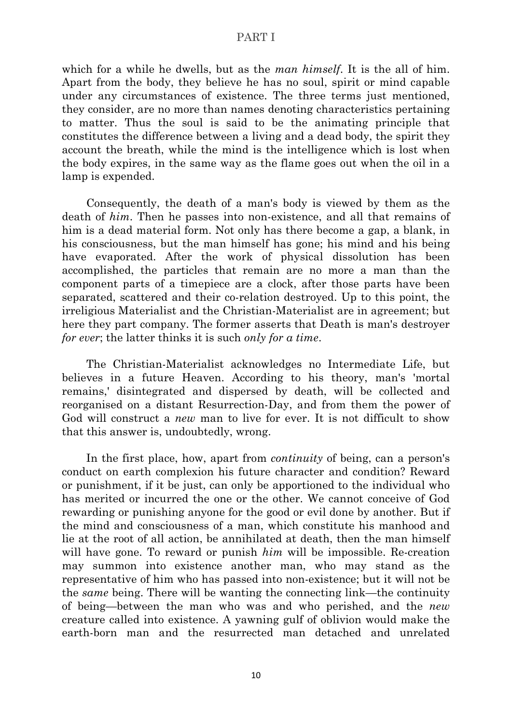which for a while he dwells, but as the *man himself*. It is the all of him. Apart from the body, they believe he has no soul, spirit or mind capable under any circumstances of existence. The three terms just mentioned, they consider, are no more than names denoting characteristics pertaining to matter. Thus the soul is said to be the animating principle that constitutes the difference between a living and a dead body, the spirit they account the breath, while the mind is the intelligence which is lost when the body expires, in the same way as the flame goes out when the oil in a lamp is expended.

Consequently, the death of a man's body is viewed by them as the death of *him*. Then he passes into non-existence, and all that remains of him is a dead material form. Not only has there become a gap, a blank, in his consciousness, but the man himself has gone; his mind and his being have evaporated. After the work of physical dissolution has been accomplished, the particles that remain are no more a man than the component parts of a timepiece are a clock, after those parts have been separated, scattered and their co-relation destroyed. Up to this point, the irreligious Materialist and the Christian-Materialist are in agreement; but here they part company. The former asserts that Death is man's destroyer *for ever*; the latter thinks it is such *only for a time*.

The Christian-Materialist acknowledges no Intermediate Life, but believes in a future Heaven. According to his theory, man's 'mortal remains,' disintegrated and dispersed by death, will be collected and reorganised on a distant Resurrection-Day, and from them the power of God will construct a *new* man to live for ever. It is not difficult to show that this answer is, undoubtedly, wrong.

In the first place, how, apart from *continuity* of being, can a person's conduct on earth complexion his future character and condition? Reward or punishment, if it be just, can only be apportioned to the individual who has merited or incurred the one or the other. We cannot conceive of God rewarding or punishing anyone for the good or evil done by another. But if the mind and consciousness of a man, which constitute his manhood and lie at the root of all action, be annihilated at death, then the man himself will have gone. To reward or punish *him* will be impossible. Re-creation may summon into existence another man, who may stand as the representative of him who has passed into non-existence; but it will not be the *same* being. There will be wanting the connecting link—the continuity of being—between the man who was and who perished, and the *new* creature called into existence. A yawning gulf of oblivion would make the earth-born man and the resurrected man detached and unrelated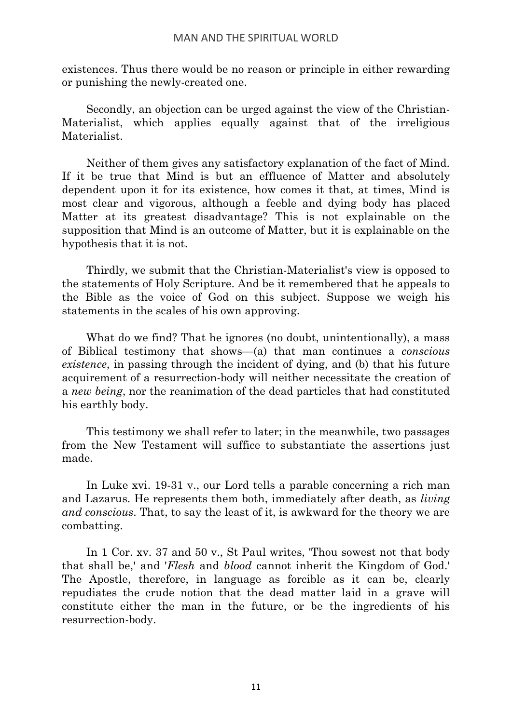existences. Thus there would be no reason or principle in either rewarding or punishing the newly-created one.

Secondly, an objection can be urged against the view of the Christian-Materialist, which applies equally against that of the irreligious Materialist.

Neither of them gives any satisfactory explanation of the fact of Mind. If it be true that Mind is but an effluence of Matter and absolutely dependent upon it for its existence, how comes it that, at times, Mind is most clear and vigorous, although a feeble and dying body has placed Matter at its greatest disadvantage? This is not explainable on the supposition that Mind is an outcome of Matter, but it is explainable on the hypothesis that it is not.

Thirdly, we submit that the Christian-Materialist's view is opposed to the statements of Holy Scripture. And be it remembered that he appeals to the Bible as the voice of God on this subject. Suppose we weigh his statements in the scales of his own approving.

What do we find? That he ignores (no doubt, unintentionally), a mass of Biblical testimony that shows—(a) that man continues a *conscious existence*, in passing through the incident of dying, and (b) that his future acquirement of a resurrection-body will neither necessitate the creation of a *new being*, nor the reanimation of the dead particles that had constituted his earthly body.

This testimony we shall refer to later; in the meanwhile, two passages from the New Testament will suffice to substantiate the assertions just made.

In Luke xvi. 19-31 v., our Lord tells a parable concerning a rich man and Lazarus. He represents them both, immediately after death, as *living and conscious*. That, to say the least of it, is awkward for the theory we are combatting.

In 1 Cor. xv. 37 and 50 v., St Paul writes, 'Thou sowest not that body that shall be,' and '*Flesh* and *blood* cannot inherit the Kingdom of God.' The Apostle, therefore, in language as forcible as it can be, clearly repudiates the crude notion that the dead matter laid in a grave will constitute either the man in the future, or be the ingredients of his resurrection-body.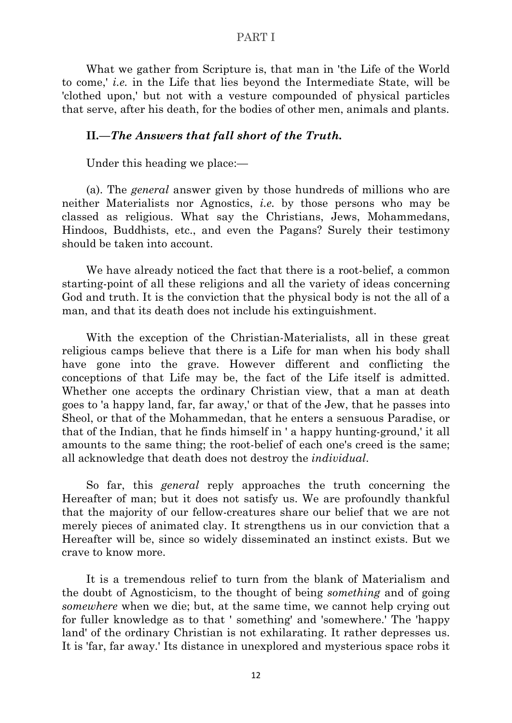What we gather from Scripture is, that man in 'the Life of the World to come,' *i.e.* in the Life that lies beyond the Intermediate State, will be 'clothed upon,' but not with a vesture compounded of physical particles that serve, after his death, for the bodies of other men, animals and plants.

### <span id="page-23-0"></span>**II***.—The Answers that fall short of the Truth.*

Under this heading we place:—

(a). The *general* answer given by those hundreds of millions who are neither Materialists nor Agnostics, *i.e.* by those persons who may be classed as religious. What say the Christians, Jews, Mohammedans, Hindoos, Buddhists, etc., and even the Pagans? Surely their testimony should be taken into account.

We have already noticed the fact that there is a root-belief, a common starting-point of all these religions and all the variety of ideas concerning God and truth. It is the conviction that the physical body is not the all of a man, and that its death does not include his extinguishment.

With the exception of the Christian-Materialists, all in these great religious camps believe that there is a Life for man when his body shall have gone into the grave. However different and conflicting the conceptions of that Life may be, the fact of the Life itself is admitted. Whether one accepts the ordinary Christian view, that a man at death goes to 'a happy land, far, far away,' or that of the Jew, that he passes into Sheol, or that of the Mohammedan, that he enters a sensuous Paradise, or that of the Indian, that he finds himself in ' a happy hunting-ground,' it all amounts to the same thing; the root-belief of each one's creed is the same; all acknowledge that death does not destroy the *individual*.

So far, this *general* reply approaches the truth concerning the Hereafter of man; but it does not satisfy us. We are profoundly thankful that the majority of our fellow-creatures share our belief that we are not merely pieces of animated clay. It strengthens us in our conviction that a Hereafter will be, since so widely disseminated an instinct exists. But we crave to know more.

It is a tremendous relief to turn from the blank of Materialism and the doubt of Agnosticism, to the thought of being *something* and of going *somewhere* when we die; but, at the same time, we cannot help crying out for fuller knowledge as to that ' something' and 'somewhere.' The 'happy land' of the ordinary Christian is not exhilarating. It rather depresses us. It is 'far, far away.' Its distance in unexplored and mysterious space robs it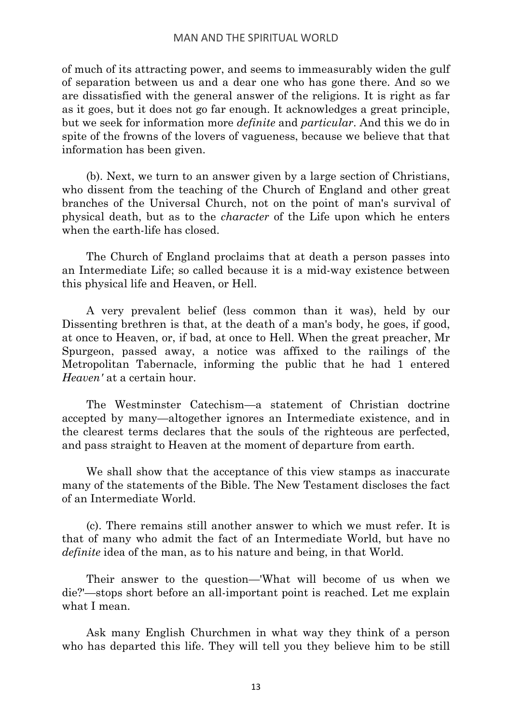of much of its attracting power, and seems to immeasurably widen the gulf of separation between us and a dear one who has gone there. And so we are dissatisfied with the general answer of the religions. It is right as far as it goes, but it does not go far enough. It acknowledges a great principle, but we seek for information more *definite* and *particular*. And this we do in spite of the frowns of the lovers of vagueness, because we believe that that information has been given.

(b). Next, we turn to an answer given by a large section of Christians, who dissent from the teaching of the Church of England and other great branches of the Universal Church, not on the point of man's survival of physical death, but as to the *character* of the Life upon which he enters when the earth-life has closed.

The Church of England proclaims that at death a person passes into an Intermediate Life; so called because it is a mid-way existence between this physical life and Heaven, or Hell.

A very prevalent belief (less common than it was), held by our Dissenting brethren is that, at the death of a man's body, he goes, if good, at once to Heaven, or, if bad, at once to Hell. When the great preacher, Mr Spurgeon, passed away, a notice was affixed to the railings of the Metropolitan Tabernacle, informing the public that he had 1 entered *Heaven'* at a certain hour.

The Westminster Catechism—a statement of Christian doctrine accepted by many—altogether ignores an Intermediate existence, and in the clearest terms declares that the souls of the righteous are perfected, and pass straight to Heaven at the moment of departure from earth.

We shall show that the acceptance of this view stamps as inaccurate many of the statements of the Bible. The New Testament discloses the fact of an Intermediate World.

(c). There remains still another answer to which we must refer. It is that of many who admit the fact of an Intermediate World, but have no *definite* idea of the man, as to his nature and being, in that World.

Their answer to the question—'What will become of us when we die?'—stops short before an all-important point is reached. Let me explain what I mean.

Ask many English Churchmen in what way they think of a person who has departed this life. They will tell you they believe him to be still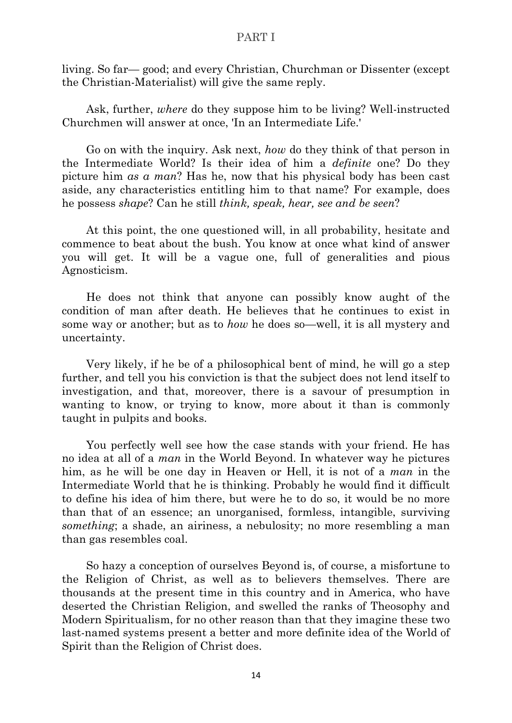living. So far— good; and every Christian, Churchman or Dissenter (except the Christian-Materialist) will give the same reply.

Ask, further, *where* do they suppose him to be living? Well-instructed Churchmen will answer at once, 'In an Intermediate Life.'

Go on with the inquiry. Ask next, *how* do they think of that person in the Intermediate World? Is their idea of him a *definite* one? Do they picture him *as a man*? Has he, now that his physical body has been cast aside, any characteristics entitling him to that name? For example, does he possess *shape*? Can he still *think, speak, hear, see and be seen*?

At this point, the one questioned will, in all probability, hesitate and commence to beat about the bush. You know at once what kind of answer you will get. It will be a vague one, full of generalities and pious Agnosticism.

He does not think that anyone can possibly know aught of the condition of man after death. He believes that he continues to exist in some way or another; but as to *how* he does so—well, it is all mystery and uncertainty.

Very likely, if he be of a philosophical bent of mind, he will go a step further, and tell you his conviction is that the subject does not lend itself to investigation, and that, moreover, there is a savour of presumption in wanting to know, or trying to know, more about it than is commonly taught in pulpits and books.

You perfectly well see how the case stands with your friend. He has no idea at all of a *man* in the World Beyond. In whatever way he pictures him, as he will be one day in Heaven or Hell, it is not of a *man* in the Intermediate World that he is thinking. Probably he would find it difficult to define his idea of him there, but were he to do so, it would be no more than that of an essence; an unorganised, formless, intangible, surviving *something*; a shade, an airiness, a nebulosity; no more resembling a man than gas resembles coal.

So hazy a conception of ourselves Beyond is, of course, a misfortune to the Religion of Christ, as well as to believers themselves. There are thousands at the present time in this country and in America, who have deserted the Christian Religion, and swelled the ranks of Theosophy and Modern Spiritualism, for no other reason than that they imagine these two last-named systems present a better and more definite idea of the World of Spirit than the Religion of Christ does.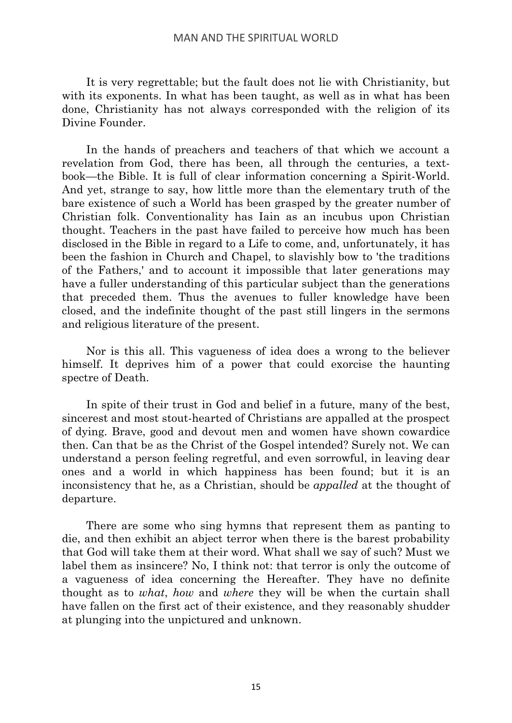It is very regrettable; but the fault does not lie with Christianity, but with its exponents. In what has been taught, as well as in what has been done, Christianity has not always corresponded with the religion of its Divine Founder.

In the hands of preachers and teachers of that which we account a revelation from God, there has been, all through the centuries, a textbook—the Bible. It is full of clear information concerning a Spirit-World. And yet, strange to say, how little more than the elementary truth of the bare existence of such a World has been grasped by the greater number of Christian folk. Conventionality has Iain as an incubus upon Christian thought. Teachers in the past have failed to perceive how much has been disclosed in the Bible in regard to a Life to come, and, unfortunately, it has been the fashion in Church and Chapel, to slavishly bow to 'the traditions of the Fathers,' and to account it impossible that later generations may have a fuller understanding of this particular subject than the generations that preceded them. Thus the avenues to fuller knowledge have been closed, and the indefinite thought of the past still lingers in the sermons and religious literature of the present.

Nor is this all. This vagueness of idea does a wrong to the believer himself. It deprives him of a power that could exorcise the haunting spectre of Death.

In spite of their trust in God and belief in a future, many of the best, sincerest and most stout-hearted of Christians are appalled at the prospect of dying. Brave, good and devout men and women have shown cowardice then. Can that be as the Christ of the Gospel intended? Surely not. We can understand a person feeling regretful, and even sorrowful, in leaving dear ones and a world in which happiness has been found; but it is an inconsistency that he, as a Christian, should be *appalled* at the thought of departure.

There are some who sing hymns that represent them as panting to die, and then exhibit an abject terror when there is the barest probability that God will take them at their word. What shall we say of such? Must we label them as insincere? No, I think not: that terror is only the outcome of a vagueness of idea concerning the Hereafter. They have no definite thought as to *what*, *how* and *where* they will be when the curtain shall have fallen on the first act of their existence, and they reasonably shudder at plunging into the unpictured and unknown.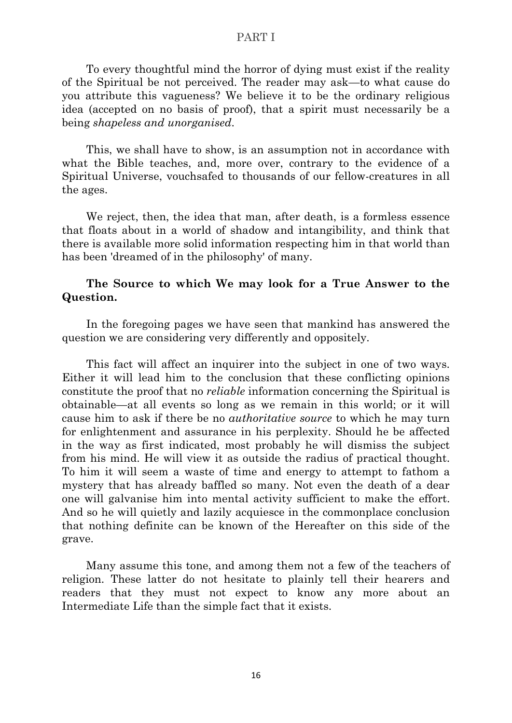To every thoughtful mind the horror of dying must exist if the reality of the Spiritual be not perceived. The reader may ask—to what cause do you attribute this vagueness? We believe it to be the ordinary religious idea (accepted on no basis of proof), that a spirit must necessarily be a being *shapeless and unorganised*.

This, we shall have to show, is an assumption not in accordance with what the Bible teaches, and, more over, contrary to the evidence of a Spiritual Universe, vouchsafed to thousands of our fellow-creatures in all the ages.

We reject, then, the idea that man, after death, is a formless essence that floats about in a world of shadow and intangibility, and think that there is available more solid information respecting him in that world than has been 'dreamed of in the philosophy' of many.

## <span id="page-27-0"></span>**The Source to which We may look for a True Answer to the Question.**

In the foregoing pages we have seen that mankind has answered the question we are considering very differently and oppositely.

This fact will affect an inquirer into the subject in one of two ways. Either it will lead him to the conclusion that these conflicting opinions constitute the proof that no *reliable* information concerning the Spiritual is obtainable—at all events so long as we remain in this world; or it will cause him to ask if there be no *authoritative source* to which he may turn for enlightenment and assurance in his perplexity. Should he be affected in the way as first indicated, most probably he will dismiss the subject from his mind. He will view it as outside the radius of practical thought. To him it will seem a waste of time and energy to attempt to fathom a mystery that has already baffled so many. Not even the death of a dear one will galvanise him into mental activity sufficient to make the effort. And so he will quietly and lazily acquiesce in the commonplace conclusion that nothing definite can be known of the Hereafter on this side of the grave.

Many assume this tone, and among them not a few of the teachers of religion. These latter do not hesitate to plainly tell their hearers and readers that they must not expect to know any more about an Intermediate Life than the simple fact that it exists.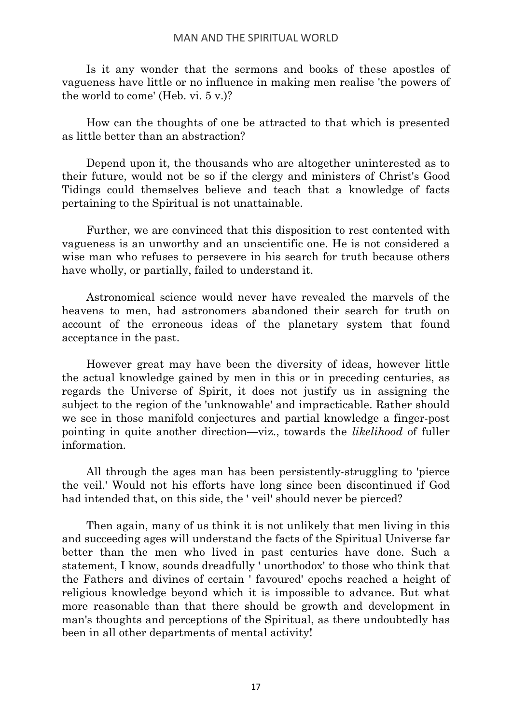Is it any wonder that the sermons and books of these apostles of vagueness have little or no influence in making men realise 'the powers of the world to come' (Heb. vi. 5 v.)?

How can the thoughts of one be attracted to that which is presented as little better than an abstraction?

Depend upon it, the thousands who are altogether uninterested as to their future, would not be so if the clergy and ministers of Christ's Good Tidings could themselves believe and teach that a knowledge of facts pertaining to the Spiritual is not unattainable.

Further, we are convinced that this disposition to rest contented with vagueness is an unworthy and an unscientific one. He is not considered a wise man who refuses to persevere in his search for truth because others have wholly, or partially, failed to understand it.

Astronomical science would never have revealed the marvels of the heavens to men, had astronomers abandoned their search for truth on account of the erroneous ideas of the planetary system that found acceptance in the past.

However great may have been the diversity of ideas, however little the actual knowledge gained by men in this or in preceding centuries, as regards the Universe of Spirit, it does not justify us in assigning the subject to the region of the 'unknowable' and impracticable. Rather should we see in those manifold conjectures and partial knowledge a finger-post pointing in quite another direction—viz., towards the *likelihood* of fuller information.

All through the ages man has been persistently-struggling to 'pierce the veil.' Would not his efforts have long since been discontinued if God had intended that, on this side, the ' veil' should never be pierced?

Then again, many of us think it is not unlikely that men living in this and succeeding ages will understand the facts of the Spiritual Universe far better than the men who lived in past centuries have done. Such a statement, I know, sounds dreadfully ' unorthodox' to those who think that the Fathers and divines of certain ' favoured' epochs reached a height of religious knowledge beyond which it is impossible to advance. But what more reasonable than that there should be growth and development in man's thoughts and perceptions of the Spiritual, as there undoubtedly has been in all other departments of mental activity!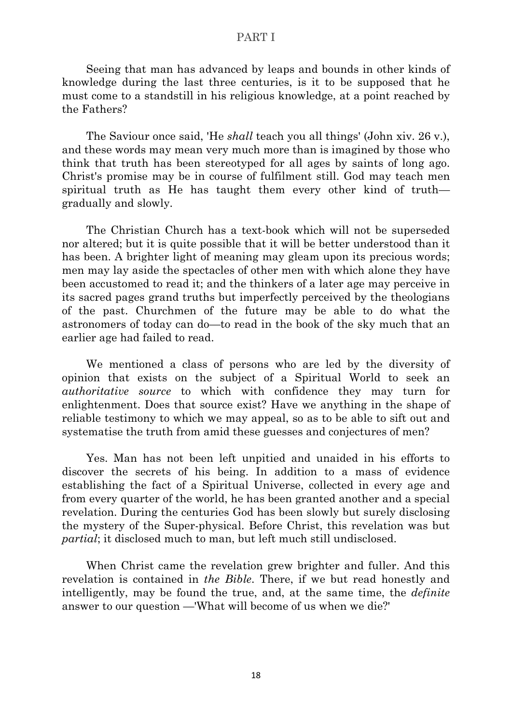Seeing that man has advanced by leaps and bounds in other kinds of knowledge during the last three centuries, is it to be supposed that he must come to a standstill in his religious knowledge, at a point reached by the Fathers?

The Saviour once said, 'He *shall* teach you all things' (John xiv. 26 v.), and these words may mean very much more than is imagined by those who think that truth has been stereotyped for all ages by saints of long ago. Christ's promise may be in course of fulfilment still. God may teach men spiritual truth as He has taught them every other kind of truth gradually and slowly.

The Christian Church has a text-book which will not be superseded nor altered; but it is quite possible that it will be better understood than it has been. A brighter light of meaning may gleam upon its precious words; men may lay aside the spectacles of other men with which alone they have been accustomed to read it; and the thinkers of a later age may perceive in its sacred pages grand truths but imperfectly perceived by the theologians of the past. Churchmen of the future may be able to do what the astronomers of today can do—to read in the book of the sky much that an earlier age had failed to read.

We mentioned a class of persons who are led by the diversity of opinion that exists on the subject of a Spiritual World to seek an *authoritative source* to which with confidence they may turn for enlightenment. Does that source exist? Have we anything in the shape of reliable testimony to which we may appeal, so as to be able to sift out and systematise the truth from amid these guesses and conjectures of men?

Yes. Man has not been left unpitied and unaided in his efforts to discover the secrets of his being. In addition to a mass of evidence establishing the fact of a Spiritual Universe, collected in every age and from every quarter of the world, he has been granted another and a special revelation. During the centuries God has been slowly but surely disclosing the mystery of the Super-physical. Before Christ, this revelation was but *partial*; it disclosed much to man, but left much still undisclosed.

<span id="page-29-0"></span>When Christ came the revelation grew brighter and fuller. And this revelation is contained in *the Bible*. There, if we but read honestly and intelligently, may be found the true, and, at the same time, the *definite* answer to our question —'What will become of us when we die?'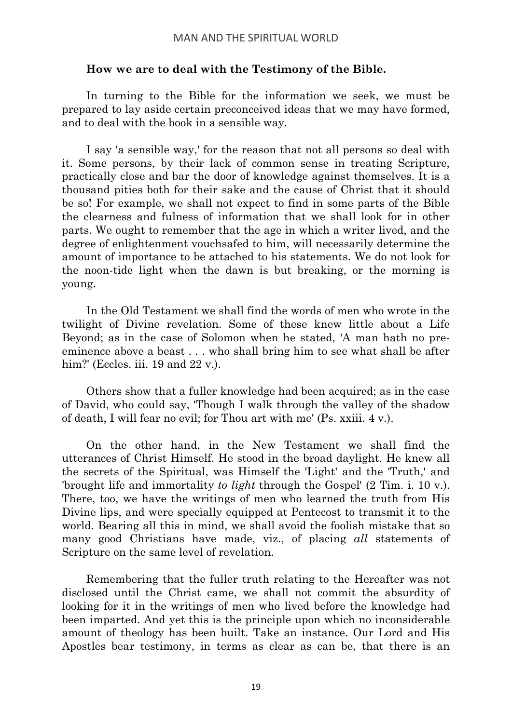## **How we are to deal with the Testimony of the Bible.**

In turning to the Bible for the information we seek, we must be prepared to lay aside certain preconceived ideas that we may have formed, and to deal with the book in a sensible way.

I say 'a sensible way,' for the reason that not all persons so deal with it. Some persons, by their lack of common sense in treating Scripture, practically close and bar the door of knowledge against themselves. It is a thousand pities both for their sake and the cause of Christ that it should be so! For example, we shall not expect to find in some parts of the Bible the clearness and fulness of information that we shall look for in other parts. We ought to remember that the age in which a writer lived, and the degree of enlightenment vouchsafed to him, will necessarily determine the amount of importance to be attached to his statements. We do not look for the noon-tide light when the dawn is but breaking, or the morning is young.

In the Old Testament we shall find the words of men who wrote in the twilight of Divine revelation. Some of these knew little about a Life Beyond; as in the case of Solomon when he stated, 'A man hath no preeminence above a beast . . . who shall bring him to see what shall be after him?' (Eccles. iii. 19 and 22 v.).

Others show that a fuller knowledge had been acquired; as in the case of David, who could say, 'Though I walk through the valley of the shadow of death, I will fear no evil; for Thou art with me' (Ps. xxiii. 4 v.).

On the other hand, in the New Testament we shall find the utterances of Christ Himself. He stood in the broad daylight. He knew all the secrets of the Spiritual, was Himself the 'Light' and the 'Truth,' and 'brought life and immortality *to light* through the Gospel' (2 Tim. i. 10 v.). There, too, we have the writings of men who learned the truth from His Divine lips, and were specially equipped at Pentecost to transmit it to the world. Bearing all this in mind, we shall avoid the foolish mistake that so many good Christians have made, viz., of placing *all* statements of Scripture on the same level of revelation.

Remembering that the fuller truth relating to the Hereafter was not disclosed until the Christ came, we shall not commit the absurdity of looking for it in the writings of men who lived before the knowledge had been imparted. And yet this is the principle upon which no inconsiderable amount of theology has been built. Take an instance. Our Lord and His Apostles bear testimony, in terms as clear as can be, that there is an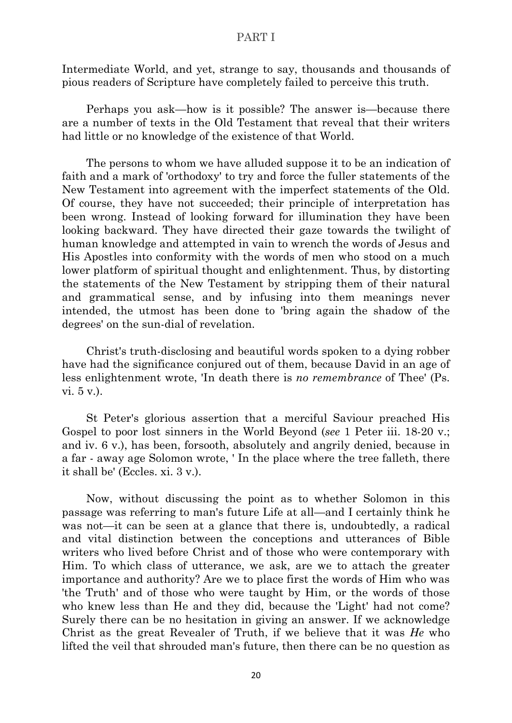Intermediate World, and yet, strange to say, thousands and thousands of pious readers of Scripture have completely failed to perceive this truth.

Perhaps you ask—how is it possible? The answer is—because there are a number of texts in the Old Testament that reveal that their writers had little or no knowledge of the existence of that World.

The persons to whom we have alluded suppose it to be an indication of faith and a mark of 'orthodoxy' to try and force the fuller statements of the New Testament into agreement with the imperfect statements of the Old. Of course, they have not succeeded; their principle of interpretation has been wrong. Instead of looking forward for illumination they have been looking backward. They have directed their gaze towards the twilight of human knowledge and attempted in vain to wrench the words of Jesus and His Apostles into conformity with the words of men who stood on a much lower platform of spiritual thought and enlightenment. Thus, by distorting the statements of the New Testament by stripping them of their natural and grammatical sense, and by infusing into them meanings never intended, the utmost has been done to 'bring again the shadow of the degrees' on the sun-dial of revelation.

Christ's truth-disclosing and beautiful words spoken to a dying robber have had the significance conjured out of them, because David in an age of less enlightenment wrote, 'In death there is *no remembrance* of Thee' (Ps. vi. 5 v.).

St Peter's glorious assertion that a merciful Saviour preached His Gospel to poor lost sinners in the World Beyond (*see* 1 Peter iii. 18-20 v.; and iv. 6 v.), has been, forsooth, absolutely and angrily denied, because in a far - away age Solomon wrote, ' In the place where the tree falleth, there it shall be' (Eccles. xi. 3 v.).

Now, without discussing the point as to whether Solomon in this passage was referring to man's future Life at all—and I certainly think he was not—it can be seen at a glance that there is, undoubtedly, a radical and vital distinction between the conceptions and utterances of Bible writers who lived before Christ and of those who were contemporary with Him. To which class of utterance, we ask, are we to attach the greater importance and authority? Are we to place first the words of Him who was 'the Truth' and of those who were taught by Him, or the words of those who knew less than He and they did, because the 'Light' had not come? Surely there can be no hesitation in giving an answer. If we acknowledge Christ as the great Revealer of Truth, if we believe that it was *He* who lifted the veil that shrouded man's future, then there can be no question as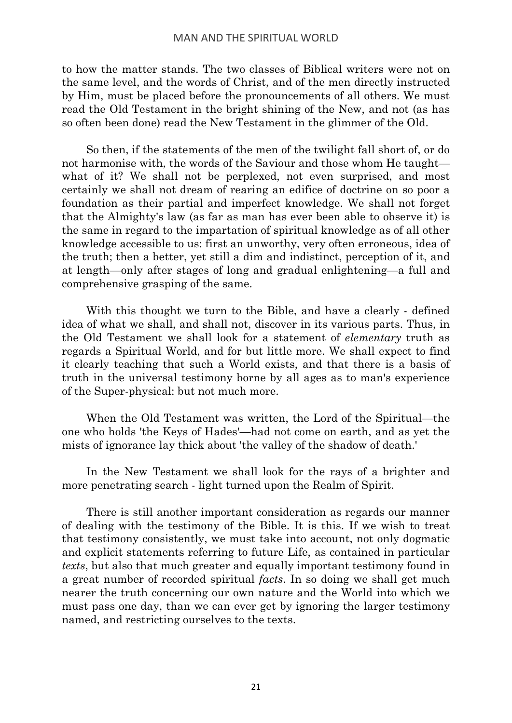to how the matter stands. The two classes of Biblical writers were not on the same level, and the words of Christ, and of the men directly instructed by Him, must be placed before the pronouncements of all others. We must read the Old Testament in the bright shining of the New, and not (as has so often been done) read the New Testament in the glimmer of the Old.

So then, if the statements of the men of the twilight fall short of, or do not harmonise with, the words of the Saviour and those whom He taught what of it? We shall not be perplexed, not even surprised, and most certainly we shall not dream of rearing an edifice of doctrine on so poor a foundation as their partial and imperfect knowledge. We shall not forget that the Almighty's law (as far as man has ever been able to observe it) is the same in regard to the impartation of spiritual knowledge as of all other knowledge accessible to us: first an unworthy, very often erroneous, idea of the truth; then a better, yet still a dim and indistinct, perception of it, and at length—only after stages of long and gradual enlightening—a full and comprehensive grasping of the same.

With this thought we turn to the Bible, and have a clearly - defined idea of what we shall, and shall not, discover in its various parts. Thus, in the Old Testament we shall look for a statement of *elementary* truth as regards a Spiritual World, and for but little more. We shall expect to find it clearly teaching that such a World exists, and that there is a basis of truth in the universal testimony borne by all ages as to man's experience of the Super-physical: but not much more.

When the Old Testament was written, the Lord of the Spiritual—the one who holds 'the Keys of Hades'—had not come on earth, and as yet the mists of ignorance lay thick about 'the valley of the shadow of death.'

In the New Testament we shall look for the rays of a brighter and more penetrating search - light turned upon the Realm of Spirit.

There is still another important consideration as regards our manner of dealing with the testimony of the Bible. It is this. If we wish to treat that testimony consistently, we must take into account, not only dogmatic and explicit statements referring to future Life, as contained in particular *texts*, but also that much greater and equally important testimony found in a great number of recorded spiritual *facts*. In so doing we shall get much nearer the truth concerning our own nature and the World into which we must pass one day, than we can ever get by ignoring the larger testimony named, and restricting ourselves to the texts.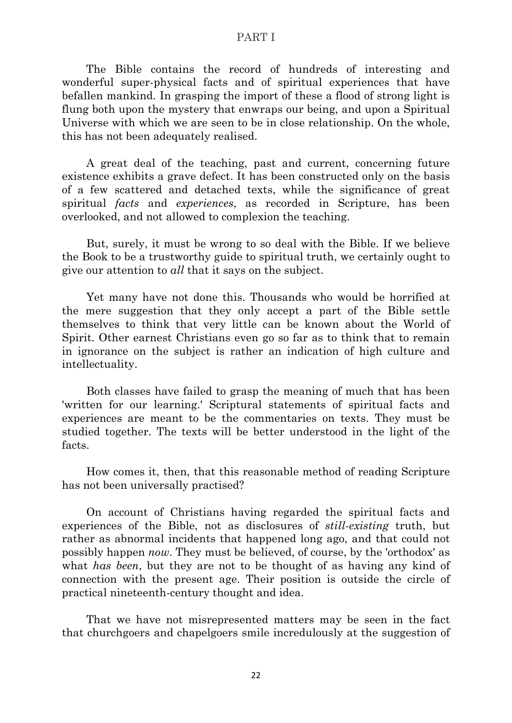The Bible contains the record of hundreds of interesting and wonderful super-physical facts and of spiritual experiences that have befallen mankind. In grasping the import of these a flood of strong light is flung both upon the mystery that enwraps our being, and upon a Spiritual Universe with which we are seen to be in close relationship. On the whole, this has not been adequately realised.

A great deal of the teaching, past and current, concerning future existence exhibits a grave defect. It has been constructed only on the basis of a few scattered and detached texts, while the significance of great spiritual *facts* and *experiences*, as recorded in Scripture, has been overlooked, and not allowed to complexion the teaching.

But, surely, it must be wrong to so deal with the Bible. If we believe the Book to be a trustworthy guide to spiritual truth, we certainly ought to give our attention to *all* that it says on the subject.

Yet many have not done this. Thousands who would be horrified at the mere suggestion that they only accept a part of the Bible settle themselves to think that very little can be known about the World of Spirit. Other earnest Christians even go so far as to think that to remain in ignorance on the subject is rather an indication of high culture and intellectuality.

Both classes have failed to grasp the meaning of much that has been 'written for our learning.' Scriptural statements of spiritual facts and experiences are meant to be the commentaries on texts. They must be studied together. The texts will be better understood in the light of the facts.

How comes it, then, that this reasonable method of reading Scripture has not been universally practised?

On account of Christians having regarded the spiritual facts and experiences of the Bible, not as disclosures of *still-existing* truth, but rather as abnormal incidents that happened long ago, and that could not possibly happen *now*. They must be believed, of course, by the 'orthodox' as what *has been*, but they are not to be thought of as having any kind of connection with the present age. Their position is outside the circle of practical nineteenth-century thought and idea.

That we have not misrepresented matters may be seen in the fact that churchgoers and chapelgoers smile incredulously at the suggestion of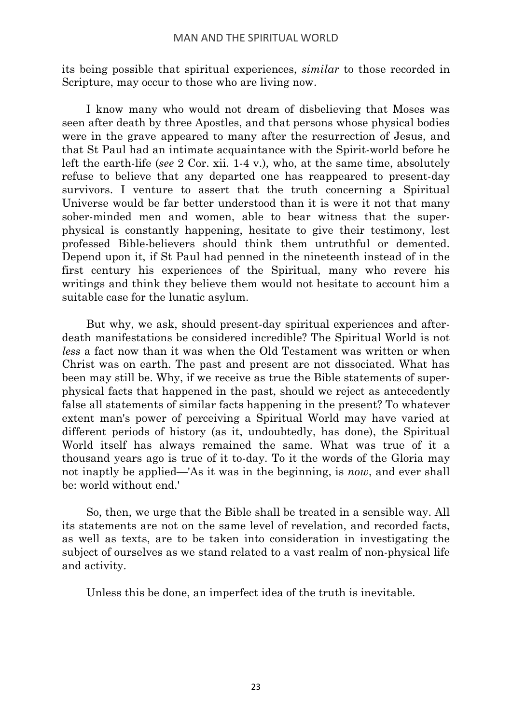its being possible that spiritual experiences, *similar* to those recorded in Scripture, may occur to those who are living now.

I know many who would not dream of disbelieving that Moses was seen after death by three Apostles, and that persons whose physical bodies were in the grave appeared to many after the resurrection of Jesus, and that St Paul had an intimate acquaintance with the Spirit-world before he left the earth-life (*see* 2 Cor. xii. 1-4 v.), who, at the same time, absolutely refuse to believe that any departed one has reappeared to present-day survivors. I venture to assert that the truth concerning a Spiritual Universe would be far better understood than it is were it not that many sober-minded men and women, able to bear witness that the superphysical is constantly happening, hesitate to give their testimony, lest professed Bible-believers should think them untruthful or demented. Depend upon it, if St Paul had penned in the nineteenth instead of in the first century his experiences of the Spiritual, many who revere his writings and think they believe them would not hesitate to account him a suitable case for the lunatic asylum.

But why, we ask, should present-day spiritual experiences and afterdeath manifestations be considered incredible? The Spiritual World is not *less* a fact now than it was when the Old Testament was written or when Christ was on earth. The past and present are not dissociated. What has been may still be. Why, if we receive as true the Bible statements of superphysical facts that happened in the past, should we reject as antecedently false all statements of similar facts happening in the present? To whatever extent man's power of perceiving a Spiritual World may have varied at different periods of history (as it, undoubtedly, has done), the Spiritual World itself has always remained the same. What was true of it a thousand years ago is true of it to-day. To it the words of the Gloria may not inaptly be applied—'As it was in the beginning, is *now*, and ever shall be: world without end.'

So, then, we urge that the Bible shall be treated in a sensible way. All its statements are not on the same level of revelation, and recorded facts, as well as texts, are to be taken into consideration in investigating the subject of ourselves as we stand related to a vast realm of non-physical life and activity.

<span id="page-34-0"></span>Unless this be done, an imperfect idea of the truth is inevitable.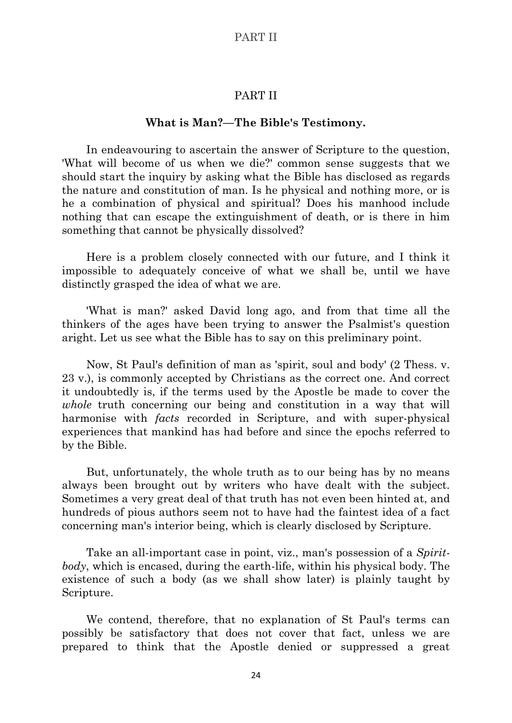## PART II

#### **What is Man?—The Bible's Testimony.**

In endeavouring to ascertain the answer of Scripture to the question, 'What will become of us when we die?' common sense suggests that we should start the inquiry by asking what the Bible has disclosed as regards the nature and constitution of man. Is he physical and nothing more, or is he a combination of physical and spiritual? Does his manhood include nothing that can escape the extinguishment of death, or is there in him something that cannot be physically dissolved?

Here is a problem closely connected with our future, and I think it impossible to adequately conceive of what we shall be, until we have distinctly grasped the idea of what we are.

'What is man?' asked David long ago, and from that time all the thinkers of the ages have been trying to answer the Psalmist's question aright. Let us see what the Bible has to say on this preliminary point.

Now, St Paul's definition of man as 'spirit, soul and body' (2 Thess. v. 23 v.), is commonly accepted by Christians as the correct one. And correct it undoubtedly is, if the terms used by the Apostle be made to cover the *whole* truth concerning our being and constitution in a way that will harmonise with *facts* recorded in Scripture, and with super-physical experiences that mankind has had before and since the epochs referred to by the Bible.

But, unfortunately, the whole truth as to our being has by no means always been brought out by writers who have dealt with the subject. Sometimes a very great deal of that truth has not even been hinted at, and hundreds of pious authors seem not to have had the faintest idea of a fact concerning man's interior being, which is clearly disclosed by Scripture.

Take an all-important case in point, viz., man's possession of a *Spiritbody*, which is encased, during the earth-life, within his physical body. The existence of such a body (as we shall show later) is plainly taught by Scripture.

We contend, therefore, that no explanation of St Paul's terms can possibly be satisfactory that does not cover that fact, unless we are prepared to think that the Apostle denied or suppressed a great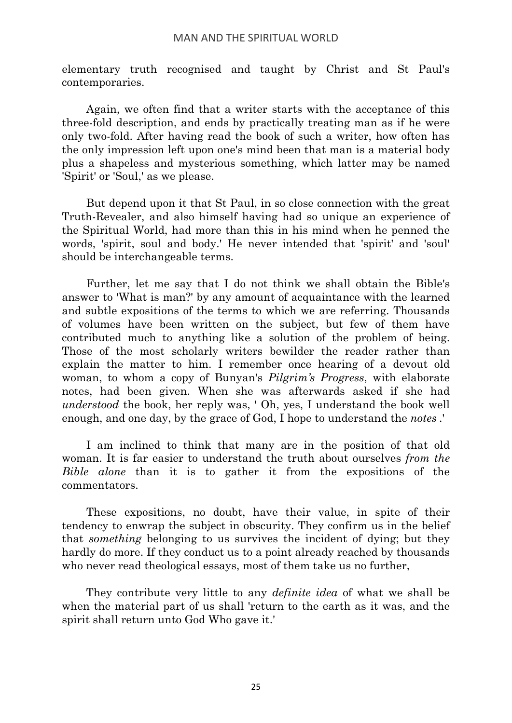elementary truth recognised and taught by Christ and St Paul's contemporaries.

Again, we often find that a writer starts with the acceptance of this three-fold description, and ends by practically treating man as if he were only two-fold. After having read the book of such a writer, how often has the only impression left upon one's mind been that man is a material body plus a shapeless and mysterious something, which latter may be named 'Spirit' or 'Soul,' as we please.

But depend upon it that St Paul, in so close connection with the great Truth-Revealer, and also himself having had so unique an experience of the Spiritual World, had more than this in his mind when he penned the words, 'spirit, soul and body.' He never intended that 'spirit' and 'soul' should be interchangeable terms.

Further, let me say that I do not think we shall obtain the Bible's answer to 'What is man?' by any amount of acquaintance with the learned and subtle expositions of the terms to which we are referring. Thousands of volumes have been written on the subject, but few of them have contributed much to anything like a solution of the problem of being. Those of the most scholarly writers bewilder the reader rather than explain the matter to him. I remember once hearing of a devout old woman, to whom a copy of Bunyan's *Pilgrim's Progress*, with elaborate notes, had been given. When she was afterwards asked if she had *understood* the book, her reply was, ' Oh, yes, I understand the book well enough, and one day, by the grace of God, I hope to understand the *notes* .'

I am inclined to think that many are in the position of that old woman. It is far easier to understand the truth about ourselves *from the Bible alone* than it is to gather it from the expositions of the commentators.

These expositions, no doubt, have their value, in spite of their tendency to enwrap the subject in obscurity. They confirm us in the belief that *something* belonging to us survives the incident of dying; but they hardly do more. If they conduct us to a point already reached by thousands who never read theological essays, most of them take us no further,

They contribute very little to any *definite idea* of what we shall be when the material part of us shall 'return to the earth as it was, and the spirit shall return unto God Who gave it.'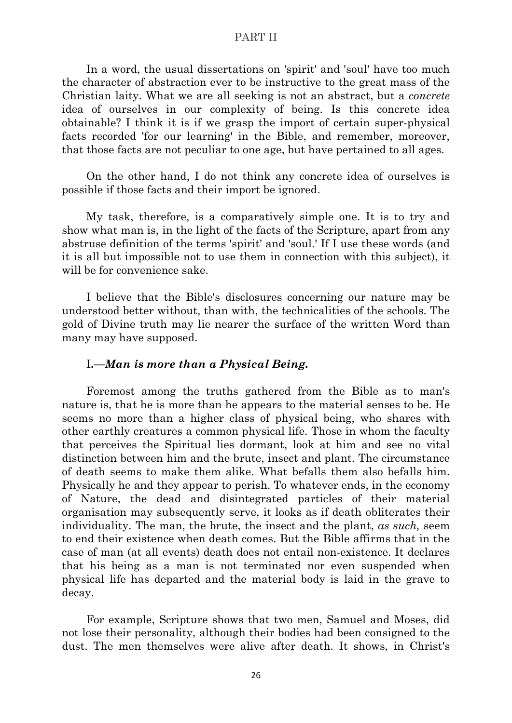In a word, the usual dissertations on 'spirit' and 'soul' have too much the character of abstraction ever to be instructive to the great mass of the Christian laity. What we are all seeking is not an abstract, but a *concrete* idea of ourselves in our complexity of being. Is this concrete idea obtainable? I think it is if we grasp the import of certain super-physical facts recorded 'for our learning' in the Bible, and remember, moreover, that those facts are not peculiar to one age, but have pertained to all ages.

On the other hand, I do not think any concrete idea of ourselves is possible if those facts and their import be ignored.

My task, therefore, is a comparatively simple one. It is to try and show what man is, in the light of the facts of the Scripture, apart from any abstruse definition of the terms 'spirit' and 'soul.' If I use these words (and it is all but impossible not to use them in connection with this subject), it will be for convenience sake.

I believe that the Bible's disclosures concerning our nature may be understood better without, than with, the technicalities of the schools. The gold of Divine truth may lie nearer the surface of the written Word than many may have supposed.

## I**.—***Man is more than a Physical Being.*

Foremost among the truths gathered from the Bible as to man's nature is, that he is more than he appears to the material senses to be. He seems no more than a higher class of physical being, who shares with other earthly creatures a common physical life. Those in whom the faculty that perceives the Spiritual lies dormant, look at him and see no vital distinction between him and the brute, insect and plant. The circumstance of death seems to make them alike. What befalls them also befalls him. Physically he and they appear to perish. To whatever ends, in the economy of Nature, the dead and disintegrated particles of their material organisation may subsequently serve, it looks as if death obliterates their individuality. The man, the brute, the insect and the plant, *as such,* seem to end their existence when death comes. But the Bible affirms that in the case of man (at all events) death does not entail non-existence. It declares that his being as a man is not terminated nor even suspended when physical life has departed and the material body is laid in the grave to decay.

For example, Scripture shows that two men, Samuel and Moses, did not lose their personality, although their bodies had been consigned to the dust. The men themselves were alive after death. It shows, in Christ's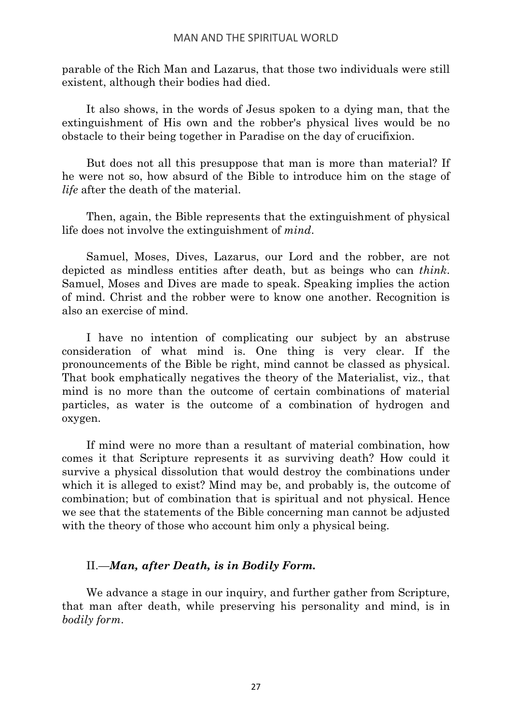parable of the Rich Man and Lazarus, that those two individuals were still existent, although their bodies had died.

It also shows, in the words of Jesus spoken to a dying man, that the extinguishment of His own and the robber's physical lives would be no obstacle to their being together in Paradise on the day of crucifixion.

But does not all this presuppose that man is more than material? If he were not so, how absurd of the Bible to introduce him on the stage of *life* after the death of the material.

Then, again, the Bible represents that the extinguishment of physical life does not involve the extinguishment of *mind*.

Samuel, Moses, Dives, Lazarus, our Lord and the robber, are not depicted as mindless entities after death, but as beings who can *think*. Samuel, Moses and Dives are made to speak. Speaking implies the action of mind. Christ and the robber were to know one another. Recognition is also an exercise of mind.

I have no intention of complicating our subject by an abstruse consideration of what mind is. One thing is very clear. If the pronouncements of the Bible be right, mind cannot be classed as physical. That book emphatically negatives the theory of the Materialist, viz., that mind is no more than the outcome of certain combinations of material particles, as water is the outcome of a combination of hydrogen and oxygen.

If mind were no more than a resultant of material combination, how comes it that Scripture represents it as surviving death? How could it survive a physical dissolution that would destroy the combinations under which it is alleged to exist? Mind may be, and probably is, the outcome of combination; but of combination that is spiritual and not physical. Hence we see that the statements of the Bible concerning man cannot be adjusted with the theory of those who account him only a physical being.

## II.—*Man, after Death, is in Bodily Form.*

We advance a stage in our inquiry, and further gather from Scripture, that man after death, while preserving his personality and mind, is in *bodily form*.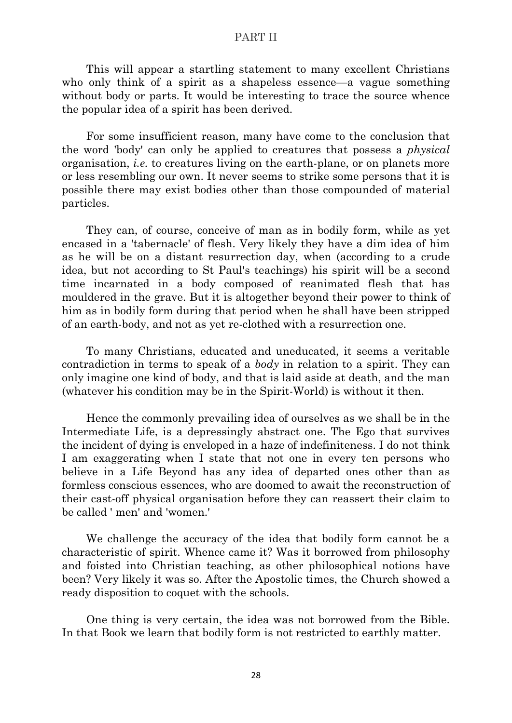This will appear a startling statement to many excellent Christians who only think of a spirit as a shapeless essence—a vague something without body or parts. It would be interesting to trace the source whence the popular idea of a spirit has been derived.

For some insufficient reason, many have come to the conclusion that the word 'body' can only be applied to creatures that possess a *physical* organisation, *i.e.* to creatures living on the earth-plane, or on planets more or less resembling our own. It never seems to strike some persons that it is possible there may exist bodies other than those compounded of material particles.

They can, of course, conceive of man as in bodily form, while as yet encased in a 'tabernacle' of flesh. Very likely they have a dim idea of him as he will be on a distant resurrection day, when (according to a crude idea, but not according to St Paul's teachings) his spirit will be a second time incarnated in a body composed of reanimated flesh that has mouldered in the grave. But it is altogether beyond their power to think of him as in bodily form during that period when he shall have been stripped of an earth-body, and not as yet re-clothed with a resurrection one.

To many Christians, educated and uneducated, it seems a veritable contradiction in terms to speak of a *body* in relation to a spirit. They can only imagine one kind of body, and that is laid aside at death, and the man (whatever his condition may be in the Spirit-World) is without it then.

Hence the commonly prevailing idea of ourselves as we shall be in the Intermediate Life, is a depressingly abstract one. The Ego that survives the incident of dying is enveloped in a haze of indefiniteness. I do not think I am exaggerating when I state that not one in every ten persons who believe in a Life Beyond has any idea of departed ones other than as formless conscious essences, who are doomed to await the reconstruction of their cast-off physical organisation before they can reassert their claim to be called ' men' and 'women.'

We challenge the accuracy of the idea that bodily form cannot be a characteristic of spirit. Whence came it? Was it borrowed from philosophy and foisted into Christian teaching, as other philosophical notions have been? Very likely it was so. After the Apostolic times, the Church showed a ready disposition to coquet with the schools.

One thing is very certain, the idea was not borrowed from the Bible. In that Book we learn that bodily form is not restricted to earthly matter.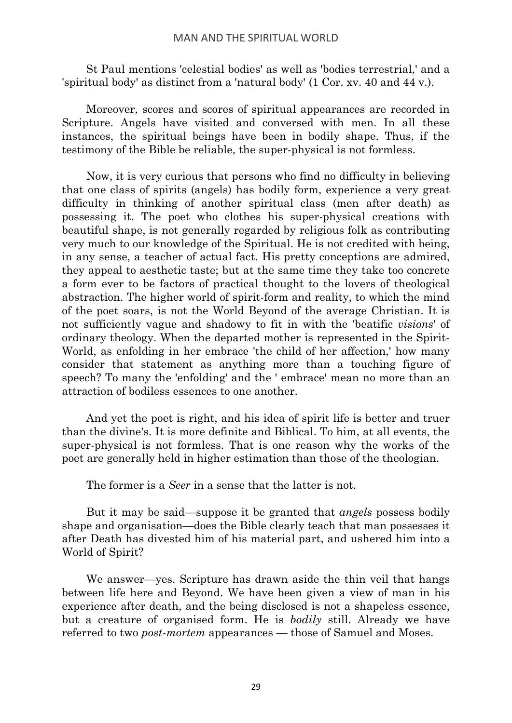St Paul mentions 'celestial bodies' as well as 'bodies terrestrial,' and a 'spiritual body' as distinct from a 'natural body' (1 Cor. xv. 40 and 44 v.).

Moreover, scores and scores of spiritual appearances are recorded in Scripture. Angels have visited and conversed with men. In all these instances, the spiritual beings have been in bodily shape. Thus, if the testimony of the Bible be reliable, the super-physical is not formless.

Now, it is very curious that persons who find no difficulty in believing that one class of spirits (angels) has bodily form, experience a very great difficulty in thinking of another spiritual class (men after death) as possessing it. The poet who clothes his super-physical creations with beautiful shape, is not generally regarded by religious folk as contributing very much to our knowledge of the Spiritual. He is not credited with being, in any sense, a teacher of actual fact. His pretty conceptions are admired, they appeal to aesthetic taste; but at the same time they take too concrete a form ever to be factors of practical thought to the lovers of theological abstraction. The higher world of spirit-form and reality, to which the mind of the poet soars, is not the World Beyond of the average Christian. It is not sufficiently vague and shadowy to fit in with the 'beatific *visions*' of ordinary theology. When the departed mother is represented in the Spirit-World, as enfolding in her embrace 'the child of her affection,' how many consider that statement as anything more than a touching figure of speech? To many the 'enfolding' and the ' embrace' mean no more than an attraction of bodiless essences to one another.

And yet the poet is right, and his idea of spirit life is better and truer than the divine's. It is more definite and Biblical. To him, at all events, the super-physical is not formless. That is one reason why the works of the poet are generally held in higher estimation than those of the theologian.

The former is a *Seer* in a sense that the latter is not.

But it may be said—suppose it be granted that *angels* possess bodily shape and organisation—does the Bible clearly teach that man possesses it after Death has divested him of his material part, and ushered him into a World of Spirit?

We answer—yes. Scripture has drawn aside the thin veil that hangs between life here and Beyond. We have been given a view of man in his experience after death, and the being disclosed is not a shapeless essence, but a creature of organised form. He is *bodily* still. Already we have referred to two *post-mortem* appearances — those of Samuel and Moses.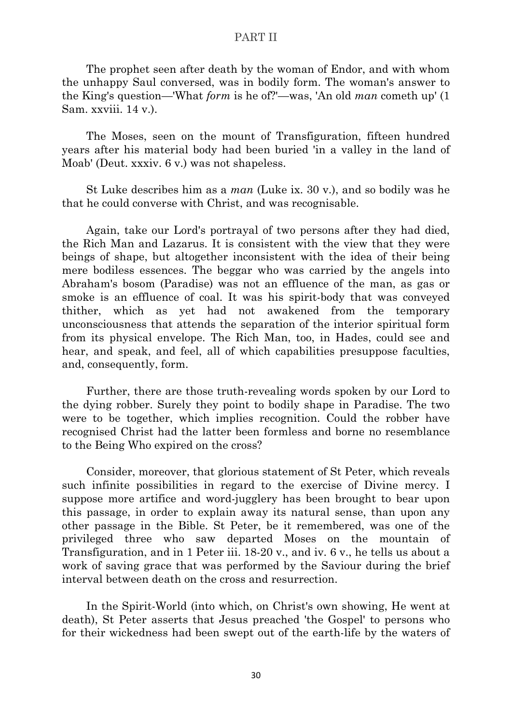The prophet seen after death by the woman of Endor, and with whom the unhappy Saul conversed, was in bodily form. The woman's answer to the King's question—'What *form* is he of?'—was, 'An old *man* cometh up' (1 Sam. xxviii. 14 v.).

The Moses, seen on the mount of Transfiguration, fifteen hundred years after his material body had been buried 'in a valley in the land of Moab' (Deut. xxxiv. 6 v.) was not shapeless.

St Luke describes him as a *man* (Luke ix. 30 v.), and so bodily was he that he could converse with Christ, and was recognisable.

Again, take our Lord's portrayal of two persons after they had died, the Rich Man and Lazarus. It is consistent with the view that they were beings of shape, but altogether inconsistent with the idea of their being mere bodiless essences. The beggar who was carried by the angels into Abraham's bosom (Paradise) was not an effluence of the man, as gas or smoke is an effluence of coal. It was his spirit-body that was conveyed thither, which as yet had not awakened from the temporary unconsciousness that attends the separation of the interior spiritual form from its physical envelope. The Rich Man, too, in Hades, could see and hear, and speak, and feel, all of which capabilities presuppose faculties, and, consequently, form.

Further, there are those truth-revealing words spoken by our Lord to the dying robber. Surely they point to bodily shape in Paradise. The two were to be together, which implies recognition. Could the robber have recognised Christ had the latter been formless and borne no resemblance to the Being Who expired on the cross?

Consider, moreover, that glorious statement of St Peter, which reveals such infinite possibilities in regard to the exercise of Divine mercy. I suppose more artifice and word-jugglery has been brought to bear upon this passage, in order to explain away its natural sense, than upon any other passage in the Bible. St Peter, be it remembered, was one of the privileged three who saw departed Moses on the mountain of Transfiguration, and in 1 Peter iii. 18-20 v., and iv. 6 v., he tells us about a work of saving grace that was performed by the Saviour during the brief interval between death on the cross and resurrection.

In the Spirit-World (into which, on Christ's own showing, He went at death), St Peter asserts that Jesus preached 'the Gospel' to persons who for their wickedness had been swept out of the earth-life by the waters of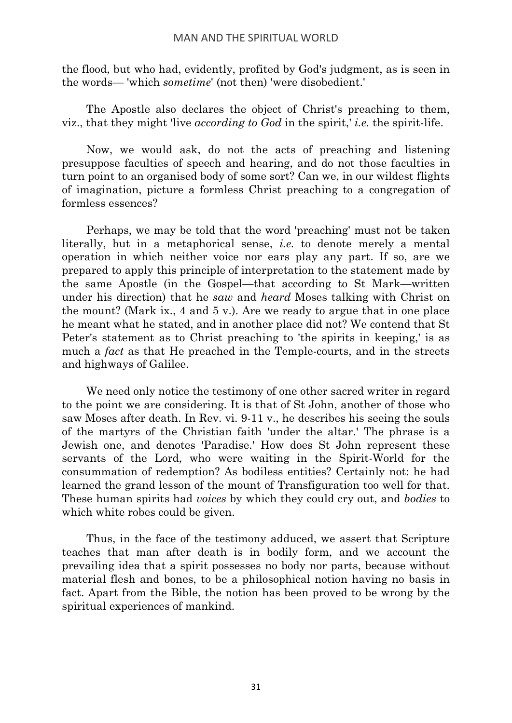the flood, but who had, evidently, profited by God's judgment, as is seen in the words— 'which *sometime*' (not then) 'were disobedient.'

The Apostle also declares the object of Christ's preaching to them, viz., that they might 'live *according to God* in the spirit,' *i.e.* the spirit-life.

Now, we would ask, do not the acts of preaching and listening presuppose faculties of speech and hearing, and do not those faculties in turn point to an organised body of some sort? Can we, in our wildest flights of imagination, picture a formless Christ preaching to a congregation of formless essences?

Perhaps, we may be told that the word 'preaching' must not be taken literally, but in a metaphorical sense, *i.e.* to denote merely a mental operation in which neither voice nor ears play any part. If so, are we prepared to apply this principle of interpretation to the statement made by the same Apostle (in the Gospel—that according to St Mark—written under his direction) that he *saw* and *heard* Moses talking with Christ on the mount? (Mark ix., 4 and 5 v.). Are we ready to argue that in one place he meant what he stated, and in another place did not? We contend that St Peter's statement as to Christ preaching to 'the spirits in keeping,' is as much a *fact* as that He preached in the Temple-courts, and in the streets and highways of Galilee.

We need only notice the testimony of one other sacred writer in regard to the point we are considering. It is that of St John, another of those who saw Moses after death. In Rev. vi. 9-11 v., he describes his seeing the souls of the martyrs of the Christian faith 'under the altar.' The phrase is a Jewish one, and denotes 'Paradise.' How does St John represent these servants of the Lord, who were waiting in the Spirit-World for the consummation of redemption? As bodiless entities? Certainly not: he had learned the grand lesson of the mount of Transfiguration too well for that. These human spirits had *voices* by which they could cry out, and *bodies* to which white robes could be given.

Thus, in the face of the testimony adduced, we assert that Scripture teaches that man after death is in bodily form, and we account the prevailing idea that a spirit possesses no body nor parts, because without material flesh and bones, to be a philosophical notion having no basis in fact. Apart from the Bible, the notion has been proved to be wrong by the spiritual experiences of mankind.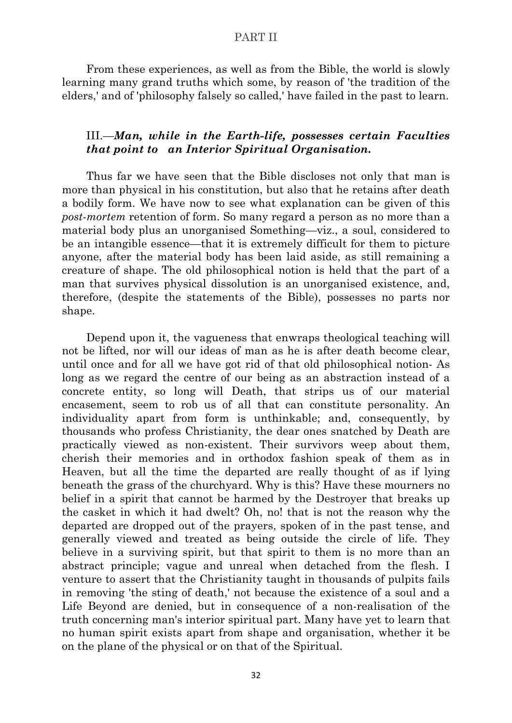From these experiences, as well as from the Bible, the world is slowly learning many grand truths which some, by reason of 'the tradition of the elders,' and of 'philosophy falsely so called,' have failed in the past to learn.

## III.—*Man, while in the Earth-life, possesses certain Faculties that point to an Interior Spiritual Organisation.*

Thus far we have seen that the Bible discloses not only that man is more than physical in his constitution, but also that he retains after death a bodily form. We have now to see what explanation can be given of this *post-mortem* retention of form. So many regard a person as no more than a material body plus an unorganised Something—viz., a soul, considered to be an intangible essence—that it is extremely difficult for them to picture anyone, after the material body has been laid aside, as still remaining a creature of shape. The old philosophical notion is held that the part of a man that survives physical dissolution is an unorganised existence, and, therefore, (despite the statements of the Bible), possesses no parts nor shape.

Depend upon it, the vagueness that enwraps theological teaching will not be lifted, nor will our ideas of man as he is after death become clear, until once and for all we have got rid of that old philosophical notion- As long as we regard the centre of our being as an abstraction instead of a concrete entity, so long will Death, that strips us of our material encasement, seem to rob us of all that can constitute personality. An individuality apart from form is unthinkable; and, consequently, by thousands who profess Christianity, the dear ones snatched by Death are practically viewed as non-existent. Their survivors weep about them, cherish their memories and in orthodox fashion speak of them as in Heaven, but all the time the departed are really thought of as if lying beneath the grass of the churchyard. Why is this? Have these mourners no belief in a spirit that cannot be harmed by the Destroyer that breaks up the casket in which it had dwelt? Oh, no! that is not the reason why the departed are dropped out of the prayers, spoken of in the past tense, and generally viewed and treated as being outside the circle of life. They believe in a surviving spirit, but that spirit to them is no more than an abstract principle; vague and unreal when detached from the flesh. I venture to assert that the Christianity taught in thousands of pulpits fails in removing 'the sting of death,' not because the existence of a soul and a Life Beyond are denied, but in consequence of a non-realisation of the truth concerning man's interior spiritual part. Many have yet to learn that no human spirit exists apart from shape and organisation, whether it be on the plane of the physical or on that of the Spiritual.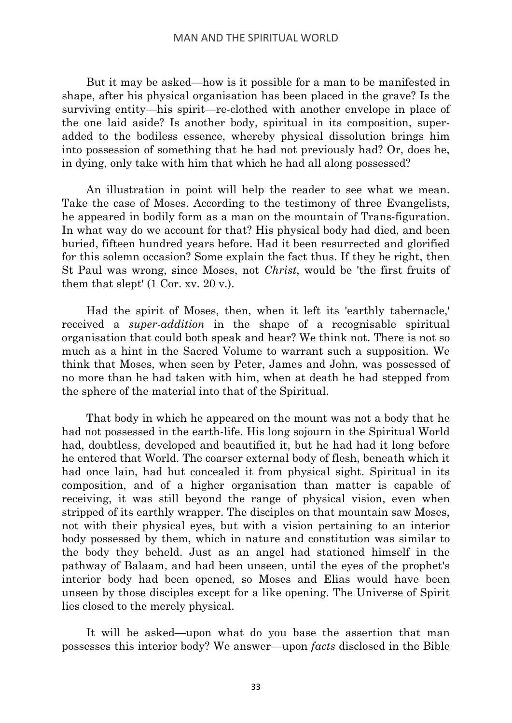But it may be asked—how is it possible for a man to be manifested in shape, after his physical organisation has been placed in the grave? Is the surviving entity—his spirit—re-clothed with another envelope in place of the one laid aside? Is another body, spiritual in its composition, superadded to the bodiless essence, whereby physical dissolution brings him into possession of something that he had not previously had? Or, does he, in dying, only take with him that which he had all along possessed?

An illustration in point will help the reader to see what we mean. Take the case of Moses. According to the testimony of three Evangelists, he appeared in bodily form as a man on the mountain of Trans-figuration. In what way do we account for that? His physical body had died, and been buried, fifteen hundred years before. Had it been resurrected and glorified for this solemn occasion? Some explain the fact thus. If they be right, then St Paul was wrong, since Moses, not *Christ*, would be 'the first fruits of them that slept' (1 Cor. xv. 20 v.).

Had the spirit of Moses, then, when it left its 'earthly tabernacle,' received a *super-addition* in the shape of a recognisable spiritual organisation that could both speak and hear? We think not. There is not so much as a hint in the Sacred Volume to warrant such a supposition. We think that Moses, when seen by Peter, James and John, was possessed of no more than he had taken with him, when at death he had stepped from the sphere of the material into that of the Spiritual.

That body in which he appeared on the mount was not a body that he had not possessed in the earth-life. His long sojourn in the Spiritual World had, doubtless, developed and beautified it, but he had had it long before he entered that World. The coarser external body of flesh, beneath which it had once lain, had but concealed it from physical sight. Spiritual in its composition, and of a higher organisation than matter is capable of receiving, it was still beyond the range of physical vision, even when stripped of its earthly wrapper. The disciples on that mountain saw Moses, not with their physical eyes, but with a vision pertaining to an interior body possessed by them, which in nature and constitution was similar to the body they beheld. Just as an angel had stationed himself in the pathway of Balaam, and had been unseen, until the eyes of the prophet's interior body had been opened, so Moses and Elias would have been unseen by those disciples except for a like opening. The Universe of Spirit lies closed to the merely physical.

It will be asked—upon what do you base the assertion that man possesses this interior body? We answer—upon *facts* disclosed in the Bible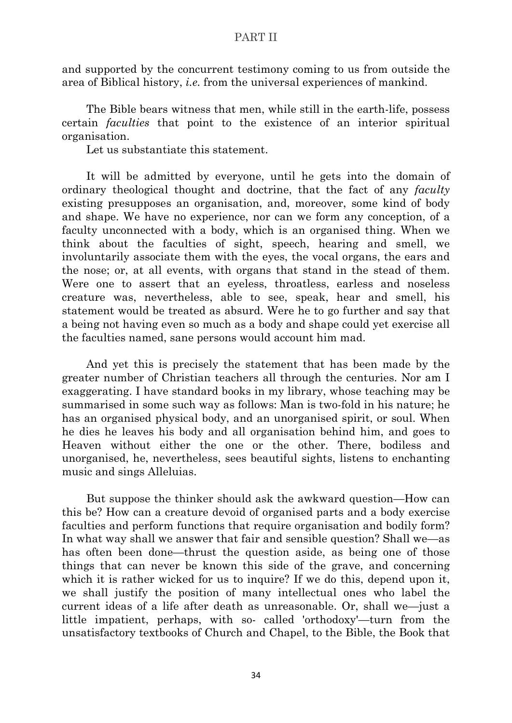and supported by the concurrent testimony coming to us from outside the area of Biblical history, *i.e.* from the universal experiences of mankind.

The Bible bears witness that men, while still in the earth-life, possess certain *faculties* that point to the existence of an interior spiritual organisation.

Let us substantiate this statement.

It will be admitted by everyone, until he gets into the domain of ordinary theological thought and doctrine, that the fact of any *faculty* existing presupposes an organisation, and, moreover, some kind of body and shape. We have no experience, nor can we form any conception, of a faculty unconnected with a body, which is an organised thing. When we think about the faculties of sight, speech, hearing and smell, we involuntarily associate them with the eyes, the vocal organs, the ears and the nose; or, at all events, with organs that stand in the stead of them. Were one to assert that an eyeless, throatless, earless and noseless creature was, nevertheless, able to see, speak, hear and smell, his statement would be treated as absurd. Were he to go further and say that a being not having even so much as a body and shape could yet exercise all the faculties named, sane persons would account him mad.

And yet this is precisely the statement that has been made by the greater number of Christian teachers all through the centuries. Nor am I exaggerating. I have standard books in my library, whose teaching may be summarised in some such way as follows: Man is two-fold in his nature; he has an organised physical body, and an unorganised spirit, or soul. When he dies he leaves his body and all organisation behind him, and goes to Heaven without either the one or the other. There, bodiless and unorganised, he, nevertheless, sees beautiful sights, listens to enchanting music and sings Alleluias.

But suppose the thinker should ask the awkward question—How can this be? How can a creature devoid of organised parts and a body exercise faculties and perform functions that require organisation and bodily form? In what way shall we answer that fair and sensible question? Shall we—as has often been done—thrust the question aside, as being one of those things that can never be known this side of the grave, and concerning which it is rather wicked for us to inquire? If we do this, depend upon it, we shall justify the position of many intellectual ones who label the current ideas of a life after death as unreasonable. Or, shall we—just a little impatient, perhaps, with so- called 'orthodoxy'—turn from the unsatisfactory textbooks of Church and Chapel, to the Bible, the Book that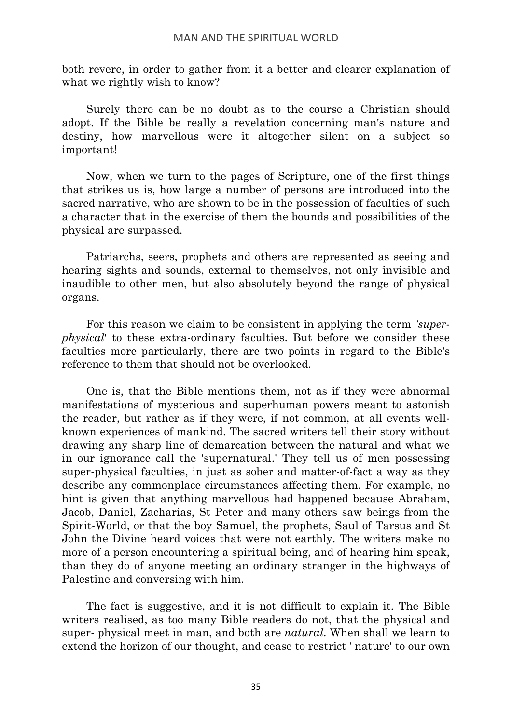both revere, in order to gather from it a better and clearer explanation of what we rightly wish to know?

Surely there can be no doubt as to the course a Christian should adopt. If the Bible be really a revelation concerning man's nature and destiny, how marvellous were it altogether silent on a subject so important!

Now, when we turn to the pages of Scripture, one of the first things that strikes us is, how large a number of persons are introduced into the sacred narrative, who are shown to be in the possession of faculties of such a character that in the exercise of them the bounds and possibilities of the physical are surpassed.

Patriarchs, seers, prophets and others are represented as seeing and hearing sights and sounds, external to themselves, not only invisible and inaudible to other men, but also absolutely beyond the range of physical organs.

For this reason we claim to be consistent in applying the term *'superphysical*' to these extra-ordinary faculties. But before we consider these faculties more particularly, there are two points in regard to the Bible's reference to them that should not be overlooked.

One is, that the Bible mentions them, not as if they were abnormal manifestations of mysterious and superhuman powers meant to astonish the reader, but rather as if they were, if not common, at all events wellknown experiences of mankind. The sacred writers tell their story without drawing any sharp line of demarcation between the natural and what we in our ignorance call the 'supernatural.' They tell us of men possessing super-physical faculties, in just as sober and matter-of-fact a way as they describe any commonplace circumstances affecting them. For example, no hint is given that anything marvellous had happened because Abraham, Jacob, Daniel, Zacharias, St Peter and many others saw beings from the Spirit-World, or that the boy Samuel, the prophets, Saul of Tarsus and St John the Divine heard voices that were not earthly. The writers make no more of a person encountering a spiritual being, and of hearing him speak, than they do of anyone meeting an ordinary stranger in the highways of Palestine and conversing with him.

The fact is suggestive, and it is not difficult to explain it. The Bible writers realised, as too many Bible readers do not, that the physical and super- physical meet in man, and both are *natural*. When shall we learn to extend the horizon of our thought, and cease to restrict ' nature' to our own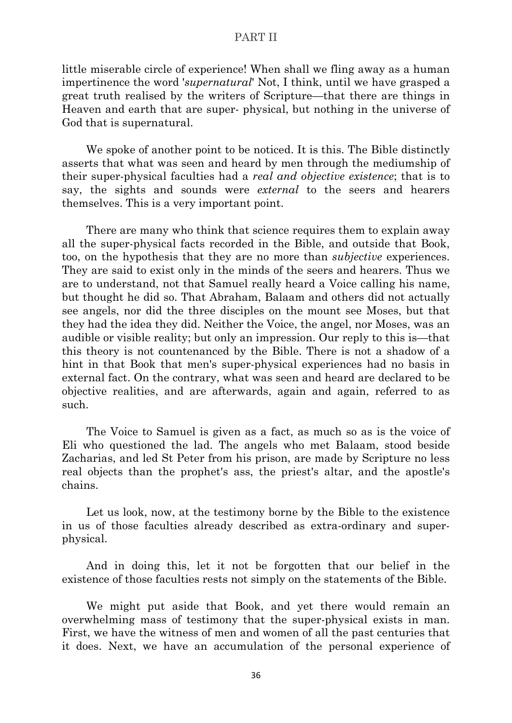little miserable circle of experience! When shall we fling away as a human impertinence the word '*supernatural*' Not, I think, until we have grasped a great truth realised by the writers of Scripture—that there are things in Heaven and earth that are super- physical, but nothing in the universe of God that is supernatural.

We spoke of another point to be noticed. It is this. The Bible distinctly asserts that what was seen and heard by men through the mediumship of their super-physical faculties had a *real and objective existence*; that is to say, the sights and sounds were *external* to the seers and hearers themselves. This is a very important point.

There are many who think that science requires them to explain away all the super-physical facts recorded in the Bible, and outside that Book, too, on the hypothesis that they are no more than *subjective* experiences. They are said to exist only in the minds of the seers and hearers. Thus we are to understand, not that Samuel really heard a Voice calling his name, but thought he did so. That Abraham, Balaam and others did not actually see angels, nor did the three disciples on the mount see Moses, but that they had the idea they did. Neither the Voice, the angel, nor Moses, was an audible or visible reality; but only an impression. Our reply to this is—that this theory is not countenanced by the Bible. There is not a shadow of a hint in that Book that men's super-physical experiences had no basis in external fact. On the contrary, what was seen and heard are declared to be objective realities, and are afterwards, again and again, referred to as such.

The Voice to Samuel is given as a fact, as much so as is the voice of Eli who questioned the lad. The angels who met Balaam, stood beside Zacharias, and led St Peter from his prison, are made by Scripture no less real objects than the prophet's ass, the priest's altar, and the apostle's chains.

Let us look, now, at the testimony borne by the Bible to the existence in us of those faculties already described as extra-ordinary and superphysical.

And in doing this, let it not be forgotten that our belief in the existence of those faculties rests not simply on the statements of the Bible.

We might put aside that Book, and yet there would remain an overwhelming mass of testimony that the super-physical exists in man. First, we have the witness of men and women of all the past centuries that it does. Next, we have an accumulation of the personal experience of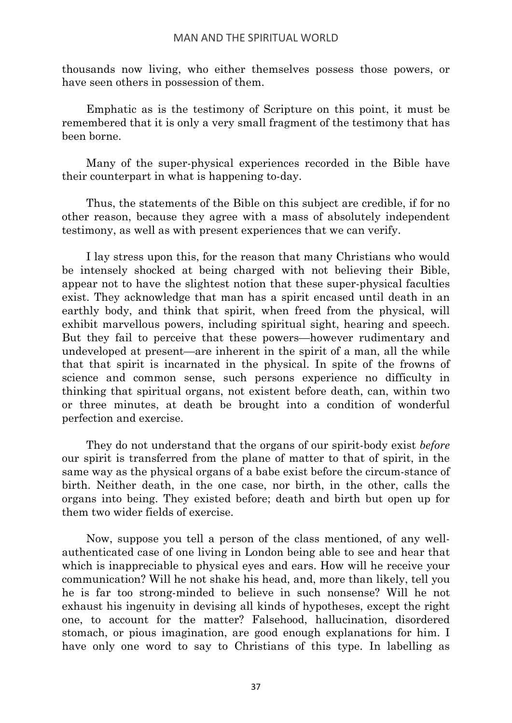thousands now living, who either themselves possess those powers, or have seen others in possession of them.

Emphatic as is the testimony of Scripture on this point, it must be remembered that it is only a very small fragment of the testimony that has been borne.

Many of the super-physical experiences recorded in the Bible have their counterpart in what is happening to-day.

Thus, the statements of the Bible on this subject are credible, if for no other reason, because they agree with a mass of absolutely independent testimony, as well as with present experiences that we can verify.

I lay stress upon this, for the reason that many Christians who would be intensely shocked at being charged with not believing their Bible, appear not to have the slightest notion that these super-physical faculties exist. They acknowledge that man has a spirit encased until death in an earthly body, and think that spirit, when freed from the physical, will exhibit marvellous powers, including spiritual sight, hearing and speech. But they fail to perceive that these powers—however rudimentary and undeveloped at present—are inherent in the spirit of a man, all the while that that spirit is incarnated in the physical. In spite of the frowns of science and common sense, such persons experience no difficulty in thinking that spiritual organs, not existent before death, can, within two or three minutes, at death be brought into a condition of wonderful perfection and exercise.

They do not understand that the organs of our spirit-body exist *before* our spirit is transferred from the plane of matter to that of spirit, in the same way as the physical organs of a babe exist before the circum-stance of birth. Neither death, in the one case, nor birth, in the other, calls the organs into being. They existed before; death and birth but open up for them two wider fields of exercise.

Now, suppose you tell a person of the class mentioned, of any wellauthenticated case of one living in London being able to see and hear that which is inappreciable to physical eyes and ears. How will he receive your communication? Will he not shake his head, and, more than likely, tell you he is far too strong-minded to believe in such nonsense? Will he not exhaust his ingenuity in devising all kinds of hypotheses, except the right one, to account for the matter? Falsehood, hallucination, disordered stomach, or pious imagination, are good enough explanations for him. I have only one word to say to Christians of this type. In labelling as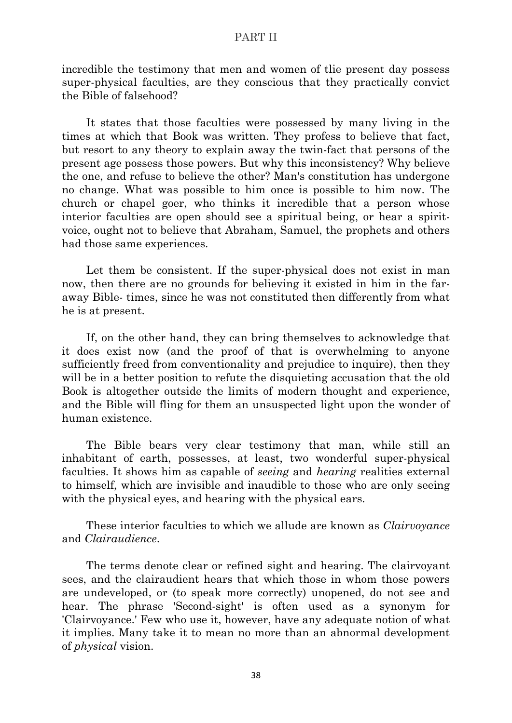incredible the testimony that men and women of tlie present day possess super-physical faculties, are they conscious that they practically convict the Bible of falsehood?

It states that those faculties were possessed by many living in the times at which that Book was written. They profess to believe that fact, but resort to any theory to explain away the twin-fact that persons of the present age possess those powers. But why this inconsistency? Why believe the one, and refuse to believe the other? Man's constitution has undergone no change. What was possible to him once is possible to him now. The church or chapel goer, who thinks it incredible that a person whose interior faculties are open should see a spiritual being, or hear a spiritvoice, ought not to believe that Abraham, Samuel, the prophets and others had those same experiences.

Let them be consistent. If the super-physical does not exist in man now, then there are no grounds for believing it existed in him in the faraway Bible- times, since he was not constituted then differently from what he is at present.

If, on the other hand, they can bring themselves to acknowledge that it does exist now (and the proof of that is overwhelming to anyone sufficiently freed from conventionality and prejudice to inquire), then they will be in a better position to refute the disquieting accusation that the old Book is altogether outside the limits of modern thought and experience, and the Bible will fling for them an unsuspected light upon the wonder of human existence.

The Bible bears very clear testimony that man, while still an inhabitant of earth, possesses, at least, two wonderful super-physical faculties. It shows him as capable of *seeing* and *hearing* realities external to himself, which are invisible and inaudible to those who are only seeing with the physical eyes, and hearing with the physical ears.

These interior faculties to which we allude are known as *Clairvoyance* and *Clairaudience*.

The terms denote clear or refined sight and hearing. The clairvoyant sees, and the clairaudient hears that which those in whom those powers are undeveloped, or (to speak more correctly) unopened, do not see and hear. The phrase 'Second-sight' is often used as a synonym for 'Clairvoyance.' Few who use it, however, have any adequate notion of what it implies. Many take it to mean no more than an abnormal development of *physical* vision.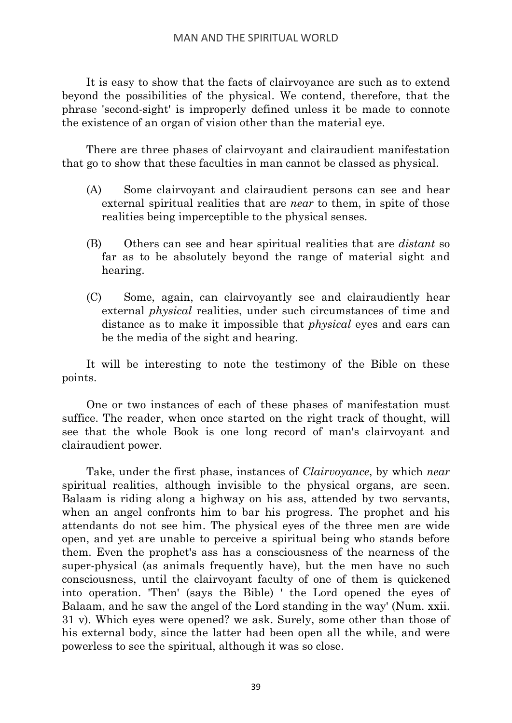It is easy to show that the facts of clairvoyance are such as to extend beyond the possibilities of the physical. We contend, therefore, that the phrase 'second-sight' is improperly defined unless it be made to connote the existence of an organ of vision other than the material eye.

There are three phases of clairvoyant and clairaudient manifestation that go to show that these faculties in man cannot be classed as physical.

- (A) Some clairvoyant and clairaudient persons can see and hear external spiritual realities that are *near* to them, in spite of those realities being imperceptible to the physical senses.
- (B) Others can see and hear spiritual realities that are *distant* so far as to be absolutely beyond the range of material sight and hearing.
- (C) Some, again, can clairvoyantly see and clairaudiently hear external *physical* realities, under such circumstances of time and distance as to make it impossible that *physical* eyes and ears can be the media of the sight and hearing.

It will be interesting to note the testimony of the Bible on these points.

One or two instances of each of these phases of manifestation must suffice. The reader, when once started on the right track of thought, will see that the whole Book is one long record of man's clairvoyant and clairaudient power.

Take, under the first phase, instances of *Clairvoyance*, by which *near* spiritual realities, although invisible to the physical organs, are seen. Balaam is riding along a highway on his ass, attended by two servants, when an angel confronts him to bar his progress. The prophet and his attendants do not see him. The physical eyes of the three men are wide open, and yet are unable to perceive a spiritual being who stands before them. Even the prophet's ass has a consciousness of the nearness of the super-physical (as animals frequently have), but the men have no such consciousness, until the clairvoyant faculty of one of them is quickened into operation. 'Then' (says the Bible) ' the Lord opened the eyes of Balaam, and he saw the angel of the Lord standing in the way' (Num. xxii. 31 v). Which eyes were opened? we ask. Surely, some other than those of his external body, since the latter had been open all the while, and were powerless to see the spiritual, although it was so close.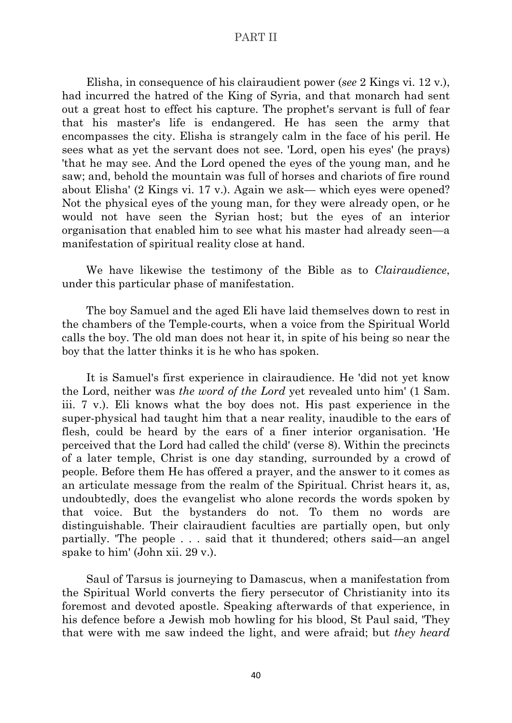Elisha, in consequence of his clairaudient power (*see* 2 Kings vi. 12 v.), had incurred the hatred of the King of Syria, and that monarch had sent out a great host to effect his capture. The prophet's servant is full of fear that his master's life is endangered. He has seen the army that encompasses the city. Elisha is strangely calm in the face of his peril. He sees what as yet the servant does not see. 'Lord, open his eyes' (he prays) 'that he may see. And the Lord opened the eyes of the young man, and he saw; and, behold the mountain was full of horses and chariots of fire round about Elisha' (2 Kings vi. 17 v.). Again we ask— which eyes were opened? Not the physical eyes of the young man, for they were already open, or he would not have seen the Syrian host; but the eyes of an interior organisation that enabled him to see what his master had already seen—a manifestation of spiritual reality close at hand.

We have likewise the testimony of the Bible as to *Clairaudience*, under this particular phase of manifestation.

The boy Samuel and the aged Eli have laid themselves down to rest in the chambers of the Temple-courts, when a voice from the Spiritual World calls the boy. The old man does not hear it, in spite of his being so near the boy that the latter thinks it is he who has spoken.

It is Samuel's first experience in clairaudience. He 'did not yet know the Lord, neither was *the word of the Lord* yet revealed unto him' (1 Sam. iii. 7 v.). Eli knows what the boy does not. His past experience in the super-physical had taught him that a near reality, inaudible to the ears of flesh, could be heard by the ears of a finer interior organisation. 'He perceived that the Lord had called the child' (verse 8). Within the precincts of a later temple, Christ is one day standing, surrounded by a crowd of people. Before them He has offered a prayer, and the answer to it comes as an articulate message from the realm of the Spiritual. Christ hears it, as, undoubtedly, does the evangelist who alone records the words spoken by that voice. But the bystanders do not. To them no words are distinguishable. Their clairaudient faculties are partially open, but only partially. 'The people . . . said that it thundered; others said—an angel spake to him' (John xii. 29 v.).

Saul of Tarsus is journeying to Damascus, when a manifestation from the Spiritual World converts the fiery persecutor of Christianity into its foremost and devoted apostle. Speaking afterwards of that experience, in his defence before a Jewish mob howling for his blood, St Paul said, 'They that were with me saw indeed the light, and were afraid; but *they heard*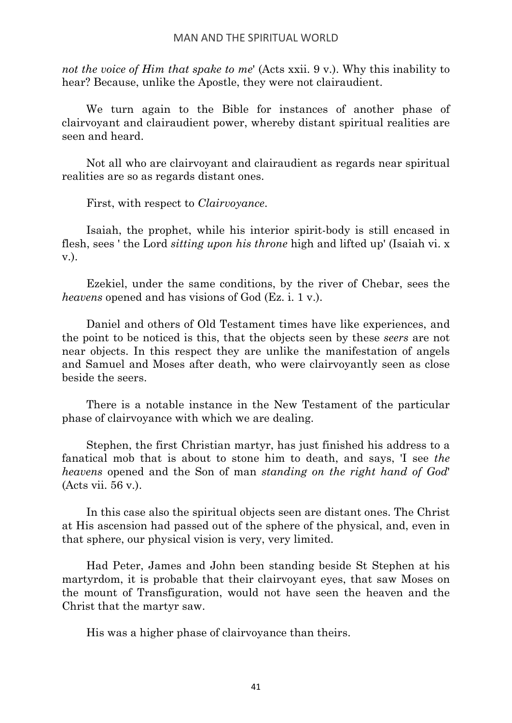*not the voice of Him that spake to me*' (Acts xxii. 9 v.). Why this inability to hear? Because, unlike the Apostle, they were not clairaudient.

We turn again to the Bible for instances of another phase of clairvoyant and clairaudient power, whereby distant spiritual realities are seen and heard.

Not all who are clairvoyant and clairaudient as regards near spiritual realities are so as regards distant ones.

First, with respect to *Clairvoyance*.

Isaiah, the prophet, while his interior spirit-body is still encased in flesh, sees ' the Lord *sitting upon his throne* high and lifted up' (Isaiah vi. x v.).

Ezekiel, under the same conditions, by the river of Chebar, sees the *heavens* opened and has visions of God (Ez. i. 1 v.).

Daniel and others of Old Testament times have like experiences, and the point to be noticed is this, that the objects seen by these *seers* are not near objects. In this respect they are unlike the manifestation of angels and Samuel and Moses after death, who were clairvoyantly seen as close beside the seers.

There is a notable instance in the New Testament of the particular phase of clairvoyance with which we are dealing.

Stephen, the first Christian martyr, has just finished his address to a fanatical mob that is about to stone him to death, and says, 'I see *the heavens* opened and the Son of man *standing on the right hand of God*' (Acts vii. 56 v.).

In this case also the spiritual objects seen are distant ones. The Christ at His ascension had passed out of the sphere of the physical, and, even in that sphere, our physical vision is very, very limited.

Had Peter, James and John been standing beside St Stephen at his martyrdom, it is probable that their clairvoyant eyes, that saw Moses on the mount of Transfiguration, would not have seen the heaven and the Christ that the martyr saw.

His was a higher phase of clairvoyance than theirs.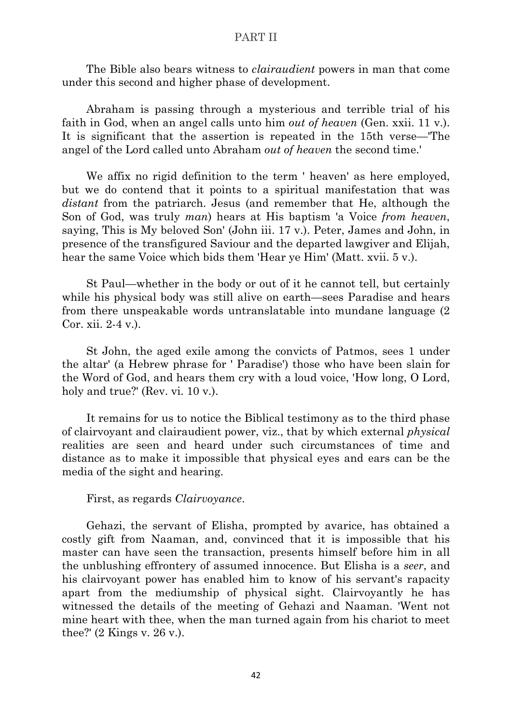The Bible also bears witness to *clairaudient* powers in man that come under this second and higher phase of development.

Abraham is passing through a mysterious and terrible trial of his faith in God, when an angel calls unto him *out of heaven* (Gen. xxii. 11 v.). It is significant that the assertion is repeated in the 15th verse—'The angel of the Lord called unto Abraham *out of heaven* the second time.'

We affix no rigid definition to the term ' heaven' as here employed, but we do contend that it points to a spiritual manifestation that was *distant* from the patriarch. Jesus (and remember that He, although the Son of God, was truly *man*) hears at His baptism 'a Voice *from heaven*, saying, This is My beloved Son' (John iii. 17 v.). Peter, James and John, in presence of the transfigured Saviour and the departed lawgiver and Elijah, hear the same Voice which bids them 'Hear ye Him' (Matt. xvii. 5 v.).

St Paul—whether in the body or out of it he cannot tell, but certainly while his physical body was still alive on earth—sees Paradise and hears from there unspeakable words untranslatable into mundane language (2 Cor. xii. 2-4 v.).

St John, the aged exile among the convicts of Patmos, sees 1 under the altar' (a Hebrew phrase for ' Paradise') those who have been slain for the Word of God, and hears them cry with a loud voice, 'How long, O Lord, holy and true?' (Rev. vi. 10 v.).

It remains for us to notice the Biblical testimony as to the third phase of clairvoyant and clairaudient power, viz., that by which external *physical* realities are seen and heard under such circumstances of time and distance as to make it impossible that physical eyes and ears can be the media of the sight and hearing.

First, as regards *Clairvoyance*.

Gehazi, the servant of Elisha, prompted by avarice, has obtained a costly gift from Naaman, and, convinced that it is impossible that his master can have seen the transaction, presents himself before him in all the unblushing effrontery of assumed innocence. But Elisha is a *seer*, and his clairvoyant power has enabled him to know of his servant's rapacity apart from the mediumship of physical sight. Clairvoyantly he has witnessed the details of the meeting of Gehazi and Naaman. 'Went not mine heart with thee, when the man turned again from his chariot to meet thee?' (2 Kings v. 26 v.).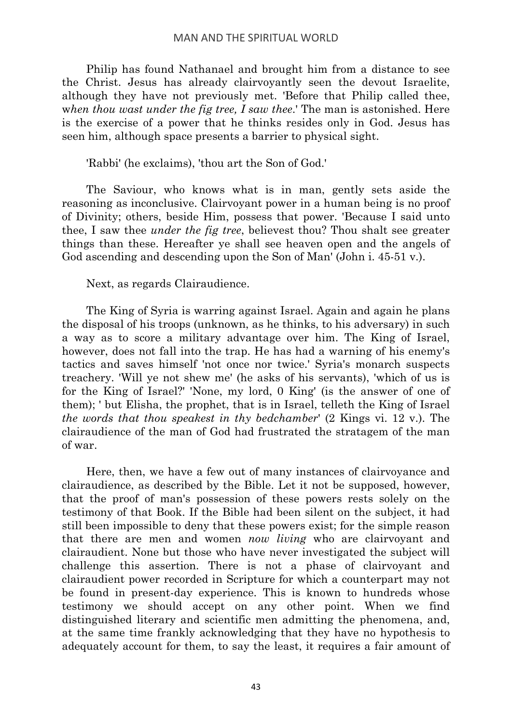Philip has found Nathanael and brought him from a distance to see the Christ. Jesus has already clairvoyantly seen the devout Israelite, although they have not previously met. 'Before that Philip called thee, w*hen thou wast under the fig tree, I saw thee*.' The man is astonished. Here is the exercise of a power that he thinks resides only in God. Jesus has seen him, although space presents a barrier to physical sight.

'Rabbi' (he exclaims), 'thou art the Son of God.'

The Saviour, who knows what is in man, gently sets aside the reasoning as inconclusive. Clairvoyant power in a human being is no proof of Divinity; others, beside Him, possess that power. 'Because I said unto thee, I saw thee *under the fig tree*, believest thou? Thou shalt see greater things than these. Hereafter ye shall see heaven open and the angels of God ascending and descending upon the Son of Man' (John i. 45-51 v.).

Next, as regards Clairaudience.

The King of Syria is warring against Israel. Again and again he plans the disposal of his troops (unknown, as he thinks, to his adversary) in such a way as to score a military advantage over him. The King of Israel, however, does not fall into the trap. He has had a warning of his enemy's tactics and saves himself 'not once nor twice.' Syria's monarch suspects treachery. 'Will ye not shew me' (he asks of his servants), 'which of us is for the King of Israel?' 'None, my lord, 0 King' (is the answer of one of them); ' but Elisha, the prophet, that is in Israel, telleth the King of Israel *the words that thou speakest in thy bedchamber*' (2 Kings vi. 12 v.). The clairaudience of the man of God had frustrated the stratagem of the man of war.

Here, then, we have a few out of many instances of clairvoyance and clairaudience, as described by the Bible. Let it not be supposed, however, that the proof of man's possession of these powers rests solely on the testimony of that Book. If the Bible had been silent on the subject, it had still been impossible to deny that these powers exist; for the simple reason that there are men and women *now living* who are clairvoyant and clairaudient. None but those who have never investigated the subject will challenge this assertion. There is not a phase of clairvoyant and clairaudient power recorded in Scripture for which a counterpart may not be found in present-day experience. This is known to hundreds whose testimony we should accept on any other point. When we find distinguished literary and scientific men admitting the phenomena, and, at the same time frankly acknowledging that they have no hypothesis to adequately account for them, to say the least, it requires a fair amount of

43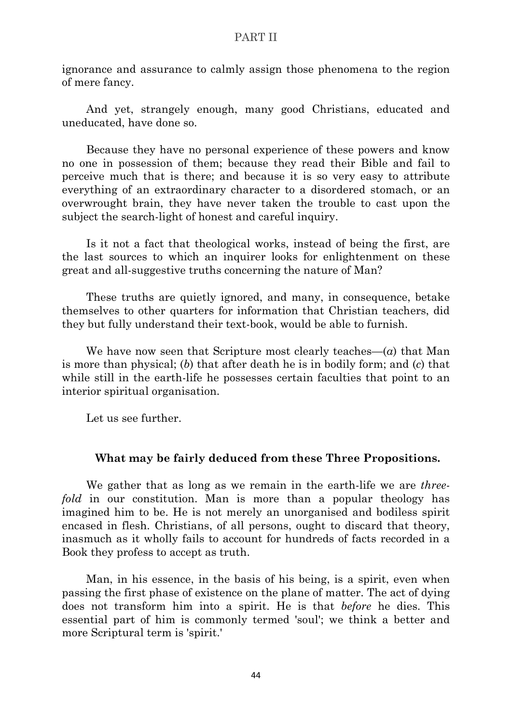ignorance and assurance to calmly assign those phenomena to the region of mere fancy.

And yet, strangely enough, many good Christians, educated and uneducated, have done so.

Because they have no personal experience of these powers and know no one in possession of them; because they read their Bible and fail to perceive much that is there; and because it is so very easy to attribute everything of an extraordinary character to a disordered stomach, or an overwrought brain, they have never taken the trouble to cast upon the subject the search-light of honest and careful inquiry.

Is it not a fact that theological works, instead of being the first, are the last sources to which an inquirer looks for enlightenment on these great and all-suggestive truths concerning the nature of Man?

These truths are quietly ignored, and many, in consequence, betake themselves to other quarters for information that Christian teachers, did they but fully understand their text-book, would be able to furnish.

We have now seen that Scripture most clearly teaches—(*a*) that Man is more than physical; (*b*) that after death he is in bodily form; and (*c*) that while still in the earth-life he possesses certain faculties that point to an interior spiritual organisation.

Let us see further.

#### **What may be fairly deduced from these Three Propositions.**

We gather that as long as we remain in the earth-life we are *threefold* in our constitution. Man is more than a popular theology has imagined him to be. He is not merely an unorganised and bodiless spirit encased in flesh. Christians, of all persons, ought to discard that theory, inasmuch as it wholly fails to account for hundreds of facts recorded in a Book they profess to accept as truth.

Man, in his essence, in the basis of his being, is a spirit, even when passing the first phase of existence on the plane of matter. The act of dying does not transform him into a spirit. He is that *before* he dies. This essential part of him is commonly termed 'soul'; we think a better and more Scriptural term is 'spirit.'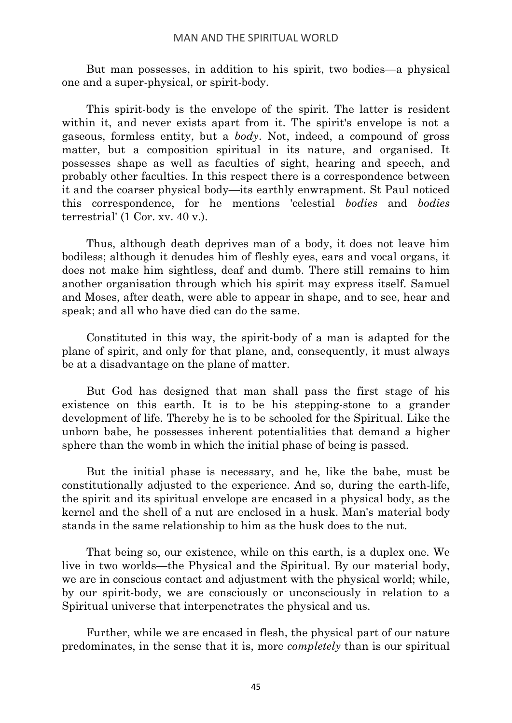But man possesses, in addition to his spirit, two bodies—a physical one and a super-physical, or spirit-body.

This spirit-body is the envelope of the spirit. The latter is resident within it, and never exists apart from it. The spirit's envelope is not a gaseous, formless entity, but a *body*. Not, indeed, a compound of gross matter, but a composition spiritual in its nature, and organised. It possesses shape as well as faculties of sight, hearing and speech, and probably other faculties. In this respect there is a correspondence between it and the coarser physical body—its earthly enwrapment. St Paul noticed this correspondence, for he mentions 'celestial *bodies* and *bodies* terrestrial' (1 Cor. xv. 40 v.).

Thus, although death deprives man of a body, it does not leave him bodiless; although it denudes him of fleshly eyes, ears and vocal organs, it does not make him sightless, deaf and dumb. There still remains to him another organisation through which his spirit may express itself. Samuel and Moses, after death, were able to appear in shape, and to see, hear and speak; and all who have died can do the same.

Constituted in this way, the spirit-body of a man is adapted for the plane of spirit, and only for that plane, and, consequently, it must always be at a disadvantage on the plane of matter.

But God has designed that man shall pass the first stage of his existence on this earth. It is to be his stepping-stone to a grander development of life. Thereby he is to be schooled for the Spiritual. Like the unborn babe, he possesses inherent potentialities that demand a higher sphere than the womb in which the initial phase of being is passed.

But the initial phase is necessary, and he, like the babe, must be constitutionally adjusted to the experience. And so, during the earth-life, the spirit and its spiritual envelope are encased in a physical body, as the kernel and the shell of a nut are enclosed in a husk. Man's material body stands in the same relationship to him as the husk does to the nut.

That being so, our existence, while on this earth, is a duplex one. We live in two worlds—the Physical and the Spiritual. By our material body, we are in conscious contact and adjustment with the physical world; while, by our spirit-body, we are consciously or unconsciously in relation to a Spiritual universe that interpenetrates the physical and us.

Further, while we are encased in flesh, the physical part of our nature predominates, in the sense that it is, more *completely* than is our spiritual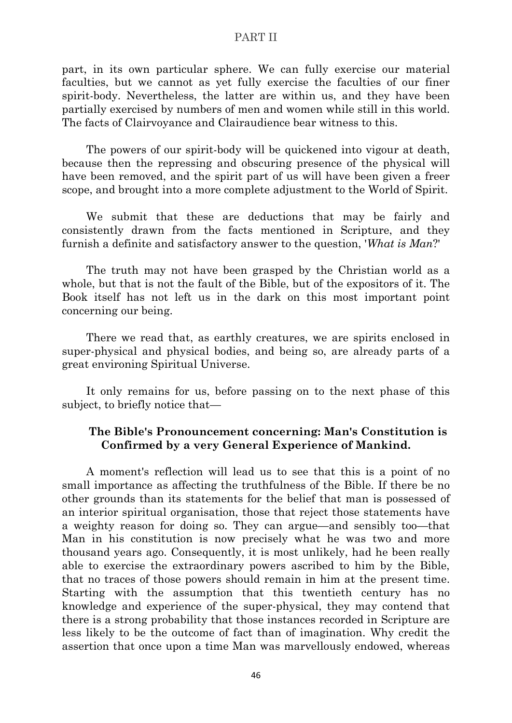part, in its own particular sphere. We can fully exercise our material faculties, but we cannot as yet fully exercise the faculties of our finer spirit-body. Nevertheless, the latter are within us, and they have been partially exercised by numbers of men and women while still in this world. The facts of Clairvoyance and Clairaudience bear witness to this.

The powers of our spirit-body will be quickened into vigour at death, because then the repressing and obscuring presence of the physical will have been removed, and the spirit part of us will have been given a freer scope, and brought into a more complete adjustment to the World of Spirit.

We submit that these are deductions that may be fairly and consistently drawn from the facts mentioned in Scripture, and they furnish a definite and satisfactory answer to the question, '*What is Man*?'

The truth may not have been grasped by the Christian world as a whole, but that is not the fault of the Bible, but of the expositors of it. The Book itself has not left us in the dark on this most important point concerning our being.

There we read that, as earthly creatures, we are spirits enclosed in super-physical and physical bodies, and being so, are already parts of a great environing Spiritual Universe.

It only remains for us, before passing on to the next phase of this subject, to briefly notice that—

## **The Bible's Pronouncement concerning: Man's Constitution is Confirmed by a very General Experience of Mankind.**

A moment's reflection will lead us to see that this is a point of no small importance as affecting the truthfulness of the Bible. If there be no other grounds than its statements for the belief that man is possessed of an interior spiritual organisation, those that reject those statements have a weighty reason for doing so. They can argue—and sensibly too—that Man in his constitution is now precisely what he was two and more thousand years ago. Consequently, it is most unlikely, had he been really able to exercise the extraordinary powers ascribed to him by the Bible, that no traces of those powers should remain in him at the present time. Starting with the assumption that this twentieth century has no knowledge and experience of the super-physical, they may contend that there is a strong probability that those instances recorded in Scripture are less likely to be the outcome of fact than of imagination. Why credit the assertion that once upon a time Man was marvellously endowed, whereas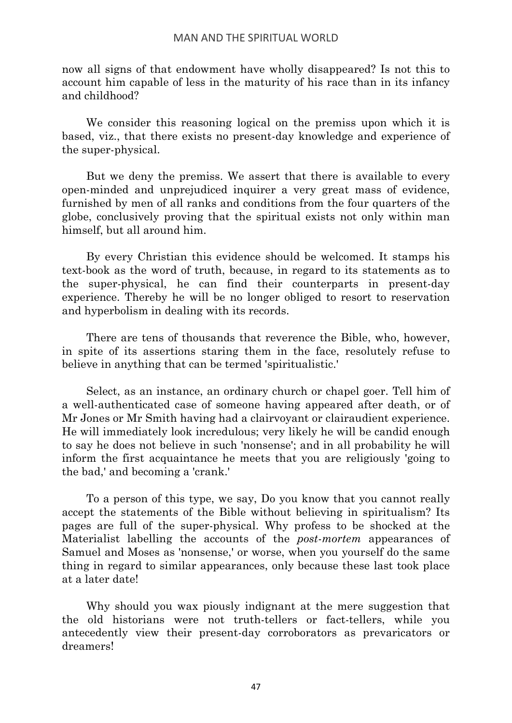now all signs of that endowment have wholly disappeared? Is not this to account him capable of less in the maturity of his race than in its infancy and childhood?

We consider this reasoning logical on the premiss upon which it is based, viz., that there exists no present-day knowledge and experience of the super-physical.

But we deny the premiss. We assert that there is available to every open-minded and unprejudiced inquirer a very great mass of evidence, furnished by men of all ranks and conditions from the four quarters of the globe, conclusively proving that the spiritual exists not only within man himself, but all around him.

By every Christian this evidence should be welcomed. It stamps his text-book as the word of truth, because, in regard to its statements as to the super-physical, he can find their counterparts in present-day experience. Thereby he will be no longer obliged to resort to reservation and hyperbolism in dealing with its records.

There are tens of thousands that reverence the Bible, who, however, in spite of its assertions staring them in the face, resolutely refuse to believe in anything that can be termed 'spiritualistic.'

Select, as an instance, an ordinary church or chapel goer. Tell him of a well-authenticated case of someone having appeared after death, or of Mr Jones or Mr Smith having had a clairvoyant or clairaudient experience. He will immediately look incredulous; very likely he will be candid enough to say he does not believe in such 'nonsense'; and in all probability he will inform the first acquaintance he meets that you are religiously 'going to the bad,' and becoming a 'crank.'

To a person of this type, we say, Do you know that you cannot really accept the statements of the Bible without believing in spiritualism? Its pages are full of the super-physical. Why profess to be shocked at the Materialist labelling the accounts of the *post-mortem* appearances of Samuel and Moses as 'nonsense,' or worse, when you yourself do the same thing in regard to similar appearances, only because these last took place at a later date!

Why should you wax piously indignant at the mere suggestion that the old historians were not truth-tellers or fact-tellers, while you antecedently view their present-day corroborators as prevaricators or dreamers!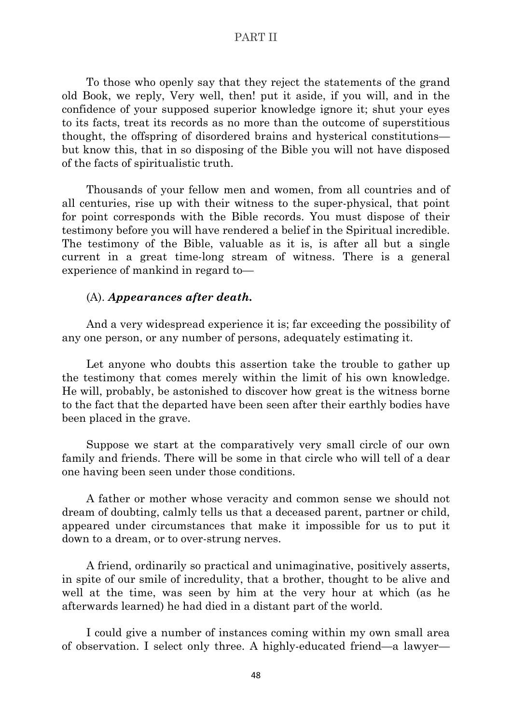To those who openly say that they reject the statements of the grand old Book, we reply, Very well, then! put it aside, if you will, and in the confidence of your supposed superior knowledge ignore it; shut your eyes to its facts, treat its records as no more than the outcome of superstitious thought, the offspring of disordered brains and hysterical constitutions but know this, that in so disposing of the Bible you will not have disposed of the facts of spiritualistic truth.

Thousands of your fellow men and women, from all countries and of all centuries, rise up with their witness to the super-physical, that point for point corresponds with the Bible records. You must dispose of their testimony before you will have rendered a belief in the Spiritual incredible. The testimony of the Bible, valuable as it is, is after all but a single current in a great time-long stream of witness. There is a general experience of mankind in regard to—

## (A). *Appearances after death.*

And a very widespread experience it is; far exceeding the possibility of any one person, or any number of persons, adequately estimating it.

Let anyone who doubts this assertion take the trouble to gather up the testimony that comes merely within the limit of his own knowledge. He will, probably, be astonished to discover how great is the witness borne to the fact that the departed have been seen after their earthly bodies have been placed in the grave.

Suppose we start at the comparatively very small circle of our own family and friends. There will be some in that circle who will tell of a dear one having been seen under those conditions.

A father or mother whose veracity and common sense we should not dream of doubting, calmly tells us that a deceased parent, partner or child, appeared under circumstances that make it impossible for us to put it down to a dream, or to over-strung nerves.

A friend, ordinarily so practical and unimaginative, positively asserts, in spite of our smile of incredulity, that a brother, thought to be alive and well at the time, was seen by him at the very hour at which (as he afterwards learned) he had died in a distant part of the world.

I could give a number of instances coming within my own small area of observation. I select only three. A highly-educated friend—a lawyer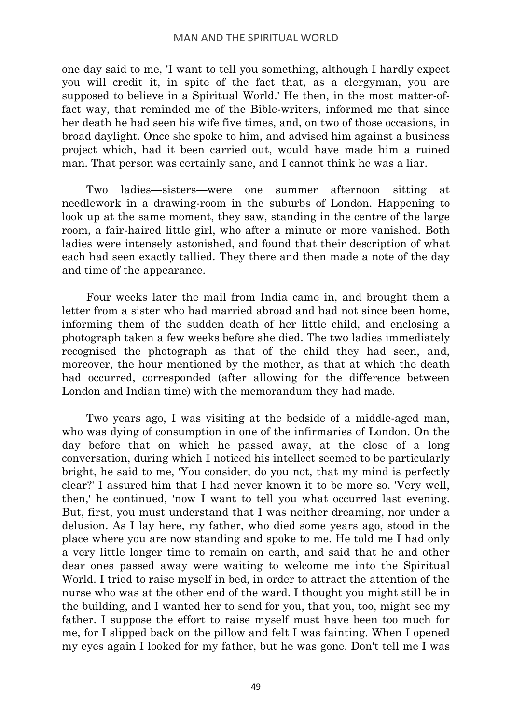one day said to me, 'I want to tell you something, although I hardly expect you will credit it, in spite of the fact that, as a clergyman, you are supposed to believe in a Spiritual World.' He then, in the most matter-offact way, that reminded me of the Bible-writers, informed me that since her death he had seen his wife five times, and, on two of those occasions, in broad daylight. Once she spoke to him, and advised him against a business project which, had it been carried out, would have made him a ruined man. That person was certainly sane, and I cannot think he was a liar.

Two ladies—sisters—were one summer afternoon sitting at needlework in a drawing-room in the suburbs of London. Happening to look up at the same moment, they saw, standing in the centre of the large room, a fair-haired little girl, who after a minute or more vanished. Both ladies were intensely astonished, and found that their description of what each had seen exactly tallied. They there and then made a note of the day and time of the appearance.

Four weeks later the mail from India came in, and brought them a letter from a sister who had married abroad and had not since been home, informing them of the sudden death of her little child, and enclosing a photograph taken a few weeks before she died. The two ladies immediately recognised the photograph as that of the child they had seen, and, moreover, the hour mentioned by the mother, as that at which the death had occurred, corresponded (after allowing for the difference between London and Indian time) with the memorandum they had made.

Two years ago, I was visiting at the bedside of a middle-aged man, who was dying of consumption in one of the infirmaries of London. On the day before that on which he passed away, at the close of a long conversation, during which I noticed his intellect seemed to be particularly bright, he said to me, 'You consider, do you not, that my mind is perfectly clear?' I assured him that I had never known it to be more so. 'Very well, then,' he continued, 'now I want to tell you what occurred last evening. But, first, you must understand that I was neither dreaming, nor under a delusion. As I lay here, my father, who died some years ago, stood in the place where you are now standing and spoke to me. He told me I had only a very little longer time to remain on earth, and said that he and other dear ones passed away were waiting to welcome me into the Spiritual World. I tried to raise myself in bed, in order to attract the attention of the nurse who was at the other end of the ward. I thought you might still be in the building, and I wanted her to send for you, that you, too, might see my father. I suppose the effort to raise myself must have been too much for me, for I slipped back on the pillow and felt I was fainting. When I opened my eyes again I looked for my father, but he was gone. Don't tell me I was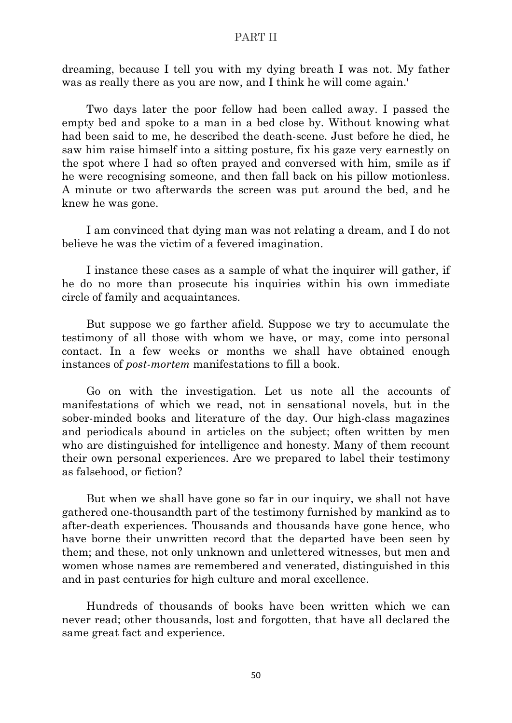dreaming, because I tell you with my dying breath I was not. My father was as really there as you are now, and I think he will come again.'

Two days later the poor fellow had been called away. I passed the empty bed and spoke to a man in a bed close by. Without knowing what had been said to me, he described the death-scene. Just before he died, he saw him raise himself into a sitting posture, fix his gaze very earnestly on the spot where I had so often prayed and conversed with him, smile as if he were recognising someone, and then fall back on his pillow motionless. A minute or two afterwards the screen was put around the bed, and he knew he was gone.

I am convinced that dying man was not relating a dream, and I do not believe he was the victim of a fevered imagination.

I instance these cases as a sample of what the inquirer will gather, if he do no more than prosecute his inquiries within his own immediate circle of family and acquaintances.

But suppose we go farther afield. Suppose we try to accumulate the testimony of all those with whom we have, or may, come into personal contact. In a few weeks or months we shall have obtained enough instances of *post-mortem* manifestations to fill a book.

Go on with the investigation. Let us note all the accounts of manifestations of which we read, not in sensational novels, but in the sober-minded books and literature of the day. Our high-class magazines and periodicals abound in articles on the subject; often written by men who are distinguished for intelligence and honesty. Many of them recount their own personal experiences. Are we prepared to label their testimony as falsehood, or fiction?

But when we shall have gone so far in our inquiry, we shall not have gathered one-thousandth part of the testimony furnished by mankind as to after-death experiences. Thousands and thousands have gone hence, who have borne their unwritten record that the departed have been seen by them; and these, not only unknown and unlettered witnesses, but men and women whose names are remembered and venerated, distinguished in this and in past centuries for high culture and moral excellence.

Hundreds of thousands of books have been written which we can never read; other thousands, lost and forgotten, that have all declared the same great fact and experience.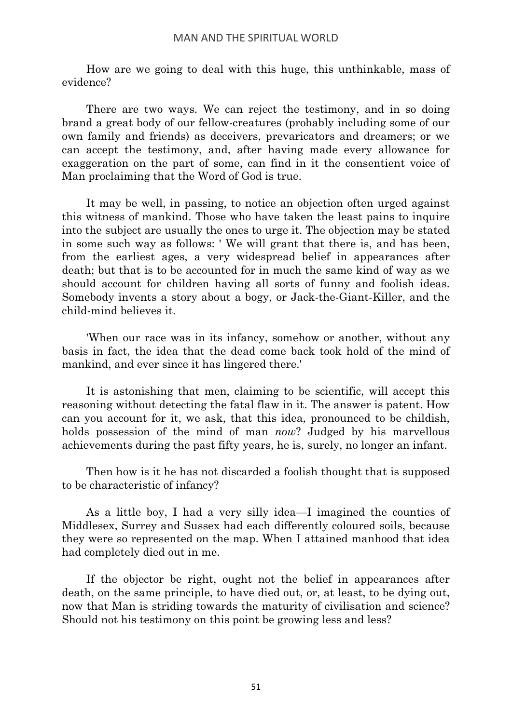How are we going to deal with this huge, this unthinkable, mass of evidence?

There are two ways. We can reject the testimony, and in so doing brand a great body of our fellow-creatures (probably including some of our own family and friends) as deceivers, prevaricators and dreamers; or we can accept the testimony, and, after having made every allowance for exaggeration on the part of some, can find in it the consentient voice of Man proclaiming that the Word of God is true.

It may be well, in passing, to notice an objection often urged against this witness of mankind. Those who have taken the least pains to inquire into the subject are usually the ones to urge it. The objection may be stated in some such way as follows: ' We will grant that there is, and has been, from the earliest ages, a very widespread belief in appearances after death; but that is to be accounted for in much the same kind of way as we should account for children having all sorts of funny and foolish ideas. Somebody invents a story about a bogy, or Jack-the-Giant-Killer, and the child-mind believes it.

'When our race was in its infancy, somehow or another, without any basis in fact, the idea that the dead come back took hold of the mind of mankind, and ever since it has lingered there.'

It is astonishing that men, claiming to be scientific, will accept this reasoning without detecting the fatal flaw in it. The answer is patent. How can you account for it, we ask, that this idea, pronounced to be childish, holds possession of the mind of man *now*? Judged by his marvellous achievements during the past fifty years, he is, surely, no longer an infant.

Then how is it he has not discarded a foolish thought that is supposed to be characteristic of infancy?

As a little boy, I had a very silly idea—I imagined the counties of Middlesex, Surrey and Sussex had each differently coloured soils, because they were so represented on the map. When I attained manhood that idea had completely died out in me.

If the objector be right, ought not the belief in appearances after death, on the same principle, to have died out, or, at least, to be dying out, now that Man is striding towards the maturity of civilisation and science? Should not his testimony on this point be growing less and less?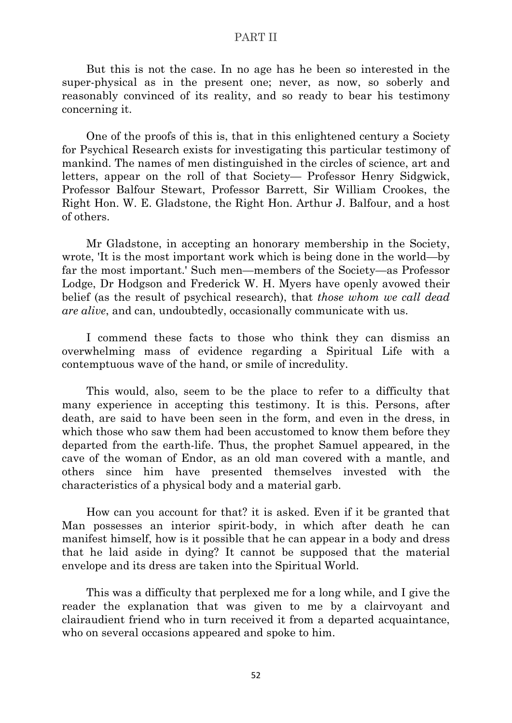But this is not the case. In no age has he been so interested in the super-physical as in the present one; never, as now, so soberly and reasonably convinced of its reality, and so ready to bear his testimony concerning it.

One of the proofs of this is, that in this enlightened century a Society for Psychical Research exists for investigating this particular testimony of mankind. The names of men distinguished in the circles of science, art and letters, appear on the roll of that Society— Professor Henry Sidgwick, Professor Balfour Stewart, Professor Barrett, Sir William Crookes, the Right Hon. W. E. Gladstone, the Right Hon. Arthur J. Balfour, and a host of others.

Mr Gladstone, in accepting an honorary membership in the Society, wrote, 'It is the most important work which is being done in the world—by far the most important.' Such men—members of the Society—as Professor Lodge, Dr Hodgson and Frederick W. H. Myers have openly avowed their belief (as the result of psychical research), that *those whom we call dead are alive*, and can, undoubtedly, occasionally communicate with us.

I commend these facts to those who think they can dismiss an overwhelming mass of evidence regarding a Spiritual Life with a contemptuous wave of the hand, or smile of incredulity.

This would, also, seem to be the place to refer to a difficulty that many experience in accepting this testimony. It is this. Persons, after death, are said to have been seen in the form, and even in the dress, in which those who saw them had been accustomed to know them before they departed from the earth-life. Thus, the prophet Samuel appeared, in the cave of the woman of Endor, as an old man covered with a mantle, and others since him have presented themselves invested with the characteristics of a physical body and a material garb.

How can you account for that? it is asked. Even if it be granted that Man possesses an interior spirit-body, in which after death he can manifest himself, how is it possible that he can appear in a body and dress that he laid aside in dying? It cannot be supposed that the material envelope and its dress are taken into the Spiritual World.

This was a difficulty that perplexed me for a long while, and I give the reader the explanation that was given to me by a clairvoyant and clairaudient friend who in turn received it from a departed acquaintance, who on several occasions appeared and spoke to him.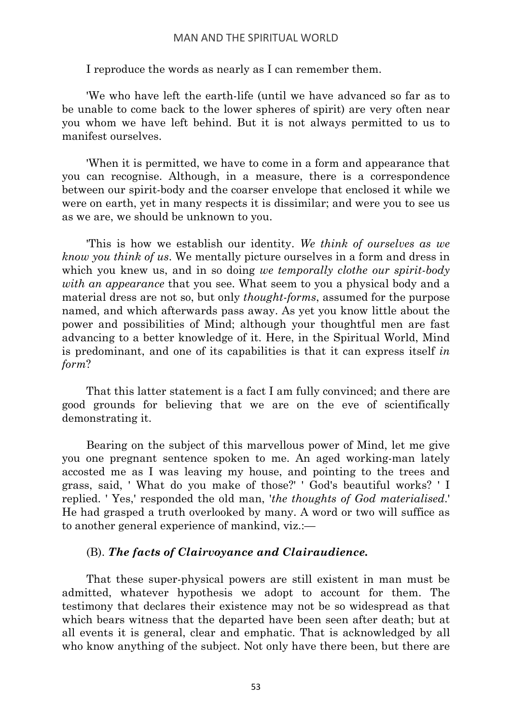I reproduce the words as nearly as I can remember them.

'We who have left the earth-life (until we have advanced so far as to be unable to come back to the lower spheres of spirit) are very often near you whom we have left behind. But it is not always permitted to us to manifest ourselves.

'When it is permitted, we have to come in a form and appearance that you can recognise. Although, in a measure, there is a correspondence between our spirit-body and the coarser envelope that enclosed it while we were on earth, yet in many respects it is dissimilar; and were you to see us as we are, we should be unknown to you.

'This is how we establish our identity. *We think of ourselves as we know you think of us*. We mentally picture ourselves in a form and dress in which you knew us, and in so doing *we temporally clothe our spirit-body with an appearance* that you see. What seem to you a physical body and a material dress are not so, but only *thought-forms*, assumed for the purpose named, and which afterwards pass away. As yet you know little about the power and possibilities of Mind; although your thoughtful men are fast advancing to a better knowledge of it. Here, in the Spiritual World, Mind is predominant, and one of its capabilities is that it can express itself *in form*?

That this latter statement is a fact I am fully convinced; and there are good grounds for believing that we are on the eve of scientifically demonstrating it.

Bearing on the subject of this marvellous power of Mind, let me give you one pregnant sentence spoken to me. An aged working-man lately accosted me as I was leaving my house, and pointing to the trees and grass, said, ' What do you make of those?' ' God's beautiful works? ' I replied. ' Yes,' responded the old man, '*the thoughts of God materialised*.' He had grasped a truth overlooked by many. A word or two will suffice as to another general experience of mankind, viz.:—

## (B). *The facts of Clairvoyance and Clairaudience.*

That these super-physical powers are still existent in man must be admitted, whatever hypothesis we adopt to account for them. The testimony that declares their existence may not be so widespread as that which bears witness that the departed have been seen after death; but at all events it is general, clear and emphatic. That is acknowledged by all who know anything of the subject. Not only have there been, but there are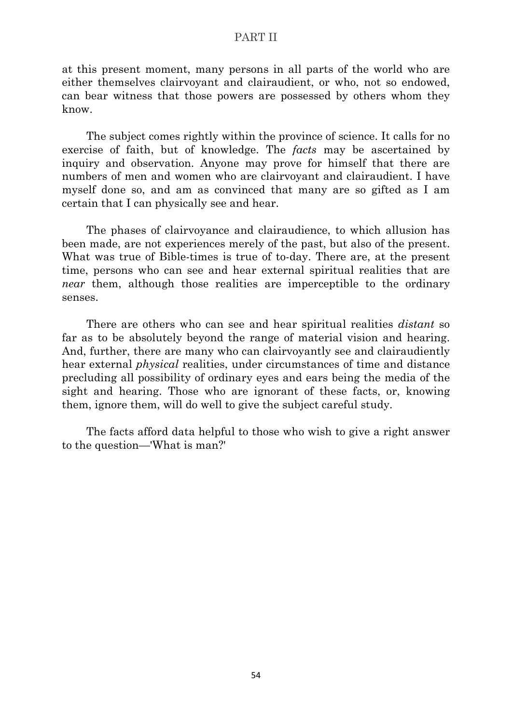at this present moment, many persons in all parts of the world who are either themselves clairvoyant and clairaudient, or who, not so endowed, can bear witness that those powers are possessed by others whom they know.

The subject comes rightly within the province of science. It calls for no exercise of faith, but of knowledge. The *facts* may be ascertained by inquiry and observation. Anyone may prove for himself that there are numbers of men and women who are clairvoyant and clairaudient. I have myself done so, and am as convinced that many are so gifted as I am certain that I can physically see and hear.

The phases of clairvoyance and clairaudience, to which allusion has been made, are not experiences merely of the past, but also of the present. What was true of Bible-times is true of to-day. There are, at the present time, persons who can see and hear external spiritual realities that are *near* them, although those realities are imperceptible to the ordinary senses.

There are others who can see and hear spiritual realities *distant* so far as to be absolutely beyond the range of material vision and hearing. And, further, there are many who can clairvoyantly see and clairaudiently hear external *physical* realities, under circumstances of time and distance precluding all possibility of ordinary eyes and ears being the media of the sight and hearing. Those who are ignorant of these facts, or, knowing them, ignore them, will do well to give the subject careful study.

The facts afford data helpful to those who wish to give a right answer to the question—'What is man?'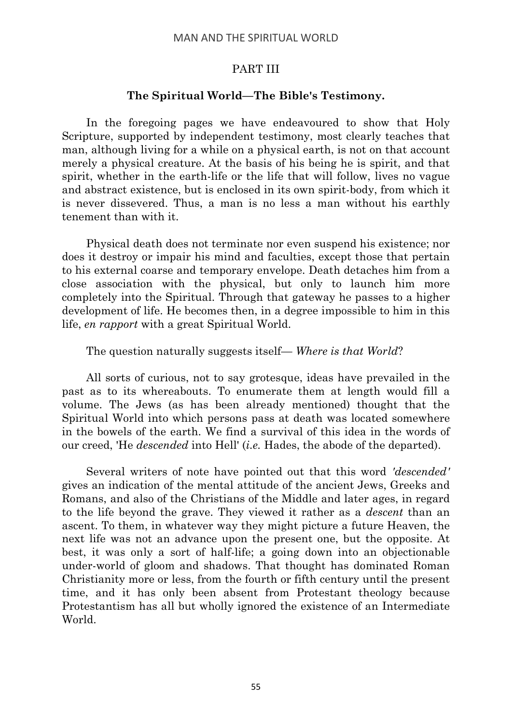## **The Spiritual World—The Bible's Testimony.**

In the foregoing pages we have endeavoured to show that Holy Scripture, supported by independent testimony, most clearly teaches that man, although living for a while on a physical earth, is not on that account merely a physical creature. At the basis of his being he is spirit, and that spirit, whether in the earth-life or the life that will follow, lives no vague and abstract existence, but is enclosed in its own spirit-body, from which it is never dissevered. Thus, a man is no less a man without his earthly tenement than with it.

Physical death does not terminate nor even suspend his existence; nor does it destroy or impair his mind and faculties, except those that pertain to his external coarse and temporary envelope. Death detaches him from a close association with the physical, but only to launch him more completely into the Spiritual. Through that gateway he passes to a higher development of life. He becomes then, in a degree impossible to him in this life, *en rapport* with a great Spiritual World.

## The question naturally suggests itself— *Where is that World*?

All sorts of curious, not to say grotesque, ideas have prevailed in the past as to its whereabouts. To enumerate them at length would fill a volume. The Jews (as has been already mentioned) thought that the Spiritual World into which persons pass at death was located somewhere in the bowels of the earth. We find a survival of this idea in the words of our creed, 'He *descended* into Hell' (*i.e.* Hades, the abode of the departed).

Several writers of note have pointed out that this word *'descended'* gives an indication of the mental attitude of the ancient Jews, Greeks and Romans, and also of the Christians of the Middle and later ages, in regard to the life beyond the grave. They viewed it rather as a *descent* than an ascent. To them, in whatever way they might picture a future Heaven, the next life was not an advance upon the present one, but the opposite. At best, it was only a sort of half-life; a going down into an objectionable under-world of gloom and shadows. That thought has dominated Roman Christianity more or less, from the fourth or fifth century until the present time, and it has only been absent from Protestant theology because Protestantism has all but wholly ignored the existence of an Intermediate World.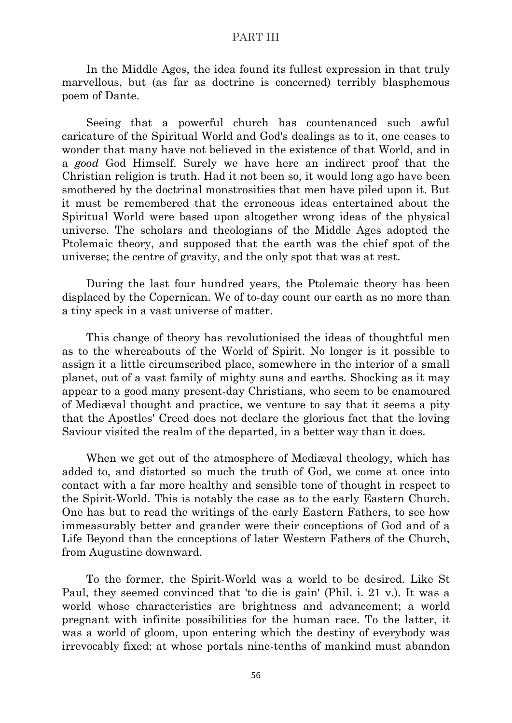In the Middle Ages, the idea found its fullest expression in that truly marvellous, but (as far as doctrine is concerned) terribly blasphemous poem of Dante.

Seeing that a powerful church has countenanced such awful caricature of the Spiritual World and God's dealings as to it, one ceases to wonder that many have not believed in the existence of that World, and in a *good* God Himself. Surely we have here an indirect proof that the Christian religion is truth. Had it not been so, it would long ago have been smothered by the doctrinal monstrosities that men have piled upon it. But it must be remembered that the erroneous ideas entertained about the Spiritual World were based upon altogether wrong ideas of the physical universe. The scholars and theologians of the Middle Ages adopted the Ptolemaic theory, and supposed that the earth was the chief spot of the universe; the centre of gravity, and the only spot that was at rest.

During the last four hundred years, the Ptolemaic theory has been displaced by the Copernican. We of to-day count our earth as no more than a tiny speck in a vast universe of matter.

This change of theory has revolutionised the ideas of thoughtful men as to the whereabouts of the World of Spirit. No longer is it possible to assign it a little circumscribed place, somewhere in the interior of a small planet, out of a vast family of mighty suns and earths. Shocking as it may appear to a good many present-day Christians, who seem to be enamoured of Mediæval thought and practice, we venture to say that it seems a pity that the Apostles' Creed does not declare the glorious fact that the loving Saviour visited the realm of the departed, in a better way than it does.

When we get out of the atmosphere of Mediæval theology, which has added to, and distorted so much the truth of God, we come at once into contact with a far more healthy and sensible tone of thought in respect to the Spirit-World. This is notably the case as to the early Eastern Church. One has but to read the writings of the early Eastern Fathers, to see how immeasurably better and grander were their conceptions of God and of a Life Beyond than the conceptions of later Western Fathers of the Church, from Augustine downward.

To the former, the Spirit-World was a world to be desired. Like St Paul, they seemed convinced that 'to die is gain' (Phil. i. 21 v.). It was a world whose characteristics are brightness and advancement; a world pregnant with infinite possibilities for the human race. To the latter, it was a world of gloom, upon entering which the destiny of everybody was irrevocably fixed; at whose portals nine-tenths of mankind must abandon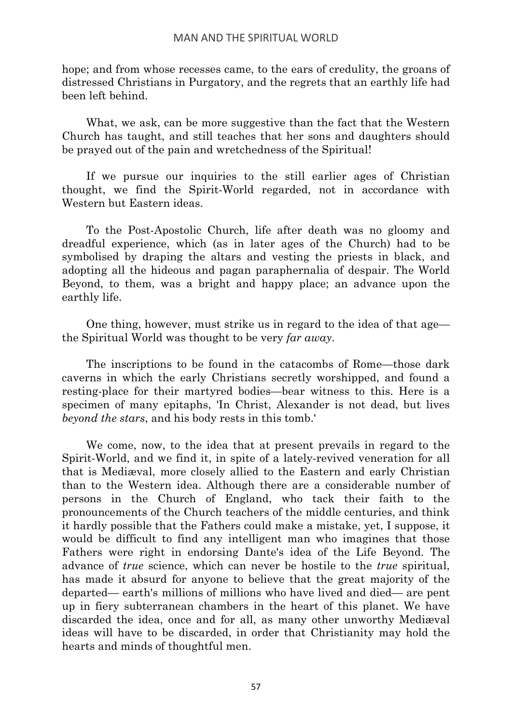hope; and from whose recesses came, to the ears of credulity, the groans of distressed Christians in Purgatory, and the regrets that an earthly life had been left behind.

What, we ask, can be more suggestive than the fact that the Western Church has taught, and still teaches that her sons and daughters should be prayed out of the pain and wretchedness of the Spiritual!

If we pursue our inquiries to the still earlier ages of Christian thought, we find the Spirit-World regarded, not in accordance with Western but Eastern ideas.

To the Post-Apostolic Church, life after death was no gloomy and dreadful experience, which (as in later ages of the Church) had to be symbolised by draping the altars and vesting the priests in black, and adopting all the hideous and pagan paraphernalia of despair. The World Beyond, to them, was a bright and happy place; an advance upon the earthly life.

One thing, however, must strike us in regard to the idea of that age the Spiritual World was thought to be very *far away*.

The inscriptions to be found in the catacombs of Rome—those dark caverns in which the early Christians secretly worshipped, and found a resting-place for their martyred bodies—bear witness to this. Here is a specimen of many epitaphs, 'In Christ, Alexander is not dead, but lives *beyond the stars*, and his body rests in this tomb.'

We come, now, to the idea that at present prevails in regard to the Spirit-World, and we find it, in spite of a lately-revived veneration for all that is Mediæval, more closely allied to the Eastern and early Christian than to the Western idea. Although there are a considerable number of persons in the Church of England, who tack their faith to the pronouncements of the Church teachers of the middle centuries, and think it hardly possible that the Fathers could make a mistake, yet, I suppose, it would be difficult to find any intelligent man who imagines that those Fathers were right in endorsing Dante's idea of the Life Beyond. The advance of *true* science, which can never be hostile to the *true* spiritual, has made it absurd for anyone to believe that the great majority of the departed— earth's millions of millions who have lived and died— are pent up in fiery subterranean chambers in the heart of this planet. We have discarded the idea, once and for all, as many other unworthy Mediæval ideas will have to be discarded, in order that Christianity may hold the hearts and minds of thoughtful men.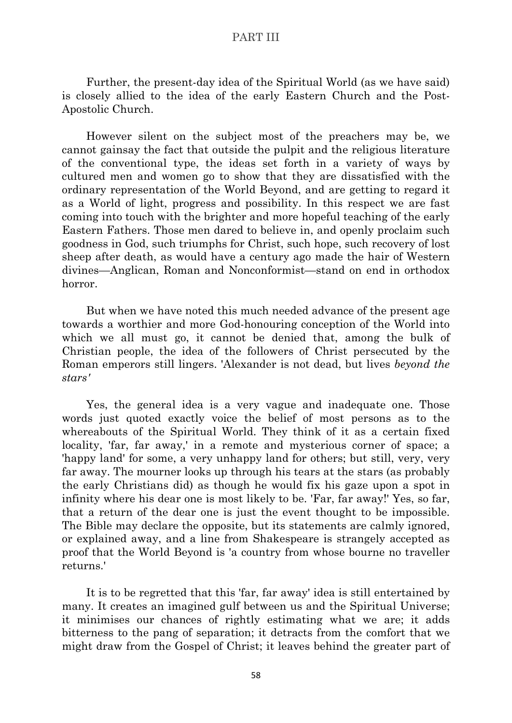Further, the present-day idea of the Spiritual World (as we have said) is closely allied to the idea of the early Eastern Church and the Post-Apostolic Church.

However silent on the subject most of the preachers may be, we cannot gainsay the fact that outside the pulpit and the religious literature of the conventional type, the ideas set forth in a variety of ways by cultured men and women go to show that they are dissatisfied with the ordinary representation of the World Beyond, and are getting to regard it as a World of light, progress and possibility. In this respect we are fast coming into touch with the brighter and more hopeful teaching of the early Eastern Fathers. Those men dared to believe in, and openly proclaim such goodness in God, such triumphs for Christ, such hope, such recovery of lost sheep after death, as would have a century ago made the hair of Western divines—Anglican, Roman and Nonconformist—stand on end in orthodox horror.

But when we have noted this much needed advance of the present age towards a worthier and more God-honouring conception of the World into which we all must go, it cannot be denied that, among the bulk of Christian people, the idea of the followers of Christ persecuted by the Roman emperors still lingers. 'Alexander is not dead, but lives *beyond the stars'*

Yes, the general idea is a very vague and inadequate one. Those words just quoted exactly voice the belief of most persons as to the whereabouts of the Spiritual World. They think of it as a certain fixed locality, 'far, far away,' in a remote and mysterious corner of space; a 'happy land' for some, a very unhappy land for others; but still, very, very far away. The mourner looks up through his tears at the stars (as probably the early Christians did) as though he would fix his gaze upon a spot in infinity where his dear one is most likely to be. 'Far, far away!' Yes, so far, that a return of the dear one is just the event thought to be impossible. The Bible may declare the opposite, but its statements are calmly ignored, or explained away, and a line from Shakespeare is strangely accepted as proof that the World Beyond is 'a country from whose bourne no traveller returns.'

It is to be regretted that this 'far, far away' idea is still entertained by many. It creates an imagined gulf between us and the Spiritual Universe; it minimises our chances of rightly estimating what we are; it adds bitterness to the pang of separation; it detracts from the comfort that we might draw from the Gospel of Christ; it leaves behind the greater part of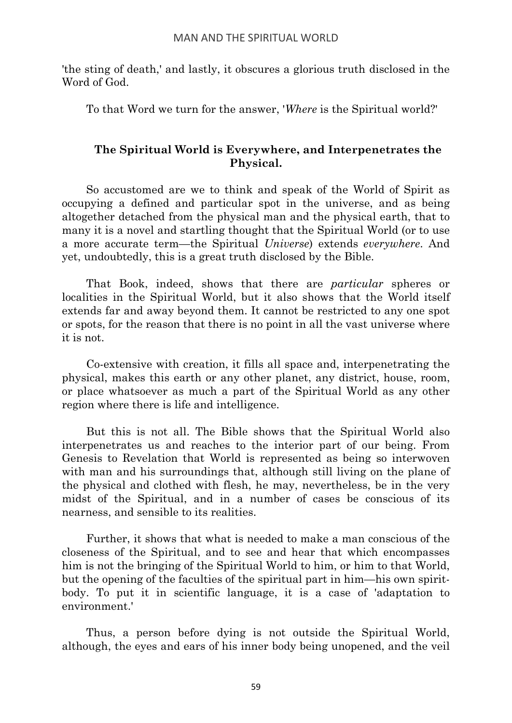'the sting of death,' and lastly, it obscures a glorious truth disclosed in the Word of God.

To that Word we turn for the answer, '*Where* is the Spiritual world?'

# **The Spiritual World is Everywhere, and Interpenetrates the Physical.**

So accustomed are we to think and speak of the World of Spirit as occupying a defined and particular spot in the universe, and as being altogether detached from the physical man and the physical earth, that to many it is a novel and startling thought that the Spiritual World (or to use a more accurate term—the Spiritual *Universe*) extends *everywhere*. And yet, undoubtedly, this is a great truth disclosed by the Bible.

That Book, indeed, shows that there are *particular* spheres or localities in the Spiritual World, but it also shows that the World itself extends far and away beyond them. It cannot be restricted to any one spot or spots, for the reason that there is no point in all the vast universe where it is not.

Co-extensive with creation, it fills all space and, interpenetrating the physical, makes this earth or any other planet, any district, house, room, or place whatsoever as much a part of the Spiritual World as any other region where there is life and intelligence.

But this is not all. The Bible shows that the Spiritual World also interpenetrates us and reaches to the interior part of our being. From Genesis to Revelation that World is represented as being so interwoven with man and his surroundings that, although still living on the plane of the physical and clothed with flesh, he may, nevertheless, be in the very midst of the Spiritual, and in a number of cases be conscious of its nearness, and sensible to its realities.

Further, it shows that what is needed to make a man conscious of the closeness of the Spiritual, and to see and hear that which encompasses him is not the bringing of the Spiritual World to him, or him to that World, but the opening of the faculties of the spiritual part in him—his own spiritbody. To put it in scientific language, it is a case of 'adaptation to environment.'

Thus, a person before dying is not outside the Spiritual World, although, the eyes and ears of his inner body being unopened, and the veil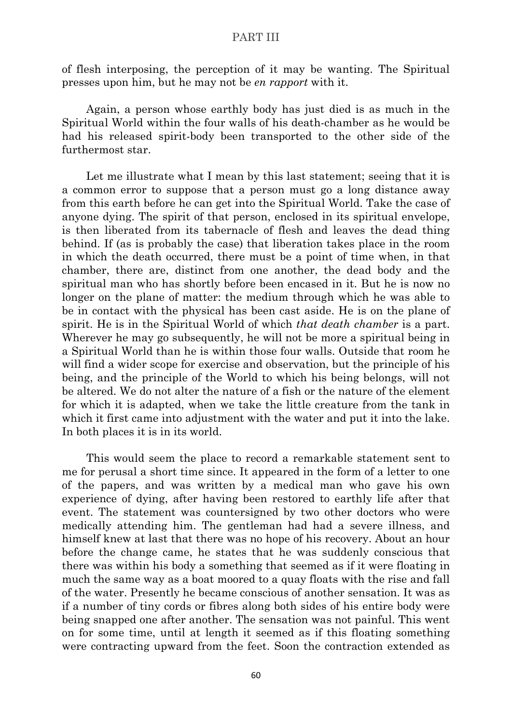of flesh interposing, the perception of it may be wanting. The Spiritual presses upon him, but he may not be *en rapport* with it.

Again, a person whose earthly body has just died is as much in the Spiritual World within the four walls of his death-chamber as he would be had his released spirit-body been transported to the other side of the furthermost star.

Let me illustrate what I mean by this last statement; seeing that it is a common error to suppose that a person must go a long distance away from this earth before he can get into the Spiritual World. Take the case of anyone dying. The spirit of that person, enclosed in its spiritual envelope, is then liberated from its tabernacle of flesh and leaves the dead thing behind. If (as is probably the case) that liberation takes place in the room in which the death occurred, there must be a point of time when, in that chamber, there are, distinct from one another, the dead body and the spiritual man who has shortly before been encased in it. But he is now no longer on the plane of matter: the medium through which he was able to be in contact with the physical has been cast aside. He is on the plane of spirit. He is in the Spiritual World of which *that death chamber* is a part. Wherever he may go subsequently, he will not be more a spiritual being in a Spiritual World than he is within those four walls. Outside that room he will find a wider scope for exercise and observation, but the principle of his being, and the principle of the World to which his being belongs, will not be altered. We do not alter the nature of a fish or the nature of the element for which it is adapted, when we take the little creature from the tank in which it first came into adjustment with the water and put it into the lake. In both places it is in its world.

This would seem the place to record a remarkable statement sent to me for perusal a short time since. It appeared in the form of a letter to one of the papers, and was written by a medical man who gave his own experience of dying, after having been restored to earthly life after that event. The statement was countersigned by two other doctors who were medically attending him. The gentleman had had a severe illness, and himself knew at last that there was no hope of his recovery. About an hour before the change came, he states that he was suddenly conscious that there was within his body a something that seemed as if it were floating in much the same way as a boat moored to a quay floats with the rise and fall of the water. Presently he became conscious of another sensation. It was as if a number of tiny cords or fibres along both sides of his entire body were being snapped one after another. The sensation was not painful. This went on for some time, until at length it seemed as if this floating something were contracting upward from the feet. Soon the contraction extended as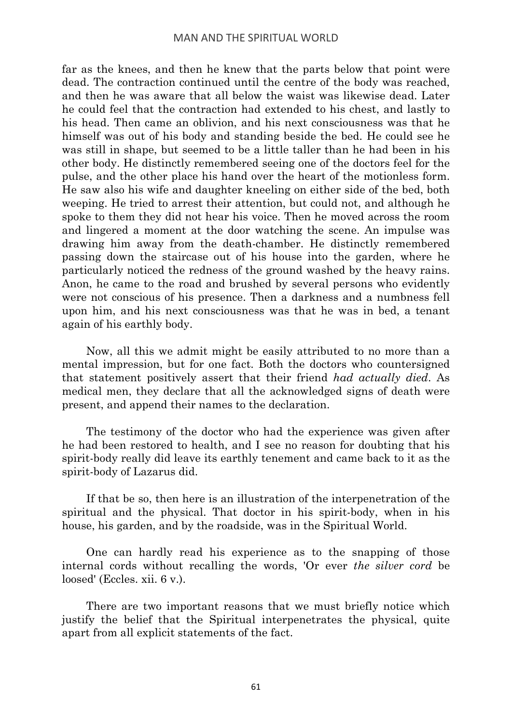far as the knees, and then he knew that the parts below that point were dead. The contraction continued until the centre of the body was reached, and then he was aware that all below the waist was likewise dead. Later he could feel that the contraction had extended to his chest, and lastly to his head. Then came an oblivion, and his next consciousness was that he himself was out of his body and standing beside the bed. He could see he was still in shape, but seemed to be a little taller than he had been in his other body. He distinctly remembered seeing one of the doctors feel for the pulse, and the other place his hand over the heart of the motionless form. He saw also his wife and daughter kneeling on either side of the bed, both weeping. He tried to arrest their attention, but could not, and although he spoke to them they did not hear his voice. Then he moved across the room and lingered a moment at the door watching the scene. An impulse was drawing him away from the death-chamber. He distinctly remembered passing down the staircase out of his house into the garden, where he particularly noticed the redness of the ground washed by the heavy rains. Anon, he came to the road and brushed by several persons who evidently were not conscious of his presence. Then a darkness and a numbness fell upon him, and his next consciousness was that he was in bed, a tenant again of his earthly body.

Now, all this we admit might be easily attributed to no more than a mental impression, but for one fact. Both the doctors who countersigned that statement positively assert that their friend *had actually died*. As medical men, they declare that all the acknowledged signs of death were present, and append their names to the declaration.

The testimony of the doctor who had the experience was given after he had been restored to health, and I see no reason for doubting that his spirit-body really did leave its earthly tenement and came back to it as the spirit-body of Lazarus did.

If that be so, then here is an illustration of the interpenetration of the spiritual and the physical. That doctor in his spirit-body, when in his house, his garden, and by the roadside, was in the Spiritual World.

One can hardly read his experience as to the snapping of those internal cords without recalling the words, 'Or ever *the silver cord* be loosed' (Eccles. xii. 6 v.).

There are two important reasons that we must briefly notice which justify the belief that the Spiritual interpenetrates the physical, quite apart from all explicit statements of the fact.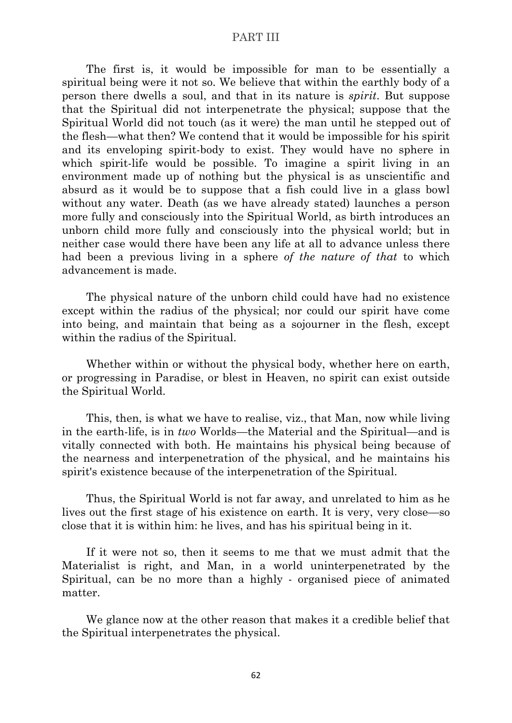The first is, it would be impossible for man to be essentially a spiritual being were it not so. We believe that within the earthly body of a person there dwells a soul, and that in its nature is *spirit*. But suppose that the Spiritual did not interpenetrate the physical; suppose that the Spiritual World did not touch (as it were) the man until he stepped out of the flesh—what then? We contend that it would be impossible for his spirit and its enveloping spirit-body to exist. They would have no sphere in which spirit-life would be possible. To imagine a spirit living in an environment made up of nothing but the physical is as unscientific and absurd as it would be to suppose that a fish could live in a glass bowl without any water. Death (as we have already stated) launches a person more fully and consciously into the Spiritual World, as birth introduces an unborn child more fully and consciously into the physical world; but in neither case would there have been any life at all to advance unless there had been a previous living in a sphere *of the nature of that* to which advancement is made.

The physical nature of the unborn child could have had no existence except within the radius of the physical; nor could our spirit have come into being, and maintain that being as a sojourner in the flesh, except within the radius of the Spiritual.

Whether within or without the physical body, whether here on earth, or progressing in Paradise, or blest in Heaven, no spirit can exist outside the Spiritual World.

This, then, is what we have to realise, viz., that Man, now while living in the earth-life, is in *two* Worlds—the Material and the Spiritual—and is vitally connected with both. He maintains his physical being because of the nearness and interpenetration of the physical, and he maintains his spirit's existence because of the interpenetration of the Spiritual.

Thus, the Spiritual World is not far away, and unrelated to him as he lives out the first stage of his existence on earth. It is very, very close—so close that it is within him: he lives, and has his spiritual being in it.

If it were not so, then it seems to me that we must admit that the Materialist is right, and Man, in a world uninterpenetrated by the Spiritual, can be no more than a highly - organised piece of animated matter.

We glance now at the other reason that makes it a credible belief that the Spiritual interpenetrates the physical.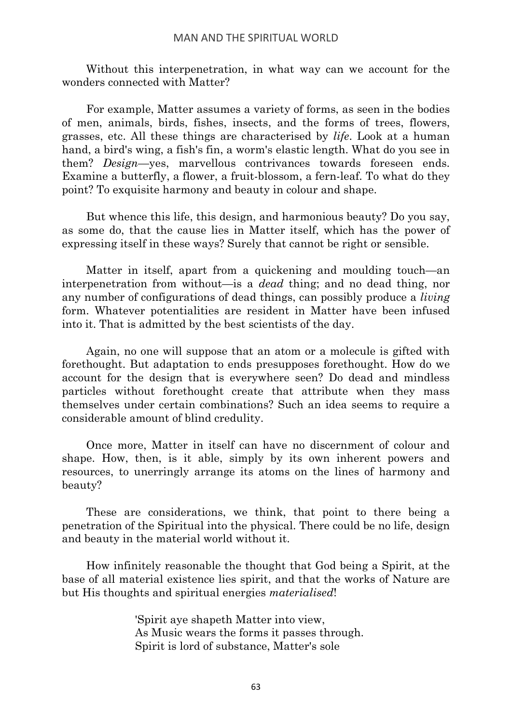Without this interpenetration, in what way can we account for the wonders connected with Matter?

For example, Matter assumes a variety of forms, as seen in the bodies of men, animals, birds, fishes, insects, and the forms of trees, flowers, grasses, etc. All these things are characterised by *life*. Look at a human hand, a bird's wing, a fish's fin, a worm's elastic length. What do you see in them? *Design*—yes, marvellous contrivances towards foreseen ends. Examine a butterfly, a flower, a fruit-blossom, a fern-leaf. To what do they point? To exquisite harmony and beauty in colour and shape.

But whence this life, this design, and harmonious beauty? Do you say, as some do, that the cause lies in Matter itself, which has the power of expressing itself in these ways? Surely that cannot be right or sensible.

Matter in itself, apart from a quickening and moulding touch—an interpenetration from without—is a *dead* thing; and no dead thing, nor any number of configurations of dead things, can possibly produce a *living* form. Whatever potentialities are resident in Matter have been infused into it. That is admitted by the best scientists of the day.

Again, no one will suppose that an atom or a molecule is gifted with forethought. But adaptation to ends presupposes forethought. How do we account for the design that is everywhere seen? Do dead and mindless particles without forethought create that attribute when they mass themselves under certain combinations? Such an idea seems to require a considerable amount of blind credulity.

Once more, Matter in itself can have no discernment of colour and shape. How, then, is it able, simply by its own inherent powers and resources, to unerringly arrange its atoms on the lines of harmony and beauty?

These are considerations, we think, that point to there being a penetration of the Spiritual into the physical. There could be no life, design and beauty in the material world without it.

How infinitely reasonable the thought that God being a Spirit, at the base of all material existence lies spirit, and that the works of Nature are but His thoughts and spiritual energies *materialised*!

> 'Spirit aye shapeth Matter into view, As Music wears the forms it passes through. Spirit is lord of substance, Matter's sole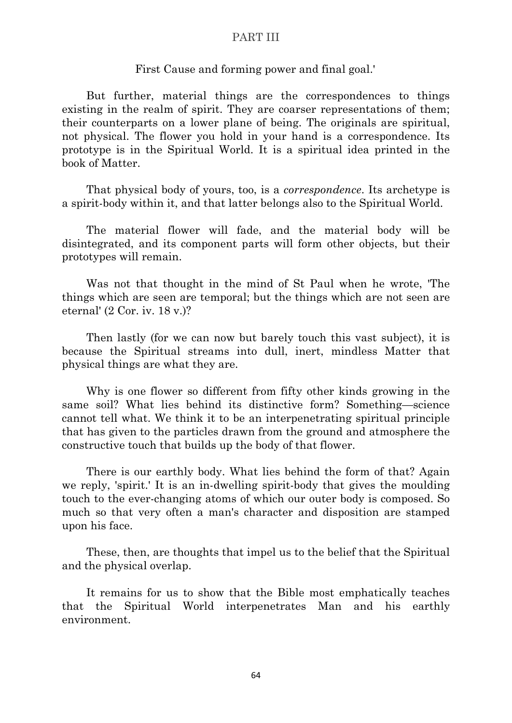#### First Cause and forming power and final goal.'

But further, material things are the correspondences to things existing in the realm of spirit. They are coarser representations of them; their counterparts on a lower plane of being. The originals are spiritual, not physical. The flower you hold in your hand is a correspondence. Its prototype is in the Spiritual World. It is a spiritual idea printed in the book of Matter.

That physical body of yours, too, is a *correspondence*. Its archetype is a spirit-body within it, and that latter belongs also to the Spiritual World.

The material flower will fade, and the material body will be disintegrated, and its component parts will form other objects, but their prototypes will remain.

Was not that thought in the mind of St Paul when he wrote, 'The things which are seen are temporal; but the things which are not seen are eternal' (2 Cor. iv. 18 v.)?

Then lastly (for we can now but barely touch this vast subject), it is because the Spiritual streams into dull, inert, mindless Matter that physical things are what they are.

Why is one flower so different from fifty other kinds growing in the same soil? What lies behind its distinctive form? Something—science cannot tell what. We think it to be an interpenetrating spiritual principle that has given to the particles drawn from the ground and atmosphere the constructive touch that builds up the body of that flower.

There is our earthly body. What lies behind the form of that? Again we reply, 'spirit.' It is an in-dwelling spirit-body that gives the moulding touch to the ever-changing atoms of which our outer body is composed. So much so that very often a man's character and disposition are stamped upon his face.

These, then, are thoughts that impel us to the belief that the Spiritual and the physical overlap.

It remains for us to show that the Bible most emphatically teaches that the Spiritual World interpenetrates Man and his earthly environment.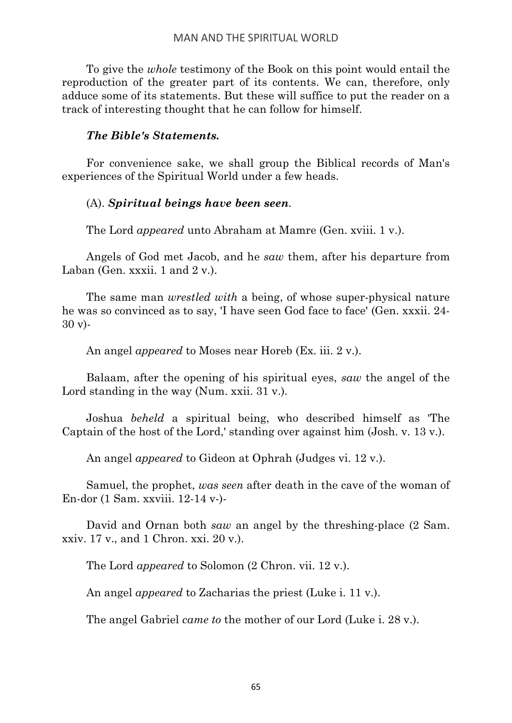To give the *whole* testimony of the Book on this point would entail the reproduction of the greater part of its contents. We can, therefore, only adduce some of its statements. But these will suffice to put the reader on a track of interesting thought that he can follow for himself.

# *The Bible's Statements.*

For convenience sake, we shall group the Biblical records of Man's experiences of the Spiritual World under a few heads.

# (A). *Spiritual beings have been seen.*

The Lord *appeared* unto Abraham at Mamre (Gen. xviii. 1 v.).

Angels of God met Jacob, and he *saw* them, after his departure from Laban (Gen. xxxii. 1 and  $2v$ .).

The same man *wrestled with* a being, of whose super-physical nature he was so convinced as to say, 'I have seen God face to face' (Gen. xxxii. 24- 30 v)-

An angel *appeared* to Moses near Horeb (Ex. iii. 2 v.).

Balaam, after the opening of his spiritual eyes, *saw* the angel of the Lord standing in the way (Num. xxii. 31 v.).

Joshua *beheld* a spiritual being, who described himself as 'The Captain of the host of the Lord,' standing over against him (Josh. v. 13 v.).

An angel *appeared* to Gideon at Ophrah (Judges vi. 12 v.).

Samuel, the prophet, *was seen* after death in the cave of the woman of En-dor (1 Sam. xxviii. 12-14 v-)-

David and Ornan both *saw* an angel by the threshing-place (2 Sam. xxiv. 17 v., and 1 Chron. xxi. 20 v.).

The Lord *appeared* to Solomon (2 Chron. vii. 12 v.).

An angel *appeared* to Zacharias the priest (Luke i. 11 v.).

The angel Gabriel *came to* the mother of our Lord (Luke i. 28 v.).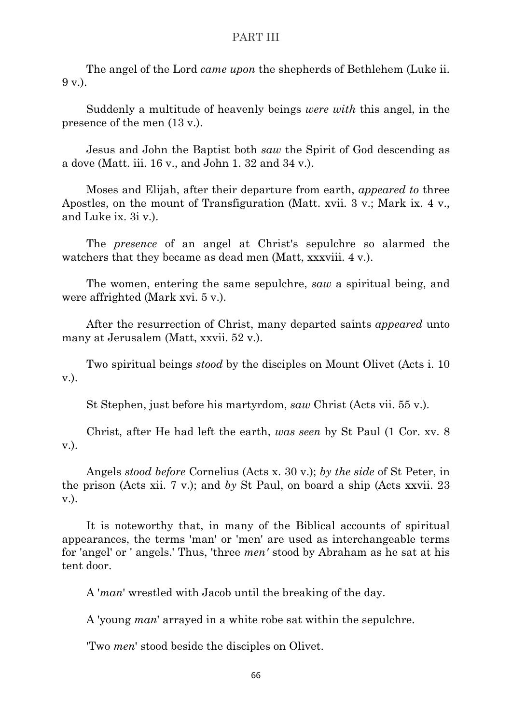The angel of the Lord *came upon* the shepherds of Bethlehem (Luke ii. 9 v.).

Suddenly a multitude of heavenly beings *were with* this angel, in the presence of the men (13 v.).

Jesus and John the Baptist both *saw* the Spirit of God descending as a dove (Matt. iii. 16 v., and John 1. 32 and 34 v.).

Moses and Elijah, after their departure from earth, *appeared to* three Apostles, on the mount of Transfiguration (Matt. xvii. 3 v.; Mark ix. 4 v., and Luke ix. 3i v.).

The *presence* of an angel at Christ's sepulchre so alarmed the watchers that they became as dead men (Matt, xxxviii. 4 v.).

The women, entering the same sepulchre, *saw* a spiritual being, and were affrighted (Mark xvi. 5 v.).

After the resurrection of Christ, many departed saints *appeared* unto many at Jerusalem (Matt, xxvii. 52 v.).

Two spiritual beings *stood* by the disciples on Mount Olivet (Acts i. 10 v.).

St Stephen, just before his martyrdom, *saw* Christ (Acts vii. 55 v.).

Christ, after He had left the earth, *was seen* by St Paul (1 Cor. xv. 8 v.).

Angels *stood before* Cornelius (Acts x. 30 v.); *by the side* of St Peter, in the prison (Acts xii. 7 v.); and *by* St Paul, on board a ship (Acts xxvii. 23 v.).

It is noteworthy that, in many of the Biblical accounts of spiritual appearances, the terms 'man' or 'men' are used as interchangeable terms for 'angel' or ' angels.' Thus, 'three *men'* stood by Abraham as he sat at his tent door.

A '*man*' wrestled with Jacob until the breaking of the day.

A 'young *man*' arrayed in a white robe sat within the sepulchre.

'Two *men*' stood beside the disciples on Olivet.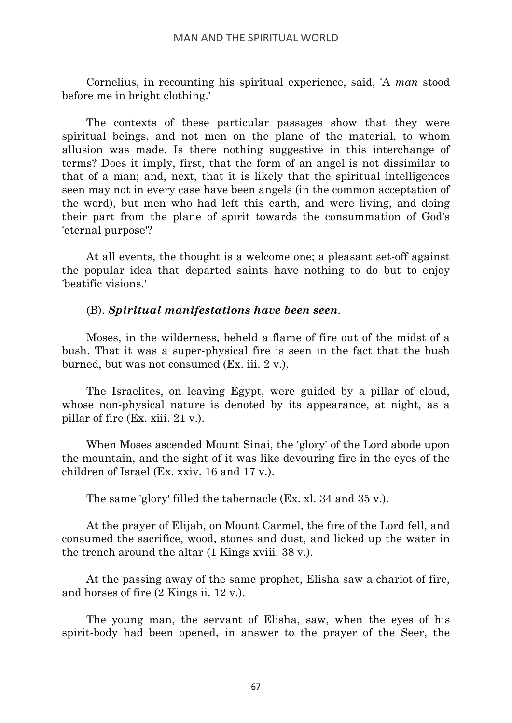Cornelius, in recounting his spiritual experience, said, 'A *man* stood before me in bright clothing.'

The contexts of these particular passages show that they were spiritual beings, and not men on the plane of the material, to whom allusion was made. Is there nothing suggestive in this interchange of terms? Does it imply, first, that the form of an angel is not dissimilar to that of a man; and, next, that it is likely that the spiritual intelligences seen may not in every case have been angels (in the common acceptation of the word), but men who had left this earth, and were living, and doing their part from the plane of spirit towards the consummation of God's 'eternal purpose'?

At all events, the thought is a welcome one; a pleasant set-off against the popular idea that departed saints have nothing to do but to enjoy 'beatific visions.'

# (B). *Spiritual manifestations have been seen.*

Moses, in the wilderness, beheld a flame of fire out of the midst of a bush. That it was a super-physical fire is seen in the fact that the bush burned, but was not consumed (Ex. iii. 2 v.).

The Israelites, on leaving Egypt, were guided by a pillar of cloud, whose non-physical nature is denoted by its appearance, at night, as a pillar of fire (Ex. xiii. 21 v.).

When Moses ascended Mount Sinai, the 'glory' of the Lord abode upon the mountain, and the sight of it was like devouring fire in the eyes of the children of Israel (Ex. xxiv. 16 and 17 v.).

The same 'glory' filled the tabernacle (Ex. xl. 34 and 35 v.).

At the prayer of Elijah, on Mount Carmel, the fire of the Lord fell, and consumed the sacrifice, wood, stones and dust, and licked up the water in the trench around the altar (1 Kings xviii. 38 v.).

At the passing away of the same prophet, Elisha saw a chariot of fire, and horses of fire (2 Kings ii. 12 v.).

The young man, the servant of Elisha, saw, when the eyes of his spirit-body had been opened, in answer to the prayer of the Seer, the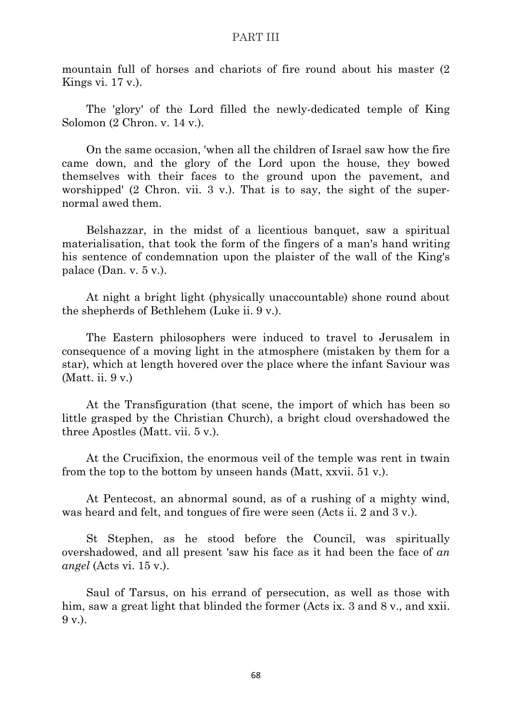mountain full of horses and chariots of fire round about his master (2 Kings vi. 17 v.).

The 'glory' of the Lord filled the newly-dedicated temple of King Solomon (2 Chron. v. 14 v.).

On the same occasion, 'when all the children of Israel saw how the fire came down, and the glory of the Lord upon the house, they bowed themselves with their faces to the ground upon the pavement, and worshipped' (2 Chron. vii. 3 v.). That is to say, the sight of the supernormal awed them.

Belshazzar, in the midst of a licentious banquet, saw a spiritual materialisation, that took the form of the fingers of a man's hand writing his sentence of condemnation upon the plaister of the wall of the King's palace (Dan. v. 5 v.).

At night a bright light (physically unaccountable) shone round about the shepherds of Bethlehem (Luke ii. 9 v.).

The Eastern philosophers were induced to travel to Jerusalem in consequence of a moving light in the atmosphere (mistaken by them for a star), which at length hovered over the place where the infant Saviour was (Matt. ii. 9 v.)

At the Transfiguration (that scene, the import of which has been so little grasped by the Christian Church), a bright cloud overshadowed the three Apostles (Matt. vii. 5 v.).

At the Crucifixion, the enormous veil of the temple was rent in twain from the top to the bottom by unseen hands (Matt, xxvii. 51 v.).

At Pentecost, an abnormal sound, as of a rushing of a mighty wind, was heard and felt, and tongues of fire were seen (Acts ii. 2 and 3 v.).

St Stephen, as he stood before the Council, was spiritually overshadowed, and all present 'saw his face as it had been the face of *an angel* (Acts vi. 15 v.).

Saul of Tarsus, on his errand of persecution, as well as those with him, saw a great light that blinded the former (Acts ix, 3 and 8 v., and xxii. 9 v.).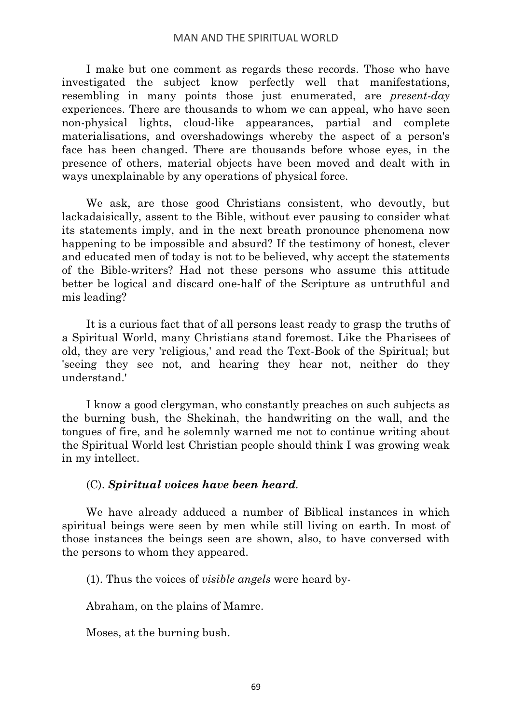I make but one comment as regards these records. Those who have investigated the subject know perfectly well that manifestations, resembling in many points those just enumerated, are *present-day* experiences. There are thousands to whom we can appeal, who have seen non-physical lights, cloud-like appearances, partial and complete materialisations, and overshadowings whereby the aspect of a person's face has been changed. There are thousands before whose eyes, in the presence of others, material objects have been moved and dealt with in ways unexplainable by any operations of physical force.

We ask, are those good Christians consistent, who devoutly, but lackadaisically, assent to the Bible, without ever pausing to consider what its statements imply, and in the next breath pronounce phenomena now happening to be impossible and absurd? If the testimony of honest, clever and educated men of today is not to be believed, why accept the statements of the Bible-writers? Had not these persons who assume this attitude better be logical and discard one-half of the Scripture as untruthful and mis leading?

It is a curious fact that of all persons least ready to grasp the truths of a Spiritual World, many Christians stand foremost. Like the Pharisees of old, they are very 'religious,' and read the Text-Book of the Spiritual; but 'seeing they see not, and hearing they hear not, neither do they understand.'

I know a good clergyman, who constantly preaches on such subjects as the burning bush, the Shekinah, the handwriting on the wall, and the tongues of fire, and he solemnly warned me not to continue writing about the Spiritual World lest Christian people should think I was growing weak in my intellect.

# (C). *Spiritual voices have been heard.*

We have already adduced a number of Biblical instances in which spiritual beings were seen by men while still living on earth. In most of those instances the beings seen are shown, also, to have conversed with the persons to whom they appeared.

(1). Thus the voices of *visible angels* were heard by-

Abraham, on the plains of Mamre.

Moses, at the burning bush.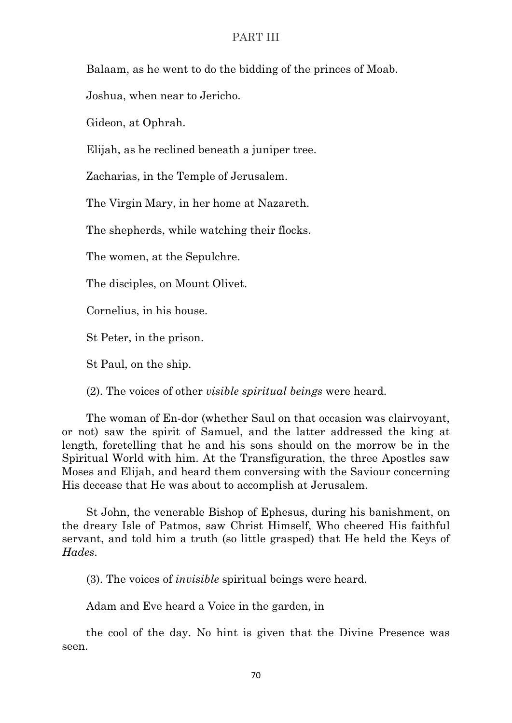Balaam, as he went to do the bidding of the princes of Moab.

Joshua, when near to Jericho.

Gideon, at Ophrah.

Elijah, as he reclined beneath a juniper tree.

Zacharias, in the Temple of Jerusalem.

The Virgin Mary, in her home at Nazareth.

The shepherds, while watching their flocks.

The women, at the Sepulchre.

The disciples, on Mount Olivet.

Cornelius, in his house.

St Peter, in the prison.

St Paul, on the ship.

(2). The voices of other *visible spiritual beings* were heard.

The woman of En-dor (whether Saul on that occasion was clairvoyant, or not) saw the spirit of Samuel, and the latter addressed the king at length, foretelling that he and his sons should on the morrow be in the Spiritual World with him. At the Transfiguration, the three Apostles saw Moses and Elijah, and heard them conversing with the Saviour concerning His decease that He was about to accomplish at Jerusalem.

St John, the venerable Bishop of Ephesus, during his banishment, on the dreary Isle of Patmos, saw Christ Himself, Who cheered His faithful servant, and told him a truth (so little grasped) that He held the Keys of *Hades*.

(3). The voices of *invisible* spiritual beings were heard.

Adam and Eve heard a Voice in the garden, in

the cool of the day. No hint is given that the Divine Presence was seen.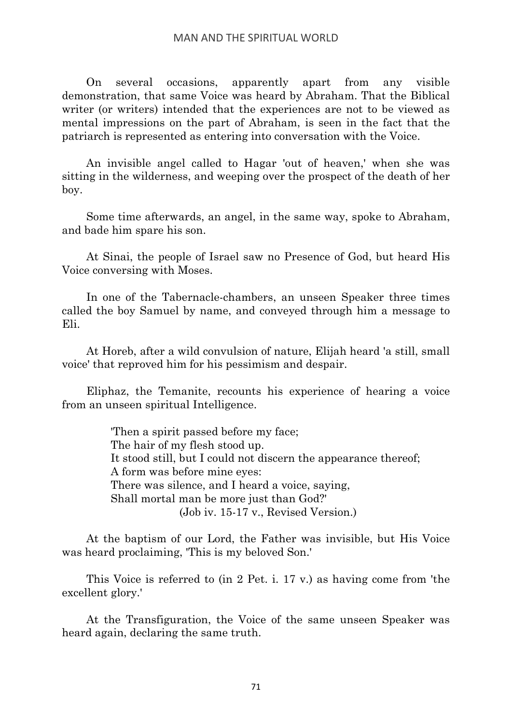On several occasions, apparently apart from any visible demonstration, that same Voice was heard by Abraham. That the Biblical writer (or writers) intended that the experiences are not to be viewed as mental impressions on the part of Abraham, is seen in the fact that the patriarch is represented as entering into conversation with the Voice.

An invisible angel called to Hagar 'out of heaven,' when she was sitting in the wilderness, and weeping over the prospect of the death of her boy.

Some time afterwards, an angel, in the same way, spoke to Abraham, and bade him spare his son.

At Sinai, the people of Israel saw no Presence of God, but heard His Voice conversing with Moses.

In one of the Tabernacle-chambers, an unseen Speaker three times called the boy Samuel by name, and conveyed through him a message to Eli.

At Horeb, after a wild convulsion of nature, Elijah heard 'a still, small voice' that reproved him for his pessimism and despair.

Eliphaz, the Temanite, recounts his experience of hearing a voice from an unseen spiritual Intelligence.

> 'Then a spirit passed before my face; The hair of my flesh stood up. It stood still, but I could not discern the appearance thereof; A form was before mine eyes: There was silence, and I heard a voice, saying, Shall mortal man be more just than God?' (Job iv. 15-17 v., Revised Version.)

At the baptism of our Lord, the Father was invisible, but His Voice was heard proclaiming, 'This is my beloved Son.'

This Voice is referred to (in 2 Pet. i. 17 v.) as having come from 'the excellent glory.'

At the Transfiguration, the Voice of the same unseen Speaker was heard again, declaring the same truth.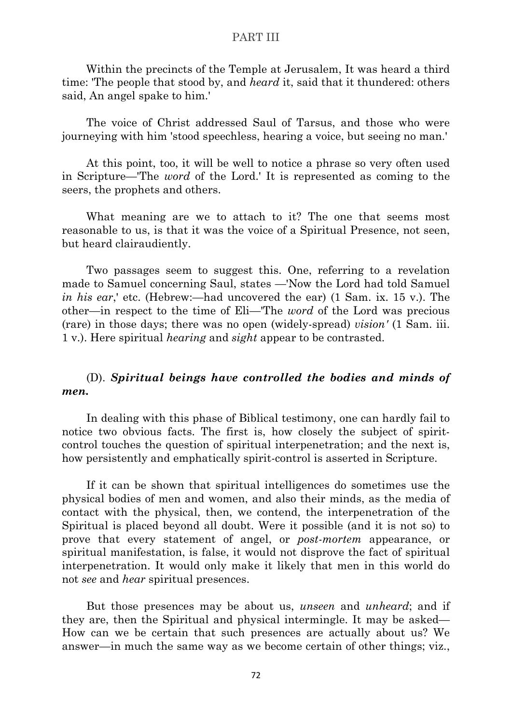Within the precincts of the Temple at Jerusalem, It was heard a third time: 'The people that stood by, and *heard* it, said that it thundered: others said, An angel spake to him.'

The voice of Christ addressed Saul of Tarsus, and those who were journeying with him 'stood speechless, hearing a voice, but seeing no man.'

At this point, too, it will be well to notice a phrase so very often used in Scripture—'The *word* of the Lord.' It is represented as coming to the seers, the prophets and others.

What meaning are we to attach to it? The one that seems most reasonable to us, is that it was the voice of a Spiritual Presence, not seen, but heard clairaudiently.

Two passages seem to suggest this. One, referring to a revelation made to Samuel concerning Saul, states —'Now the Lord had told Samuel *in his ear*,' etc. (Hebrew:—had uncovered the ear) (1 Sam. ix. 15 v.). The other—in respect to the time of Eli—'The *word* of the Lord was precious (rare) in those days; there was no open (widely-spread) *vision'* (1 Sam. iii. 1 v.). Here spiritual *hearing* and *sight* appear to be contrasted.

# (D). *Spiritual beings have controlled the bodies and minds of men.*

In dealing with this phase of Biblical testimony, one can hardly fail to notice two obvious facts. The first is, how closely the subject of spiritcontrol touches the question of spiritual interpenetration; and the next is, how persistently and emphatically spirit-control is asserted in Scripture.

If it can be shown that spiritual intelligences do sometimes use the physical bodies of men and women, and also their minds, as the media of contact with the physical, then, we contend, the interpenetration of the Spiritual is placed beyond all doubt. Were it possible (and it is not so) to prove that every statement of angel, or *post-mortem* appearance, or spiritual manifestation, is false, it would not disprove the fact of spiritual interpenetration. It would only make it likely that men in this world do not *see* and *hear* spiritual presences.

But those presences may be about us, *unseen* and *unheard*; and if they are, then the Spiritual and physical intermingle. It may be asked— How can we be certain that such presences are actually about us? We answer—in much the same way as we become certain of other things; viz.,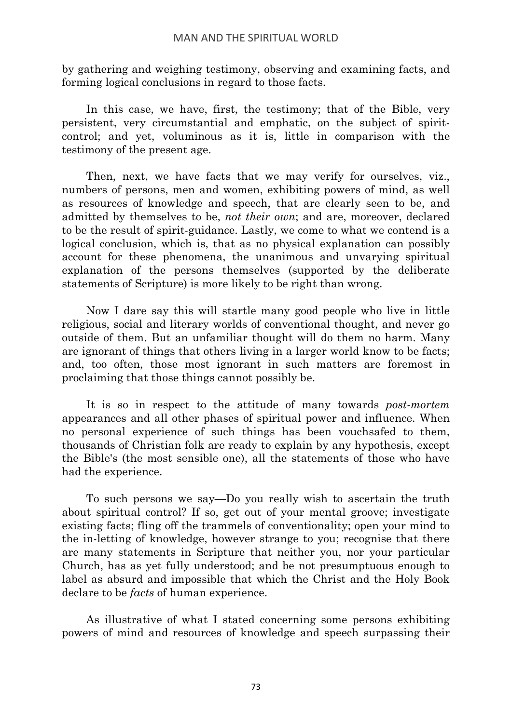by gathering and weighing testimony, observing and examining facts, and forming logical conclusions in regard to those facts.

In this case, we have, first, the testimony; that of the Bible, very persistent, very circumstantial and emphatic, on the subject of spiritcontrol; and yet, voluminous as it is, little in comparison with the testimony of the present age.

Then, next, we have facts that we may verify for ourselves, viz., numbers of persons, men and women, exhibiting powers of mind, as well as resources of knowledge and speech, that are clearly seen to be, and admitted by themselves to be, *not their own*; and are, moreover, declared to be the result of spirit-guidance. Lastly, we come to what we contend is a logical conclusion, which is, that as no physical explanation can possibly account for these phenomena, the unanimous and unvarying spiritual explanation of the persons themselves (supported by the deliberate statements of Scripture) is more likely to be right than wrong.

Now I dare say this will startle many good people who live in little religious, social and literary worlds of conventional thought, and never go outside of them. But an unfamiliar thought will do them no harm. Many are ignorant of things that others living in a larger world know to be facts; and, too often, those most ignorant in such matters are foremost in proclaiming that those things cannot possibly be.

It is so in respect to the attitude of many towards *post-mortem* appearances and all other phases of spiritual power and influence. When no personal experience of such things has been vouchsafed to them, thousands of Christian folk are ready to explain by any hypothesis, except the Bible's (the most sensible one), all the statements of those who have had the experience.

To such persons we say—Do you really wish to ascertain the truth about spiritual control? If so, get out of your mental groove; investigate existing facts; fling off the trammels of conventionality; open your mind to the in-letting of knowledge, however strange to you; recognise that there are many statements in Scripture that neither you, nor your particular Church, has as yet fully understood; and be not presumptuous enough to label as absurd and impossible that which the Christ and the Holy Book declare to be *facts* of human experience.

As illustrative of what I stated concerning some persons exhibiting powers of mind and resources of knowledge and speech surpassing their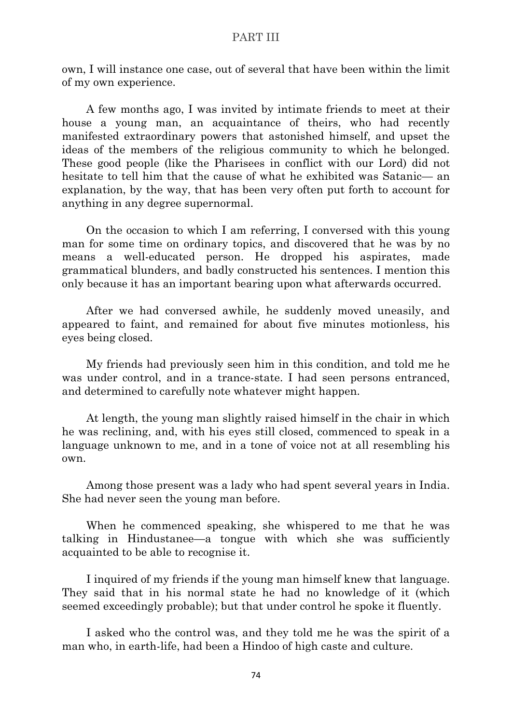own, I will instance one case, out of several that have been within the limit of my own experience.

A few months ago, I was invited by intimate friends to meet at their house a young man, an acquaintance of theirs, who had recently manifested extraordinary powers that astonished himself, and upset the ideas of the members of the religious community to which he belonged. These good people (like the Pharisees in conflict with our Lord) did not hesitate to tell him that the cause of what he exhibited was Satanic— an explanation, by the way, that has been very often put forth to account for anything in any degree supernormal.

On the occasion to which I am referring, I conversed with this young man for some time on ordinary topics, and discovered that he was by no means a well-educated person. He dropped his aspirates, made grammatical blunders, and badly constructed his sentences. I mention this only because it has an important bearing upon what afterwards occurred.

After we had conversed awhile, he suddenly moved uneasily, and appeared to faint, and remained for about five minutes motionless, his eyes being closed.

My friends had previously seen him in this condition, and told me he was under control, and in a trance-state. I had seen persons entranced, and determined to carefully note whatever might happen.

At length, the young man slightly raised himself in the chair in which he was reclining, and, with his eyes still closed, commenced to speak in a language unknown to me, and in a tone of voice not at all resembling his own.

Among those present was a lady who had spent several years in India. She had never seen the young man before.

When he commenced speaking, she whispered to me that he was talking in Hindustanee—a tongue with which she was sufficiently acquainted to be able to recognise it.

I inquired of my friends if the young man himself knew that language. They said that in his normal state he had no knowledge of it (which seemed exceedingly probable); but that under control he spoke it fluently.

I asked who the control was, and they told me he was the spirit of a man who, in earth-life, had been a Hindoo of high caste and culture.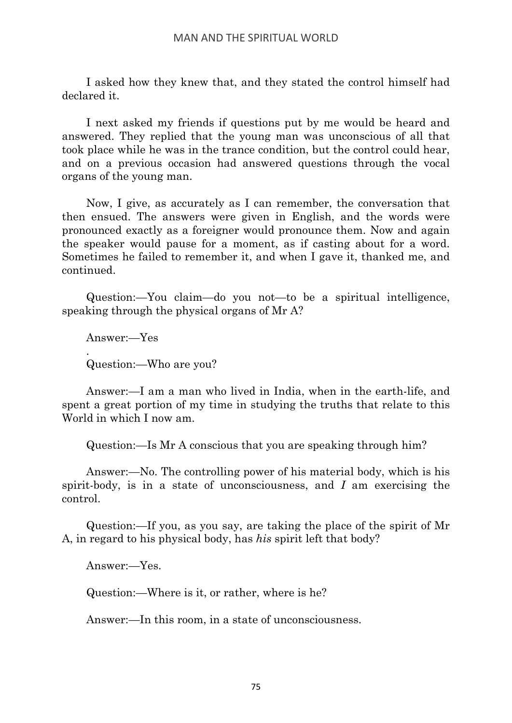I asked how they knew that, and they stated the control himself had declared it.

I next asked my friends if questions put by me would be heard and answered. They replied that the young man was unconscious of all that took place while he was in the trance condition, but the control could hear, and on a previous occasion had answered questions through the vocal organs of the young man.

Now, I give, as accurately as I can remember, the conversation that then ensued. The answers were given in English, and the words were pronounced exactly as a foreigner would pronounce them. Now and again the speaker would pause for a moment, as if casting about for a word. Sometimes he failed to remember it, and when I gave it, thanked me, and continued.

Question:—You claim—do you not—to be a spiritual intelligence, speaking through the physical organs of Mr A?

Answer:—Yes . Question:—Who are you?

Answer:—I am a man who lived in India, when in the earth-life, and spent a great portion of my time in studying the truths that relate to this World in which I now am.

Question:—Is Mr A conscious that you are speaking through him?

Answer:—No. The controlling power of his material body, which is his spirit-body, is in a state of unconsciousness, and *I* am exercising the control.

Question:—If you, as you say, are taking the place of the spirit of Mr A, in regard to his physical body, has *his* spirit left that body?

Answer:—Yes.

Question:—Where is it, or rather, where is he?

Answer:—In this room, in a state of unconsciousness.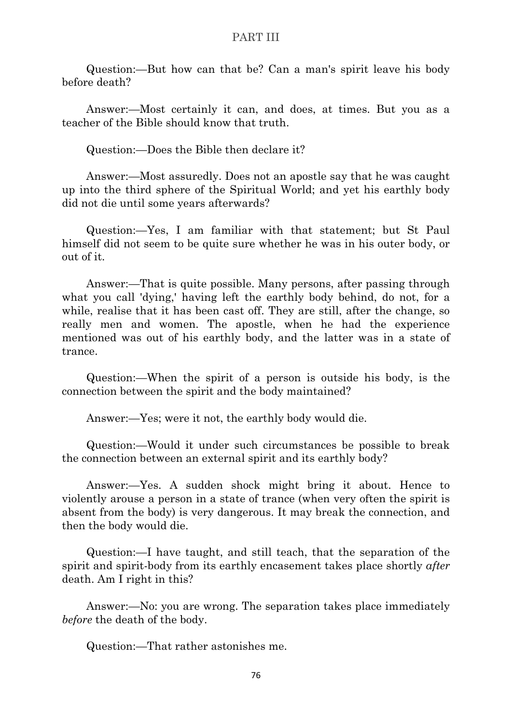Question:—But how can that be? Can a man's spirit leave his body before death?

Answer:—Most certainly it can, and does, at times. But you as a teacher of the Bible should know that truth.

Question:—Does the Bible then declare it?

Answer:—Most assuredly. Does not an apostle say that he was caught up into the third sphere of the Spiritual World; and yet his earthly body did not die until some years afterwards?

Question:—Yes, I am familiar with that statement; but St Paul himself did not seem to be quite sure whether he was in his outer body, or out of it.

Answer:—That is quite possible. Many persons, after passing through what you call 'dying,' having left the earthly body behind, do not, for a while, realise that it has been cast off. They are still, after the change, so really men and women. The apostle, when he had the experience mentioned was out of his earthly body, and the latter was in a state of trance.

Question:—When the spirit of a person is outside his body, is the connection between the spirit and the body maintained?

Answer:—Yes; were it not, the earthly body would die.

Question:—Would it under such circumstances be possible to break the connection between an external spirit and its earthly body?

Answer:—Yes. A sudden shock might bring it about. Hence to violently arouse a person in a state of trance (when very often the spirit is absent from the body) is very dangerous. It may break the connection, and then the body would die.

Question:—I have taught, and still teach, that the separation of the spirit and spirit-body from its earthly encasement takes place shortly *after* death. Am I right in this?

Answer:—No: you are wrong. The separation takes place immediately *before* the death of the body.

Question:—That rather astonishes me.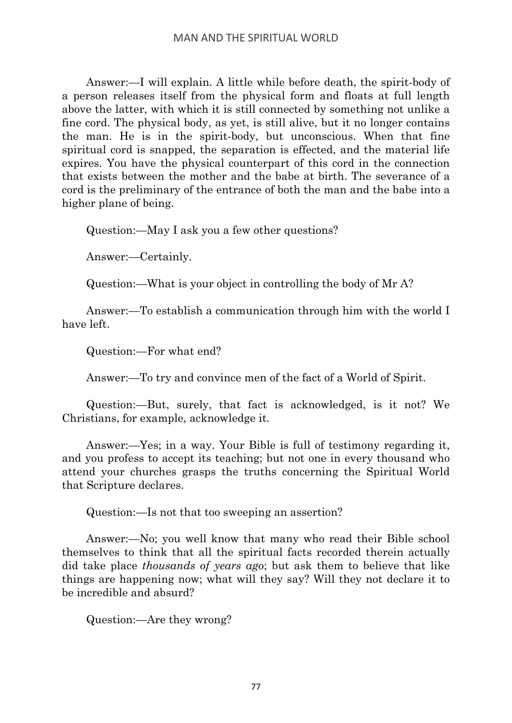Answer:—I will explain. A little while before death, the spirit-body of a person releases itself from the physical form and floats at full length above the latter, with which it is still connected by something not unlike a fine cord. The physical body, as yet, is still alive, but it no longer contains the man. He is in the spirit-body, but unconscious. When that fine spiritual cord is snapped, the separation is effected, and the material life expires. You have the physical counterpart of this cord in the connection that exists between the mother and the babe at birth. The severance of a cord is the preliminary of the entrance of both the man and the babe into a higher plane of being.

Question:—May I ask you a few other questions?

Answer:—Certainly.

Question:—What is your object in controlling the body of Mr A?

Answer:—To establish a communication through him with the world I have left.

Question:—For what end?

Answer:—To try and convince men of the fact of a World of Spirit.

Question:—But, surely, that fact is acknowledged, is it not? We Christians, for example, acknowledge it.

Answer:—Yes; in a way. Your Bible is full of testimony regarding it, and you profess to accept its teaching; but not one in every thousand who attend your churches grasps the truths concerning the Spiritual World that Scripture declares.

Question:—Is not that too sweeping an assertion?

Answer:—No; you well know that many who read their Bible school themselves to think that all the spiritual facts recorded therein actually did take place *thousands of years ago*; but ask them to believe that like things are happening now; what will they say? Will they not declare it to be incredible and absurd?

Question:—Are they wrong?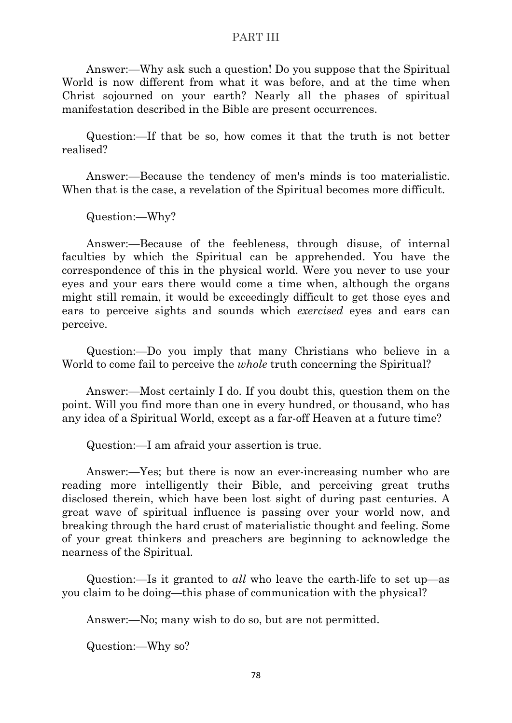Answer:—Why ask such a question! Do you suppose that the Spiritual World is now different from what it was before, and at the time when Christ sojourned on your earth? Nearly all the phases of spiritual manifestation described in the Bible are present occurrences.

Question:—If that be so, how comes it that the truth is not better realised?

Answer:—Because the tendency of men's minds is too materialistic. When that is the case, a revelation of the Spiritual becomes more difficult.

Question:—Why?

Answer:—Because of the feebleness, through disuse, of internal faculties by which the Spiritual can be apprehended. You have the correspondence of this in the physical world. Were you never to use your eyes and your ears there would come a time when, although the organs might still remain, it would be exceedingly difficult to get those eyes and ears to perceive sights and sounds which *exercised* eyes and ears can perceive.

Question:—Do you imply that many Christians who believe in a World to come fail to perceive the *whole* truth concerning the Spiritual?

Answer:—Most certainly I do. If you doubt this, question them on the point. Will you find more than one in every hundred, or thousand, who has any idea of a Spiritual World, except as a far-off Heaven at a future time?

Question:—I am afraid your assertion is true.

Answer:—Yes; but there is now an ever-increasing number who are reading more intelligently their Bible, and perceiving great truths disclosed therein, which have been lost sight of during past centuries. A great wave of spiritual influence is passing over your world now, and breaking through the hard crust of materialistic thought and feeling. Some of your great thinkers and preachers are beginning to acknowledge the nearness of the Spiritual.

Question:—Is it granted to *all* who leave the earth-life to set up—as you claim to be doing—this phase of communication with the physical?

Answer:—No; many wish to do so, but are not permitted.

Question:—Why so?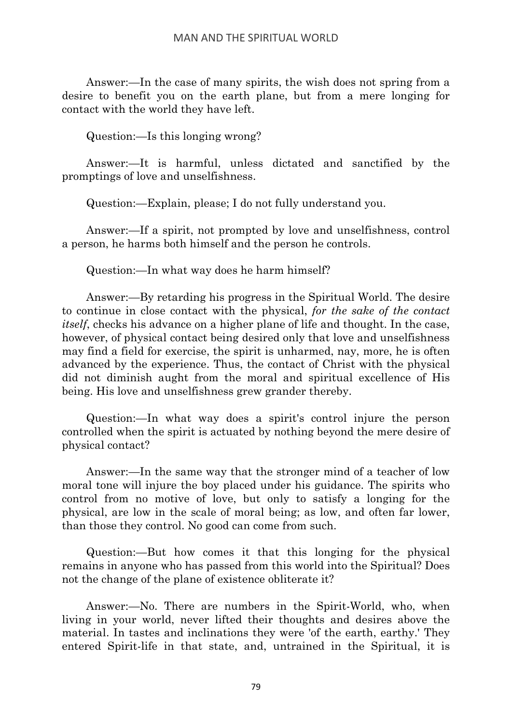Answer:—In the case of many spirits, the wish does not spring from a desire to benefit you on the earth plane, but from a mere longing for contact with the world they have left.

Question:—Is this longing wrong?

Answer:—It is harmful, unless dictated and sanctified by the promptings of love and unselfishness.

Question:—Explain, please; I do not fully understand you.

Answer:—If a spirit, not prompted by love and unselfishness, control a person, he harms both himself and the person he controls.

Question:—In what way does he harm himself?

Answer:—By retarding his progress in the Spiritual World. The desire to continue in close contact with the physical, *for the sake of the contact itself*, checks his advance on a higher plane of life and thought. In the case, however, of physical contact being desired only that love and unselfishness may find a field for exercise, the spirit is unharmed, nay, more, he is often advanced by the experience. Thus, the contact of Christ with the physical did not diminish aught from the moral and spiritual excellence of His being. His love and unselfishness grew grander thereby.

Question:—In what way does a spirit's control injure the person controlled when the spirit is actuated by nothing beyond the mere desire of physical contact?

Answer:—In the same way that the stronger mind of a teacher of low moral tone will injure the boy placed under his guidance. The spirits who control from no motive of love, but only to satisfy a longing for the physical, are low in the scale of moral being; as low, and often far lower, than those they control. No good can come from such.

Question:—But how comes it that this longing for the physical remains in anyone who has passed from this world into the Spiritual? Does not the change of the plane of existence obliterate it?

Answer:—No. There are numbers in the Spirit-World, who, when living in your world, never lifted their thoughts and desires above the material. In tastes and inclinations they were 'of the earth, earthy.' They entered Spirit-life in that state, and, untrained in the Spiritual, it is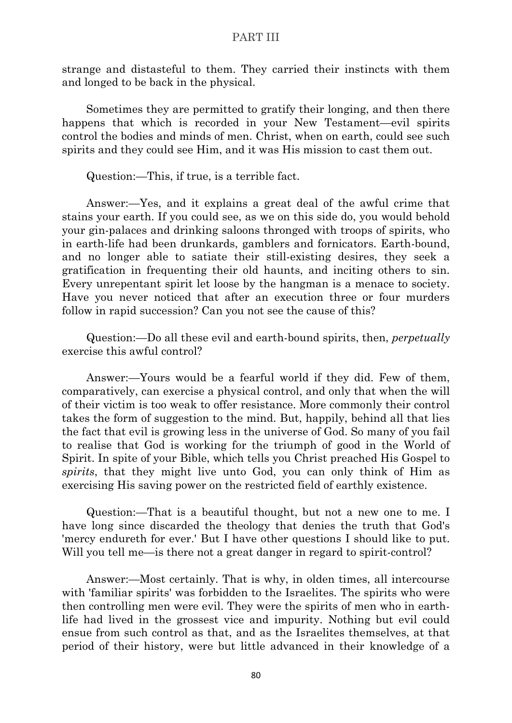strange and distasteful to them. They carried their instincts with them and longed to be back in the physical.

Sometimes they are permitted to gratify their longing, and then there happens that which is recorded in your New Testament—evil spirits control the bodies and minds of men. Christ, when on earth, could see such spirits and they could see Him, and it was His mission to cast them out.

Question:—This, if true, is a terrible fact.

Answer:—Yes, and it explains a great deal of the awful crime that stains your earth. If you could see, as we on this side do, you would behold your gin-palaces and drinking saloons thronged with troops of spirits, who in earth-life had been drunkards, gamblers and fornicators. Earth-bound, and no longer able to satiate their still-existing desires, they seek a gratification in frequenting their old haunts, and inciting others to sin. Every unrepentant spirit let loose by the hangman is a menace to society. Have you never noticed that after an execution three or four murders follow in rapid succession? Can you not see the cause of this?

Question:—Do all these evil and earth-bound spirits, then, *perpetually* exercise this awful control?

Answer:—Yours would be a fearful world if they did. Few of them, comparatively, can exercise a physical control, and only that when the will of their victim is too weak to offer resistance. More commonly their control takes the form of suggestion to the mind. But, happily, behind all that lies the fact that evil is growing less in the universe of God. So many of you fail to realise that God is working for the triumph of good in the World of Spirit. In spite of your Bible, which tells you Christ preached His Gospel to *spirits*, that they might live unto God, you can only think of Him as exercising His saving power on the restricted field of earthly existence.

Question:—That is a beautiful thought, but not a new one to me. I have long since discarded the theology that denies the truth that God's 'mercy endureth for ever.' But I have other questions I should like to put. Will you tell me—is there not a great danger in regard to spirit-control?

Answer:—Most certainly. That is why, in olden times, all intercourse with 'familiar spirits' was forbidden to the Israelites. The spirits who were then controlling men were evil. They were the spirits of men who in earthlife had lived in the grossest vice and impurity. Nothing but evil could ensue from such control as that, and as the Israelites themselves, at that period of their history, were but little advanced in their knowledge of a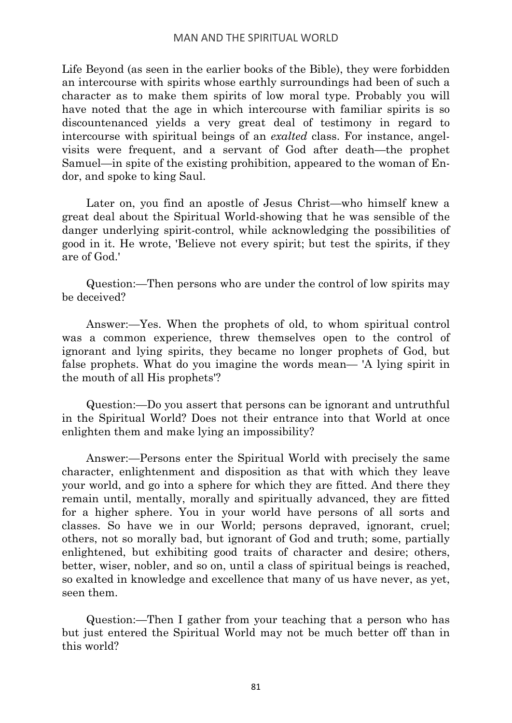Life Beyond (as seen in the earlier books of the Bible), they were forbidden an intercourse with spirits whose earthly surroundings had been of such a character as to make them spirits of low moral type. Probably you will have noted that the age in which intercourse with familiar spirits is so discountenanced yields a very great deal of testimony in regard to intercourse with spiritual beings of an *exalted* class. For instance, angelvisits were frequent, and a servant of God after death—the prophet Samuel—in spite of the existing prohibition, appeared to the woman of Endor, and spoke to king Saul.

Later on, you find an apostle of Jesus Christ—who himself knew a great deal about the Spiritual World-showing that he was sensible of the danger underlying spirit-control, while acknowledging the possibilities of good in it. He wrote, 'Believe not every spirit; but test the spirits, if they are of God.'

Question:—Then persons who are under the control of low spirits may be deceived?

Answer:—Yes. When the prophets of old, to whom spiritual control was a common experience, threw themselves open to the control of ignorant and lying spirits, they became no longer prophets of God, but false prophets. What do you imagine the words mean— 'A lying spirit in the mouth of all His prophets'?

Question:—Do you assert that persons can be ignorant and untruthful in the Spiritual World? Does not their entrance into that World at once enlighten them and make lying an impossibility?

Answer:—Persons enter the Spiritual World with precisely the same character, enlightenment and disposition as that with which they leave your world, and go into a sphere for which they are fitted. And there they remain until, mentally, morally and spiritually advanced, they are fitted for a higher sphere. You in your world have persons of all sorts and classes. So have we in our World; persons depraved, ignorant, cruel; others, not so morally bad, but ignorant of God and truth; some, partially enlightened, but exhibiting good traits of character and desire; others, better, wiser, nobler, and so on, until a class of spiritual beings is reached, so exalted in knowledge and excellence that many of us have never, as yet, seen them.

Question:—Then I gather from your teaching that a person who has but just entered the Spiritual World may not be much better off than in this world?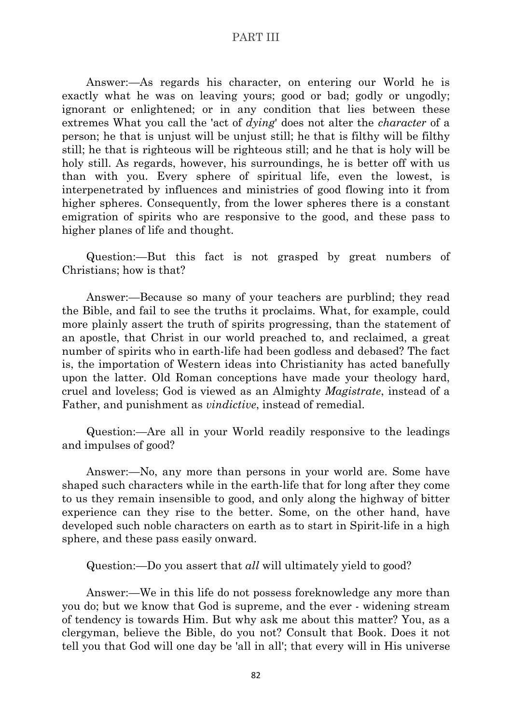Answer:—As regards his character, on entering our World he is exactly what he was on leaving yours; good or bad; godly or ungodly; ignorant or enlightened; or in any condition that lies between these extremes What you call the 'act of *dying*' does not alter the *character* of a person; he that is unjust will be unjust still; he that is filthy will be filthy still; he that is righteous will be righteous still; and he that is holy will be holy still. As regards, however, his surroundings, he is better off with us than with you. Every sphere of spiritual life, even the lowest, is interpenetrated by influences and ministries of good flowing into it from higher spheres. Consequently, from the lower spheres there is a constant emigration of spirits who are responsive to the good, and these pass to higher planes of life and thought.

Question:—But this fact is not grasped by great numbers of Christians; how is that?

Answer:—Because so many of your teachers are purblind; they read the Bible, and fail to see the truths it proclaims. What, for example, could more plainly assert the truth of spirits progressing, than the statement of an apostle, that Christ in our world preached to, and reclaimed, a great number of spirits who in earth-life had been godless and debased? The fact is, the importation of Western ideas into Christianity has acted banefully upon the latter. Old Roman conceptions have made your theology hard, cruel and loveless; God is viewed as an Almighty *Magistrate*, instead of a Father, and punishment as *vindictive*, instead of remedial.

Question:—Are all in your World readily responsive to the leadings and impulses of good?

Answer:—No, any more than persons in your world are. Some have shaped such characters while in the earth-life that for long after they come to us they remain insensible to good, and only along the highway of bitter experience can they rise to the better. Some, on the other hand, have developed such noble characters on earth as to start in Spirit-life in a high sphere, and these pass easily onward.

Question:—Do you assert that *all* will ultimately yield to good?

Answer:—We in this life do not possess foreknowledge any more than you do; but we know that God is supreme, and the ever - widening stream of tendency is towards Him. But why ask me about this matter? You, as a clergyman, believe the Bible, do you not? Consult that Book. Does it not tell you that God will one day be 'all in all'; that every will in His universe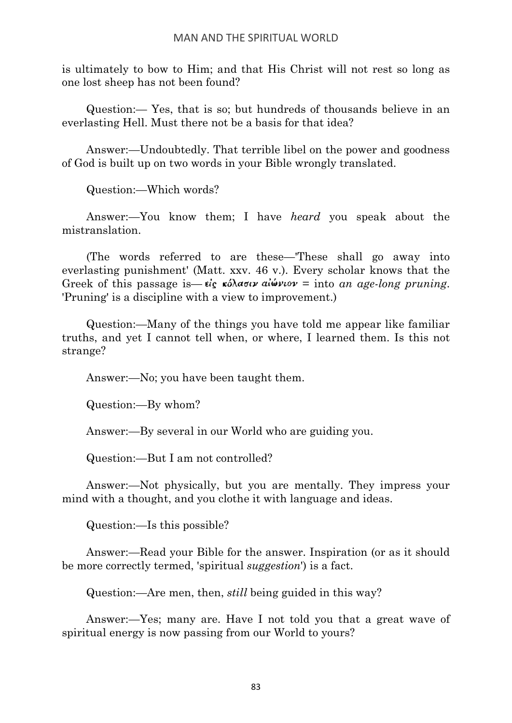is ultimately to bow to Him; and that His Christ will not rest so long as one lost sheep has not been found?

Question:— Yes, that is so; but hundreds of thousands believe in an everlasting Hell. Must there not be a basis for that idea?

Answer:—Undoubtedly. That terrible libel on the power and goodness of God is built up on two words in your Bible wrongly translated.

Question:—Which words?

Answer:—You know them; I have *heard* you speak about the mistranslation.

(The words referred to are these—'These shall go away into everlasting punishment' (Matt. xxv. 46 v.). Every scholar knows that the Greek of this passage is—  $\epsilon_{\rm g} \cdot \epsilon_{\rm g} \cdot \epsilon_{\rm g} \cdot \epsilon_{\rm g} \cdot \epsilon_{\rm g} \cdot \epsilon_{\rm g} = 0$  into an age-long pruning. 'Pruning' is a discipline with a view to improvement.)

Question:—Many of the things you have told me appear like familiar truths, and yet I cannot tell when, or where, I learned them. Is this not strange?

Answer:—No; you have been taught them.

Question:—By whom?

Answer:—By several in our World who are guiding you.

Question:—But I am not controlled?

Answer:—Not physically, but you are mentally. They impress your mind with a thought, and you clothe it with language and ideas.

Question:—Is this possible?

Answer:—Read your Bible for the answer. Inspiration (or as it should be more correctly termed, 'spiritual *suggestion*') is a fact.

Question:—Are men, then, *still* being guided in this way?

Answer:—Yes; many are. Have I not told you that a great wave of spiritual energy is now passing from our World to yours?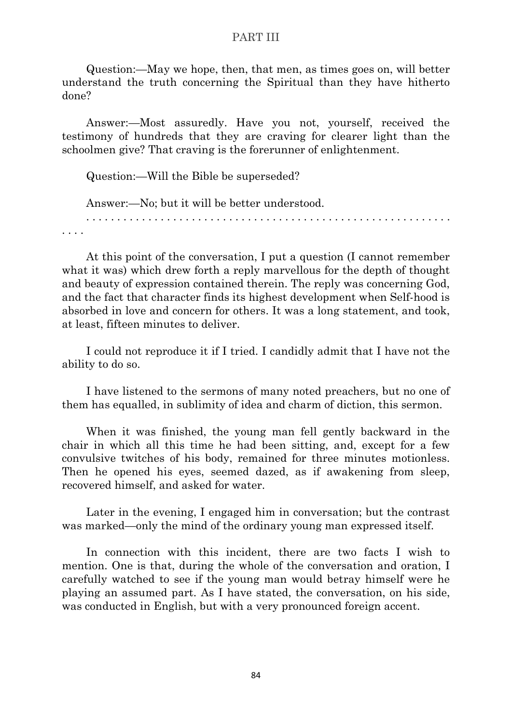Question:—May we hope, then, that men, as times goes on, will better understand the truth concerning the Spiritual than they have hitherto done?

Answer:—Most assuredly. Have you not, yourself, received the testimony of hundreds that they are craving for clearer light than the schoolmen give? That craving is the forerunner of enlightenment.

Question:—Will the Bible be superseded?

Answer:—No; but it will be better understood.

. . . . . . . . . . . . . . . . . . . . . . . . . . . . . . . . . . . . . . . . . . . . . . . . . . . . . . . . . . . . . . .

At this point of the conversation, I put a question (I cannot remember what it was) which drew forth a reply marvellous for the depth of thought and beauty of expression contained therein. The reply was concerning God, and the fact that character finds its highest development when Self-hood is absorbed in love and concern for others. It was a long statement, and took, at least, fifteen minutes to deliver.

I could not reproduce it if I tried. I candidly admit that I have not the ability to do so.

I have listened to the sermons of many noted preachers, but no one of them has equalled, in sublimity of idea and charm of diction, this sermon.

When it was finished, the young man fell gently backward in the chair in which all this time he had been sitting, and, except for a few convulsive twitches of his body, remained for three minutes motionless. Then he opened his eyes, seemed dazed, as if awakening from sleep, recovered himself, and asked for water.

Later in the evening, I engaged him in conversation; but the contrast was marked—only the mind of the ordinary young man expressed itself.

In connection with this incident, there are two facts I wish to mention. One is that, during the whole of the conversation and oration, I carefully watched to see if the young man would betray himself were he playing an assumed part. As I have stated, the conversation, on his side, was conducted in English, but with a very pronounced foreign accent.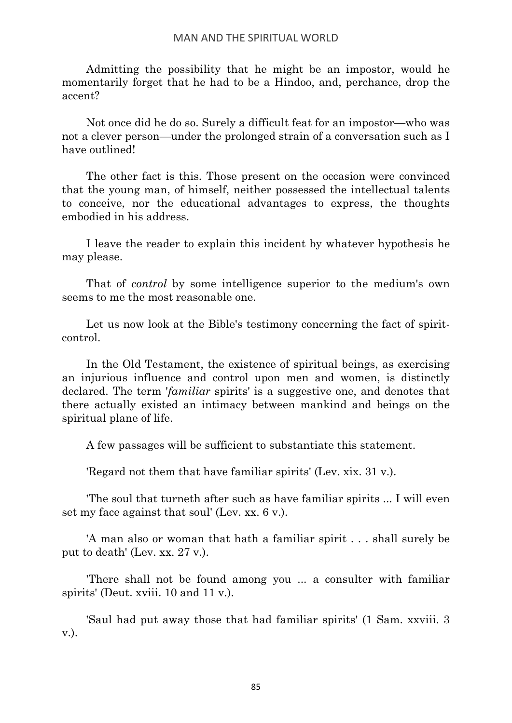Admitting the possibility that he might be an impostor, would he momentarily forget that he had to be a Hindoo, and, perchance, drop the accent?

Not once did he do so. Surely a difficult feat for an impostor—who was not a clever person—under the prolonged strain of a conversation such as I have outlined!

The other fact is this. Those present on the occasion were convinced that the young man, of himself, neither possessed the intellectual talents to conceive, nor the educational advantages to express, the thoughts embodied in his address.

I leave the reader to explain this incident by whatever hypothesis he may please.

That of *control* by some intelligence superior to the medium's own seems to me the most reasonable one.

Let us now look at the Bible's testimony concerning the fact of spiritcontrol.

In the Old Testament, the existence of spiritual beings, as exercising an injurious influence and control upon men and women, is distinctly declared. The term '*familiar* spirits' is a suggestive one, and denotes that there actually existed an intimacy between mankind and beings on the spiritual plane of life.

A few passages will be sufficient to substantiate this statement.

'Regard not them that have familiar spirits' (Lev. xix. 31 v.).

'The soul that turneth after such as have familiar spirits ... I will even set my face against that soul' (Lev. xx. 6 v.).

'A man also or woman that hath a familiar spirit . . . shall surely be put to death' (Lev. xx. 27 v.).

'There shall not be found among you ... a consulter with familiar spirits' (Deut. xviii. 10 and 11 v.).

'Saul had put away those that had familiar spirits' (1 Sam. xxviii. 3 v.).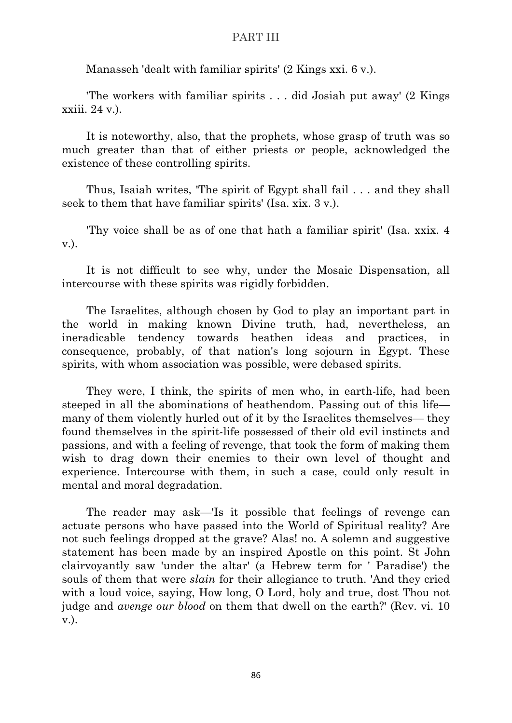Manasseh 'dealt with familiar spirits' (2 Kings xxi. 6 v.).

'The workers with familiar spirits . . . did Josiah put away' (2 Kings xxiii. 24 v.).

It is noteworthy, also, that the prophets, whose grasp of truth was so much greater than that of either priests or people, acknowledged the existence of these controlling spirits.

Thus, Isaiah writes, 'The spirit of Egypt shall fail . . . and they shall seek to them that have familiar spirits' (Isa. xix. 3 v.).

'Thy voice shall be as of one that hath a familiar spirit' (Isa. xxix. 4 v.).

It is not difficult to see why, under the Mosaic Dispensation, all intercourse with these spirits was rigidly forbidden.

The Israelites, although chosen by God to play an important part in the world in making known Divine truth, had, nevertheless, an ineradicable tendency towards heathen ideas and practices, in consequence, probably, of that nation's long sojourn in Egypt. These spirits, with whom association was possible, were debased spirits.

They were, I think, the spirits of men who, in earth-life, had been steeped in all the abominations of heathendom. Passing out of this life many of them violently hurled out of it by the Israelites themselves— they found themselves in the spirit-life possessed of their old evil instincts and passions, and with a feeling of revenge, that took the form of making them wish to drag down their enemies to their own level of thought and experience. Intercourse with them, in such a case, could only result in mental and moral degradation.

The reader may ask—'Is it possible that feelings of revenge can actuate persons who have passed into the World of Spiritual reality? Are not such feelings dropped at the grave? Alas! no. A solemn and suggestive statement has been made by an inspired Apostle on this point. St John clairvoyantly saw 'under the altar' (a Hebrew term for ' Paradise') the souls of them that were *slain* for their allegiance to truth. 'And they cried with a loud voice, saying, How long, O Lord, holy and true, dost Thou not judge and *avenge our blood* on them that dwell on the earth?' (Rev. vi. 10 v.).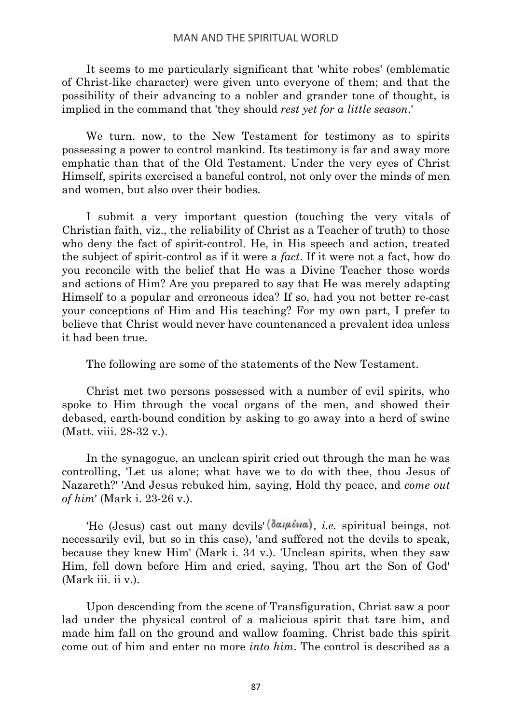It seems to me particularly significant that 'white robes' (emblematic of Christ-like character) were given unto everyone of them; and that the possibility of their advancing to a nobler and grander tone of thought, is implied in the command that 'they should *rest yet for a little season*.'

We turn, now, to the New Testament for testimony as to spirits possessing a power to control mankind. Its testimony is far and away more emphatic than that of the Old Testament. Under the very eyes of Christ Himself, spirits exercised a baneful control, not only over the minds of men and women, but also over their bodies.

I submit a very important question (touching the very vitals of Christian faith, viz., the reliability of Christ as a Teacher of truth) to those who deny the fact of spirit-control. He, in His speech and action, treated the subject of spirit-control as if it were a *fact*. If it were not a fact, how do you reconcile with the belief that He was a Divine Teacher those words and actions of Him? Are you prepared to say that He was merely adapting Himself to a popular and erroneous idea? If so, had you not better re-cast your conceptions of Him and His teaching? For my own part, I prefer to believe that Christ would never have countenanced a prevalent idea unless it had been true.

The following are some of the statements of the New Testament.

Christ met two persons possessed with a number of evil spirits, who spoke to Him through the vocal organs of the men, and showed their debased, earth-bound condition by asking to go away into a herd of swine (Matt. viii. 28-32 v.).

In the synagogue, an unclean spirit cried out through the man he was controlling, 'Let us alone; what have we to do with thee, thou Jesus of Nazareth?' 'And Jesus rebuked him, saying, Hold thy peace, and *come out of him*' (Mark i. 23-26 v.).

'He (Jesus) cast out many devils  $(\delta \alpha \mu \delta \nu \alpha)$ , *i.e.* spiritual beings, not necessarily evil, but so in this case), 'and suffered not the devils to speak, because they knew Him' (Mark i. 34 v.). 'Unclean spirits, when they saw Him, fell down before Him and cried, saying, Thou art the Son of God' (Mark iii. ii v.).

Upon descending from the scene of Transfiguration, Christ saw a poor lad under the physical control of a malicious spirit that tare him, and made him fall on the ground and wallow foaming. Christ bade this spirit come out of him and enter no more *into him*. The control is described as a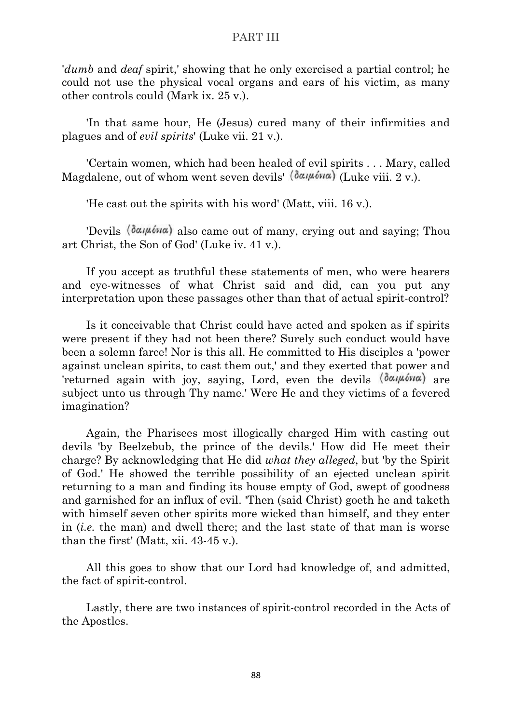'*dumb* and *deaf* spirit,' showing that he only exercised a partial control; he could not use the physical vocal organs and ears of his victim, as many other controls could (Mark ix. 25 v.).

'In that same hour, He (Jesus) cured many of their infirmities and plagues and of *evil spirits*' (Luke vii. 21 v.).

'Certain women, which had been healed of evil spirits . . . Mary, called Magdalene, out of whom went seven devils'  $(\delta \alpha \mu \delta \nu \alpha)$  (Luke viii. 2 v.).

'He cast out the spirits with his word' (Matt, viii. 16 v.).

'Devils  $(\delta \alpha_i \mu \delta \nu \alpha)$  also came out of many, crying out and saying; Thou art Christ, the Son of God' (Luke iv. 41 v.).

If you accept as truthful these statements of men, who were hearers and eye-witnesses of what Christ said and did, can you put any interpretation upon these passages other than that of actual spirit-control?

Is it conceivable that Christ could have acted and spoken as if spirits were present if they had not been there? Surely such conduct would have been a solemn farce! Nor is this all. He committed to His disciples a 'power against unclean spirits, to cast them out,' and they exerted that power and 'returned again with joy, saying, Lord, even the devils  $(\delta \alpha \mu \delta \nu \alpha)$  are subject unto us through Thy name.' Were He and they victims of a fevered imagination?

Again, the Pharisees most illogically charged Him with casting out devils 'by Beelzebub, the prince of the devils.' How did He meet their charge? By acknowledging that He did *what they alleged*, but 'by the Spirit of God.' He showed the terrible possibility of an ejected unclean spirit returning to a man and finding its house empty of God, swept of goodness and garnished for an influx of evil. 'Then (said Christ) goeth he and taketh with himself seven other spirits more wicked than himself, and they enter in (*i.e.* the man) and dwell there; and the last state of that man is worse than the first' (Matt, xii. 43-45 v.).

All this goes to show that our Lord had knowledge of, and admitted, the fact of spirit-control.

Lastly, there are two instances of spirit-control recorded in the Acts of the Apostles.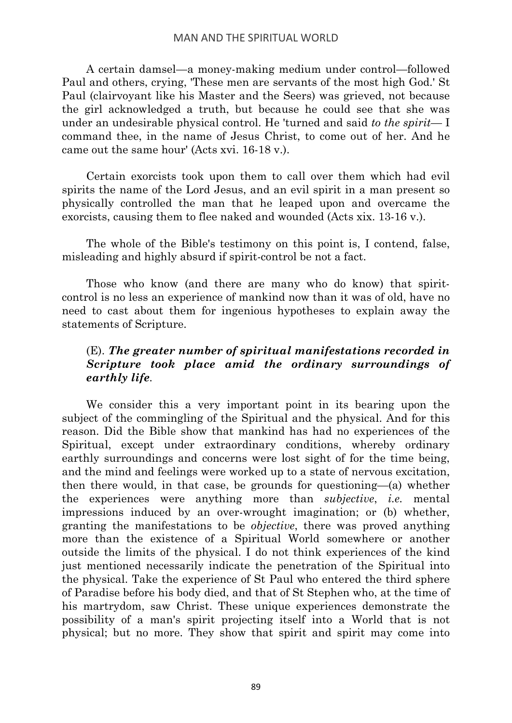A certain damsel—a money-making medium under control—followed Paul and others, crying, 'These men are servants of the most high God.' St Paul (clairvoyant like his Master and the Seers) was grieved, not because the girl acknowledged a truth, but because he could see that she was under an undesirable physical control. He 'turned and said *to the spirit*— I command thee, in the name of Jesus Christ, to come out of her. And he came out the same hour' (Acts xvi. 16-18 v.).

Certain exorcists took upon them to call over them which had evil spirits the name of the Lord Jesus, and an evil spirit in a man present so physically controlled the man that he leaped upon and overcame the exorcists, causing them to flee naked and wounded (Acts xix. 13-16 v.).

The whole of the Bible's testimony on this point is, I contend, false, misleading and highly absurd if spirit-control be not a fact.

Those who know (and there are many who do know) that spiritcontrol is no less an experience of mankind now than it was of old, have no need to cast about them for ingenious hypotheses to explain away the statements of Scripture.

# (E). *The greater number of spiritual manifestations recorded in Scripture took place amid the ordinary surroundings of earthly life.*

We consider this a very important point in its bearing upon the subject of the commingling of the Spiritual and the physical. And for this reason. Did the Bible show that mankind has had no experiences of the Spiritual, except under extraordinary conditions, whereby ordinary earthly surroundings and concerns were lost sight of for the time being, and the mind and feelings were worked up to a state of nervous excitation, then there would, in that case, be grounds for questioning—(a) whether the experiences were anything more than *subjective*, *i.e.* mental impressions induced by an over-wrought imagination; or (b) whether, granting the manifestations to be *objective*, there was proved anything more than the existence of a Spiritual World somewhere or another outside the limits of the physical. I do not think experiences of the kind just mentioned necessarily indicate the penetration of the Spiritual into the physical. Take the experience of St Paul who entered the third sphere of Paradise before his body died, and that of St Stephen who, at the time of his martrydom, saw Christ. These unique experiences demonstrate the possibility of a man's spirit projecting itself into a World that is not physical; but no more. They show that spirit and spirit may come into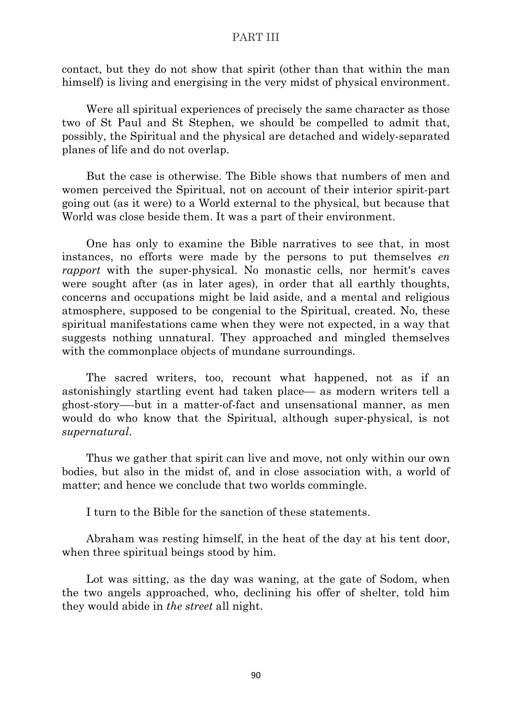contact, but they do not show that spirit (other than that within the man himself) is living and energising in the very midst of physical environment.

Were all spiritual experiences of precisely the same character as those two of St Paul and St Stephen, we should be compelled to admit that, possibly, the Spiritual and the physical are detached and widely-separated planes of life and do not overlap.

But the case is otherwise. The Bible shows that numbers of men and women perceived the Spiritual, not on account of their interior spirit-part going out (as it were) to a World external to the physical, but because that World was close beside them. It was a part of their environment.

One has only to examine the Bible narratives to see that, in most instances, no efforts were made by the persons to put themselves *en rapport* with the super-physical. No monastic cells, nor hermit's caves were sought after (as in later ages), in order that all earthly thoughts, concerns and occupations might be laid aside, and a mental and religious atmosphere, supposed to be congenial to the Spiritual, created. No, these spiritual manifestations came when they were not expected, in a way that suggests nothing unnatural. They approached and mingled themselves with the commonplace objects of mundane surroundings.

The sacred writers, too, recount what happened, not as if an astonishingly startling event had taken place— as modern writers tell a ghost-story—-but in a matter-of-fact and unsensational manner, as men would do who know that the Spiritual, although super-physical, is not *supernatural*.

Thus we gather that spirit can live and move, not only within our own bodies, but also in the midst of, and in close association with, a world of matter; and hence we conclude that two worlds commingle.

I turn to the Bible for the sanction of these statements.

Abraham was resting himself, in the heat of the day at his tent door, when three spiritual beings stood by him.

Lot was sitting, as the day was waning, at the gate of Sodom, when the two angels approached, who, declining his offer of shelter, told him they would abide in *the street* all night.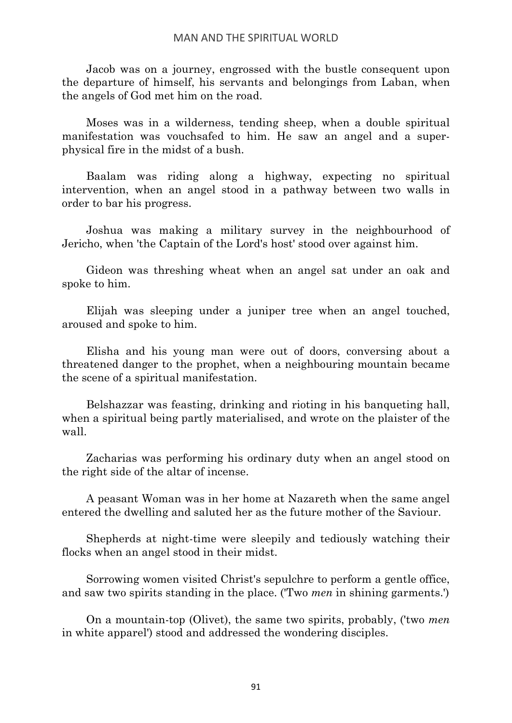Jacob was on a journey, engrossed with the bustle consequent upon the departure of himself, his servants and belongings from Laban, when the angels of God met him on the road.

Moses was in a wilderness, tending sheep, when a double spiritual manifestation was vouchsafed to him. He saw an angel and a superphysical fire in the midst of a bush.

Baalam was riding along a highway, expecting no spiritual intervention, when an angel stood in a pathway between two walls in order to bar his progress.

Joshua was making a military survey in the neighbourhood of Jericho, when 'the Captain of the Lord's host' stood over against him.

Gideon was threshing wheat when an angel sat under an oak and spoke to him.

Elijah was sleeping under a juniper tree when an angel touched, aroused and spoke to him.

Elisha and his young man were out of doors, conversing about a threatened danger to the prophet, when a neighbouring mountain became the scene of a spiritual manifestation.

Belshazzar was feasting, drinking and rioting in his banqueting hall, when a spiritual being partly materialised, and wrote on the plaister of the wall.

Zacharias was performing his ordinary duty when an angel stood on the right side of the altar of incense.

A peasant Woman was in her home at Nazareth when the same angel entered the dwelling and saluted her as the future mother of the Saviour.

Shepherds at night-time were sleepily and tediously watching their flocks when an angel stood in their midst.

Sorrowing women visited Christ's sepulchre to perform a gentle office, and saw two spirits standing in the place. ('Two *men* in shining garments.')

On a mountain-top (Olivet), the same two spirits, probably, ('two *men* in white apparel') stood and addressed the wondering disciples.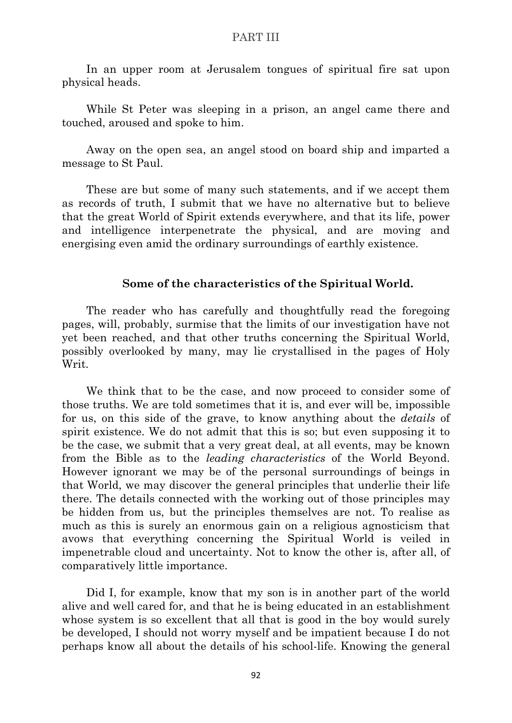In an upper room at Jerusalem tongues of spiritual fire sat upon physical heads.

While St Peter was sleeping in a prison, an angel came there and touched, aroused and spoke to him.

Away on the open sea, an angel stood on board ship and imparted a message to St Paul.

These are but some of many such statements, and if we accept them as records of truth, I submit that we have no alternative but to believe that the great World of Spirit extends everywhere, and that its life, power and intelligence interpenetrate the physical, and are moving and energising even amid the ordinary surroundings of earthly existence.

### **Some of the characteristics of the Spiritual World.**

The reader who has carefully and thoughtfully read the foregoing pages, will, probably, surmise that the limits of our investigation have not yet been reached, and that other truths concerning the Spiritual World, possibly overlooked by many, may lie crystallised in the pages of Holy Writ.

We think that to be the case, and now proceed to consider some of those truths. We are told sometimes that it is, and ever will be, impossible for us, on this side of the grave, to know anything about the *details* of spirit existence. We do not admit that this is so; but even supposing it to be the case, we submit that a very great deal, at all events, may be known from the Bible as to the *leading characteristics* of the World Beyond. However ignorant we may be of the personal surroundings of beings in that World, we may discover the general principles that underlie their life there. The details connected with the working out of those principles may be hidden from us, but the principles themselves are not. To realise as much as this is surely an enormous gain on a religious agnosticism that avows that everything concerning the Spiritual World is veiled in impenetrable cloud and uncertainty. Not to know the other is, after all, of comparatively little importance.

Did I, for example, know that my son is in another part of the world alive and well cared for, and that he is being educated in an establishment whose system is so excellent that all that is good in the boy would surely be developed, I should not worry myself and be impatient because I do not perhaps know all about the details of his school-life. Knowing the general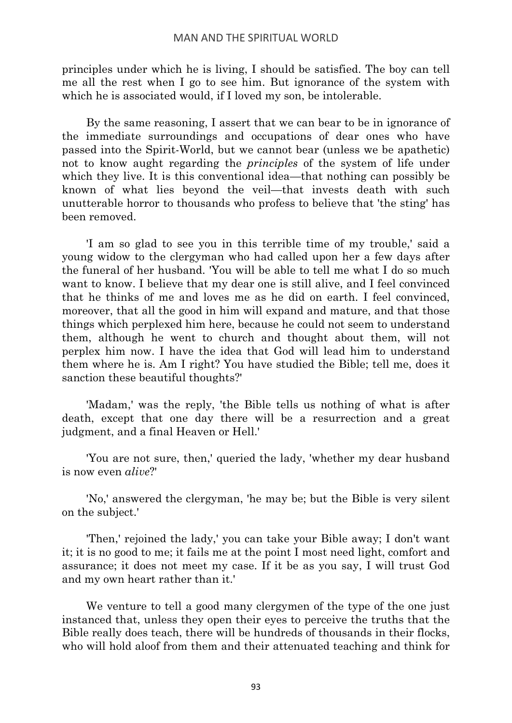principles under which he is living, I should be satisfied. The boy can tell me all the rest when I go to see him. But ignorance of the system with which he is associated would, if I loved my son, be intolerable.

By the same reasoning, I assert that we can bear to be in ignorance of the immediate surroundings and occupations of dear ones who have passed into the Spirit-World, but we cannot bear (unless we be apathetic) not to know aught regarding the *principles* of the system of life under which they live. It is this conventional idea—that nothing can possibly be known of what lies beyond the veil—that invests death with such unutterable horror to thousands who profess to believe that 'the sting' has been removed.

'I am so glad to see you in this terrible time of my trouble,' said a young widow to the clergyman who had called upon her a few days after the funeral of her husband. 'You will be able to tell me what I do so much want to know. I believe that my dear one is still alive, and I feel convinced that he thinks of me and loves me as he did on earth. I feel convinced, moreover, that all the good in him will expand and mature, and that those things which perplexed him here, because he could not seem to understand them, although he went to church and thought about them, will not perplex him now. I have the idea that God will lead him to understand them where he is. Am I right? You have studied the Bible; tell me, does it sanction these beautiful thoughts?'

'Madam,' was the reply, 'the Bible tells us nothing of what is after death, except that one day there will be a resurrection and a great judgment, and a final Heaven or Hell.'

'You are not sure, then,' queried the lady, 'whether my dear husband is now even *alive*?'

'No,' answered the clergyman, 'he may be; but the Bible is very silent on the subject.'

'Then,' rejoined the lady,' you can take your Bible away; I don't want it; it is no good to me; it fails me at the point I most need light, comfort and assurance; it does not meet my case. If it be as you say, I will trust God and my own heart rather than it.'

We venture to tell a good many clergymen of the type of the one just instanced that, unless they open their eyes to perceive the truths that the Bible really does teach, there will be hundreds of thousands in their flocks, who will hold aloof from them and their attenuated teaching and think for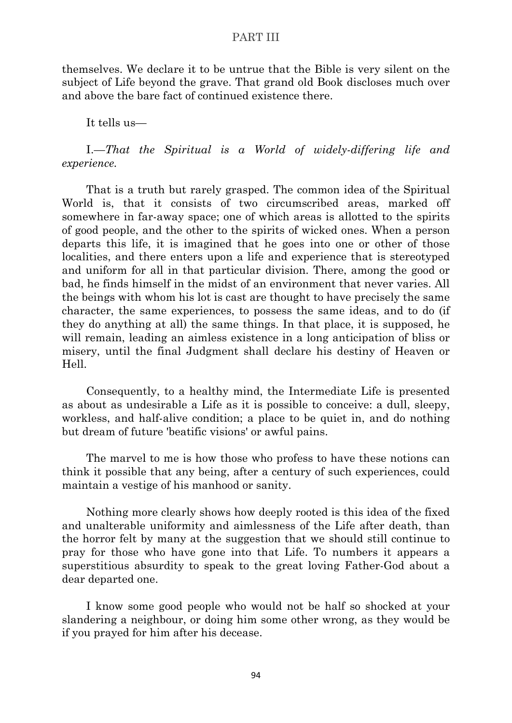themselves. We declare it to be untrue that the Bible is very silent on the subject of Life beyond the grave. That grand old Book discloses much over and above the bare fact of continued existence there.

It tells us—

I.—*That the Spiritual is a World of widely-differing life and experience.*

That is a truth but rarely grasped. The common idea of the Spiritual World is, that it consists of two circumscribed areas, marked off somewhere in far-away space; one of which areas is allotted to the spirits of good people, and the other to the spirits of wicked ones. When a person departs this life, it is imagined that he goes into one or other of those localities, and there enters upon a life and experience that is stereotyped and uniform for all in that particular division. There, among the good or bad, he finds himself in the midst of an environment that never varies. All the beings with whom his lot is cast are thought to have precisely the same character, the same experiences, to possess the same ideas, and to do (if they do anything at all) the same things. In that place, it is supposed, he will remain, leading an aimless existence in a long anticipation of bliss or misery, until the final Judgment shall declare his destiny of Heaven or Hell.

Consequently, to a healthy mind, the Intermediate Life is presented as about as undesirable a Life as it is possible to conceive: a dull, sleepy, workless, and half-alive condition; a place to be quiet in, and do nothing but dream of future 'beatific visions' or awful pains.

The marvel to me is how those who profess to have these notions can think it possible that any being, after a century of such experiences, could maintain a vestige of his manhood or sanity.

Nothing more clearly shows how deeply rooted is this idea of the fixed and unalterable uniformity and aimlessness of the Life after death, than the horror felt by many at the suggestion that we should still continue to pray for those who have gone into that Life. To numbers it appears a superstitious absurdity to speak to the great loving Father-God about a dear departed one.

I know some good people who would not be half so shocked at your slandering a neighbour, or doing him some other wrong, as they would be if you prayed for him after his decease.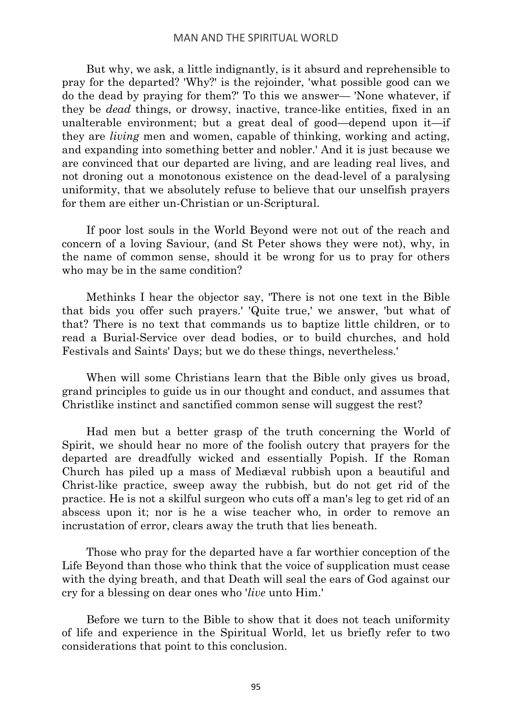But why, we ask, a little indignantly, is it absurd and reprehensible to pray for the departed? 'Why?' is the rejoinder, 'what possible good can we do the dead by praying for them?' To this we answer— 'None whatever, if they be *dead* things, or drowsy, inactive, trance-like entities, fixed in an unalterable environment; but a great deal of good—depend upon it—if they are *living* men and women, capable of thinking, working and acting, and expanding into something better and nobler.' And it is just because we are convinced that our departed are living, and are leading real lives, and not droning out a monotonous existence on the dead-level of a paralysing uniformity, that we absolutely refuse to believe that our unselfish prayers for them are either un-Christian or un-Scriptural.

If poor lost souls in the World Beyond were not out of the reach and concern of a loving Saviour, (and St Peter shows they were not), why, in the name of common sense, should it be wrong for us to pray for others who may be in the same condition?

Methinks I hear the objector say, 'There is not one text in the Bible that bids you offer such prayers.' 'Quite true,' we answer, 'but what of that? There is no text that commands us to baptize little children, or to read a Burial-Service over dead bodies, or to build churches, and hold Festivals and Saints' Days; but we do these things, nevertheless.'

When will some Christians learn that the Bible only gives us broad, grand principles to guide us in our thought and conduct, and assumes that Christlike instinct and sanctified common sense will suggest the rest?

Had men but a better grasp of the truth concerning the World of Spirit, we should hear no more of the foolish outcry that prayers for the departed are dreadfully wicked and essentially Popish. If the Roman Church has piled up a mass of Mediæval rubbish upon a beautiful and Christ-like practice, sweep away the rubbish, but do not get rid of the practice. He is not a skilful surgeon who cuts off a man's leg to get rid of an abscess upon it; nor is he a wise teacher who, in order to remove an incrustation of error, clears away the truth that lies beneath.

Those who pray for the departed have a far worthier conception of the Life Beyond than those who think that the voice of supplication must cease with the dying breath, and that Death will seal the ears of God against our cry for a blessing on dear ones who '*live* unto Him.'

Before we turn to the Bible to show that it does not teach uniformity of life and experience in the Spiritual World, let us briefly refer to two considerations that point to this conclusion.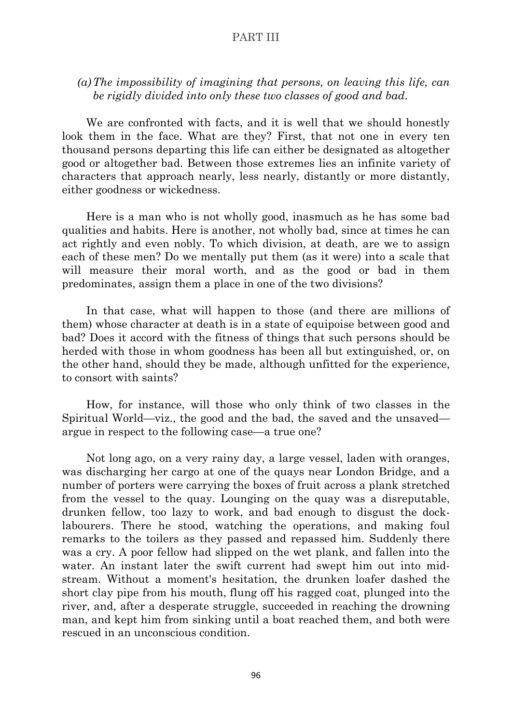# *(a)The impossibility of imagining that persons, on leaving this life, can be rigidly divided into only these two classes of good and bad.*

We are confronted with facts, and it is well that we should honestly look them in the face. What are they? First, that not one in every ten thousand persons departing this life can either be designated as altogether good or altogether bad. Between those extremes lies an infinite variety of characters that approach nearly, less nearly, distantly or more distantly, either goodness or wickedness.

Here is a man who is not wholly good, inasmuch as he has some bad qualities and habits. Here is another, not wholly bad, since at times he can act rightly and even nobly. To which division, at death, are we to assign each of these men? Do we mentally put them (as it were) into a scale that will measure their moral worth, and as the good or bad in them predominates, assign them a place in one of the two divisions?

In that case, what will happen to those (and there are millions of them) whose character at death is in a state of equipoise between good and bad? Does it accord with the fitness of things that such persons should be herded with those in whom goodness has been all but extinguished, or, on the other hand, should they be made, although unfitted for the experience, to consort with saints?

How, for instance, will those who only think of two classes in the Spiritual World—viz., the good and the bad, the saved and the unsaved argue in respect to the following case—a true one?

Not long ago, on a very rainy day, a large vessel, laden with oranges, was discharging her cargo at one of the quays near London Bridge, and a number of porters were carrying the boxes of fruit across a plank stretched from the vessel to the quay. Lounging on the quay was a disreputable, drunken fellow, too lazy to work, and bad enough to disgust the docklabourers. There he stood, watching the operations, and making foul remarks to the toilers as they passed and repassed him. Suddenly there was a cry. A poor fellow had slipped on the wet plank, and fallen into the water. An instant later the swift current had swept him out into midstream. Without a moment's hesitation, the drunken loafer dashed the short clay pipe from his mouth, flung off his ragged coat, plunged into the river, and, after a desperate struggle, succeeded in reaching the drowning man, and kept him from sinking until a boat reached them, and both were rescued in an unconscious condition.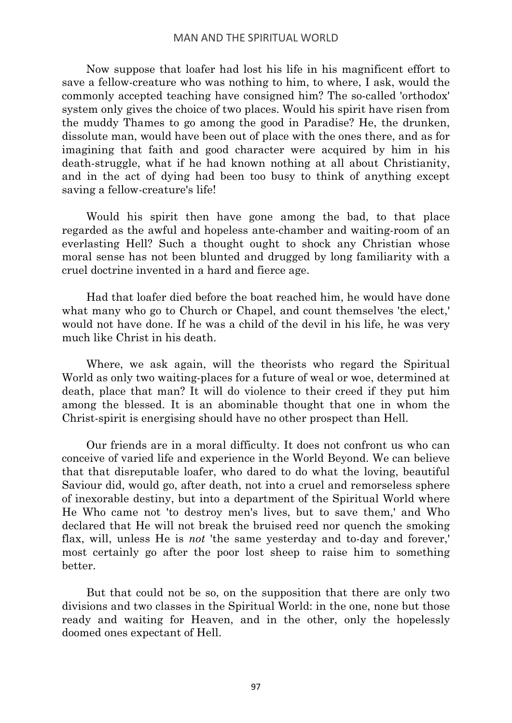#### MAN AND THE SPIRITUAL WORLD

Now suppose that loafer had lost his life in his magnificent effort to save a fellow-creature who was nothing to him, to where, I ask, would the commonly accepted teaching have consigned him? The so-called 'orthodox' system only gives the choice of two places. Would his spirit have risen from the muddy Thames to go among the good in Paradise? He, the drunken, dissolute man, would have been out of place with the ones there, and as for imagining that faith and good character were acquired by him in his death-struggle, what if he had known nothing at all about Christianity, and in the act of dying had been too busy to think of anything except saving a fellow-creature's life!

Would his spirit then have gone among the bad, to that place regarded as the awful and hopeless ante-chamber and waiting-room of an everlasting Hell? Such a thought ought to shock any Christian whose moral sense has not been blunted and drugged by long familiarity with a cruel doctrine invented in a hard and fierce age.

Had that loafer died before the boat reached him, he would have done what many who go to Church or Chapel, and count themselves 'the elect,' would not have done. If he was a child of the devil in his life, he was very much like Christ in his death.

Where, we ask again, will the theorists who regard the Spiritual World as only two waiting-places for a future of weal or woe, determined at death, place that man? It will do violence to their creed if they put him among the blessed. It is an abominable thought that one in whom the Christ-spirit is energising should have no other prospect than Hell.

Our friends are in a moral difficulty. It does not confront us who can conceive of varied life and experience in the World Beyond. We can believe that that disreputable loafer, who dared to do what the loving, beautiful Saviour did, would go, after death, not into a cruel and remorseless sphere of inexorable destiny, but into a department of the Spiritual World where He Who came not 'to destroy men's lives, but to save them,' and Who declared that He will not break the bruised reed nor quench the smoking flax, will, unless He is *not* 'the same yesterday and to-day and forever,' most certainly go after the poor lost sheep to raise him to something better.

But that could not be so, on the supposition that there are only two divisions and two classes in the Spiritual World: in the one, none but those ready and waiting for Heaven, and in the other, only the hopelessly doomed ones expectant of Hell.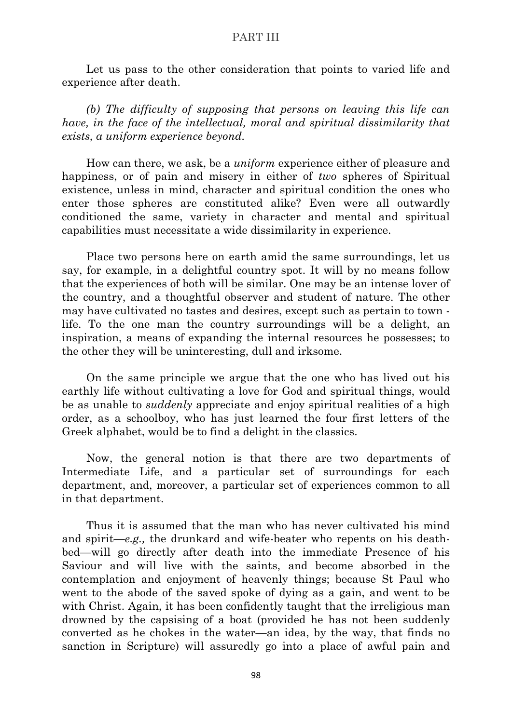Let us pass to the other consideration that points to varied life and experience after death.

*(b) The difficulty of supposing that persons on leaving this life can have, in the face of the intellectual, moral and spiritual dissimilarity that exists, a uniform experience beyond.*

How can there, we ask, be a *uniform* experience either of pleasure and happiness, or of pain and misery in either of *two* spheres of Spiritual existence, unless in mind, character and spiritual condition the ones who enter those spheres are constituted alike? Even were all outwardly conditioned the same, variety in character and mental and spiritual capabilities must necessitate a wide dissimilarity in experience.

Place two persons here on earth amid the same surroundings, let us say, for example, in a delightful country spot. It will by no means follow that the experiences of both will be similar. One may be an intense lover of the country, and a thoughtful observer and student of nature. The other may have cultivated no tastes and desires, except such as pertain to town life. To the one man the country surroundings will be a delight, an inspiration, a means of expanding the internal resources he possesses; to the other they will be uninteresting, dull and irksome.

On the same principle we argue that the one who has lived out his earthly life without cultivating a love for God and spiritual things, would be as unable to *suddenly* appreciate and enjoy spiritual realities of a high order, as a schoolboy, who has just learned the four first letters of the Greek alphabet, would be to find a delight in the classics.

Now, the general notion is that there are two departments of Intermediate Life, and a particular set of surroundings for each department, and, moreover, a particular set of experiences common to all in that department.

Thus it is assumed that the man who has never cultivated his mind and spirit—*e.g.,* the drunkard and wife-beater who repents on his deathbed—will go directly after death into the immediate Presence of his Saviour and will live with the saints, and become absorbed in the contemplation and enjoyment of heavenly things; because St Paul who went to the abode of the saved spoke of dying as a gain, and went to be with Christ. Again, it has been confidently taught that the irreligious man drowned by the capsising of a boat (provided he has not been suddenly converted as he chokes in the water—an idea, by the way, that finds no sanction in Scripture) will assuredly go into a place of awful pain and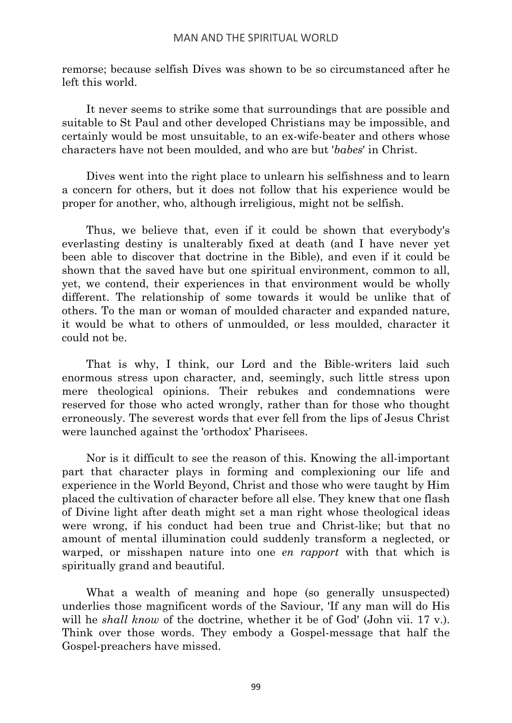remorse; because selfish Dives was shown to be so circumstanced after he left this world.

It never seems to strike some that surroundings that are possible and suitable to St Paul and other developed Christians may be impossible, and certainly would be most unsuitable, to an ex-wife-beater and others whose characters have not been moulded, and who are but '*babes*' in Christ.

Dives went into the right place to unlearn his selfishness and to learn a concern for others, but it does not follow that his experience would be proper for another, who, although irreligious, might not be selfish.

Thus, we believe that, even if it could be shown that everybody's everlasting destiny is unalterably fixed at death (and I have never yet been able to discover that doctrine in the Bible), and even if it could be shown that the saved have but one spiritual environment, common to all, yet, we contend, their experiences in that environment would be wholly different. The relationship of some towards it would be unlike that of others. To the man or woman of moulded character and expanded nature, it would be what to others of unmoulded, or less moulded, character it could not be.

That is why, I think, our Lord and the Bible-writers laid such enormous stress upon character, and, seemingly, such little stress upon mere theological opinions. Their rebukes and condemnations were reserved for those who acted wrongly, rather than for those who thought erroneously. The severest words that ever fell from the lips of Jesus Christ were launched against the 'orthodox' Pharisees.

Nor is it difficult to see the reason of this. Knowing the all-important part that character plays in forming and complexioning our life and experience in the World Beyond, Christ and those who were taught by Him placed the cultivation of character before all else. They knew that one flash of Divine light after death might set a man right whose theological ideas were wrong, if his conduct had been true and Christ-like; but that no amount of mental illumination could suddenly transform a neglected, or warped, or misshapen nature into one *en rapport* with that which is spiritually grand and beautiful.

What a wealth of meaning and hope (so generally unsuspected) underlies those magnificent words of the Saviour, 'If any man will do His will he *shall know* of the doctrine, whether it be of God' (John vii. 17 v.). Think over those words. They embody a Gospel-message that half the Gospel-preachers have missed.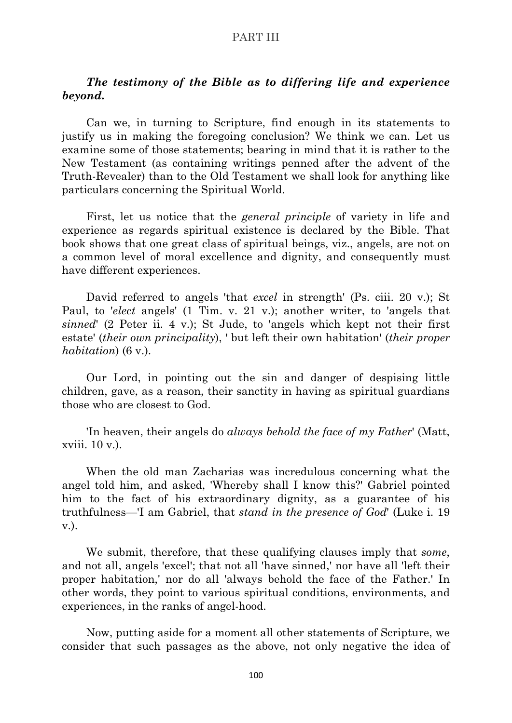# *The testimony of the Bible as to differing life and experience beyond.*

Can we, in turning to Scripture, find enough in its statements to justify us in making the foregoing conclusion? We think we can. Let us examine some of those statements; bearing in mind that it is rather to the New Testament (as containing writings penned after the advent of the Truth-Revealer) than to the Old Testament we shall look for anything like particulars concerning the Spiritual World.

First, let us notice that the *general principle* of variety in life and experience as regards spiritual existence is declared by the Bible. That book shows that one great class of spiritual beings, viz., angels, are not on a common level of moral excellence and dignity, and consequently must have different experiences.

David referred to angels 'that *excel* in strength' (Ps. ciii. 20 v.); St Paul, to '*elect* angels' (1 Tim. v. 21 v.); another writer, to 'angels that *sinned*' (2 Peter ii. 4 v.); St Jude, to 'angels which kept not their first estate' (*their own principality*), ' but left their own habitation' (*their proper habitation*) (6 v.).

Our Lord, in pointing out the sin and danger of despising little children, gave, as a reason, their sanctity in having as spiritual guardians those who are closest to God.

'In heaven, their angels do *always behold the face of my Father*' (Matt, xviii. 10 v.).

When the old man Zacharias was incredulous concerning what the angel told him, and asked, 'Whereby shall I know this?' Gabriel pointed him to the fact of his extraordinary dignity, as a guarantee of his truthfulness—'I am Gabriel, that *stand in the presence of God*' (Luke i. 19 v.).

We submit, therefore, that these qualifying clauses imply that *some*, and not all, angels 'excel'; that not all 'have sinned,' nor have all 'left their proper habitation,' nor do all 'always behold the face of the Father.' In other words, they point to various spiritual conditions, environments, and experiences, in the ranks of angel-hood.

Now, putting aside for a moment all other statements of Scripture, we consider that such passages as the above, not only negative the idea of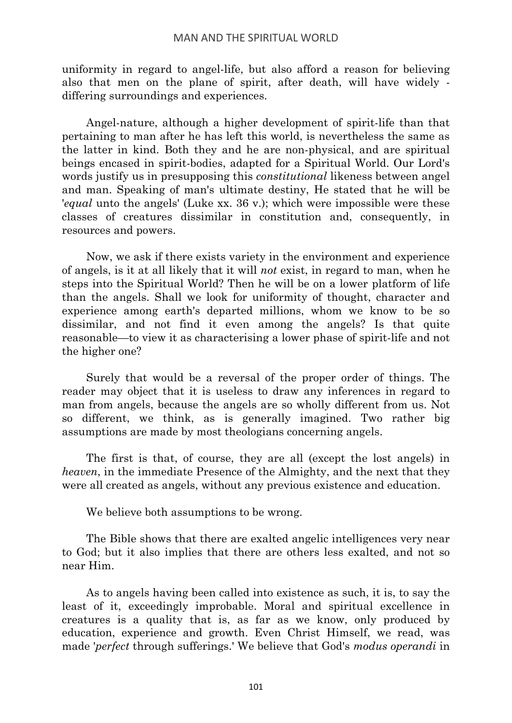uniformity in regard to angel-life, but also afford a reason for believing also that men on the plane of spirit, after death, will have widely differing surroundings and experiences.

Angel-nature, although a higher development of spirit-life than that pertaining to man after he has left this world, is nevertheless the same as the latter in kind. Both they and he are non-physical, and are spiritual beings encased in spirit-bodies, adapted for a Spiritual World. Our Lord's words justify us in presupposing this *constitutional* likeness between angel and man. Speaking of man's ultimate destiny, He stated that he will be '*equal* unto the angels' (Luke xx. 36 v.); which were impossible were these classes of creatures dissimilar in constitution and, consequently, in resources and powers.

Now, we ask if there exists variety in the environment and experience of angels, is it at all likely that it will *not* exist, in regard to man, when he steps into the Spiritual World? Then he will be on a lower platform of life than the angels. Shall we look for uniformity of thought, character and experience among earth's departed millions, whom we know to be so dissimilar, and not find it even among the angels? Is that quite reasonable—to view it as characterising a lower phase of spirit-life and not the higher one?

Surely that would be a reversal of the proper order of things. The reader may object that it is useless to draw any inferences in regard to man from angels, because the angels are so wholly different from us. Not so different, we think, as is generally imagined. Two rather big assumptions are made by most theologians concerning angels.

The first is that, of course, they are all (except the lost angels) in *heaven*, in the immediate Presence of the Almighty, and the next that they were all created as angels, without any previous existence and education.

We believe both assumptions to be wrong.

The Bible shows that there are exalted angelic intelligences very near to God; but it also implies that there are others less exalted, and not so near Him.

As to angels having been called into existence as such, it is, to say the least of it, exceedingly improbable. Moral and spiritual excellence in creatures is a quality that is, as far as we know, only produced by education, experience and growth. Even Christ Himself, we read, was made '*perfect* through sufferings.' We believe that God's *modus operandi* in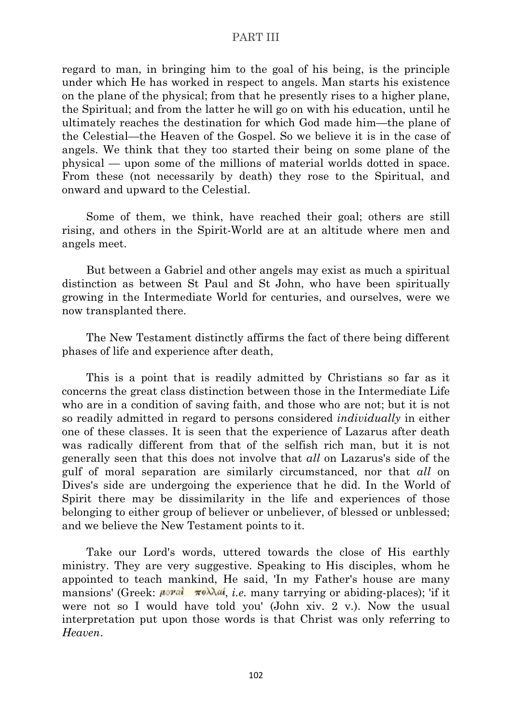regard to man, in bringing him to the goal of his being, is the principle under which He has worked in respect to angels. Man starts his existence on the plane of the physical; from that he presently rises to a higher plane, the Spiritual; and from the latter he will go on with his education, until he ultimately reaches the destination for which God made him—the plane of the Celestial—the Heaven of the Gospel. So we believe it is in the case of angels. We think that they too started their being on some plane of the physical — upon some of the millions of material worlds dotted in space. From these (not necessarily by death) they rose to the Spiritual, and onward and upward to the Celestial.

Some of them, we think, have reached their goal; others are still rising, and others in the Spirit-World are at an altitude where men and angels meet.

But between a Gabriel and other angels may exist as much a spiritual distinction as between St Paul and St John, who have been spiritually growing in the Intermediate World for centuries, and ourselves, were we now transplanted there.

The New Testament distinctly affirms the fact of there being different phases of life and experience after death,

This is a point that is readily admitted by Christians so far as it concerns the great class distinction between those in the Intermediate Life who are in a condition of saving faith, and those who are not; but it is not so readily admitted in regard to persons considered *individually* in either one of these classes. It is seen that the experience of Lazarus after death was radically different from that of the selfish rich man, but it is not generally seen that this does not involve that *all* on Lazarus's side of the gulf of moral separation are similarly circumstanced, nor that *all* on Dives's side are undergoing the experience that he did. In the World of Spirit there may be dissimilarity in the life and experiences of those belonging to either group of believer or unbeliever, of blessed or unblessed; and we believe the New Testament points to it.

Take our Lord's words, uttered towards the close of His earthly ministry. They are very suggestive. Speaking to His disciples, whom he appointed to teach mankind, He said, 'In my Father's house are many mansions' (Greek:  $\mu$ *oral*  $\pi$ <sup>o</sup> $\lambda \lambda a$ , *i.e.* many tarrying or abiding-places); 'if it were not so I would have told you' (John xiv. 2 v.). Now the usual interpretation put upon those words is that Christ was only referring to *Heaven*.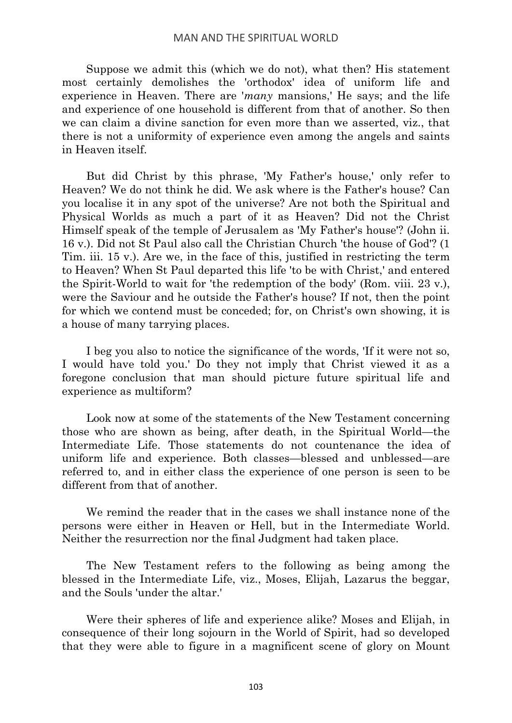Suppose we admit this (which we do not), what then? His statement most certainly demolishes the 'orthodox' idea of uniform life and experience in Heaven. There are '*many* mansions,' He says; and the life and experience of one household is different from that of another. So then we can claim a divine sanction for even more than we asserted, viz., that there is not a uniformity of experience even among the angels and saints in Heaven itself.

But did Christ by this phrase, 'My Father's house,' only refer to Heaven? We do not think he did. We ask where is the Father's house? Can you localise it in any spot of the universe? Are not both the Spiritual and Physical Worlds as much a part of it as Heaven? Did not the Christ Himself speak of the temple of Jerusalem as 'My Father's house'? (John ii. 16 v.). Did not St Paul also call the Christian Church 'the house of God'? (1 Tim. iii. 15 v.). Are we, in the face of this, justified in restricting the term to Heaven? When St Paul departed this life 'to be with Christ,' and entered the Spirit-World to wait for 'the redemption of the body' (Rom. viii. 23 v.), were the Saviour and he outside the Father's house? If not, then the point for which we contend must be conceded; for, on Christ's own showing, it is a house of many tarrying places.

I beg you also to notice the significance of the words, 'If it were not so, I would have told you.' Do they not imply that Christ viewed it as a foregone conclusion that man should picture future spiritual life and experience as multiform?

Look now at some of the statements of the New Testament concerning those who are shown as being, after death, in the Spiritual World—the Intermediate Life. Those statements do not countenance the idea of uniform life and experience. Both classes—blessed and unblessed—are referred to, and in either class the experience of one person is seen to be different from that of another

We remind the reader that in the cases we shall instance none of the persons were either in Heaven or Hell, but in the Intermediate World. Neither the resurrection nor the final Judgment had taken place.

The New Testament refers to the following as being among the blessed in the Intermediate Life, viz., Moses, Elijah, Lazarus the beggar, and the Souls 'under the altar.'

Were their spheres of life and experience alike? Moses and Elijah, in consequence of their long sojourn in the World of Spirit, had so developed that they were able to figure in a magnificent scene of glory on Mount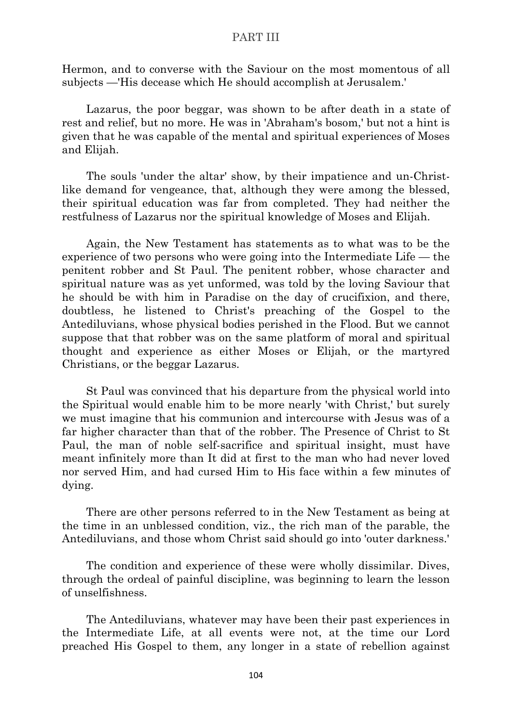Hermon, and to converse with the Saviour on the most momentous of all subjects —'His decease which He should accomplish at Jerusalem.'

Lazarus, the poor beggar, was shown to be after death in a state of rest and relief, but no more. He was in 'Abraham's bosom,' but not a hint is given that he was capable of the mental and spiritual experiences of Moses and Elijah.

The souls 'under the altar' show, by their impatience and un-Christlike demand for vengeance, that, although they were among the blessed, their spiritual education was far from completed. They had neither the restfulness of Lazarus nor the spiritual knowledge of Moses and Elijah.

Again, the New Testament has statements as to what was to be the experience of two persons who were going into the Intermediate Life — the penitent robber and St Paul. The penitent robber, whose character and spiritual nature was as yet unformed, was told by the loving Saviour that he should be with him in Paradise on the day of crucifixion, and there, doubtless, he listened to Christ's preaching of the Gospel to the Antediluvians, whose physical bodies perished in the Flood. But we cannot suppose that that robber was on the same platform of moral and spiritual thought and experience as either Moses or Elijah, or the martyred Christians, or the beggar Lazarus.

St Paul was convinced that his departure from the physical world into the Spiritual would enable him to be more nearly 'with Christ,' but surely we must imagine that his communion and intercourse with Jesus was of a far higher character than that of the robber. The Presence of Christ to St Paul, the man of noble self-sacrifice and spiritual insight, must have meant infinitely more than It did at first to the man who had never loved nor served Him, and had cursed Him to His face within a few minutes of dying.

There are other persons referred to in the New Testament as being at the time in an unblessed condition, viz., the rich man of the parable, the Antediluvians, and those whom Christ said should go into 'outer darkness.'

The condition and experience of these were wholly dissimilar. Dives, through the ordeal of painful discipline, was beginning to learn the lesson of unselfishness.

The Antediluvians, whatever may have been their past experiences in the Intermediate Life, at all events were not, at the time our Lord preached His Gospel to them, any longer in a state of rebellion against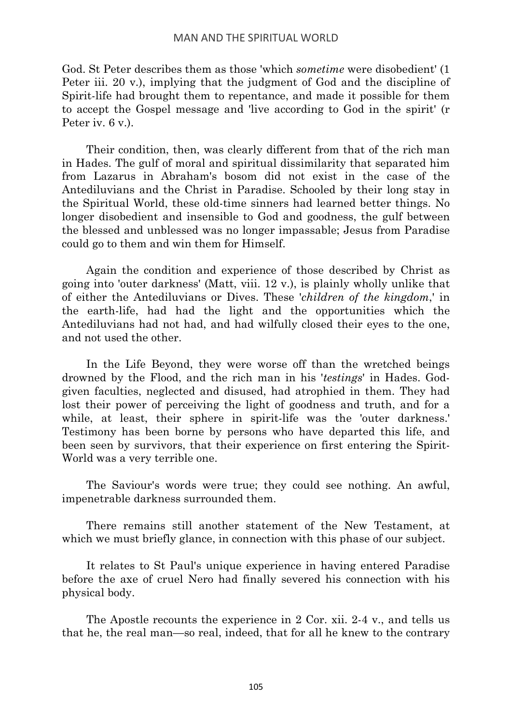### MAN AND THE SPIRITUAL WORLD

God. St Peter describes them as those 'which *sometime* were disobedient' (1 Peter iii. 20 v.), implying that the judgment of God and the discipline of Spirit-life had brought them to repentance, and made it possible for them to accept the Gospel message and 'live according to God in the spirit' (r Peter iv. 6 v.).

Their condition, then, was clearly different from that of the rich man in Hades. The gulf of moral and spiritual dissimilarity that separated him from Lazarus in Abraham's bosom did not exist in the case of the Antediluvians and the Christ in Paradise. Schooled by their long stay in the Spiritual World, these old-time sinners had learned better things. No longer disobedient and insensible to God and goodness, the gulf between the blessed and unblessed was no longer impassable; Jesus from Paradise could go to them and win them for Himself.

Again the condition and experience of those described by Christ as going into 'outer darkness' (Matt, viii. 12 v.), is plainly wholly unlike that of either the Antediluvians or Dives. These '*children of the kingdom*,' in the earth-life, had had the light and the opportunities which the Antediluvians had not had, and had wilfully closed their eyes to the one, and not used the other.

In the Life Beyond, they were worse off than the wretched beings drowned by the Flood, and the rich man in his '*testings*' in Hades. Godgiven faculties, neglected and disused, had atrophied in them. They had lost their power of perceiving the light of goodness and truth, and for a while, at least, their sphere in spirit-life was the 'outer darkness.' Testimony has been borne by persons who have departed this life, and been seen by survivors, that their experience on first entering the Spirit-World was a very terrible one.

The Saviour's words were true; they could see nothing. An awful, impenetrable darkness surrounded them.

There remains still another statement of the New Testament, at which we must briefly glance, in connection with this phase of our subject.

It relates to St Paul's unique experience in having entered Paradise before the axe of cruel Nero had finally severed his connection with his physical body.

The Apostle recounts the experience in 2 Cor. xii. 2-4 v., and tells us that he, the real man—so real, indeed, that for all he knew to the contrary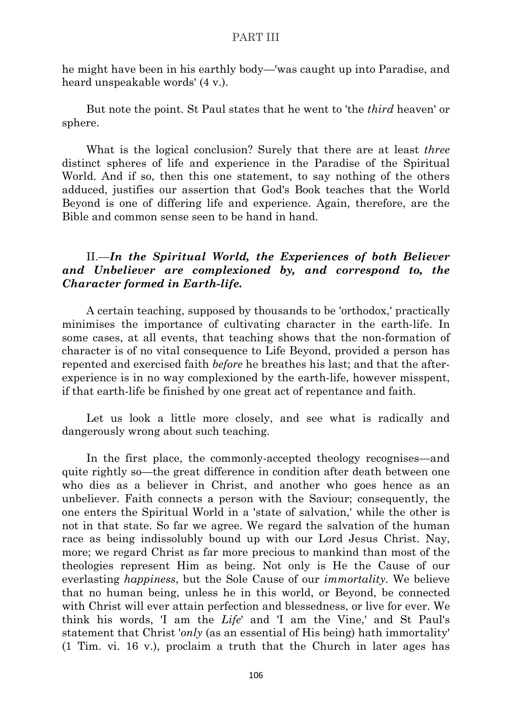he might have been in his earthly body—'was caught up into Paradise, and heard unspeakable words' (4 v.).

But note the point. St Paul states that he went to 'the *third* heaven' or sphere.

What is the logical conclusion? Surely that there are at least *three* distinct spheres of life and experience in the Paradise of the Spiritual World. And if so, then this one statement, to say nothing of the others adduced, justifies our assertion that God's Book teaches that the World Beyond is one of differing life and experience. Again, therefore, are the Bible and common sense seen to be hand in hand.

# II.—*In the Spiritual World, the Experiences of both Believer and Unbeliever are complexioned by, and correspond to, the Character formed in Earth-life.*

A certain teaching, supposed by thousands to be 'orthodox,' practically minimises the importance of cultivating character in the earth-life. In some cases, at all events, that teaching shows that the non-formation of character is of no vital consequence to Life Beyond, provided a person has repented and exercised faith *before* he breathes his last; and that the afterexperience is in no way complexioned by the earth-life, however misspent, if that earth-life be finished by one great act of repentance and faith.

Let us look a little more closely, and see what is radically and dangerously wrong about such teaching.

In the first place, the commonly-accepted theology recognises—and quite rightly so—the great difference in condition after death between one who dies as a believer in Christ, and another who goes hence as an unbeliever. Faith connects a person with the Saviour; consequently, the one enters the Spiritual World in a 'state of salvation,' while the other is not in that state. So far we agree. We regard the salvation of the human race as being indissolubly bound up with our Lord Jesus Christ. Nay, more; we regard Christ as far more precious to mankind than most of the theologies represent Him as being. Not only is He the Cause of our everlasting *happiness*, but the Sole Cause of our *immortality*. We believe that no human being, unless he in this world, or Beyond, be connected with Christ will ever attain perfection and blessedness, or live for ever. We think his words, 'I am the *Life*' and 'I am the Vine,' and St Paul's statement that Christ '*only* (as an essential of His being) hath immortality' (1 Tim. vi. 16 v.), proclaim a truth that the Church in later ages has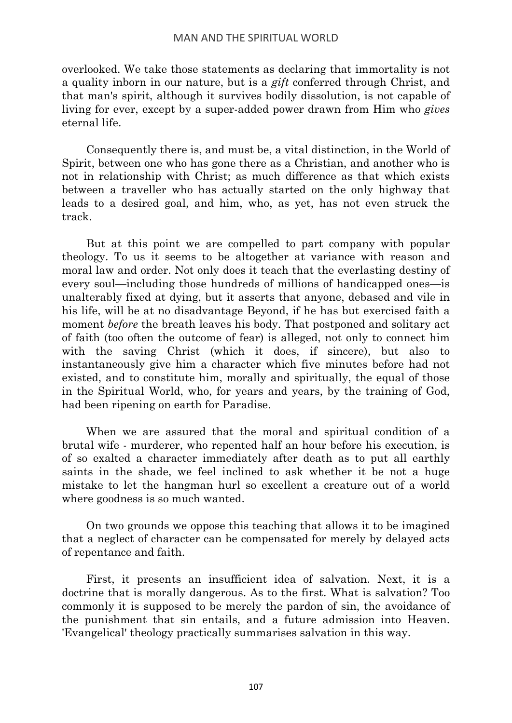### MAN AND THE SPIRITUAL WORLD

overlooked. We take those statements as declaring that immortality is not a quality inborn in our nature, but is a *gift* conferred through Christ, and that man's spirit, although it survives bodily dissolution, is not capable of living for ever, except by a super-added power drawn from Him who *gives* eternal life.

Consequently there is, and must be, a vital distinction, in the World of Spirit, between one who has gone there as a Christian, and another who is not in relationship with Christ; as much difference as that which exists between a traveller who has actually started on the only highway that leads to a desired goal, and him, who, as yet, has not even struck the track.

But at this point we are compelled to part company with popular theology. To us it seems to be altogether at variance with reason and moral law and order. Not only does it teach that the everlasting destiny of every soul—including those hundreds of millions of handicapped ones—is unalterably fixed at dying, but it asserts that anyone, debased and vile in his life, will be at no disadvantage Beyond, if he has but exercised faith a moment *before* the breath leaves his body. That postponed and solitary act of faith (too often the outcome of fear) is alleged, not only to connect him with the saving Christ (which it does, if sincere), but also to instantaneously give him a character which five minutes before had not existed, and to constitute him, morally and spiritually, the equal of those in the Spiritual World, who, for years and years, by the training of God, had been ripening on earth for Paradise.

When we are assured that the moral and spiritual condition of a brutal wife - murderer, who repented half an hour before his execution, is of so exalted a character immediately after death as to put all earthly saints in the shade, we feel inclined to ask whether it be not a huge mistake to let the hangman hurl so excellent a creature out of a world where goodness is so much wanted.

On two grounds we oppose this teaching that allows it to be imagined that a neglect of character can be compensated for merely by delayed acts of repentance and faith.

First, it presents an insufficient idea of salvation. Next, it is a doctrine that is morally dangerous. As to the first. What is salvation? Too commonly it is supposed to be merely the pardon of sin, the avoidance of the punishment that sin entails, and a future admission into Heaven. 'Evangelical' theology practically summarises salvation in this way.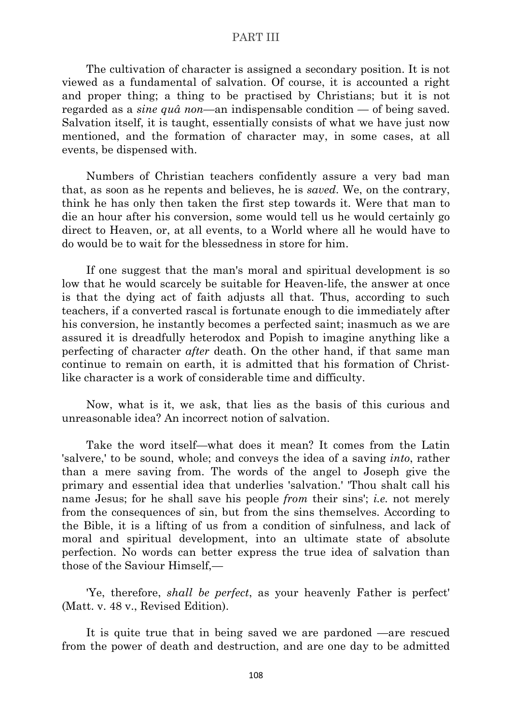The cultivation of character is assigned a secondary position. It is not viewed as a fundamental of salvation. Of course, it is accounted a right and proper thing; a thing to be practised by Christians; but it is not regarded as a *sine quâ non*—an indispensable condition — of being saved. Salvation itself, it is taught, essentially consists of what we have just now mentioned, and the formation of character may, in some cases, at all events, be dispensed with.

Numbers of Christian teachers confidently assure a very bad man that, as soon as he repents and believes, he is *saved*. We, on the contrary, think he has only then taken the first step towards it. Were that man to die an hour after his conversion, some would tell us he would certainly go direct to Heaven, or, at all events, to a World where all he would have to do would be to wait for the blessedness in store for him.

If one suggest that the man's moral and spiritual development is so low that he would scarcely be suitable for Heaven-life, the answer at once is that the dying act of faith adjusts all that. Thus, according to such teachers, if a converted rascal is fortunate enough to die immediately after his conversion, he instantly becomes a perfected saint; inasmuch as we are assured it is dreadfully heterodox and Popish to imagine anything like a perfecting of character *after* death. On the other hand, if that same man continue to remain on earth, it is admitted that his formation of Christlike character is a work of considerable time and difficulty.

Now, what is it, we ask, that lies as the basis of this curious and unreasonable idea? An incorrect notion of salvation.

Take the word itself—what does it mean? It comes from the Latin 'salvere,' to be sound, whole; and conveys the idea of a saving *into*, rather than a mere saving from. The words of the angel to Joseph give the primary and essential idea that underlies 'salvation.' 'Thou shalt call his name Jesus; for he shall save his people *from* their sins'; *i.e.* not merely from the consequences of sin, but from the sins themselves. According to the Bible, it is a lifting of us from a condition of sinfulness, and lack of moral and spiritual development, into an ultimate state of absolute perfection. No words can better express the true idea of salvation than those of the Saviour Himself,—

'Ye, therefore, *shall be perfect*, as your heavenly Father is perfect' (Matt. v. 48 v., Revised Edition).

It is quite true that in being saved we are pardoned —are rescued from the power of death and destruction, and are one day to be admitted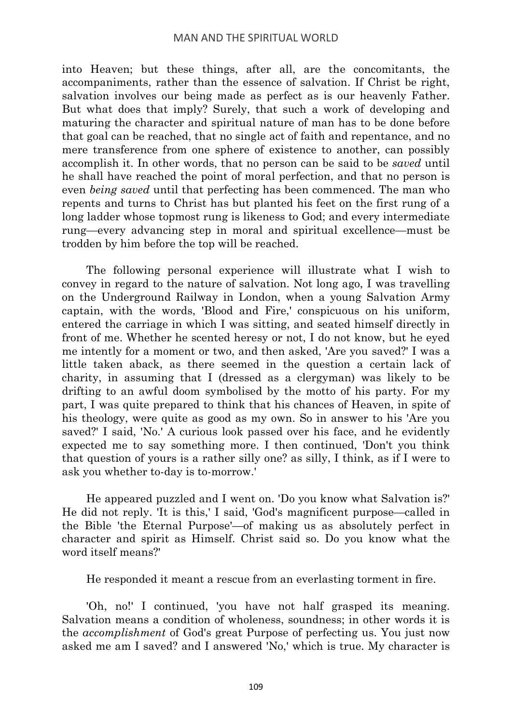# MAN AND THE SPIRITUAL WORLD

into Heaven; but these things, after all, are the concomitants, the accompaniments, rather than the essence of salvation. If Christ be right, salvation involves our being made as perfect as is our heavenly Father. But what does that imply? Surely, that such a work of developing and maturing the character and spiritual nature of man has to be done before that goal can be reached, that no single act of faith and repentance, and no mere transference from one sphere of existence to another, can possibly accomplish it. In other words, that no person can be said to be *saved* until he shall have reached the point of moral perfection, and that no person is even *being saved* until that perfecting has been commenced. The man who repents and turns to Christ has but planted his feet on the first rung of a long ladder whose topmost rung is likeness to God; and every intermediate rung—every advancing step in moral and spiritual excellence—must be trodden by him before the top will be reached.

The following personal experience will illustrate what I wish to convey in regard to the nature of salvation. Not long ago, I was travelling on the Underground Railway in London, when a young Salvation Army captain, with the words, 'Blood and Fire,' conspicuous on his uniform, entered the carriage in which I was sitting, and seated himself directly in front of me. Whether he scented heresy or not, I do not know, but he eyed me intently for a moment or two, and then asked, 'Are you saved?' I was a little taken aback, as there seemed in the question a certain lack of charity, in assuming that I (dressed as a clergyman) was likely to be drifting to an awful doom symbolised by the motto of his party. For my part, I was quite prepared to think that his chances of Heaven, in spite of his theology, were quite as good as my own. So in answer to his 'Are you saved?' I said, 'No.' A curious look passed over his face, and he evidently expected me to say something more. I then continued, 'Don't you think that question of yours is a rather silly one? as silly, I think, as if I were to ask you whether to-day is to-morrow.'

He appeared puzzled and I went on. 'Do you know what Salvation is?' He did not reply. 'It is this,' I said, 'God's magnificent purpose—called in the Bible 'the Eternal Purpose'—of making us as absolutely perfect in character and spirit as Himself. Christ said so. Do you know what the word itself means?'

He responded it meant a rescue from an everlasting torment in fire.

'Oh, no!' I continued, 'you have not half grasped its meaning. Salvation means a condition of wholeness, soundness; in other words it is the *accomplishment* of God's great Purpose of perfecting us. You just now asked me am I saved? and I answered 'No,' which is true. My character is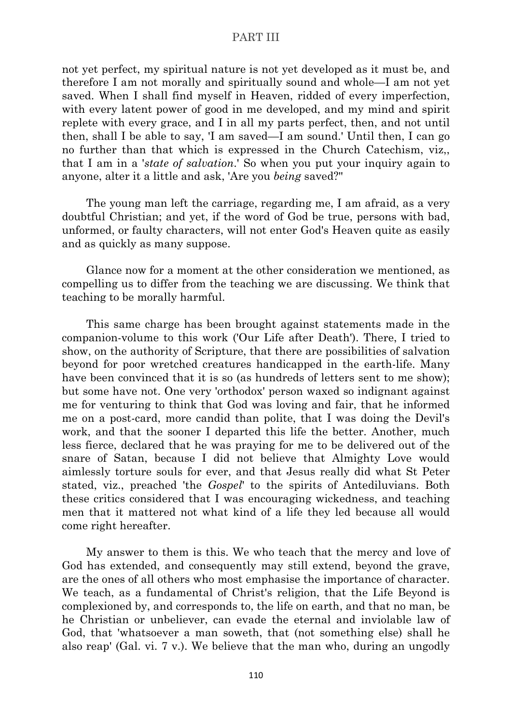not yet perfect, my spiritual nature is not yet developed as it must be, and therefore I am not morally and spiritually sound and whole—I am not yet saved. When I shall find myself in Heaven, ridded of every imperfection, with every latent power of good in me developed, and my mind and spirit replete with every grace, and I in all my parts perfect, then, and not until then, shall I be able to say, 'I am saved—I am sound.' Until then, I can go no further than that which is expressed in the Church Catechism, viz,, that I am in a '*state of salvation*.' So when you put your inquiry again to anyone, alter it a little and ask, 'Are you *being* saved?''

The young man left the carriage, regarding me, I am afraid, as a very doubtful Christian; and yet, if the word of God be true, persons with bad, unformed, or faulty characters, will not enter God's Heaven quite as easily and as quickly as many suppose.

Glance now for a moment at the other consideration we mentioned, as compelling us to differ from the teaching we are discussing. We think that teaching to be morally harmful.

This same charge has been brought against statements made in the companion-volume to this work ('Our Life after Death'). There, I tried to show, on the authority of Scripture, that there are possibilities of salvation beyond for poor wretched creatures handicapped in the earth-life. Many have been convinced that it is so (as hundreds of letters sent to me show); but some have not. One very 'orthodox' person waxed so indignant against me for venturing to think that God was loving and fair, that he informed me on a post-card, more candid than polite, that I was doing the Devil's work, and that the sooner I departed this life the better. Another, much less fierce, declared that he was praying for me to be delivered out of the snare of Satan, because I did not believe that Almighty Love would aimlessly torture souls for ever, and that Jesus really did what St Peter stated, viz., preached 'the *Gospel*' to the spirits of Antediluvians. Both these critics considered that I was encouraging wickedness, and teaching men that it mattered not what kind of a life they led because all would come right hereafter.

My answer to them is this. We who teach that the mercy and love of God has extended, and consequently may still extend, beyond the grave, are the ones of all others who most emphasise the importance of character. We teach, as a fundamental of Christ's religion, that the Life Beyond is complexioned by, and corresponds to, the life on earth, and that no man, be he Christian or unbeliever, can evade the eternal and inviolable law of God, that 'whatsoever a man soweth, that (not something else) shall he also reap' (Gal. vi. 7 v.). We believe that the man who, during an ungodly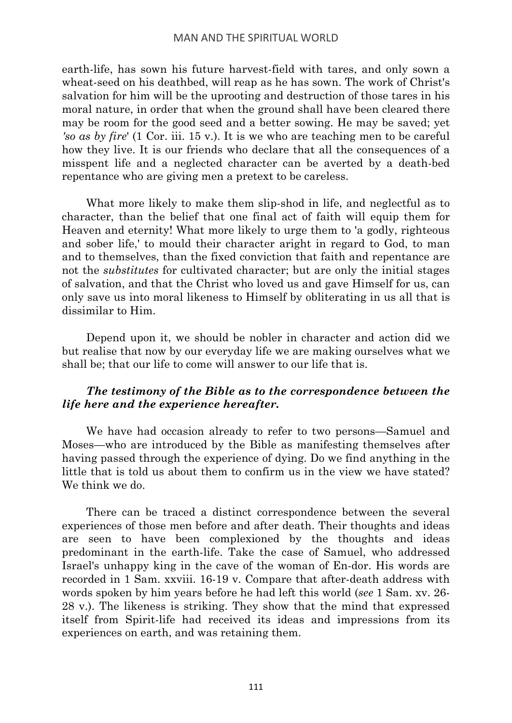earth-life, has sown his future harvest-field with tares, and only sown a wheat-seed on his deathbed, will reap as he has sown. The work of Christ's salvation for him will be the uprooting and destruction of those tares in his moral nature, in order that when the ground shall have been cleared there may be room for the good seed and a better sowing. He may be saved; yet *'so as by fire*' (1 Cor. iii. 15 v.). It is we who are teaching men to be careful how they live. It is our friends who declare that all the consequences of a misspent life and a neglected character can be averted by a death-bed repentance who are giving men a pretext to be careless.

What more likely to make them slip-shod in life, and neglectful as to character, than the belief that one final act of faith will equip them for Heaven and eternity! What more likely to urge them to 'a godly, righteous and sober life,' to mould their character aright in regard to God, to man and to themselves, than the fixed conviction that faith and repentance are not the *substitutes* for cultivated character; but are only the initial stages of salvation, and that the Christ who loved us and gave Himself for us, can only save us into moral likeness to Himself by obliterating in us all that is dissimilar to Him.

Depend upon it, we should be nobler in character and action did we but realise that now by our everyday life we are making ourselves what we shall be; that our life to come will answer to our life that is.

# *The testimony of the Bible as to the correspondence between the life here and the experience hereafter.*

We have had occasion already to refer to two persons—Samuel and Moses—who are introduced by the Bible as manifesting themselves after having passed through the experience of dying. Do we find anything in the little that is told us about them to confirm us in the view we have stated? We think we do.

There can be traced a distinct correspondence between the several experiences of those men before and after death. Their thoughts and ideas are seen to have been complexioned by the thoughts and ideas predominant in the earth-life. Take the case of Samuel, who addressed Israel's unhappy king in the cave of the woman of En-dor. His words are recorded in 1 Sam. xxviii. 16-19 v. Compare that after-death address with words spoken by him years before he had left this world (*see* 1 Sam. xv. 26- 28 v.). The likeness is striking. They show that the mind that expressed itself from Spirit-life had received its ideas and impressions from its experiences on earth, and was retaining them.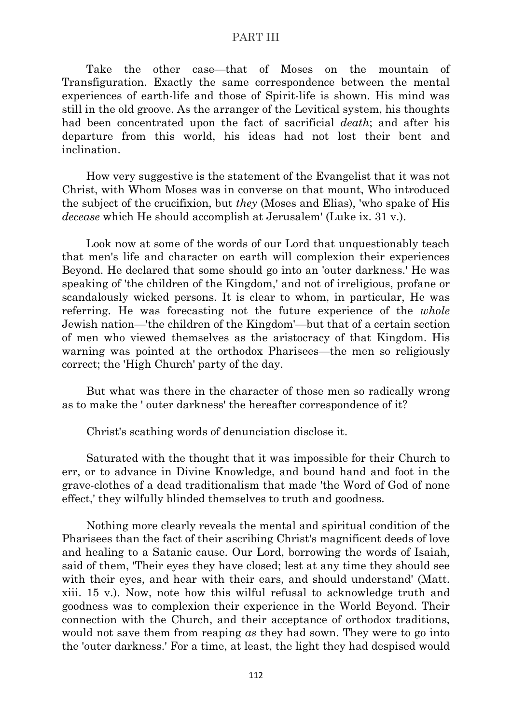Take the other case—that of Moses on the mountain of Transfiguration. Exactly the same correspondence between the mental experiences of earth-life and those of Spirit-life is shown. His mind was still in the old groove. As the arranger of the Levitical system, his thoughts had been concentrated upon the fact of sacrificial *death*; and after his departure from this world, his ideas had not lost their bent and inclination.

How very suggestive is the statement of the Evangelist that it was not Christ, with Whom Moses was in converse on that mount, Who introduced the subject of the crucifixion, but *they* (Moses and Elias), 'who spake of His *decease* which He should accomplish at Jerusalem' (Luke ix. 31 v.).

Look now at some of the words of our Lord that unquestionably teach that men's life and character on earth will complexion their experiences Beyond. He declared that some should go into an 'outer darkness.' He was speaking of 'the children of the Kingdom,' and not of irreligious, profane or scandalously wicked persons. It is clear to whom, in particular, He was referring. He was forecasting not the future experience of the *whole* Jewish nation—'the children of the Kingdom'—but that of a certain section of men who viewed themselves as the aristocracy of that Kingdom. His warning was pointed at the orthodox Pharisees—the men so religiously correct; the 'High Church' party of the day.

But what was there in the character of those men so radically wrong as to make the ' outer darkness' the hereafter correspondence of it?

Christ's scathing words of denunciation disclose it.

Saturated with the thought that it was impossible for their Church to err, or to advance in Divine Knowledge, and bound hand and foot in the grave-clothes of a dead traditionalism that made 'the Word of God of none effect,' they wilfully blinded themselves to truth and goodness.

Nothing more clearly reveals the mental and spiritual condition of the Pharisees than the fact of their ascribing Christ's magnificent deeds of love and healing to a Satanic cause. Our Lord, borrowing the words of Isaiah, said of them, 'Their eyes they have closed; lest at any time they should see with their eyes, and hear with their ears, and should understand' (Matt. xiii. 15 v.). Now, note how this wilful refusal to acknowledge truth and goodness was to complexion their experience in the World Beyond. Their connection with the Church, and their acceptance of orthodox traditions, would not save them from reaping *as* they had sown. They were to go into the 'outer darkness.' For a time, at least, the light they had despised would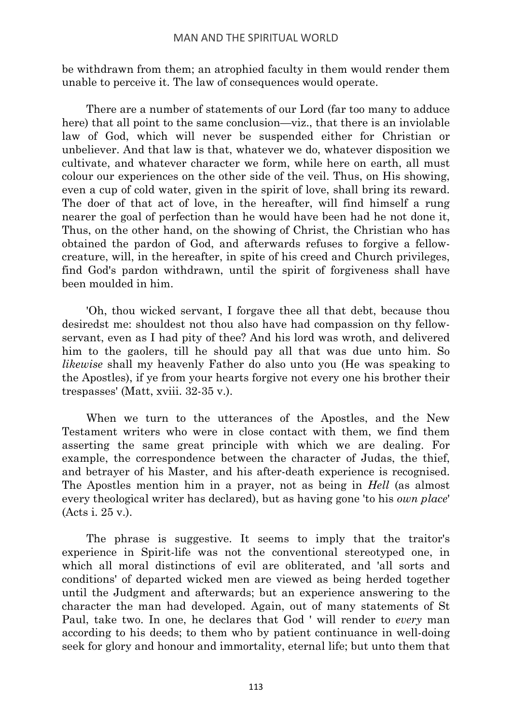# MAN AND THE SPIRITUAL WORLD

be withdrawn from them; an atrophied faculty in them would render them unable to perceive it. The law of consequences would operate.

There are a number of statements of our Lord (far too many to adduce here) that all point to the same conclusion—viz., that there is an inviolable law of God, which will never be suspended either for Christian or unbeliever. And that law is that, whatever we do, whatever disposition we cultivate, and whatever character we form, while here on earth, all must colour our experiences on the other side of the veil. Thus, on His showing, even a cup of cold water, given in the spirit of love, shall bring its reward. The doer of that act of love, in the hereafter, will find himself a rung nearer the goal of perfection than he would have been had he not done it, Thus, on the other hand, on the showing of Christ, the Christian who has obtained the pardon of God, and afterwards refuses to forgive a fellowcreature, will, in the hereafter, in spite of his creed and Church privileges, find God's pardon withdrawn, until the spirit of forgiveness shall have been moulded in him.

'Oh, thou wicked servant, I forgave thee all that debt, because thou desiredst me: shouldest not thou also have had compassion on thy fellowservant, even as I had pity of thee? And his lord was wroth, and delivered him to the gaolers, till he should pay all that was due unto him. So *likewise* shall my heavenly Father do also unto you (He was speaking to the Apostles), if ye from your hearts forgive not every one his brother their trespasses' (Matt, xviii. 32-35 v.).

When we turn to the utterances of the Apostles, and the New Testament writers who were in close contact with them, we find them asserting the same great principle with which we are dealing. For example, the correspondence between the character of Judas, the thief, and betrayer of his Master, and his after-death experience is recognised. The Apostles mention him in a prayer, not as being in *Hell* (as almost every theological writer has declared), but as having gone 'to his *own place*' (Acts i. 25 v.).

The phrase is suggestive. It seems to imply that the traitor's experience in Spirit-life was not the conventional stereotyped one, in which all moral distinctions of evil are obliterated, and 'all sorts and conditions' of departed wicked men are viewed as being herded together until the Judgment and afterwards; but an experience answering to the character the man had developed. Again, out of many statements of St Paul, take two. In one, he declares that God ' will render to *every* man according to his deeds; to them who by patient continuance in well-doing seek for glory and honour and immortality, eternal life; but unto them that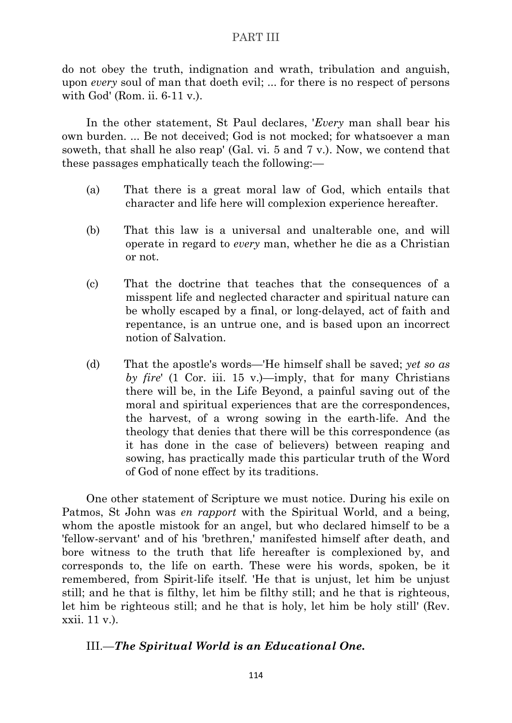do not obey the truth, indignation and wrath, tribulation and anguish, upon *every* soul of man that doeth evil; ... for there is no respect of persons with God' (Rom. ii. 6-11 v.).

In the other statement, St Paul declares, '*Every* man shall bear his own burden. ... Be not deceived; God is not mocked; for whatsoever a man soweth, that shall he also reap' (Gal. vi. 5 and 7 v.). Now, we contend that these passages emphatically teach the following:—

- (a) That there is a great moral law of God, which entails that character and life here will complexion experience hereafter.
- (b) That this law is a universal and unalterable one, and will operate in regard to *every* man, whether he die as a Christian or not.
- (c) That the doctrine that teaches that the consequences of a misspent life and neglected character and spiritual nature can be wholly escaped by a final, or long-delayed, act of faith and repentance, is an untrue one, and is based upon an incorrect notion of Salvation.
- (d) That the apostle's words—'He himself shall be saved; *yet so as by fire*' (1 Cor. iii. 15 v.)—imply, that for many Christians there will be, in the Life Beyond, a painful saving out of the moral and spiritual experiences that are the correspondences, the harvest, of a wrong sowing in the earth-life. And the theology that denies that there will be this correspondence (as it has done in the case of believers) between reaping and sowing, has practically made this particular truth of the Word of God of none effect by its traditions.

One other statement of Scripture we must notice. During his exile on Patmos, St John was *en rapport* with the Spiritual World, and a being, whom the apostle mistook for an angel, but who declared himself to be a 'fellow-servant' and of his 'brethren,' manifested himself after death, and bore witness to the truth that life hereafter is complexioned by, and corresponds to, the life on earth. These were his words, spoken, be it remembered, from Spirit-life itself. 'He that is unjust, let him be unjust still; and he that is filthy, let him be filthy still; and he that is righteous, let him be righteous still; and he that is holy, let him be holy still' (Rev. xxii. 11 v.).

# III.—*The Spiritual World is an Educational One.*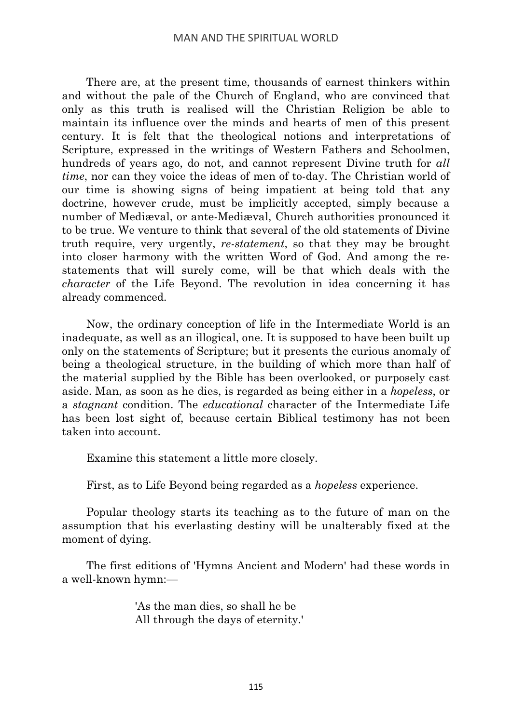There are, at the present time, thousands of earnest thinkers within and without the pale of the Church of England, who are convinced that only as this truth is realised will the Christian Religion be able to maintain its influence over the minds and hearts of men of this present century. It is felt that the theological notions and interpretations of Scripture, expressed in the writings of Western Fathers and Schoolmen, hundreds of years ago, do not, and cannot represent Divine truth for *all time*, nor can they voice the ideas of men of to-day. The Christian world of our time is showing signs of being impatient at being told that any doctrine, however crude, must be implicitly accepted, simply because a number of Mediæval, or ante-Mediæval, Church authorities pronounced it to be true. We venture to think that several of the old statements of Divine truth require, very urgently, *re-statement*, so that they may be brought into closer harmony with the written Word of God. And among the restatements that will surely come, will be that which deals with the *character* of the Life Beyond. The revolution in idea concerning it has already commenced.

Now, the ordinary conception of life in the Intermediate World is an inadequate, as well as an illogical, one. It is supposed to have been built up only on the statements of Scripture; but it presents the curious anomaly of being a theological structure, in the building of which more than half of the material supplied by the Bible has been overlooked, or purposely cast aside. Man, as soon as he dies, is regarded as being either in a *hopeless*, or a *stagnant* condition. The *educational* character of the Intermediate Life has been lost sight of, because certain Biblical testimony has not been taken into account.

Examine this statement a little more closely.

First, as to Life Beyond being regarded as a *hopeless* experience.

Popular theology starts its teaching as to the future of man on the assumption that his everlasting destiny will be unalterably fixed at the moment of dying.

The first editions of 'Hymns Ancient and Modern' had these words in a well-known hymn:—

> 'As the man dies, so shall he be All through the days of eternity.'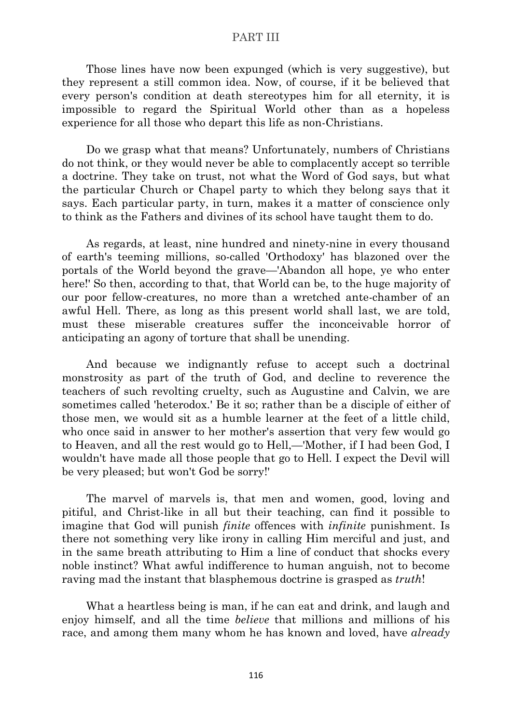Those lines have now been expunged (which is very suggestive), but they represent a still common idea. Now, of course, if it be believed that every person's condition at death stereotypes him for all eternity, it is impossible to regard the Spiritual World other than as a hopeless experience for all those who depart this life as non-Christians.

Do we grasp what that means? Unfortunately, numbers of Christians do not think, or they would never be able to complacently accept so terrible a doctrine. They take on trust, not what the Word of God says, but what the particular Church or Chapel party to which they belong says that it says. Each particular party, in turn, makes it a matter of conscience only to think as the Fathers and divines of its school have taught them to do.

As regards, at least, nine hundred and ninety-nine in every thousand of earth's teeming millions, so-called 'Orthodoxy' has blazoned over the portals of the World beyond the grave—'Abandon all hope, ye who enter here!' So then, according to that, that World can be, to the huge majority of our poor fellow-creatures, no more than a wretched ante-chamber of an awful Hell. There, as long as this present world shall last, we are told, must these miserable creatures suffer the inconceivable horror of anticipating an agony of torture that shall be unending.

And because we indignantly refuse to accept such a doctrinal monstrosity as part of the truth of God, and decline to reverence the teachers of such revolting cruelty, such as Augustine and Calvin, we are sometimes called 'heterodox.' Be it so; rather than be a disciple of either of those men, we would sit as a humble learner at the feet of a little child, who once said in answer to her mother's assertion that very few would go to Heaven, and all the rest would go to Hell,—'Mother, if I had been God, I wouldn't have made all those people that go to Hell. I expect the Devil will be very pleased; but won't God be sorry!'

The marvel of marvels is, that men and women, good, loving and pitiful, and Christ-like in all but their teaching, can find it possible to imagine that God will punish *finite* offences with *infinite* punishment. Is there not something very like irony in calling Him merciful and just, and in the same breath attributing to Him a line of conduct that shocks every noble instinct? What awful indifference to human anguish, not to become raving mad the instant that blasphemous doctrine is grasped as *truth*!

What a heartless being is man, if he can eat and drink, and laugh and enjoy himself, and all the time *believe* that millions and millions of his race, and among them many whom he has known and loved, have *already*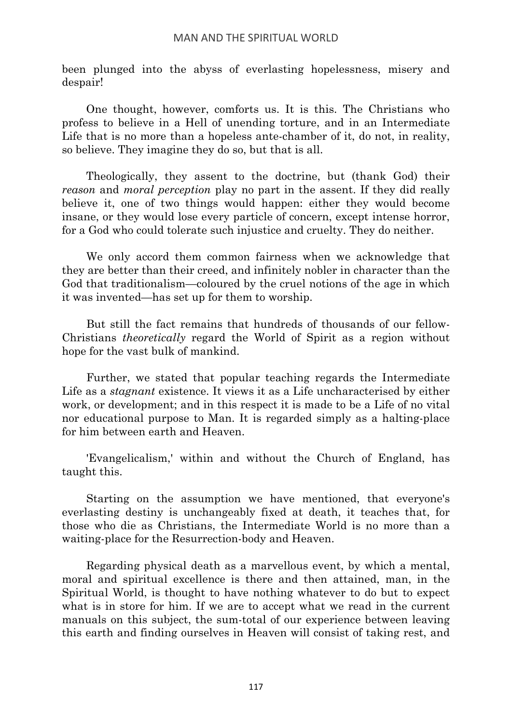been plunged into the abyss of everlasting hopelessness, misery and despair!

One thought, however, comforts us. It is this. The Christians who profess to believe in a Hell of unending torture, and in an Intermediate Life that is no more than a hopeless ante-chamber of it, do not, in reality, so believe. They imagine they do so, but that is all.

Theologically, they assent to the doctrine, but (thank God) their *reason* and *moral perception* play no part in the assent. If they did really believe it, one of two things would happen: either they would become insane, or they would lose every particle of concern, except intense horror, for a God who could tolerate such injustice and cruelty. They do neither.

We only accord them common fairness when we acknowledge that they are better than their creed, and infinitely nobler in character than the God that traditionalism—coloured by the cruel notions of the age in which it was invented—has set up for them to worship.

But still the fact remains that hundreds of thousands of our fellow-Christians *theoretically* regard the World of Spirit as a region without hope for the vast bulk of mankind.

Further, we stated that popular teaching regards the Intermediate Life as a *stagnant* existence. It views it as a Life uncharacterised by either work, or development; and in this respect it is made to be a Life of no vital nor educational purpose to Man. It is regarded simply as a halting-place for him between earth and Heaven.

'Evangelicalism,' within and without the Church of England, has taught this.

Starting on the assumption we have mentioned, that everyone's everlasting destiny is unchangeably fixed at death, it teaches that, for those who die as Christians, the Intermediate World is no more than a waiting-place for the Resurrection-body and Heaven.

Regarding physical death as a marvellous event, by which a mental, moral and spiritual excellence is there and then attained, man, in the Spiritual World, is thought to have nothing whatever to do but to expect what is in store for him. If we are to accept what we read in the current manuals on this subject, the sum-total of our experience between leaving this earth and finding ourselves in Heaven will consist of taking rest, and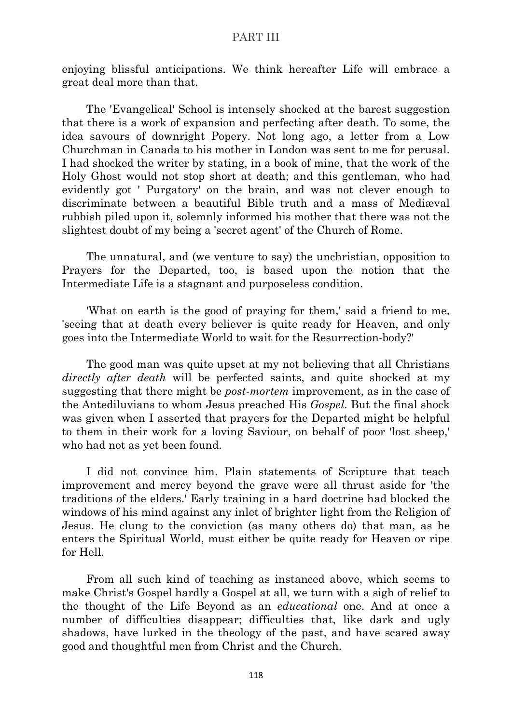enjoying blissful anticipations. We think hereafter Life will embrace a great deal more than that.

The 'Evangelical' School is intensely shocked at the barest suggestion that there is a work of expansion and perfecting after death. To some, the idea savours of downright Popery. Not long ago, a letter from a Low Churchman in Canada to his mother in London was sent to me for perusal. I had shocked the writer by stating, in a book of mine, that the work of the Holy Ghost would not stop short at death; and this gentleman, who had evidently got ' Purgatory' on the brain, and was not clever enough to discriminate between a beautiful Bible truth and a mass of Mediæval rubbish piled upon it, solemnly informed his mother that there was not the slightest doubt of my being a 'secret agent' of the Church of Rome.

The unnatural, and (we venture to say) the unchristian, opposition to Prayers for the Departed, too, is based upon the notion that the Intermediate Life is a stagnant and purposeless condition.

'What on earth is the good of praying for them,' said a friend to me, 'seeing that at death every believer is quite ready for Heaven, and only goes into the Intermediate World to wait for the Resurrection-body?'

The good man was quite upset at my not believing that all Christians *directly after death* will be perfected saints, and quite shocked at my suggesting that there might be *post-mortem* improvement, as in the case of the Antediluvians to whom Jesus preached His *Gospel*. But the final shock was given when I asserted that prayers for the Departed might be helpful to them in their work for a loving Saviour, on behalf of poor 'lost sheep,' who had not as yet been found.

I did not convince him. Plain statements of Scripture that teach improvement and mercy beyond the grave were all thrust aside for 'the traditions of the elders.' Early training in a hard doctrine had blocked the windows of his mind against any inlet of brighter light from the Religion of Jesus. He clung to the conviction (as many others do) that man, as he enters the Spiritual World, must either be quite ready for Heaven or ripe for Hell.

From all such kind of teaching as instanced above, which seems to make Christ's Gospel hardly a Gospel at all, we turn with a sigh of relief to the thought of the Life Beyond as an *educational* one. And at once a number of difficulties disappear; difficulties that, like dark and ugly shadows, have lurked in the theology of the past, and have scared away good and thoughtful men from Christ and the Church.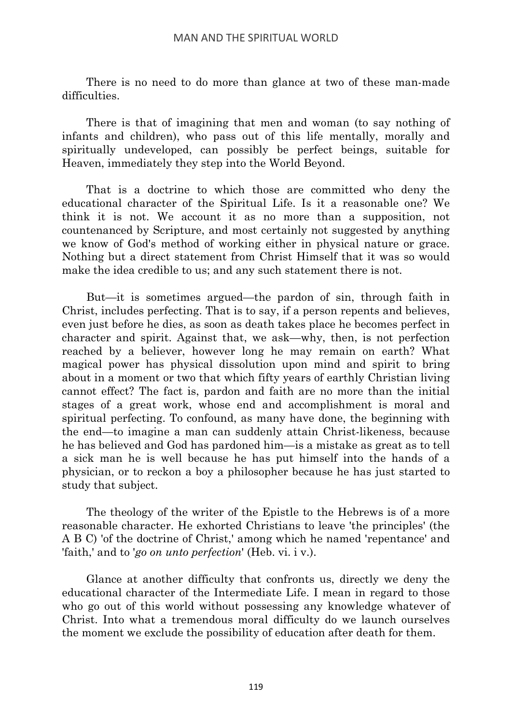There is no need to do more than glance at two of these man-made difficulties.

There is that of imagining that men and woman (to say nothing of infants and children), who pass out of this life mentally, morally and spiritually undeveloped, can possibly be perfect beings, suitable for Heaven, immediately they step into the World Beyond.

That is a doctrine to which those are committed who deny the educational character of the Spiritual Life. Is it a reasonable one? We think it is not. We account it as no more than a supposition, not countenanced by Scripture, and most certainly not suggested by anything we know of God's method of working either in physical nature or grace. Nothing but a direct statement from Christ Himself that it was so would make the idea credible to us; and any such statement there is not.

But—it is sometimes argued—the pardon of sin, through faith in Christ, includes perfecting. That is to say, if a person repents and believes, even just before he dies, as soon as death takes place he becomes perfect in character and spirit. Against that, we ask—why, then, is not perfection reached by a believer, however long he may remain on earth? What magical power has physical dissolution upon mind and spirit to bring about in a moment or two that which fifty years of earthly Christian living cannot effect? The fact is, pardon and faith are no more than the initial stages of a great work, whose end and accomplishment is moral and spiritual perfecting. To confound, as many have done, the beginning with the end—to imagine a man can suddenly attain Christ-likeness, because he has believed and God has pardoned him—is a mistake as great as to tell a sick man he is well because he has put himself into the hands of a physician, or to reckon a boy a philosopher because he has just started to study that subject.

The theology of the writer of the Epistle to the Hebrews is of a more reasonable character. He exhorted Christians to leave 'the principles' (the A B C) 'of the doctrine of Christ,' among which he named 'repentance' and 'faith,' and to '*go on unto perfection*' (Heb. vi. i v.).

Glance at another difficulty that confronts us, directly we deny the educational character of the Intermediate Life. I mean in regard to those who go out of this world without possessing any knowledge whatever of Christ. Into what a tremendous moral difficulty do we launch ourselves the moment we exclude the possibility of education after death for them.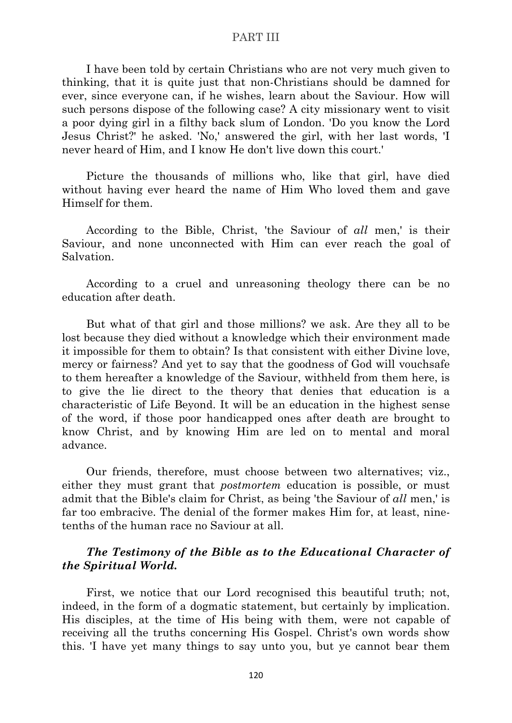I have been told by certain Christians who are not very much given to thinking, that it is quite just that non-Christians should be damned for ever, since everyone can, if he wishes, learn about the Saviour. How will such persons dispose of the following case? A city missionary went to visit a poor dying girl in a filthy back slum of London. 'Do you know the Lord Jesus Christ?' he asked. 'No,' answered the girl, with her last words, 'I never heard of Him, and I know He don't live down this court.'

Picture the thousands of millions who, like that girl, have died without having ever heard the name of Him Who loved them and gave Himself for them.

According to the Bible, Christ, 'the Saviour of *all* men,' is their Saviour, and none unconnected with Him can ever reach the goal of Salvation.

According to a cruel and unreasoning theology there can be no education after death.

But what of that girl and those millions? we ask. Are they all to be lost because they died without a knowledge which their environment made it impossible for them to obtain? Is that consistent with either Divine love, mercy or fairness? And yet to say that the goodness of God will vouchsafe to them hereafter a knowledge of the Saviour, withheld from them here, is to give the lie direct to the theory that denies that education is a characteristic of Life Beyond. It will be an education in the highest sense of the word, if those poor handicapped ones after death are brought to know Christ, and by knowing Him are led on to mental and moral advance.

Our friends, therefore, must choose between two alternatives; viz., either they must grant that *postmortem* education is possible, or must admit that the Bible's claim for Christ, as being 'the Saviour of *all* men,' is far too embracive. The denial of the former makes Him for, at least, ninetenths of the human race no Saviour at all.

# *The Testimony of the Bible as to the Educational Character of the Spiritual World.*

First, we notice that our Lord recognised this beautiful truth; not, indeed, in the form of a dogmatic statement, but certainly by implication. His disciples, at the time of His being with them, were not capable of receiving all the truths concerning His Gospel. Christ's own words show this. 'I have yet many things to say unto you, but ye cannot bear them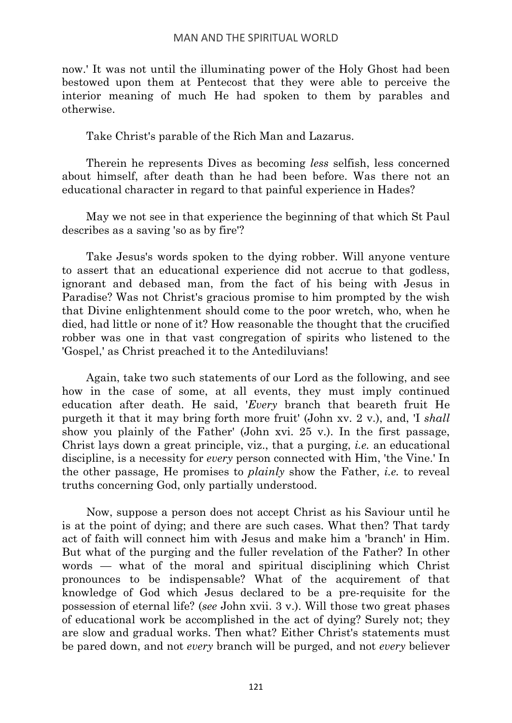now.' It was not until the illuminating power of the Holy Ghost had been bestowed upon them at Pentecost that they were able to perceive the interior meaning of much He had spoken to them by parables and otherwise.

Take Christ's parable of the Rich Man and Lazarus.

Therein he represents Dives as becoming *less* selfish, less concerned about himself, after death than he had been before. Was there not an educational character in regard to that painful experience in Hades?

May we not see in that experience the beginning of that which St Paul describes as a saving 'so as by fire'?

Take Jesus's words spoken to the dying robber. Will anyone venture to assert that an educational experience did not accrue to that godless, ignorant and debased man, from the fact of his being with Jesus in Paradise? Was not Christ's gracious promise to him prompted by the wish that Divine enlightenment should come to the poor wretch, who, when he died, had little or none of it? How reasonable the thought that the crucified robber was one in that vast congregation of spirits who listened to the 'Gospel,' as Christ preached it to the Antediluvians!

Again, take two such statements of our Lord as the following, and see how in the case of some, at all events, they must imply continued education after death. He said, '*Every* branch that beareth fruit He purgeth it that it may bring forth more fruit' (John xv. 2 v.), and, 'I *shall* show you plainly of the Father' (John xvi. 25 v.). In the first passage, Christ lays down a great principle, viz., that a purging, *i.e.* an educational discipline, is a necessity for *every* person connected with Him, 'the Vine.' In the other passage, He promises to *plainly* show the Father, *i.e.* to reveal truths concerning God, only partially understood.

Now, suppose a person does not accept Christ as his Saviour until he is at the point of dying; and there are such cases. What then? That tardy act of faith will connect him with Jesus and make him a 'branch' in Him. But what of the purging and the fuller revelation of the Father? In other words — what of the moral and spiritual disciplining which Christ pronounces to be indispensable? What of the acquirement of that knowledge of God which Jesus declared to be a pre-requisite for the possession of eternal life? (*see* John xvii. 3 v.). Will those two great phases of educational work be accomplished in the act of dying? Surely not; they are slow and gradual works. Then what? Either Christ's statements must be pared down, and not *every* branch will be purged, and not *every* believer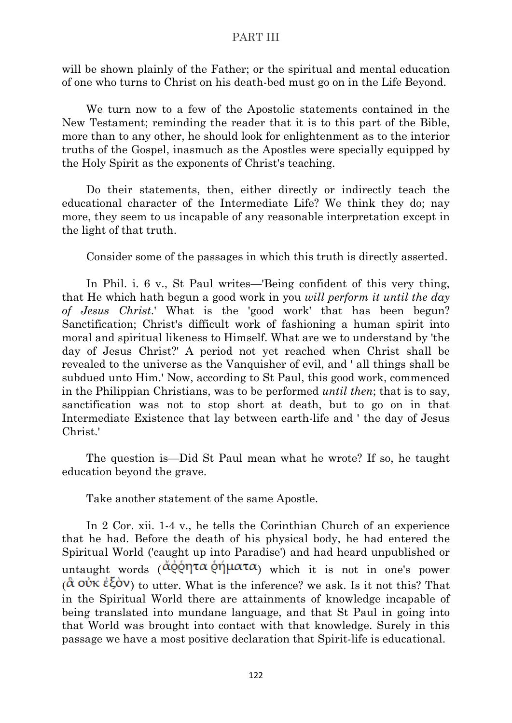will be shown plainly of the Father; or the spiritual and mental education of one who turns to Christ on his death-bed must go on in the Life Beyond.

We turn now to a few of the Apostolic statements contained in the New Testament; reminding the reader that it is to this part of the Bible, more than to any other, he should look for enlightenment as to the interior truths of the Gospel, inasmuch as the Apostles were specially equipped by the Holy Spirit as the exponents of Christ's teaching.

Do their statements, then, either directly or indirectly teach the educational character of the Intermediate Life? We think they do; nay more, they seem to us incapable of any reasonable interpretation except in the light of that truth.

Consider some of the passages in which this truth is directly asserted.

In Phil. i. 6 v., St Paul writes—'Being confident of this very thing, that He which hath begun a good work in you *will perform it until the day of Jesus Christ*.' What is the 'good work' that has been begun? Sanctification: Christ's difficult work of fashioning a human spirit into moral and spiritual likeness to Himself. What are we to understand by 'the day of Jesus Christ?' A period not yet reached when Christ shall be revealed to the universe as the Vanquisher of evil, and ' all things shall be subdued unto Him.' Now, according to St Paul, this good work, commenced in the Philippian Christians, was to be performed *until then*; that is to say, sanctification was not to stop short at death, but to go on in that Intermediate Existence that lay between earth-life and ' the day of Jesus Christ.'

The question is—Did St Paul mean what he wrote? If so, he taught education beyond the grave.

Take another statement of the same Apostle.

In 2 Cor. xii. 1-4 v., he tells the Corinthian Church of an experience that he had. Before the death of his physical body, he had entered the Spiritual World ('caught up into Paradise') and had heard unpublished or untaught words  $(\check{\alpha}\check{\varrho}\check{\varrho}\eta\tau\alpha\check{\varrho}\eta\mu\alpha\tau\alpha)$  which it is not in one's power  $(\hat{\alpha}$  ov $\kappa \hat{\epsilon} \xi$  ov $\gamma$  to utter. What is the inference? we ask. Is it not this? That in the Spiritual World there are attainments of knowledge incapable of being translated into mundane language, and that St Paul in going into that World was brought into contact with that knowledge. Surely in this passage we have a most positive declaration that Spirit-life is educational.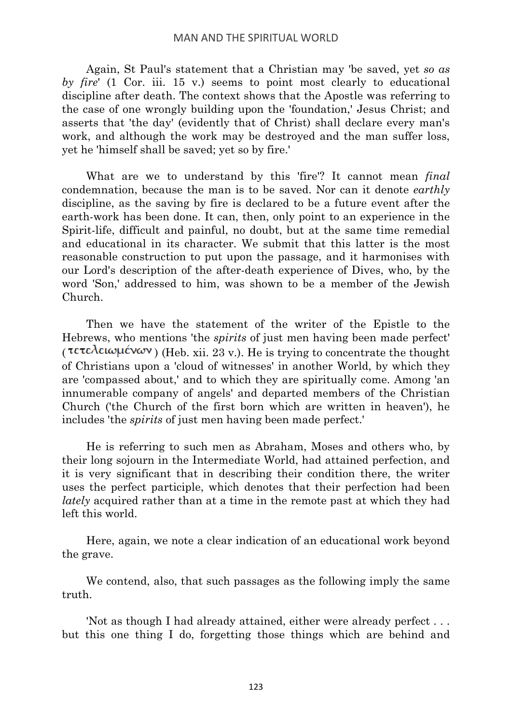Again, St Paul's statement that a Christian may 'be saved, yet *so as by fire*' (1 Cor. iii. 15 v.) seems to point most clearly to educational discipline after death. The context shows that the Apostle was referring to the case of one wrongly building upon the 'foundation,' Jesus Christ; and asserts that 'the day' (evidently that of Christ) shall declare every man's work, and although the work may be destroyed and the man suffer loss, yet he 'himself shall be saved; yet so by fire.'

What are we to understand by this 'fire'? It cannot mean *final* condemnation, because the man is to be saved. Nor can it denote *earthly* discipline, as the saving by fire is declared to be a future event after the earth-work has been done. It can, then, only point to an experience in the Spirit-life, difficult and painful, no doubt, but at the same time remedial and educational in its character. We submit that this latter is the most reasonable construction to put upon the passage, and it harmonises with our Lord's description of the after-death experience of Dives, who, by the word 'Son,' addressed to him, was shown to be a member of the Jewish Church.

Then we have the statement of the writer of the Epistle to the Hebrews, who mentions 'the *spirits* of just men having been made perfect' (τετελειωμένων) (Heb. xii. 23 v.). He is trying to concentrate the thought of Christians upon a 'cloud of witnesses' in another World, by which they are 'compassed about,' and to which they are spiritually come. Among 'an innumerable company of angels' and departed members of the Christian Church ('the Church of the first born which are written in heaven'), he includes 'the *spirits* of just men having been made perfect.'

He is referring to such men as Abraham, Moses and others who, by their long sojourn in the Intermediate World, had attained perfection, and it is very significant that in describing their condition there, the writer uses the perfect participle, which denotes that their perfection had been *lately* acquired rather than at a time in the remote past at which they had left this world.

Here, again, we note a clear indication of an educational work beyond the grave.

We contend, also, that such passages as the following imply the same truth.

'Not as though I had already attained, either were already perfect . . . but this one thing I do, forgetting those things which are behind and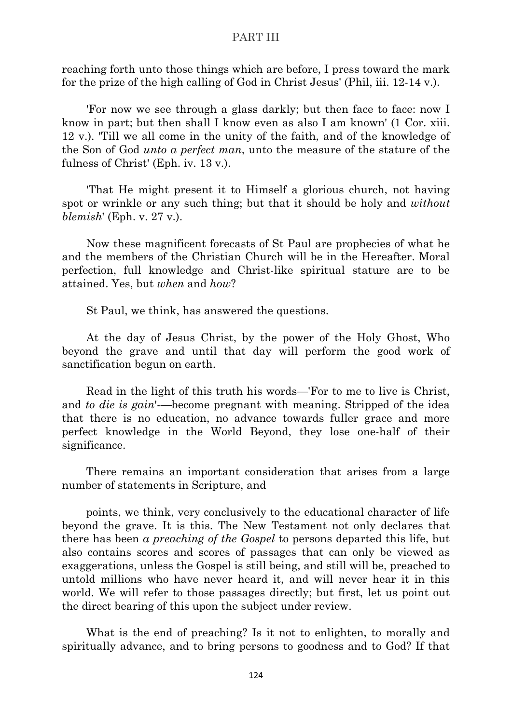reaching forth unto those things which are before, I press toward the mark for the prize of the high calling of God in Christ Jesus' (Phil, iii. 12-14 v.).

'For now we see through a glass darkly; but then face to face: now I know in part; but then shall I know even as also I am known' (1 Cor. xiii. 12 v.). 'Till we all come in the unity of the faith, and of the knowledge of the Son of God *unto a perfect man*, unto the measure of the stature of the fulness of Christ' (Eph. iv. 13 v.).

'That He might present it to Himself a glorious church, not having spot or wrinkle or any such thing; but that it should be holy and *without blemish*' (Eph. v. 27 v.).

Now these magnificent forecasts of St Paul are prophecies of what he and the members of the Christian Church will be in the Hereafter. Moral perfection, full knowledge and Christ-like spiritual stature are to be attained. Yes, but *when* and *how*?

St Paul, we think, has answered the questions.

At the day of Jesus Christ, by the power of the Holy Ghost, Who beyond the grave and until that day will perform the good work of sanctification begun on earth.

Read in the light of this truth his words—'For to me to live is Christ, and *to die is gain*'-—become pregnant with meaning. Stripped of the idea that there is no education, no advance towards fuller grace and more perfect knowledge in the World Beyond, they lose one-half of their significance.

There remains an important consideration that arises from a large number of statements in Scripture, and

points, we think, very conclusively to the educational character of life beyond the grave. It is this. The New Testament not only declares that there has been *a preaching of the Gospel* to persons departed this life, but also contains scores and scores of passages that can only be viewed as exaggerations, unless the Gospel is still being, and still will be, preached to untold millions who have never heard it, and will never hear it in this world. We will refer to those passages directly; but first, let us point out the direct bearing of this upon the subject under review.

What is the end of preaching? Is it not to enlighten, to morally and spiritually advance, and to bring persons to goodness and to God? If that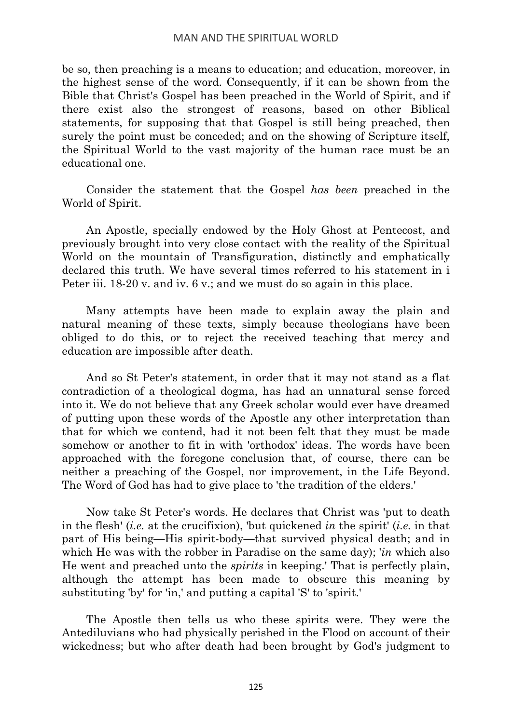# MAN AND THE SPIRITUAL WORLD

be so, then preaching is a means to education; and education, moreover, in the highest sense of the word. Consequently, if it can be shown from the Bible that Christ's Gospel has been preached in the World of Spirit, and if there exist also the strongest of reasons, based on other Biblical statements, for supposing that that Gospel is still being preached, then surely the point must be conceded; and on the showing of Scripture itself, the Spiritual World to the vast majority of the human race must be an educational one.

Consider the statement that the Gospel *has been* preached in the World of Spirit.

An Apostle, specially endowed by the Holy Ghost at Pentecost, and previously brought into very close contact with the reality of the Spiritual World on the mountain of Transfiguration, distinctly and emphatically declared this truth. We have several times referred to his statement in i Peter iii. 18-20 v. and iv. 6 v.; and we must do so again in this place.

Many attempts have been made to explain away the plain and natural meaning of these texts, simply because theologians have been obliged to do this, or to reject the received teaching that mercy and education are impossible after death.

And so St Peter's statement, in order that it may not stand as a flat contradiction of a theological dogma, has had an unnatural sense forced into it. We do not believe that any Greek scholar would ever have dreamed of putting upon these words of the Apostle any other interpretation than that for which we contend, had it not been felt that they must be made somehow or another to fit in with 'orthodox' ideas. The words have been approached with the foregone conclusion that, of course, there can be neither a preaching of the Gospel, nor improvement, in the Life Beyond. The Word of God has had to give place to 'the tradition of the elders.'

Now take St Peter's words. He declares that Christ was 'put to death in the flesh' (*i.e.* at the crucifixion), 'but quickened *in* the spirit' (*i.e.* in that part of His being—His spirit-body—that survived physical death; and in which He was with the robber in Paradise on the same day); '*in* which also He went and preached unto the *spirits* in keeping.' That is perfectly plain, although the attempt has been made to obscure this meaning by substituting 'by' for 'in,' and putting a capital 'S' to 'spirit.'

The Apostle then tells us who these spirits were. They were the Antediluvians who had physically perished in the Flood on account of their wickedness; but who after death had been brought by God's judgment to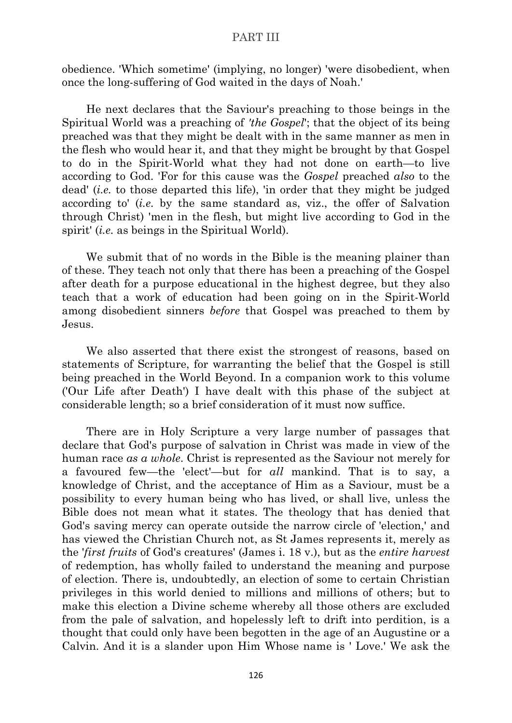obedience. 'Which sometime' (implying, no longer) 'were disobedient, when once the long-suffering of God waited in the days of Noah.'

He next declares that the Saviour's preaching to those beings in the Spiritual World was a preaching of *'the Gospel*'; that the object of its being preached was that they might be dealt with in the same manner as men in the flesh who would hear it, and that they might be brought by that Gospel to do in the Spirit-World what they had not done on earth—to live according to God. 'For for this cause was the *Gospel* preached *also* to the dead' (*i.e.* to those departed this life), 'in order that they might be judged according to' (*i.e.* by the same standard as, viz., the offer of Salvation through Christ) 'men in the flesh, but might live according to God in the spirit' (*i.e.* as beings in the Spiritual World).

We submit that of no words in the Bible is the meaning plainer than of these. They teach not only that there has been a preaching of the Gospel after death for a purpose educational in the highest degree, but they also teach that a work of education had been going on in the Spirit-World among disobedient sinners *before* that Gospel was preached to them by Jesus.

We also asserted that there exist the strongest of reasons, based on statements of Scripture, for warranting the belief that the Gospel is still being preached in the World Beyond. In a companion work to this volume ('Our Life after Death') I have dealt with this phase of the subject at considerable length; so a brief consideration of it must now suffice.

There are in Holy Scripture a very large number of passages that declare that God's purpose of salvation in Christ was made in view of the human race *as a whole*. Christ is represented as the Saviour not merely for a favoured few—the 'elect'—but for *all* mankind. That is to say, a knowledge of Christ, and the acceptance of Him as a Saviour, must be a possibility to every human being who has lived, or shall live, unless the Bible does not mean what it states. The theology that has denied that God's saving mercy can operate outside the narrow circle of 'election,' and has viewed the Christian Church not, as St James represents it, merely as the '*first fruits* of God's creatures' (James i. 18 v.), but as the *entire harvest* of redemption, has wholly failed to understand the meaning and purpose of election. There is, undoubtedly, an election of some to certain Christian privileges in this world denied to millions and millions of others; but to make this election a Divine scheme whereby all those others are excluded from the pale of salvation, and hopelessly left to drift into perdition, is a thought that could only have been begotten in the age of an Augustine or a Calvin. And it is a slander upon Him Whose name is ' Love.' We ask the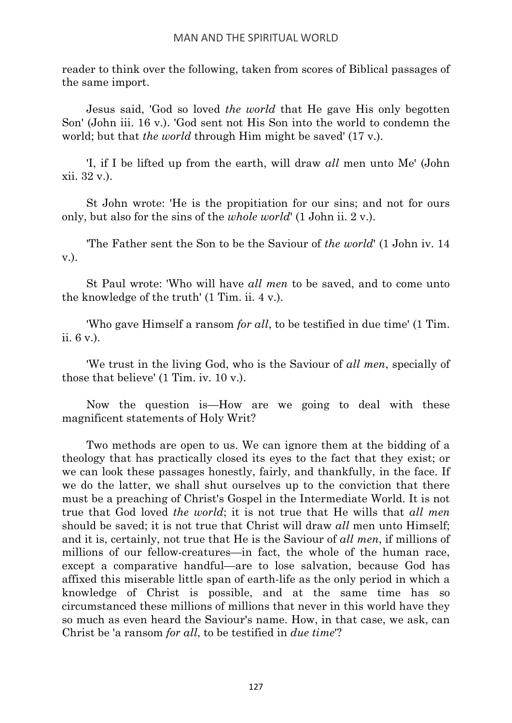reader to think over the following, taken from scores of Biblical passages of the same import.

Jesus said, 'God so loved *the world* that He gave His only begotten Son' (John iii. 16 v.). 'God sent not His Son into the world to condemn the world; but that *the world* through Him might be saved' (17 v.).

'I, if I be lifted up from the earth, will draw *all* men unto Me' (John xii. 32 v.).

St John wrote: 'He is the propitiation for our sins; and not for ours only, but also for the sins of the *whole world*' (1 John ii. 2 v.).

'The Father sent the Son to be the Saviour of *the world*' (1 John iv. 14 v.).

St Paul wrote: 'Who will have *all men* to be saved, and to come unto the knowledge of the truth' (1 Tim. ii. 4 v.).

'Who gave Himself a ransom *for all*, to be testified in due time' (1 Tim. ii. 6 v.).

'We trust in the living God, who is the Saviour of *all men*, specially of those that believe' (1 Tim. iv. 10 v.).

Now the question is—How are we going to deal with these magnificent statements of Holy Writ?

Two methods are open to us. We can ignore them at the bidding of a theology that has practically closed its eyes to the fact that they exist; or we can look these passages honestly, fairly, and thankfully, in the face. If we do the latter, we shall shut ourselves up to the conviction that there must be a preaching of Christ's Gospel in the Intermediate World. It is not true that God loved *the world*; it is not true that He wills that *all men* should be saved; it is not true that Christ will draw *all* men unto Himself; and it is, certainly, not true that He is the Saviour of *all men*, if millions of millions of our fellow-creatures—in fact, the whole of the human race, except a comparative handful—are to lose salvation, because God has affixed this miserable little span of earth-life as the only period in which a knowledge of Christ is possible, and at the same time has so circumstanced these millions of millions that never in this world have they so much as even heard the Saviour's name. How, in that case, we ask, can Christ be 'a ransom *for all*, to be testified in *due time*'?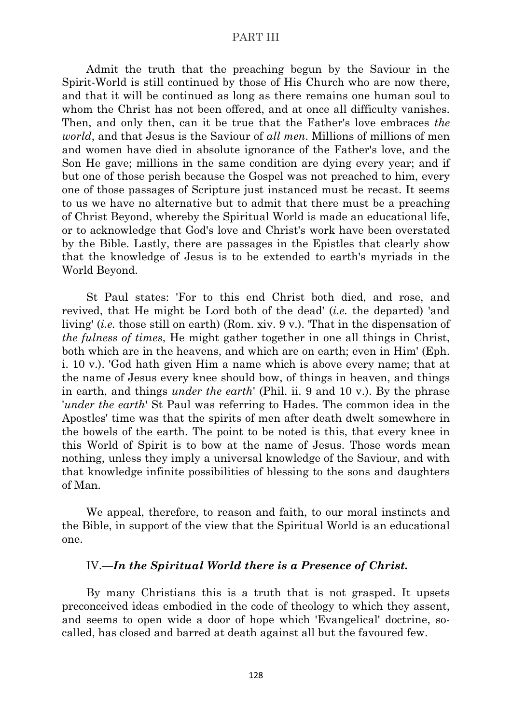Admit the truth that the preaching begun by the Saviour in the Spirit-World is still continued by those of His Church who are now there, and that it will be continued as long as there remains one human soul to whom the Christ has not been offered, and at once all difficulty vanishes. Then, and only then, can it be true that the Father's love embraces *the world*, and that Jesus is the Saviour of *all men*. Millions of millions of men and women have died in absolute ignorance of the Father's love, and the Son He gave; millions in the same condition are dying every year; and if but one of those perish because the Gospel was not preached to him, every one of those passages of Scripture just instanced must be recast. It seems to us we have no alternative but to admit that there must be a preaching of Christ Beyond, whereby the Spiritual World is made an educational life, or to acknowledge that God's love and Christ's work have been overstated by the Bible. Lastly, there are passages in the Epistles that clearly show that the knowledge of Jesus is to be extended to earth's myriads in the World Beyond.

St Paul states: 'For to this end Christ both died, and rose, and revived, that He might be Lord both of the dead' (*i.e.* the departed) 'and living' (*i.e.* those still on earth) (Rom. xiv. 9 v.). 'That in the dispensation of *the fulness of times*, He might gather together in one all things in Christ, both which are in the heavens, and which are on earth; even in Him' (Eph. i. 10 v.). 'God hath given Him a name which is above every name; that at the name of Jesus every knee should bow, of things in heaven, and things in earth, and things *under the earth*' (Phil. ii. 9 and 10 v.). By the phrase '*under the earth*' St Paul was referring to Hades. The common idea in the Apostles' time was that the spirits of men after death dwelt somewhere in the bowels of the earth. The point to be noted is this, that every knee in this World of Spirit is to bow at the name of Jesus. Those words mean nothing, unless they imply a universal knowledge of the Saviour, and with that knowledge infinite possibilities of blessing to the sons and daughters of Man.

We appeal, therefore, to reason and faith, to our moral instincts and the Bible, in support of the view that the Spiritual World is an educational one.

#### IV.—*In the Spiritual World there is a Presence of Christ.*

By many Christians this is a truth that is not grasped. It upsets preconceived ideas embodied in the code of theology to which they assent, and seems to open wide a door of hope which 'Evangelical' doctrine, socalled, has closed and barred at death against all but the favoured few.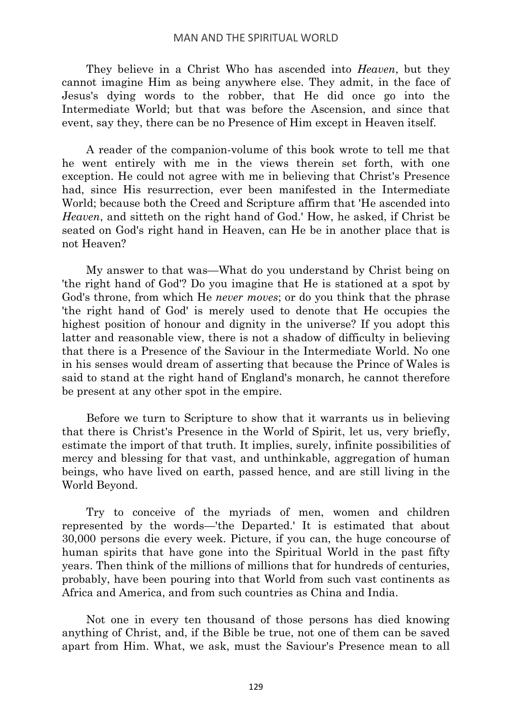They believe in a Christ Who has ascended into *Heaven*, but they cannot imagine Him as being anywhere else. They admit, in the face of Jesus's dying words to the robber, that He did once go into the Intermediate World; but that was before the Ascension, and since that event, say they, there can be no Presence of Him except in Heaven itself.

A reader of the companion-volume of this book wrote to tell me that he went entirely with me in the views therein set forth, with one exception. He could not agree with me in believing that Christ's Presence had, since His resurrection, ever been manifested in the Intermediate World; because both the Creed and Scripture affirm that 'He ascended into *Heaven*, and sitteth on the right hand of God.' How, he asked, if Christ be seated on God's right hand in Heaven, can He be in another place that is not Heaven?

My answer to that was—What do you understand by Christ being on 'the right hand of God'? Do you imagine that He is stationed at a spot by God's throne, from which He *never moves*; or do you think that the phrase 'the right hand of God' is merely used to denote that He occupies the highest position of honour and dignity in the universe? If you adopt this latter and reasonable view, there is not a shadow of difficulty in believing that there is a Presence of the Saviour in the Intermediate World. No one in his senses would dream of asserting that because the Prince of Wales is said to stand at the right hand of England's monarch, he cannot therefore be present at any other spot in the empire.

Before we turn to Scripture to show that it warrants us in believing that there is Christ's Presence in the World of Spirit, let us, very briefly, estimate the import of that truth. It implies, surely, infinite possibilities of mercy and blessing for that vast, and unthinkable, aggregation of human beings, who have lived on earth, passed hence, and are still living in the World Beyond.

Try to conceive of the myriads of men, women and children represented by the words—'the Departed.' It is estimated that about 30,000 persons die every week. Picture, if you can, the huge concourse of human spirits that have gone into the Spiritual World in the past fifty years. Then think of the millions of millions that for hundreds of centuries, probably, have been pouring into that World from such vast continents as Africa and America, and from such countries as China and India.

Not one in every ten thousand of those persons has died knowing anything of Christ, and, if the Bible be true, not one of them can be saved apart from Him. What, we ask, must the Saviour's Presence mean to all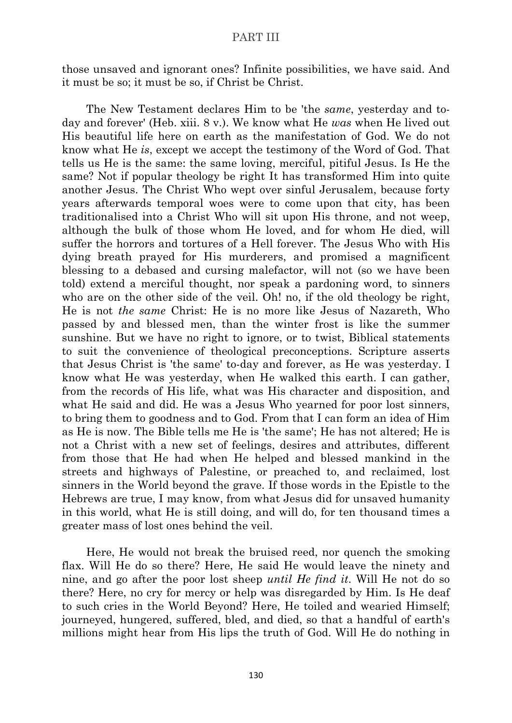those unsaved and ignorant ones? Infinite possibilities, we have said. And it must be so; it must be so, if Christ be Christ.

The New Testament declares Him to be 'the *same*, yesterday and today and forever' (Heb. xiii. 8 v.). We know what He *was* when He lived out His beautiful life here on earth as the manifestation of God. We do not know what He *is*, except we accept the testimony of the Word of God. That tells us He is the same: the same loving, merciful, pitiful Jesus. Is He the same? Not if popular theology be right It has transformed Him into quite another Jesus. The Christ Who wept over sinful Jerusalem, because forty years afterwards temporal woes were to come upon that city, has been traditionalised into a Christ Who will sit upon His throne, and not weep, although the bulk of those whom He loved, and for whom He died, will suffer the horrors and tortures of a Hell forever. The Jesus Who with His dying breath prayed for His murderers, and promised a magnificent blessing to a debased and cursing malefactor, will not (so we have been told) extend a merciful thought, nor speak a pardoning word, to sinners who are on the other side of the veil. Oh! no, if the old theology be right, He is not *the same* Christ: He is no more like Jesus of Nazareth, Who passed by and blessed men, than the winter frost is like the summer sunshine. But we have no right to ignore, or to twist, Biblical statements to suit the convenience of theological preconceptions. Scripture asserts that Jesus Christ is 'the same' to-day and forever, as He was yesterday. I know what He was yesterday, when He walked this earth. I can gather, from the records of His life, what was His character and disposition, and what He said and did. He was a Jesus Who yearned for poor lost sinners, to bring them to goodness and to God. From that I can form an idea of Him as He is now. The Bible tells me He is 'the same'; He has not altered; He is not a Christ with a new set of feelings, desires and attributes, different from those that He had when He helped and blessed mankind in the streets and highways of Palestine, or preached to, and reclaimed, lost sinners in the World beyond the grave. If those words in the Epistle to the Hebrews are true, I may know, from what Jesus did for unsaved humanity in this world, what He is still doing, and will do, for ten thousand times a greater mass of lost ones behind the veil.

Here, He would not break the bruised reed, nor quench the smoking flax. Will He do so there? Here, He said He would leave the ninety and nine, and go after the poor lost sheep *until He find it*. Will He not do so there? Here, no cry for mercy or help was disregarded by Him. Is He deaf to such cries in the World Beyond? Here, He toiled and wearied Himself; journeyed, hungered, suffered, bled, and died, so that a handful of earth's millions might hear from His lips the truth of God. Will He do nothing in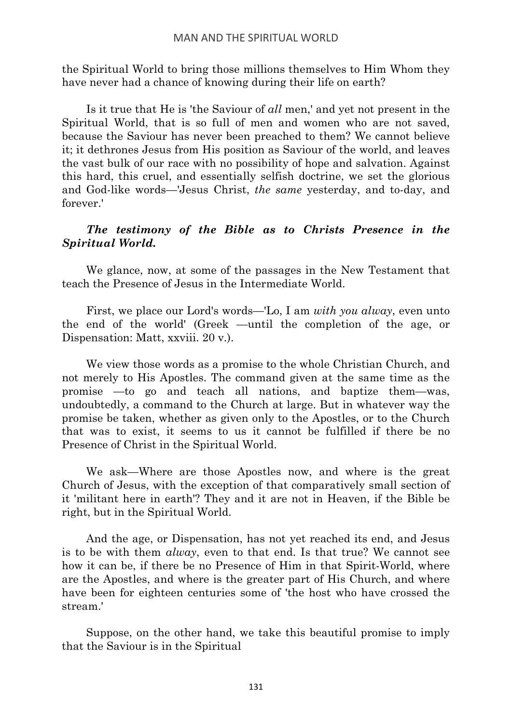## MAN AND THE SPIRITUAL WORLD

the Spiritual World to bring those millions themselves to Him Whom they have never had a chance of knowing during their life on earth?

Is it true that He is 'the Saviour of *all* men,' and yet not present in the Spiritual World, that is so full of men and women who are not saved, because the Saviour has never been preached to them? We cannot believe it; it dethrones Jesus from His position as Saviour of the world, and leaves the vast bulk of our race with no possibility of hope and salvation. Against this hard, this cruel, and essentially selfish doctrine, we set the glorious and God-like words—'Jesus Christ, *the same* yesterday, and to-day, and forever.'

# *The testimony of the Bible as to Christs Presence in the Spiritual World.*

We glance, now, at some of the passages in the New Testament that teach the Presence of Jesus in the Intermediate World.

First, we place our Lord's words—'Lo, I am *with you alway*, even unto the end of the world' (Greek —until the completion of the age, or Dispensation: Matt, xxviii. 20 v.).

We view those words as a promise to the whole Christian Church, and not merely to His Apostles. The command given at the same time as the promise —to go and teach all nations, and baptize them—was, undoubtedly, a command to the Church at large. But in whatever way the promise be taken, whether as given only to the Apostles, or to the Church that was to exist, it seems to us it cannot be fulfilled if there be no Presence of Christ in the Spiritual World.

We ask—Where are those Apostles now, and where is the great Church of Jesus, with the exception of that comparatively small section of it 'militant here in earth'? They and it are not in Heaven, if the Bible be right, but in the Spiritual World.

And the age, or Dispensation, has not yet reached its end, and Jesus is to be with them *alway*, even to that end. Is that true? We cannot see how it can be, if there be no Presence of Him in that Spirit-World, where are the Apostles, and where is the greater part of His Church, and where have been for eighteen centuries some of 'the host who have crossed the stream.'

Suppose, on the other hand, we take this beautiful promise to imply that the Saviour is in the Spiritual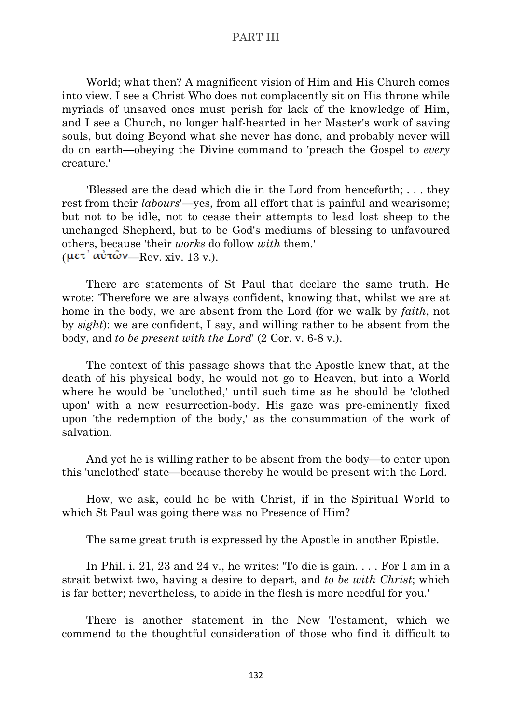World; what then? A magnificent vision of Him and His Church comes into view. I see a Christ Who does not complacently sit on His throne while myriads of unsaved ones must perish for lack of the knowledge of Him, and I see a Church, no longer half-hearted in her Master's work of saving souls, but doing Beyond what she never has done, and probably never will do on earth—obeying the Divine command to 'preach the Gospel to *every* creature.'

'Blessed are the dead which die in the Lord from henceforth; . . . they rest from their *labours*'—yes, from all effort that is painful and wearisome; but not to be idle, not to cease their attempts to lead lost sheep to the unchanged Shepherd, but to be God's mediums of blessing to unfavoured others, because 'their *works* do follow *with* them.' (μετ<sup>'</sup> αὐτῶν—Rev. xiv. 13 v.).

There are statements of St Paul that declare the same truth. He wrote: 'Therefore we are always confident, knowing that, whilst we are at home in the body, we are absent from the Lord (for we walk by *faith*, not by *sight*): we are confident, I say, and willing rather to be absent from the body, and *to be present with the Lord*' (2 Cor. v. 6-8 v.).

The context of this passage shows that the Apostle knew that, at the death of his physical body, he would not go to Heaven, but into a World where he would be 'unclothed,' until such time as he should be 'clothed upon' with a new resurrection-body. His gaze was pre-eminently fixed upon 'the redemption of the body,' as the consummation of the work of salvation.

And yet he is willing rather to be absent from the body—to enter upon this 'unclothed' state—because thereby he would be present with the Lord.

How, we ask, could he be with Christ, if in the Spiritual World to which St Paul was going there was no Presence of Him?

The same great truth is expressed by the Apostle in another Epistle.

In Phil. i. 21, 23 and 24 v., he writes: 'To die is gain. . . . For I am in a strait betwixt two, having a desire to depart, and *to be with Christ*; which is far better; nevertheless, to abide in the flesh is more needful for you.'

There is another statement in the New Testament, which we commend to the thoughtful consideration of those who find it difficult to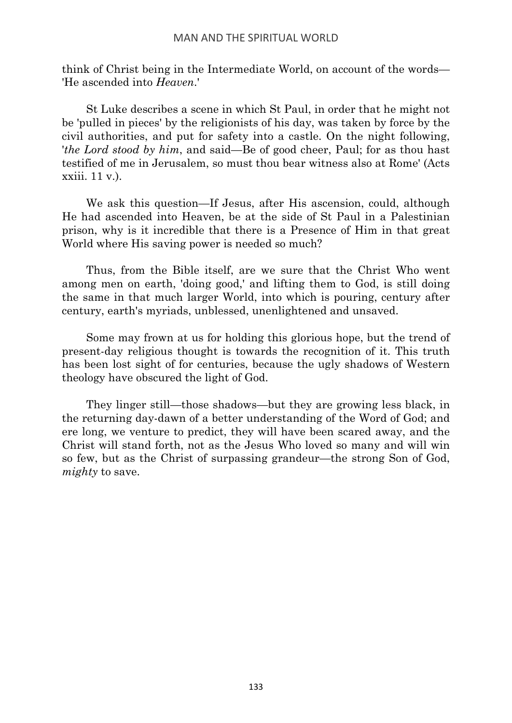think of Christ being in the Intermediate World, on account of the words— 'He ascended into *Heaven*.'

St Luke describes a scene in which St Paul, in order that he might not be 'pulled in pieces' by the religionists of his day, was taken by force by the civil authorities, and put for safety into a castle. On the night following, '*the Lord stood by him*, and said—Be of good cheer, Paul; for as thou hast testified of me in Jerusalem, so must thou bear witness also at Rome' (Acts xxiii. 11 v.).

We ask this question—If Jesus, after His ascension, could, although He had ascended into Heaven, be at the side of St Paul in a Palestinian prison, why is it incredible that there is a Presence of Him in that great World where His saving power is needed so much?

Thus, from the Bible itself, are we sure that the Christ Who went among men on earth, 'doing good,' and lifting them to God, is still doing the same in that much larger World, into which is pouring, century after century, earth's myriads, unblessed, unenlightened and unsaved.

Some may frown at us for holding this glorious hope, but the trend of present-day religious thought is towards the recognition of it. This truth has been lost sight of for centuries, because the ugly shadows of Western theology have obscured the light of God.

They linger still—those shadows—but they are growing less black, in the returning day-dawn of a better understanding of the Word of God; and ere long, we venture to predict, they will have been scared away, and the Christ will stand forth, not as the Jesus Who loved so many and will win so few, but as the Christ of surpassing grandeur—the strong Son of God, *mighty* to save.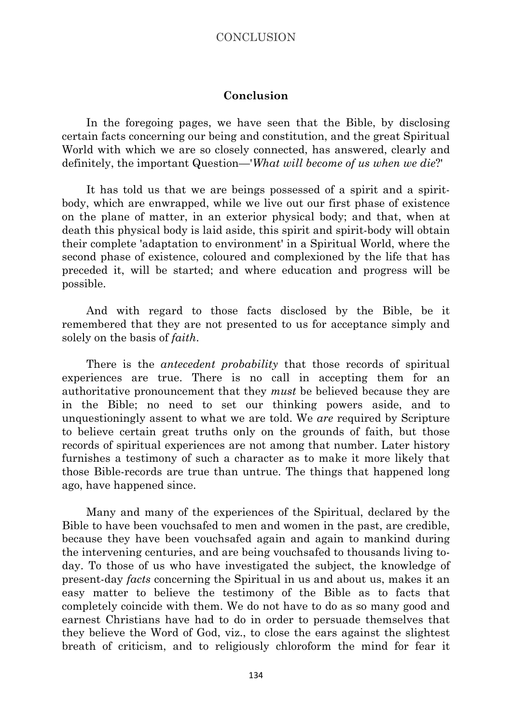## **Conclusion**

In the foregoing pages, we have seen that the Bible, by disclosing certain facts concerning our being and constitution, and the great Spiritual World with which we are so closely connected, has answered, clearly and definitely, the important Question—'*What will become of us when we die*?'

It has told us that we are beings possessed of a spirit and a spiritbody, which are enwrapped, while we live out our first phase of existence on the plane of matter, in an exterior physical body; and that, when at death this physical body is laid aside, this spirit and spirit-body will obtain their complete 'adaptation to environment' in a Spiritual World, where the second phase of existence, coloured and complexioned by the life that has preceded it, will be started; and where education and progress will be possible.

And with regard to those facts disclosed by the Bible, be it remembered that they are not presented to us for acceptance simply and solely on the basis of *faith*.

There is the *antecedent probability* that those records of spiritual experiences are true. There is no call in accepting them for an authoritative pronouncement that they *must* be believed because they are in the Bible; no need to set our thinking powers aside, and to unquestioningly assent to what we are told. We *are* required by Scripture to believe certain great truths only on the grounds of faith, but those records of spiritual experiences are not among that number. Later history furnishes a testimony of such a character as to make it more likely that those Bible-records are true than untrue. The things that happened long ago, have happened since.

Many and many of the experiences of the Spiritual, declared by the Bible to have been vouchsafed to men and women in the past, are credible, because they have been vouchsafed again and again to mankind during the intervening centuries, and are being vouchsafed to thousands living today. To those of us who have investigated the subject, the knowledge of present-day *facts* concerning the Spiritual in us and about us, makes it an easy matter to believe the testimony of the Bible as to facts that completely coincide with them. We do not have to do as so many good and earnest Christians have had to do in order to persuade themselves that they believe the Word of God, viz., to close the ears against the slightest breath of criticism, and to religiously chloroform the mind for fear it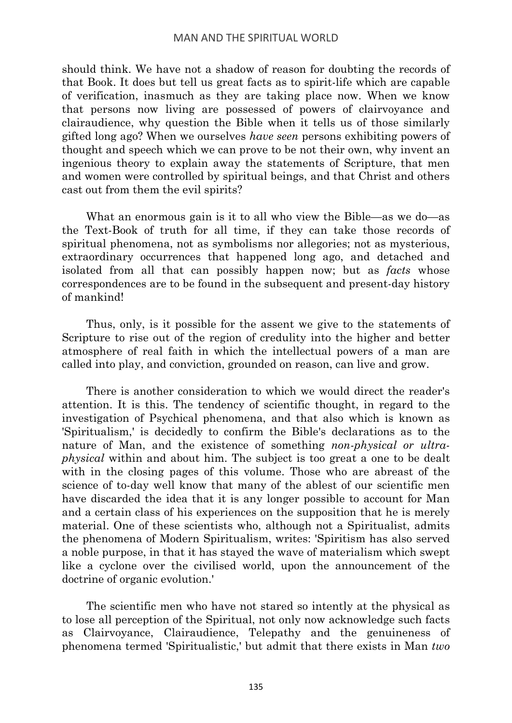should think. We have not a shadow of reason for doubting the records of that Book. It does but tell us great facts as to spirit-life which are capable of verification, inasmuch as they are taking place now. When we know that persons now living are possessed of powers of clairvoyance and clairaudience, why question the Bible when it tells us of those similarly gifted long ago? When we ourselves *have seen* persons exhibiting powers of thought and speech which we can prove to be not their own, why invent an ingenious theory to explain away the statements of Scripture, that men and women were controlled by spiritual beings, and that Christ and others cast out from them the evil spirits?

What an enormous gain is it to all who view the Bible—as we do—as the Text-Book of truth for all time, if they can take those records of spiritual phenomena, not as symbolisms nor allegories; not as mysterious, extraordinary occurrences that happened long ago, and detached and isolated from all that can possibly happen now; but as *facts* whose correspondences are to be found in the subsequent and present-day history of mankind!

Thus, only, is it possible for the assent we give to the statements of Scripture to rise out of the region of credulity into the higher and better atmosphere of real faith in which the intellectual powers of a man are called into play, and conviction, grounded on reason, can live and grow.

There is another consideration to which we would direct the reader's attention. It is this. The tendency of scientific thought, in regard to the investigation of Psychical phenomena, and that also which is known as 'Spiritualism,' is decidedly to confirm the Bible's declarations as to the nature of Man, and the existence of something *non-physical or ultraphysical* within and about him. The subject is too great a one to be dealt with in the closing pages of this volume. Those who are abreast of the science of to-day well know that many of the ablest of our scientific men have discarded the idea that it is any longer possible to account for Man and a certain class of his experiences on the supposition that he is merely material. One of these scientists who, although not a Spiritualist, admits the phenomena of Modern Spiritualism, writes: 'Spiritism has also served a noble purpose, in that it has stayed the wave of materialism which swept like a cyclone over the civilised world, upon the announcement of the doctrine of organic evolution.'

The scientific men who have not stared so intently at the physical as to lose all perception of the Spiritual, not only now acknowledge such facts as Clairvoyance, Clairaudience, Telepathy and the genuineness of phenomena termed 'Spiritualistic,' but admit that there exists in Man *two*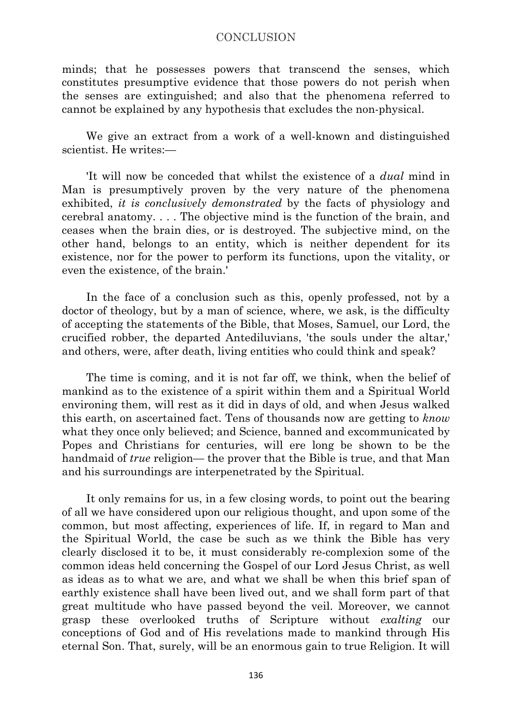minds; that he possesses powers that transcend the senses, which constitutes presumptive evidence that those powers do not perish when the senses are extinguished; and also that the phenomena referred to cannot be explained by any hypothesis that excludes the non-physical.

We give an extract from a work of a well-known and distinguished scientist. He writes:—

'It will now be conceded that whilst the existence of a *dual* mind in Man is presumptively proven by the very nature of the phenomena exhibited, *it is conclusively demonstrated* by the facts of physiology and cerebral anatomy. . . . The objective mind is the function of the brain, and ceases when the brain dies, or is destroyed. The subjective mind, on the other hand, belongs to an entity, which is neither dependent for its existence, nor for the power to perform its functions, upon the vitality, or even the existence, of the brain.'

In the face of a conclusion such as this, openly professed, not by a doctor of theology, but by a man of science, where, we ask, is the difficulty of accepting the statements of the Bible, that Moses, Samuel, our Lord, the crucified robber, the departed Antediluvians, 'the souls under the altar,' and others, were, after death, living entities who could think and speak?

The time is coming, and it is not far off, we think, when the belief of mankind as to the existence of a spirit within them and a Spiritual World environing them, will rest as it did in days of old, and when Jesus walked this earth, on ascertained fact. Tens of thousands now are getting to *know* what they once only believed; and Science, banned and excommunicated by Popes and Christians for centuries, will ere long be shown to be the handmaid of *true* religion— the prover that the Bible is true, and that Man and his surroundings are interpenetrated by the Spiritual.

It only remains for us, in a few closing words, to point out the bearing of all we have considered upon our religious thought, and upon some of the common, but most affecting, experiences of life. If, in regard to Man and the Spiritual World, the case be such as we think the Bible has very clearly disclosed it to be, it must considerably re-complexion some of the common ideas held concerning the Gospel of our Lord Jesus Christ, as well as ideas as to what we are, and what we shall be when this brief span of earthly existence shall have been lived out, and we shall form part of that great multitude who have passed beyond the veil. Moreover, we cannot grasp these overlooked truths of Scripture without *exalting* our conceptions of God and of His revelations made to mankind through His eternal Son. That, surely, will be an enormous gain to true Religion. It will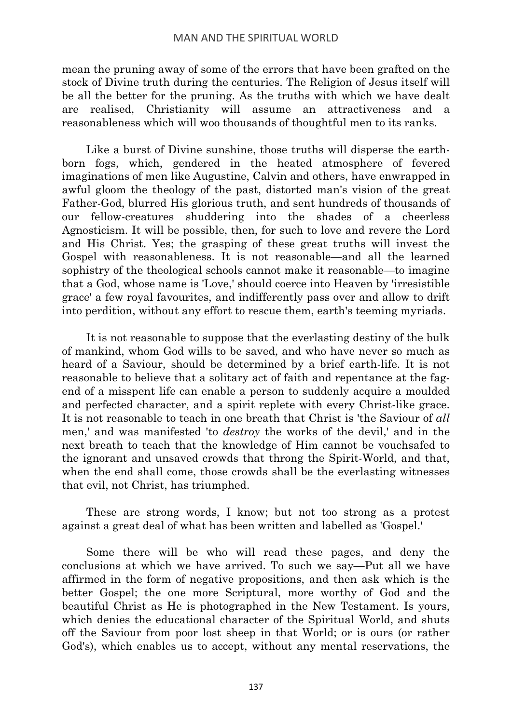mean the pruning away of some of the errors that have been grafted on the stock of Divine truth during the centuries. The Religion of Jesus itself will be all the better for the pruning. As the truths with which we have dealt are realised, Christianity will assume an attractiveness and a reasonableness which will woo thousands of thoughtful men to its ranks.

Like a burst of Divine sunshine, those truths will disperse the earthborn fogs, which, gendered in the heated atmosphere of fevered imaginations of men like Augustine, Calvin and others, have enwrapped in awful gloom the theology of the past, distorted man's vision of the great Father-God, blurred His glorious truth, and sent hundreds of thousands of our fellow-creatures shuddering into the shades of a cheerless Agnosticism. It will be possible, then, for such to love and revere the Lord and His Christ. Yes; the grasping of these great truths will invest the Gospel with reasonableness. It is not reasonable—and all the learned sophistry of the theological schools cannot make it reasonable—to imagine that a God, whose name is 'Love,' should coerce into Heaven by 'irresistible grace' a few royal favourites, and indifferently pass over and allow to drift into perdition, without any effort to rescue them, earth's teeming myriads.

It is not reasonable to suppose that the everlasting destiny of the bulk of mankind, whom God wills to be saved, and who have never so much as heard of a Saviour, should be determined by a brief earth-life. It is not reasonable to believe that a solitary act of faith and repentance at the fagend of a misspent life can enable a person to suddenly acquire a moulded and perfected character, and a spirit replete with every Christ-like grace. It is not reasonable to teach in one breath that Christ is 'the Saviour of *all* men,' and was manifested 'to *destroy* the works of the devil,' and in the next breath to teach that the knowledge of Him cannot be vouchsafed to the ignorant and unsaved crowds that throng the Spirit-World, and that, when the end shall come, those crowds shall be the everlasting witnesses that evil, not Christ, has triumphed.

These are strong words, I know; but not too strong as a protest against a great deal of what has been written and labelled as 'Gospel.'

Some there will be who will read these pages, and deny the conclusions at which we have arrived. To such we say—Put all we have affirmed in the form of negative propositions, and then ask which is the better Gospel; the one more Scriptural, more worthy of God and the beautiful Christ as He is photographed in the New Testament. Is yours, which denies the educational character of the Spiritual World, and shuts off the Saviour from poor lost sheep in that World; or is ours (or rather God's), which enables us to accept, without any mental reservations, the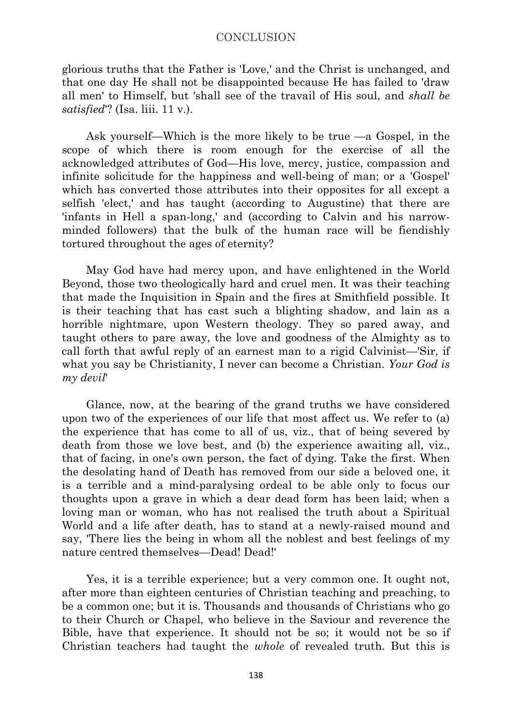glorious truths that the Father is 'Love,' and the Christ is unchanged, and that one day He shall not be disappointed because He has failed to 'draw all men' to Himself, but 'shall see of the travail of His soul, and *shall be satisfied*'? (Isa. liii. 11 v.).

Ask yourself—Which is the more likely to be true —a Gospel, in the scope of which there is room enough for the exercise of all the acknowledged attributes of God—His love, mercy, justice, compassion and infinite solicitude for the happiness and well-being of man; or a 'Gospel' which has converted those attributes into their opposites for all except a selfish 'elect,' and has taught (according to Augustine) that there are 'infants in Hell a span-long,' and (according to Calvin and his narrowminded followers) that the bulk of the human race will be fiendishly tortured throughout the ages of eternity?

May God have had mercy upon, and have enlightened in the World Beyond, those two theologically hard and cruel men. It was their teaching that made the Inquisition in Spain and the fires at Smithfield possible. It is their teaching that has cast such a blighting shadow, and lain as a horrible nightmare, upon Western theology. They so pared away, and taught others to pare away, the love and goodness of the Almighty as to call forth that awful reply of an earnest man to a rigid Calvinist—'Sir, if what you say be Christianity, I never can become a Christian. *Your God is my devil*'

Glance, now, at the bearing of the grand truths we have considered upon two of the experiences of our life that most affect us. We refer to (a) the experience that has come to all of us, viz., that of being severed by death from those we love best, and (b) the experience awaiting all, viz., that of facing, in one's own person, the fact of dying. Take the first. When the desolating hand of Death has removed from our side a beloved one, it is a terrible and a mind-paralysing ordeal to be able only to focus our thoughts upon a grave in which a dear dead form has been laid; when a loving man or woman, who has not realised the truth about a Spiritual World and a life after death, has to stand at a newly-raised mound and say, 'There lies the being in whom all the noblest and best feelings of my nature centred themselves—Dead! Dead!'

Yes, it is a terrible experience; but a very common one. It ought not, after more than eighteen centuries of Christian teaching and preaching, to be a common one; but it is. Thousands and thousands of Christians who go to their Church or Chapel, who believe in the Saviour and reverence the Bible, have that experience. It should not be so; it would not be so if Christian teachers had taught the *whole* of revealed truth. But this is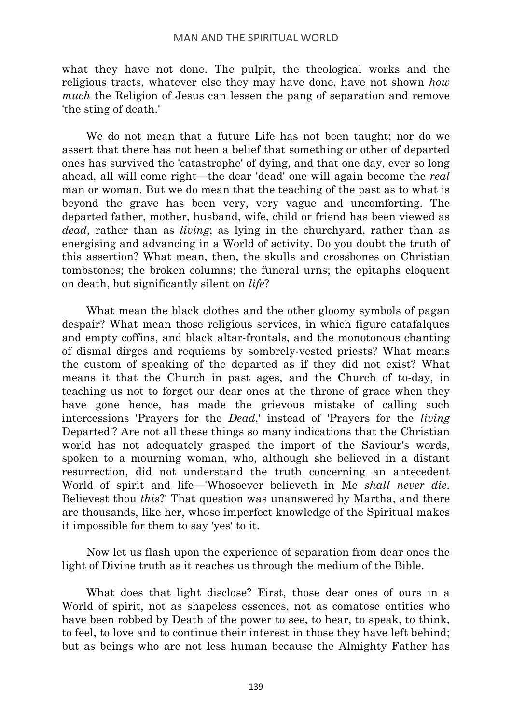what they have not done. The pulpit, the theological works and the religious tracts, whatever else they may have done, have not shown *how much* the Religion of Jesus can lessen the pang of separation and remove 'the sting of death.'

We do not mean that a future Life has not been taught; nor do we assert that there has not been a belief that something or other of departed ones has survived the 'catastrophe' of dying, and that one day, ever so long ahead, all will come right—the dear 'dead' one will again become the *real* man or woman. But we do mean that the teaching of the past as to what is beyond the grave has been very, very vague and uncomforting. The departed father, mother, husband, wife, child or friend has been viewed as *dead*, rather than as *living*; as lying in the churchyard, rather than as energising and advancing in a World of activity. Do you doubt the truth of this assertion? What mean, then, the skulls and crossbones on Christian tombstones; the broken columns; the funeral urns; the epitaphs eloquent on death, but significantly silent on *life*?

What mean the black clothes and the other gloomy symbols of pagan despair? What mean those religious services, in which figure catafalques and empty coffins, and black altar-frontals, and the monotonous chanting of dismal dirges and requiems by sombrely-vested priests? What means the custom of speaking of the departed as if they did not exist? What means it that the Church in past ages, and the Church of to-day, in teaching us not to forget our dear ones at the throne of grace when they have gone hence, has made the grievous mistake of calling such intercessions 'Prayers for the *Dead*,' instead of 'Prayers for the *living* Departed'? Are not all these things so many indications that the Christian world has not adequately grasped the import of the Saviour's words, spoken to a mourning woman, who, although she believed in a distant resurrection, did not understand the truth concerning an antecedent World of spirit and life—'Whosoever believeth in Me *shall never die*. Believest thou *this*?' That question was unanswered by Martha, and there are thousands, like her, whose imperfect knowledge of the Spiritual makes it impossible for them to say 'yes' to it.

Now let us flash upon the experience of separation from dear ones the light of Divine truth as it reaches us through the medium of the Bible.

What does that light disclose? First, those dear ones of ours in a World of spirit, not as shapeless essences, not as comatose entities who have been robbed by Death of the power to see, to hear, to speak, to think, to feel, to love and to continue their interest in those they have left behind; but as beings who are not less human because the Almighty Father has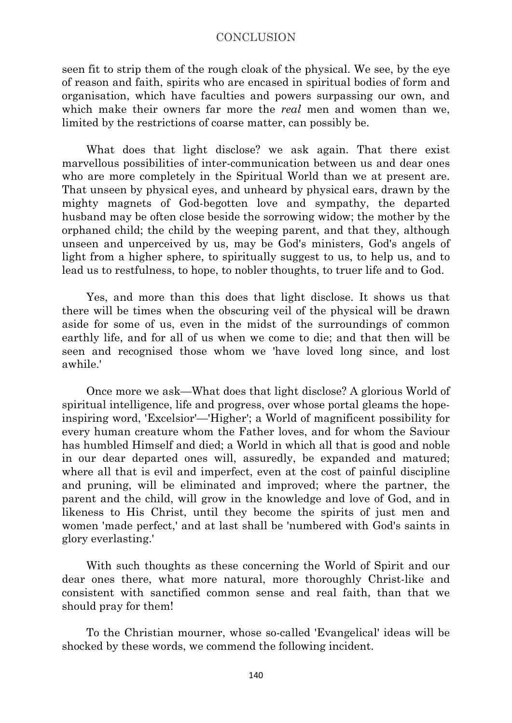seen fit to strip them of the rough cloak of the physical. We see, by the eye of reason and faith, spirits who are encased in spiritual bodies of form and organisation, which have faculties and powers surpassing our own, and which make their owners far more the *real* men and women than we, limited by the restrictions of coarse matter, can possibly be.

What does that light disclose? we ask again. That there exist marvellous possibilities of inter-communication between us and dear ones who are more completely in the Spiritual World than we at present are. That unseen by physical eyes, and unheard by physical ears, drawn by the mighty magnets of God-begotten love and sympathy, the departed husband may be often close beside the sorrowing widow; the mother by the orphaned child; the child by the weeping parent, and that they, although unseen and unperceived by us, may be God's ministers, God's angels of light from a higher sphere, to spiritually suggest to us, to help us, and to lead us to restfulness, to hope, to nobler thoughts, to truer life and to God.

Yes, and more than this does that light disclose. It shows us that there will be times when the obscuring veil of the physical will be drawn aside for some of us, even in the midst of the surroundings of common earthly life, and for all of us when we come to die; and that then will be seen and recognised those whom we 'have loved long since, and lost awhile.'

Once more we ask—What does that light disclose? A glorious World of spiritual intelligence, life and progress, over whose portal gleams the hopeinspiring word, 'Excelsior'—'Higher'; a World of magnificent possibility for every human creature whom the Father loves, and for whom the Saviour has humbled Himself and died; a World in which all that is good and noble in our dear departed ones will, assuredly, be expanded and matured; where all that is evil and imperfect, even at the cost of painful discipline and pruning, will be eliminated and improved; where the partner, the parent and the child, will grow in the knowledge and love of God, and in likeness to His Christ, until they become the spirits of just men and women 'made perfect,' and at last shall be 'numbered with God's saints in glory everlasting.'

With such thoughts as these concerning the World of Spirit and our dear ones there, what more natural, more thoroughly Christ-like and consistent with sanctified common sense and real faith, than that we should pray for them!

To the Christian mourner, whose so-called 'Evangelical' ideas will be shocked by these words, we commend the following incident.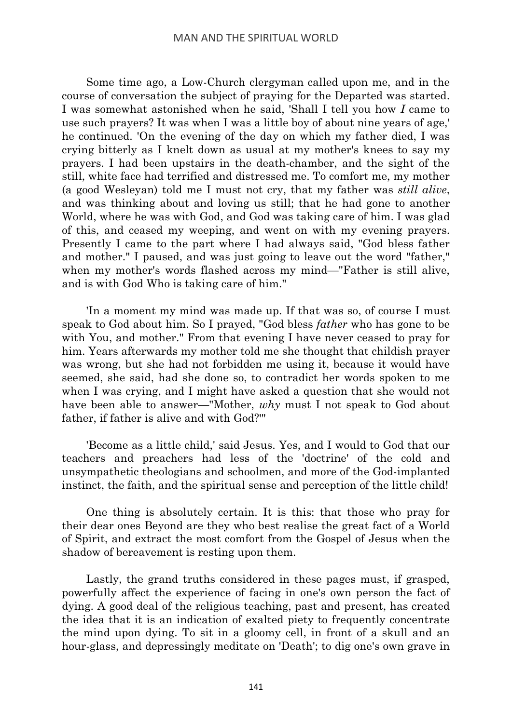Some time ago, a Low-Church clergyman called upon me, and in the course of conversation the subject of praying for the Departed was started. I was somewhat astonished when he said, 'Shall I tell you how *I* came to use such prayers? It was when I was a little boy of about nine years of age,' he continued. 'On the evening of the day on which my father died, I was crying bitterly as I knelt down as usual at my mother's knees to say my prayers. I had been upstairs in the death-chamber, and the sight of the still, white face had terrified and distressed me. To comfort me, my mother (a good Wesleyan) told me I must not cry, that my father was *still alive*, and was thinking about and loving us still; that he had gone to another World, where he was with God, and God was taking care of him. I was glad of this, and ceased my weeping, and went on with my evening prayers. Presently I came to the part where I had always said, "God bless father and mother." I paused, and was just going to leave out the word "father," when my mother's words flashed across my mind—"Father is still alive, and is with God Who is taking care of him."

'In a moment my mind was made up. If that was so, of course I must speak to God about him. So I prayed, "God bless *father* who has gone to be with You, and mother." From that evening I have never ceased to pray for him. Years afterwards my mother told me she thought that childish prayer was wrong, but she had not forbidden me using it, because it would have seemed, she said, had she done so, to contradict her words spoken to me when I was crying, and I might have asked a question that she would not have been able to answer—"Mother, *why* must I not speak to God about father, if father is alive and with God?'"

'Become as a little child,' said Jesus. Yes, and I would to God that our teachers and preachers had less of the 'doctrine' of the cold and unsympathetic theologians and schoolmen, and more of the God-implanted instinct, the faith, and the spiritual sense and perception of the little child!

One thing is absolutely certain. It is this: that those who pray for their dear ones Beyond are they who best realise the great fact of a World of Spirit, and extract the most comfort from the Gospel of Jesus when the shadow of bereavement is resting upon them.

Lastly, the grand truths considered in these pages must, if grasped, powerfully affect the experience of facing in one's own person the fact of dying. A good deal of the religious teaching, past and present, has created the idea that it is an indication of exalted piety to frequently concentrate the mind upon dying. To sit in a gloomy cell, in front of a skull and an hour-glass, and depressingly meditate on 'Death'; to dig one's own grave in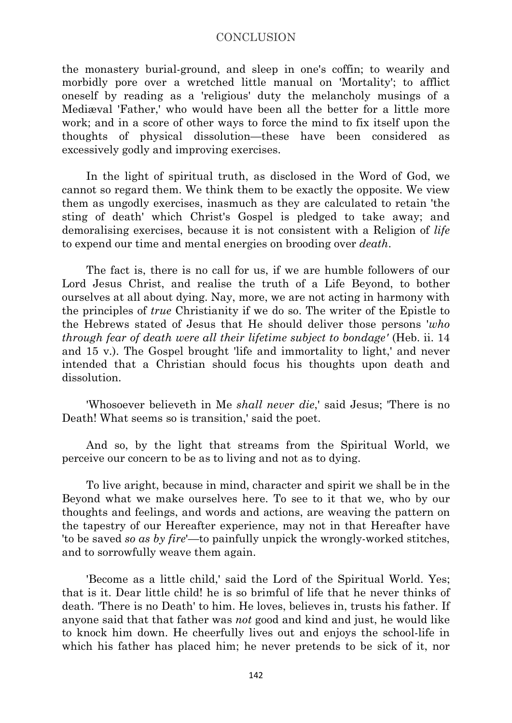the monastery burial-ground, and sleep in one's coffin; to wearily and morbidly pore over a wretched little manual on 'Mortality'; to afflict oneself by reading as a 'religious' duty the melancholy musings of a Mediæval 'Father,' who would have been all the better for a little more work; and in a score of other ways to force the mind to fix itself upon the thoughts of physical dissolution—these have been considered as excessively godly and improving exercises.

In the light of spiritual truth, as disclosed in the Word of God, we cannot so regard them. We think them to be exactly the opposite. We view them as ungodly exercises, inasmuch as they are calculated to retain 'the sting of death' which Christ's Gospel is pledged to take away; and demoralising exercises, because it is not consistent with a Religion of *life* to expend our time and mental energies on brooding over *death*.

The fact is, there is no call for us, if we are humble followers of our Lord Jesus Christ, and realise the truth of a Life Beyond, to bother ourselves at all about dying. Nay, more, we are not acting in harmony with the principles of *true* Christianity if we do so. The writer of the Epistle to the Hebrews stated of Jesus that He should deliver those persons '*who through fear of death were all their lifetime subject to bondage'* (Heb. ii. 14 and 15 v.). The Gospel brought 'life and immortality to light,' and never intended that a Christian should focus his thoughts upon death and dissolution.

'Whosoever believeth in Me *shall never die*,' said Jesus; 'There is no Death! What seems so is transition,' said the poet.

And so, by the light that streams from the Spiritual World, we perceive our concern to be as to living and not as to dying.

To live aright, because in mind, character and spirit we shall be in the Beyond what we make ourselves here. To see to it that we, who by our thoughts and feelings, and words and actions, are weaving the pattern on the tapestry of our Hereafter experience, may not in that Hereafter have 'to be saved *so as by fire*'—to painfully unpick the wrongly-worked stitches, and to sorrowfully weave them again.

'Become as a little child,' said the Lord of the Spiritual World. Yes; that is it. Dear little child! he is so brimful of life that he never thinks of death. 'There is no Death' to him. He loves, believes in, trusts his father. If anyone said that that father was *not* good and kind and just, he would like to knock him down. He cheerfully lives out and enjoys the school-life in which his father has placed him; he never pretends to be sick of it, nor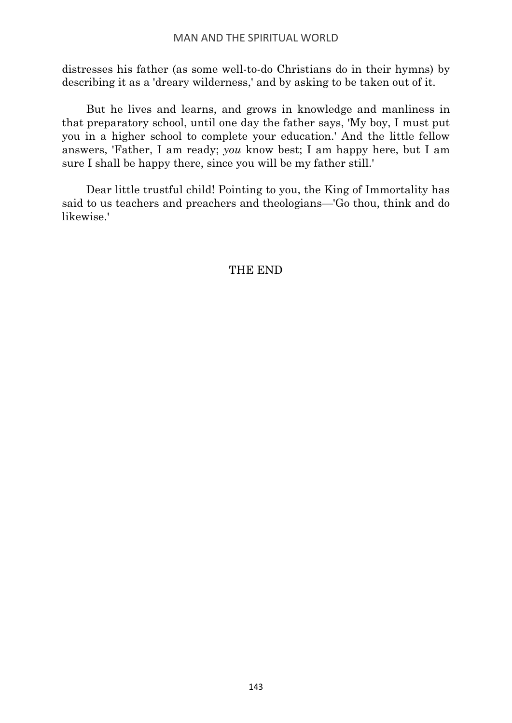distresses his father (as some well-to-do Christians do in their hymns) by describing it as a 'dreary wilderness,' and by asking to be taken out of it.

But he lives and learns, and grows in knowledge and manliness in that preparatory school, until one day the father says, 'My boy, I must put you in a higher school to complete your education.' And the little fellow answers, 'Father, I am ready; *you* know best; I am happy here, but I am sure I shall be happy there, since you will be my father still.'

Dear little trustful child! Pointing to you, the King of Immortality has said to us teachers and preachers and theologians—'Go thou, think and do likewise.'

# THE END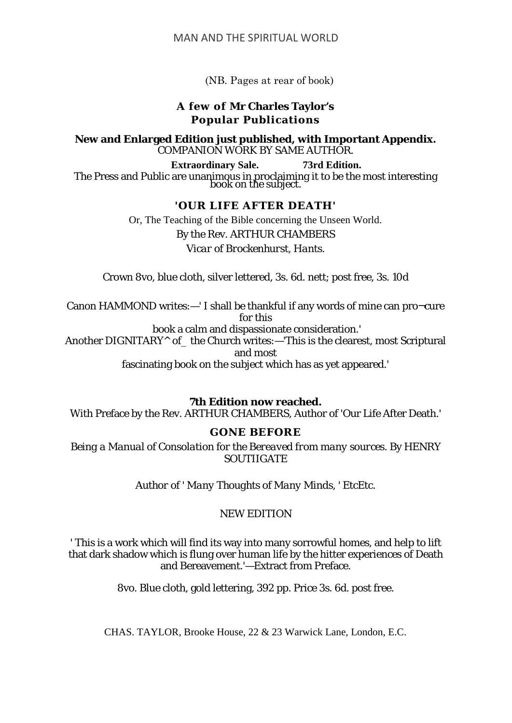(NB. Pages at rear of book)

# **A few of Mr Charles Taylor's Popular Publications**

**New and Enlarged Edition just published, with Important Appendix.** COMPANION WORK BY SAME AUTHOR.

**Extraordinary Sale. 73rd Edition.** The Press and Public are unanimous in proclaiming it to be the most interesting book on the subject.

### **'OUR LIFE AFTER DEATH'**

Or, The Teaching of the Bible concerning the Unseen World. By the Rev. ARTHUR CHAMBERS *Vicar of Brockenhurst, Hants.*

Crown 8vo, blue cloth, silver lettered, 3s. 6d. nett; post free, 3s. 10d

Canon HAMMOND writes:—' I shall be thankful if any words of mine can pro¬cure for this

book a calm and dispassionate consideration.'

Another DIGNITARY $^{\wedge}$  of the Church writes:—'This is the clearest, most Scriptural and most

fascinating book on the subject which has as yet appeared.'

**7th Edition now reached.**

With Preface by the Rev. ARTHUR CHAMBERS, Author of 'Our Life After Death.'

# **GONE BEFORE**

*Being a Manual of Consolation for the Bereaved from many sources.* By HENRY **SOUTHGATE** 

*Author of ' Many Thoughts of Many Minds, ' EtcEtc.*

# NEW EDITION

' This is a work which will find its way into many sorrowful homes, and help to lift that dark shadow which is flung over human life by the hitter experiences of Death and Bereavement.'—Extract from Preface.

8vo. Blue cloth, gold lettering, 392 pp. Price 3s. 6d. post free.

CHAS. TAYLOR, Brooke House, 22 & 23 Warwick Lane, London, E.C.